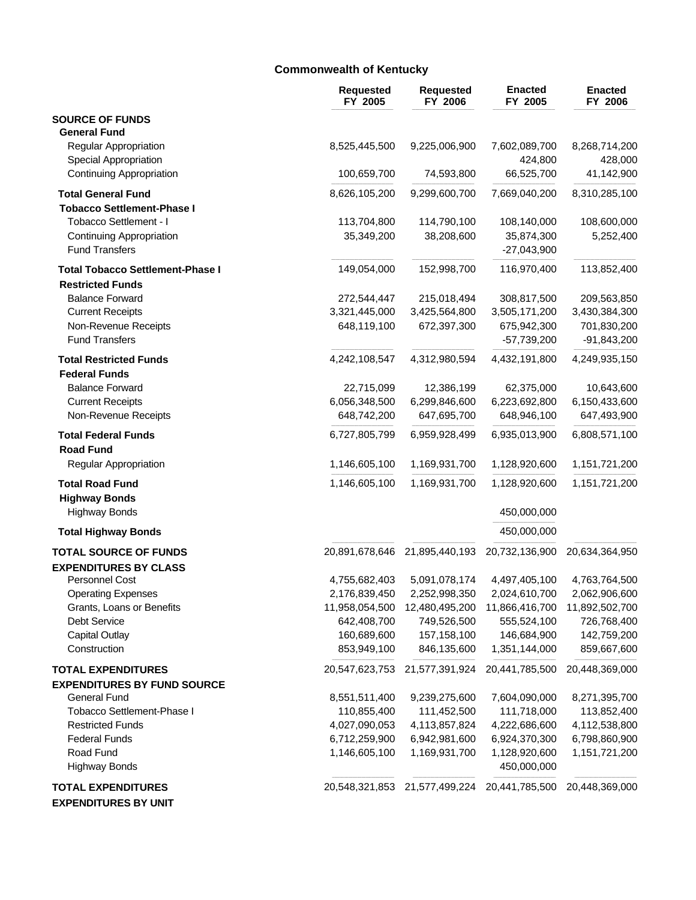# **Commonwealth of Kentucky**

|                                                          | <b>Requested</b><br>FY 2005 | <b>Requested</b><br>FY 2006                  | <b>Enacted</b><br>FY 2005    | <b>Enacted</b><br>FY 2006 |
|----------------------------------------------------------|-----------------------------|----------------------------------------------|------------------------------|---------------------------|
| <b>SOURCE OF FUNDS</b><br><b>General Fund</b>            |                             |                                              |                              |                           |
| Regular Appropriation<br>Special Appropriation           | 8,525,445,500               | 9,225,006,900                                | 7,602,089,700<br>424,800     | 8,268,714,200<br>428,000  |
| <b>Continuing Appropriation</b>                          | 100,659,700                 | 74,593,800                                   | 66,525,700                   | 41,142,900                |
| <b>Total General Fund</b>                                | 8,626,105,200               | 9,299,600,700                                | 7,669,040,200                | 8,310,285,100             |
| <b>Tobacco Settlement-Phase I</b>                        |                             |                                              |                              |                           |
| Tobacco Settlement - I                                   | 113,704,800                 | 114,790,100                                  | 108,140,000                  | 108,600,000               |
| <b>Continuing Appropriation</b><br><b>Fund Transfers</b> | 35,349,200                  | 38,208,600                                   | 35,874,300<br>$-27,043,900$  | 5,252,400                 |
| <b>Total Tobacco Settlement-Phase I</b>                  | 149,054,000                 | 152,998,700                                  | 116,970,400                  | 113,852,400               |
| <b>Restricted Funds</b>                                  |                             |                                              |                              |                           |
| <b>Balance Forward</b>                                   | 272,544,447                 | 215,018,494                                  | 308,817,500                  | 209,563,850               |
| <b>Current Receipts</b>                                  | 3,321,445,000               | 3,425,564,800                                | 3,505,171,200                | 3,430,384,300             |
| Non-Revenue Receipts                                     | 648,119,100                 | 672,397,300                                  | 675,942,300                  | 701,830,200               |
| <b>Fund Transfers</b>                                    |                             |                                              | -57,739,200                  | $-91,843,200$             |
| <b>Total Restricted Funds</b><br><b>Federal Funds</b>    | 4,242,108,547               | 4,312,980,594                                | 4,432,191,800                | 4,249,935,150             |
| <b>Balance Forward</b>                                   | 22,715,099                  | 12,386,199                                   | 62,375,000                   | 10,643,600                |
| <b>Current Receipts</b>                                  | 6,056,348,500               | 6,299,846,600                                | 6,223,692,800                | 6,150,433,600             |
| Non-Revenue Receipts                                     | 648,742,200                 | 647,695,700                                  | 648,946,100                  | 647,493,900               |
| <b>Total Federal Funds</b>                               | 6,727,805,799               | 6,959,928,499                                | 6,935,013,900                | 6,808,571,100             |
| <b>Road Fund</b><br>Regular Appropriation                | 1,146,605,100               | 1,169,931,700                                | 1,128,920,600                | 1,151,721,200             |
| <b>Total Road Fund</b>                                   | 1,146,605,100               | 1,169,931,700                                | 1,128,920,600                | 1,151,721,200             |
| <b>Highway Bonds</b>                                     |                             |                                              |                              |                           |
| <b>Highway Bonds</b>                                     |                             |                                              | 450,000,000                  |                           |
| <b>Total Highway Bonds</b>                               |                             |                                              | 450,000,000                  |                           |
| <b>TOTAL SOURCE OF FUNDS</b>                             |                             | 20,891,678,646 21,895,440,193 20,732,136,900 |                              | 20,634,364,950            |
| <b>EXPENDITURES BY CLASS</b>                             |                             |                                              |                              |                           |
| Personnel Cost                                           | 4,755,682,403               | 5,091,078,174                                | 4,497,405,100                | 4,763,764,500             |
| <b>Operating Expenses</b>                                | 2,176,839,450               | 2,252,998,350                                | 2,024,610,700                | 2,062,906,600             |
| Grants, Loans or Benefits                                | 11,958,054,500              | 12,480,495,200                               | 11,866,416,700               | 11,892,502,700            |
| Debt Service                                             | 642,408,700                 | 749,526,500                                  | 555,524,100                  | 726,768,400               |
| <b>Capital Outlay</b>                                    | 160,689,600                 | 157, 158, 100                                | 146,684,900                  | 142,759,200               |
| Construction                                             | 853,949,100                 | 846,135,600                                  | 1,351,144,000                | 859,667,600               |
| <b>TOTAL EXPENDITURES</b>                                | 20,547,623,753              | 21,577,391,924                               | 20,441,785,500               | 20,448,369,000            |
| <b>EXPENDITURES BY FUND SOURCE</b>                       |                             |                                              |                              |                           |
| General Fund                                             | 8,551,511,400               | 9,239,275,600                                | 7,604,090,000                | 8,271,395,700             |
| Tobacco Settlement-Phase I                               | 110,855,400                 | 111,452,500                                  | 111,718,000                  | 113,852,400               |
| <b>Restricted Funds</b>                                  | 4,027,090,053               | 4,113,857,824                                | 4,222,686,600                | 4,112,538,800             |
| <b>Federal Funds</b>                                     | 6,712,259,900               | 6,942,981,600                                | 6,924,370,300                | 6,798,860,900             |
| Road Fund<br><b>Highway Bonds</b>                        | 1,146,605,100               | 1,169,931,700                                | 1,128,920,600<br>450,000,000 | 1,151,721,200             |
| <b>TOTAL EXPENDITURES</b><br><b>EXPENDITURES BY UNIT</b> |                             | 20,548,321,853 21,577,499,224                | 20,441,785,500               | 20,448,369,000            |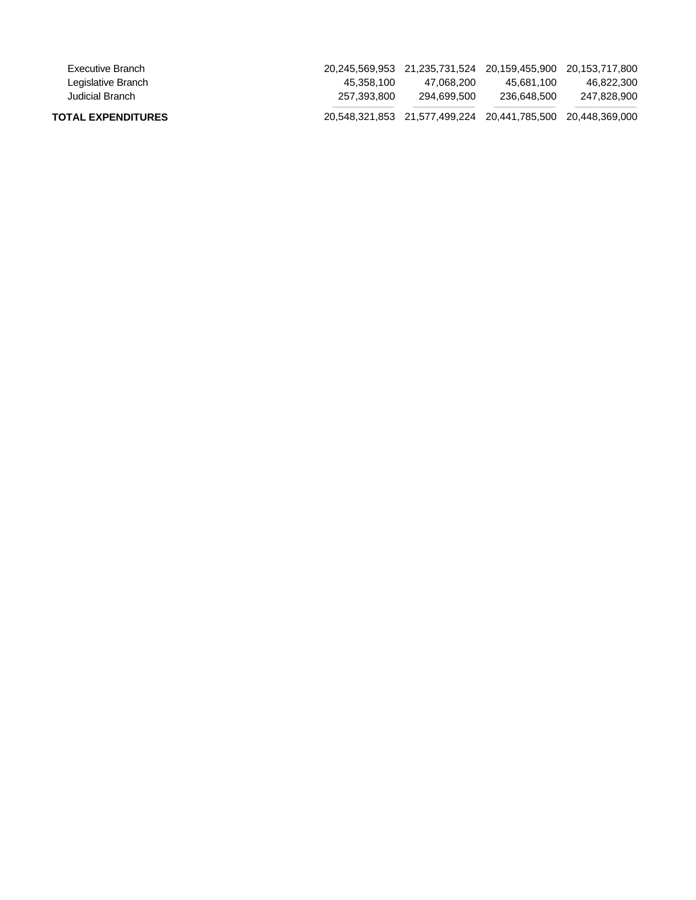| TOTAL EXPENDITURES |             |             |                                                             |             |
|--------------------|-------------|-------------|-------------------------------------------------------------|-------------|
| Judicial Branch    | 257.393.800 | 294.699.500 | 236.648.500                                                 | 247,828,900 |
| Legislative Branch | 45.358.100  | 47.068.200  | 45.681.100                                                  | 46.822.300  |
| Executive Branch   |             |             | 20,245,569,953 21,235,731,524 20,159,455,900 20,153,717,800 |             |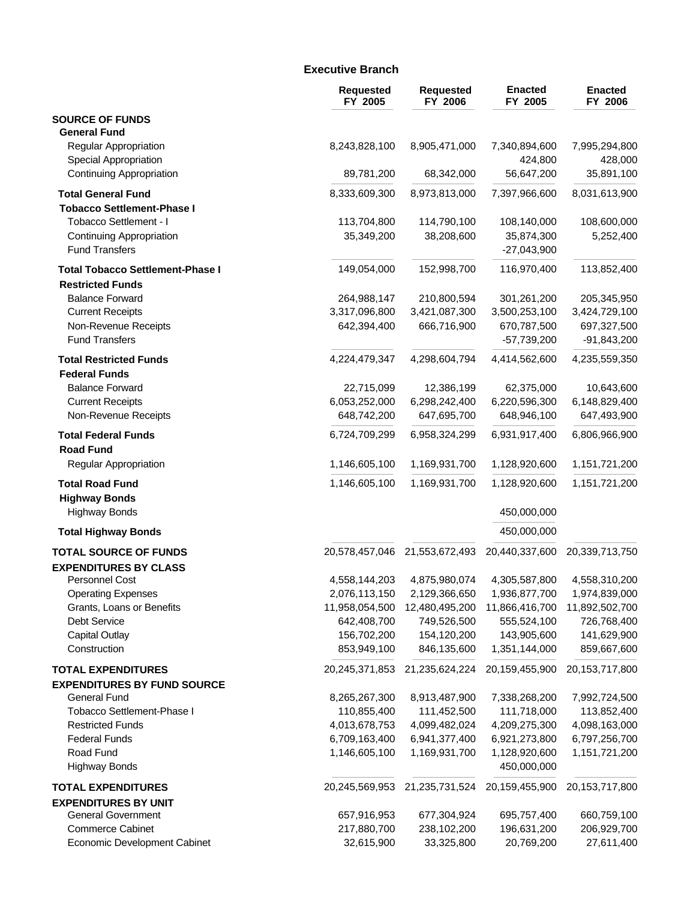### **Executive Branch**

|                                                                | <b>Requested</b><br>FY 2005 | <b>Requested</b><br>FY 2006 | <b>Enacted</b><br>FY 2005    | <b>Enacted</b><br>FY 2006  |
|----------------------------------------------------------------|-----------------------------|-----------------------------|------------------------------|----------------------------|
| <b>SOURCE OF FUNDS</b>                                         |                             |                             |                              |                            |
| <b>General Fund</b>                                            |                             |                             |                              |                            |
| <b>Regular Appropriation</b><br>Special Appropriation          | 8,243,828,100               | 8,905,471,000               | 7,340,894,600<br>424,800     | 7,995,294,800<br>428,000   |
| <b>Continuing Appropriation</b>                                | 89,781,200                  | 68,342,000                  | 56,647,200                   | 35,891,100                 |
| <b>Total General Fund</b><br><b>Tobacco Settlement-Phase I</b> | 8,333,609,300               | 8,973,813,000               | 7,397,966,600                | 8,031,613,900              |
| Tobacco Settlement - I                                         | 113,704,800                 | 114,790,100                 | 108,140,000                  | 108,600,000                |
| <b>Continuing Appropriation</b>                                | 35,349,200                  | 38,208,600                  | 35,874,300                   | 5,252,400                  |
| <b>Fund Transfers</b>                                          |                             |                             | $-27,043,900$                |                            |
| <b>Total Tobacco Settlement-Phase I</b>                        | 149,054,000                 | 152,998,700                 | 116,970,400                  | 113,852,400                |
| <b>Restricted Funds</b>                                        |                             |                             |                              |                            |
| <b>Balance Forward</b>                                         | 264,988,147                 | 210,800,594                 | 301,261,200                  | 205,345,950                |
| <b>Current Receipts</b>                                        | 3,317,096,800               | 3,421,087,300               | 3,500,253,100                | 3,424,729,100              |
| Non-Revenue Receipts                                           | 642,394,400                 | 666,716,900                 | 670,787,500                  | 697,327,500                |
| <b>Fund Transfers</b>                                          |                             |                             | -57,739,200                  | $-91,843,200$              |
| <b>Total Restricted Funds</b>                                  | 4,224,479,347               | 4,298,604,794               | 4,414,562,600                | 4,235,559,350              |
| <b>Federal Funds</b>                                           |                             |                             |                              |                            |
| <b>Balance Forward</b>                                         | 22,715,099                  | 12,386,199                  | 62,375,000                   | 10,643,600                 |
| <b>Current Receipts</b>                                        | 6,053,252,000               | 6,298,242,400               | 6,220,596,300                | 6,148,829,400              |
| Non-Revenue Receipts                                           | 648,742,200                 | 647,695,700                 | 648,946,100                  | 647,493,900                |
| <b>Total Federal Funds</b>                                     | 6,724,709,299               | 6,958,324,299               | 6,931,917,400                | 6,806,966,900              |
| <b>Road Fund</b>                                               |                             |                             |                              |                            |
| <b>Regular Appropriation</b>                                   | 1,146,605,100               | 1,169,931,700               | 1,128,920,600                | 1,151,721,200              |
| <b>Total Road Fund</b>                                         | 1,146,605,100               | 1,169,931,700               | 1,128,920,600                | 1,151,721,200              |
| <b>Highway Bonds</b>                                           |                             |                             |                              |                            |
| <b>Highway Bonds</b>                                           |                             |                             | 450,000,000                  |                            |
| <b>Total Highway Bonds</b>                                     |                             |                             | 450,000,000                  |                            |
| <b>TOTAL SOURCE OF FUNDS</b>                                   | 20,578,457,046              | 21,553,672,493              | 20,440,337,600               | 20,339,713,750             |
| <b>EXPENDITURES BY CLASS</b>                                   |                             |                             |                              |                            |
| <b>Personnel Cost</b>                                          | 4,558,144,203               | 4,875,980,074               | 4,305,587,800                | 4,558,310,200              |
| <b>Operating Expenses</b>                                      | 2,076,113,150               | 2,129,366,650               | 1,936,877,700                | 1,974,839,000              |
| Grants, Loans or Benefits                                      | 11,958,054,500              | 12,480,495,200              | 11,866,416,700               | 11,892,502,700             |
| Debt Service                                                   | 642,408,700                 | 749,526,500                 | 555,524,100                  | 726,768,400                |
| <b>Capital Outlay</b><br>Construction                          | 156,702,200<br>853,949,100  | 154,120,200<br>846,135,600  | 143,905,600<br>1,351,144,000 | 141,629,900<br>859,667,600 |
| <b>TOTAL EXPENDITURES</b>                                      | 20,245,371,853              | 21,235,624,224              | 20,159,455,900               | 20,153,717,800             |
| <b>EXPENDITURES BY FUND SOURCE</b>                             |                             |                             |                              |                            |
| <b>General Fund</b>                                            | 8,265,267,300               | 8,913,487,900               | 7,338,268,200                | 7,992,724,500              |
| Tobacco Settlement-Phase I                                     | 110,855,400                 | 111,452,500                 | 111,718,000                  | 113,852,400                |
| <b>Restricted Funds</b>                                        | 4,013,678,753               | 4,099,482,024               | 4,209,275,300                | 4,098,163,000              |
| <b>Federal Funds</b>                                           | 6,709,163,400               | 6,941,377,400               | 6,921,273,800                | 6,797,256,700              |
| Road Fund                                                      | 1,146,605,100               | 1,169,931,700               | 1,128,920,600                | 1,151,721,200              |
| <b>Highway Bonds</b>                                           |                             |                             | 450,000,000                  |                            |
| <b>TOTAL EXPENDITURES</b>                                      | 20,245,569,953              | 21,235,731,524              | 20,159,455,900               | 20,153,717,800             |
| <b>EXPENDITURES BY UNIT</b>                                    |                             |                             |                              |                            |
| <b>General Government</b>                                      | 657,916,953                 | 677,304,924                 | 695,757,400                  | 660,759,100                |
| <b>Commerce Cabinet</b>                                        | 217,880,700                 | 238,102,200                 | 196,631,200                  | 206,929,700                |
| Economic Development Cabinet                                   | 32,615,900                  | 33,325,800                  | 20,769,200                   | 27,611,400                 |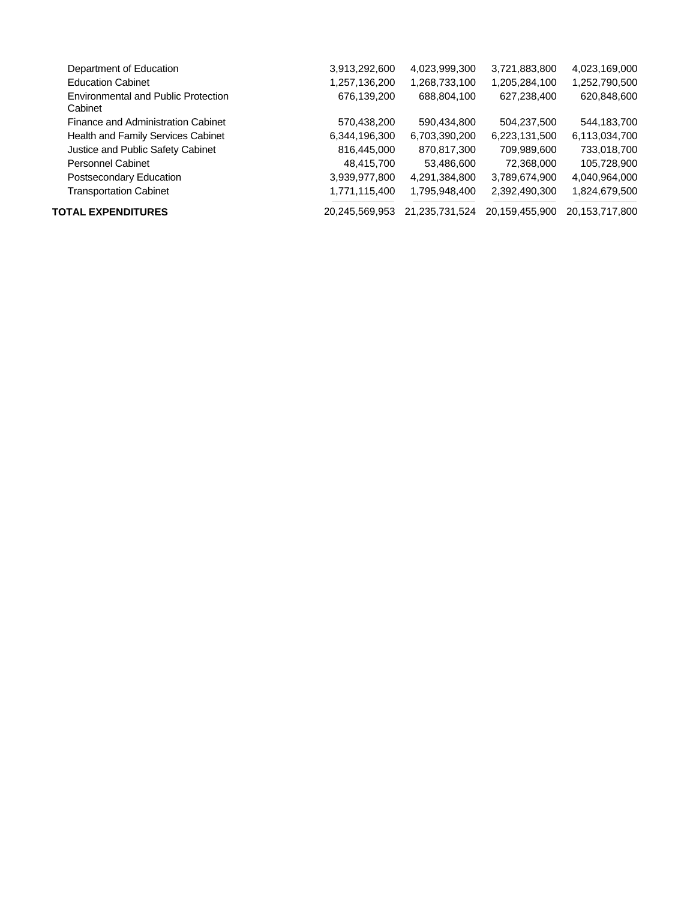| <b>TOTAL EXPENDITURES</b>                  | 20.245.569.953 | 21,235,731,524 | 20,159,455,900 | 20,153,717,800 |
|--------------------------------------------|----------------|----------------|----------------|----------------|
| <b>Transportation Cabinet</b>              | 1,771,115,400  | 1,795,948,400  | 2,392,490,300  | 1,824,679,500  |
| Postsecondary Education                    | 3,939,977,800  | 4,291,384,800  | 3,789,674,900  | 4,040,964,000  |
| <b>Personnel Cabinet</b>                   | 48,415,700     | 53,486,600     | 72,368,000     | 105,728,900    |
| Justice and Public Safety Cabinet          | 816,445,000    | 870,817,300    | 709,989,600    | 733,018,700    |
| Health and Family Services Cabinet         | 6,344,196,300  | 6,703,390,200  | 6,223,131,500  | 6,113,034,700  |
| Finance and Administration Cabinet         | 570,438,200    | 590,434,800    | 504,237,500    | 544,183,700    |
| Cabinet                                    |                |                |                |                |
| <b>Environmental and Public Protection</b> | 676,139,200    | 688,804,100    | 627,238,400    | 620,848,600    |
| <b>Education Cabinet</b>                   | 1,257,136,200  | 1,268,733,100  | 1,205,284,100  | 1,252,790,500  |
| Department of Education                    | 3,913,292,600  | 4,023,999,300  | 3,721,883,800  | 4,023,169,000  |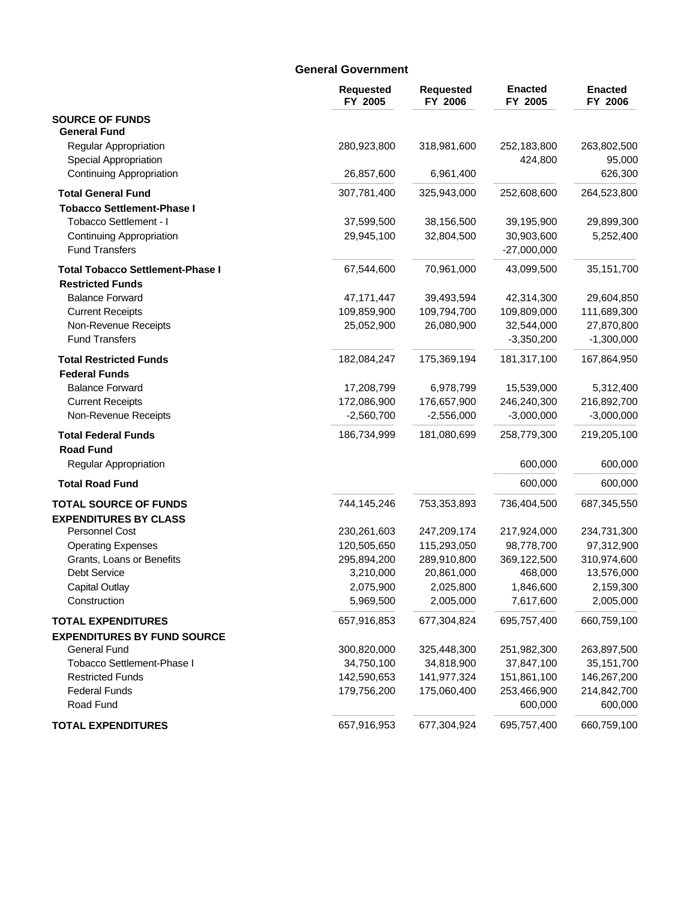## **General Government**

|                                                                       | <b>Requested</b><br>FY 2005 | <b>Requested</b><br>FY 2006 | <b>Enacted</b><br>FY 2005   | <b>Enacted</b><br>FY 2006  |
|-----------------------------------------------------------------------|-----------------------------|-----------------------------|-----------------------------|----------------------------|
| <b>SOURCE OF FUNDS</b>                                                |                             |                             |                             |                            |
| <b>General Fund</b><br>Regular Appropriation<br>Special Appropriation | 280,923,800                 | 318,981,600                 | 252,183,800<br>424,800      | 263,802,500<br>95,000      |
| <b>Continuing Appropriation</b>                                       | 26,857,600                  | 6,961,400                   |                             | 626,300                    |
| <b>Total General Fund</b><br><b>Tobacco Settlement-Phase I</b>        | 307,781,400                 | 325,943,000                 | 252,608,600                 | 264,523,800                |
| Tobacco Settlement - I                                                | 37,599,500                  | 38,156,500                  | 39,195,900                  | 29,899,300                 |
| Continuing Appropriation<br><b>Fund Transfers</b>                     | 29,945,100                  | 32,804,500                  | 30,903,600<br>$-27,000,000$ | 5,252,400                  |
| <b>Total Tobacco Settlement-Phase I</b><br><b>Restricted Funds</b>    | 67,544,600                  | 70,961,000                  | 43,099,500                  | 35,151,700                 |
| <b>Balance Forward</b>                                                | 47, 171, 447                | 39,493,594                  | 42,314,300                  | 29,604,850                 |
| <b>Current Receipts</b>                                               | 109,859,900                 | 109,794,700                 | 109,809,000                 | 111,689,300                |
| Non-Revenue Receipts<br><b>Fund Transfers</b>                         | 25,052,900                  | 26,080,900                  | 32,544,000<br>$-3,350,200$  | 27,870,800<br>$-1,300,000$ |
| <b>Total Restricted Funds</b><br><b>Federal Funds</b>                 | 182,084,247                 | 175,369,194                 | 181,317,100                 | 167,864,950                |
| <b>Balance Forward</b>                                                | 17,208,799                  | 6,978,799                   | 15,539,000                  | 5,312,400                  |
| <b>Current Receipts</b>                                               | 172,086,900                 | 176,657,900                 | 246,240,300                 | 216,892,700                |
| Non-Revenue Receipts                                                  | $-2,560,700$                | $-2,556,000$                | $-3,000,000$                | $-3,000,000$               |
| <b>Total Federal Funds</b><br><b>Road Fund</b>                        | 186,734,999                 | 181,080,699                 | 258,779,300                 | 219,205,100                |
| Regular Appropriation                                                 |                             |                             | 600,000                     | 600,000                    |
| <b>Total Road Fund</b>                                                |                             |                             | 600,000                     | 600,000                    |
| <b>TOTAL SOURCE OF FUNDS</b><br><b>EXPENDITURES BY CLASS</b>          | 744,145,246                 | 753,353,893                 | 736,404,500                 | 687,345,550                |
| Personnel Cost                                                        | 230,261,603                 | 247,209,174                 | 217,924,000                 | 234,731,300                |
| <b>Operating Expenses</b>                                             | 120,505,650                 | 115,293,050                 | 98,778,700                  | 97,312,900                 |
| Grants, Loans or Benefits                                             | 295,894,200                 | 289,910,800                 | 369,122,500                 | 310,974,600                |
| <b>Debt Service</b><br><b>Capital Outlay</b>                          | 3,210,000<br>2,075,900      | 20,861,000<br>2,025,800     | 468,000<br>1,846,600        | 13,576,000<br>2,159,300    |
| Construction                                                          | 5,969,500                   | 2,005,000                   | 7,617,600                   | 2,005,000                  |
| <b>TOTAL EXPENDITURES</b><br><b>EXPENDITURES BY FUND SOURCE</b>       | 657,916,853                 | 677,304,824                 | 695,757,400                 | 660,759,100                |
| <b>General Fund</b>                                                   | 300,820,000                 | 325,448,300                 | 251,982,300                 | 263,897,500                |
| Tobacco Settlement-Phase I                                            | 34,750,100                  | 34,818,900                  | 37,847,100                  | 35,151,700                 |
| <b>Restricted Funds</b>                                               | 142,590,653                 | 141,977,324                 | 151,861,100                 | 146,267,200                |
| <b>Federal Funds</b><br>Road Fund                                     | 179,756,200                 | 175,060,400                 | 253,466,900<br>600,000      | 214,842,700<br>600,000     |
| <b>TOTAL EXPENDITURES</b>                                             | 657,916,953                 | 677,304,924                 | 695,757,400                 | 660,759,100                |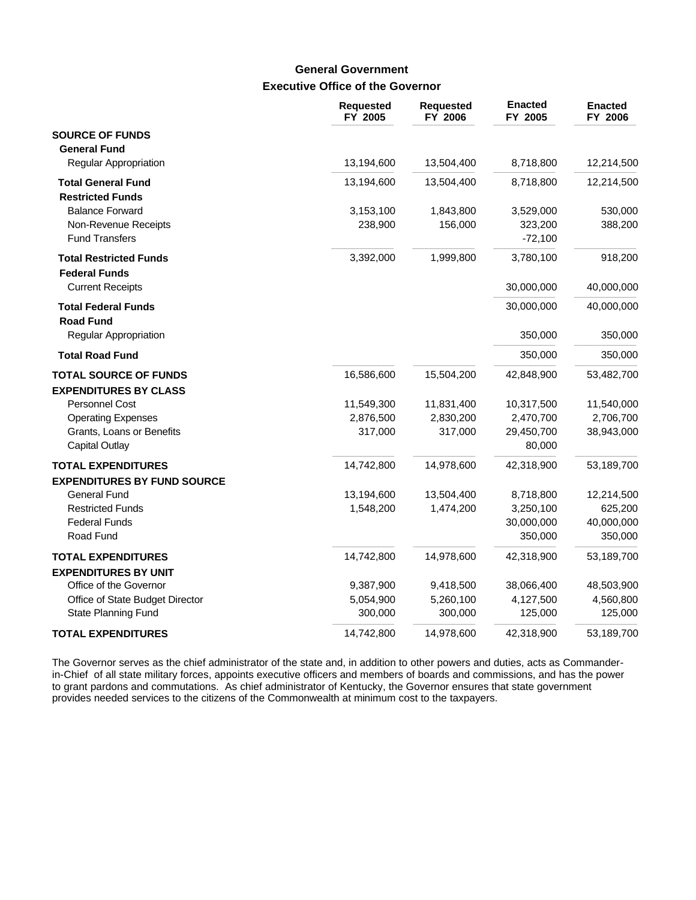# **Executive Office of the Governor General Government**

|                                                                         | <b>Requested</b><br>FY 2005 | <b>Requested</b><br>FY 2006 | <b>Enacted</b><br>FY 2005         | <b>Enacted</b><br>FY 2006 |
|-------------------------------------------------------------------------|-----------------------------|-----------------------------|-----------------------------------|---------------------------|
| <b>SOURCE OF FUNDS</b><br><b>General Fund</b>                           |                             |                             |                                   |                           |
| Regular Appropriation                                                   | 13,194,600                  | 13,504,400                  | 8,718,800                         | 12,214,500                |
| <b>Total General Fund</b><br><b>Restricted Funds</b>                    | 13,194,600                  | 13,504,400                  | 8,718,800                         | 12,214,500                |
| <b>Balance Forward</b><br>Non-Revenue Receipts<br><b>Fund Transfers</b> | 3,153,100<br>238,900        | 1,843,800<br>156,000        | 3,529,000<br>323,200<br>$-72,100$ | 530,000<br>388,200        |
| <b>Total Restricted Funds</b><br><b>Federal Funds</b>                   | 3,392,000                   | 1,999,800                   | 3,780,100                         | 918,200                   |
| <b>Current Receipts</b>                                                 |                             |                             | 30,000,000                        | 40,000,000                |
| <b>Total Federal Funds</b><br><b>Road Fund</b>                          |                             |                             | 30,000,000                        | 40,000,000                |
| Regular Appropriation                                                   |                             |                             | 350,000                           | 350,000                   |
| <b>Total Road Fund</b>                                                  |                             |                             | 350,000                           | 350,000                   |
| <b>TOTAL SOURCE OF FUNDS</b><br><b>EXPENDITURES BY CLASS</b>            | 16,586,600                  | 15,504,200                  | 42,848,900                        | 53,482,700                |
| Personnel Cost                                                          | 11,549,300                  | 11,831,400                  | 10,317,500                        | 11,540,000                |
| <b>Operating Expenses</b>                                               | 2,876,500                   | 2,830,200                   | 2,470,700                         | 2,706,700                 |
| Grants, Loans or Benefits<br><b>Capital Outlay</b>                      | 317,000                     | 317,000                     | 29,450,700<br>80,000              | 38,943,000                |
| <b>TOTAL EXPENDITURES</b><br><b>EXPENDITURES BY FUND SOURCE</b>         | 14,742,800                  | 14,978,600                  | 42,318,900                        | 53,189,700                |
| <b>General Fund</b>                                                     | 13,194,600                  | 13,504,400                  | 8,718,800                         | 12,214,500                |
| <b>Restricted Funds</b>                                                 | 1,548,200                   | 1,474,200                   | 3,250,100                         | 625,200                   |
| <b>Federal Funds</b>                                                    |                             |                             | 30,000,000                        | 40,000,000                |
| Road Fund                                                               |                             |                             | 350,000                           | 350,000                   |
| <b>TOTAL EXPENDITURES</b><br><b>EXPENDITURES BY UNIT</b>                | 14,742,800                  | 14,978,600                  | 42,318,900                        | 53,189,700                |
| Office of the Governor                                                  | 9,387,900                   | 9,418,500                   | 38,066,400                        | 48,503,900                |
| Office of State Budget Director                                         | 5,054,900                   | 5,260,100                   | 4,127,500                         | 4,560,800                 |
| State Planning Fund                                                     | 300,000                     | 300,000                     | 125,000                           | 125,000                   |
| <b>TOTAL EXPENDITURES</b>                                               | 14,742,800                  | 14,978,600                  | 42,318,900                        | 53,189,700                |

The Governor serves as the chief administrator of the state and, in addition to other powers and duties, acts as Commanderin-Chief of all state military forces, appoints executive officers and members of boards and commissions, and has the power to grant pardons and commutations. As chief administrator of Kentucky, the Governor ensures that state government provides needed services to the citizens of the Commonwealth at minimum cost to the taxpayers.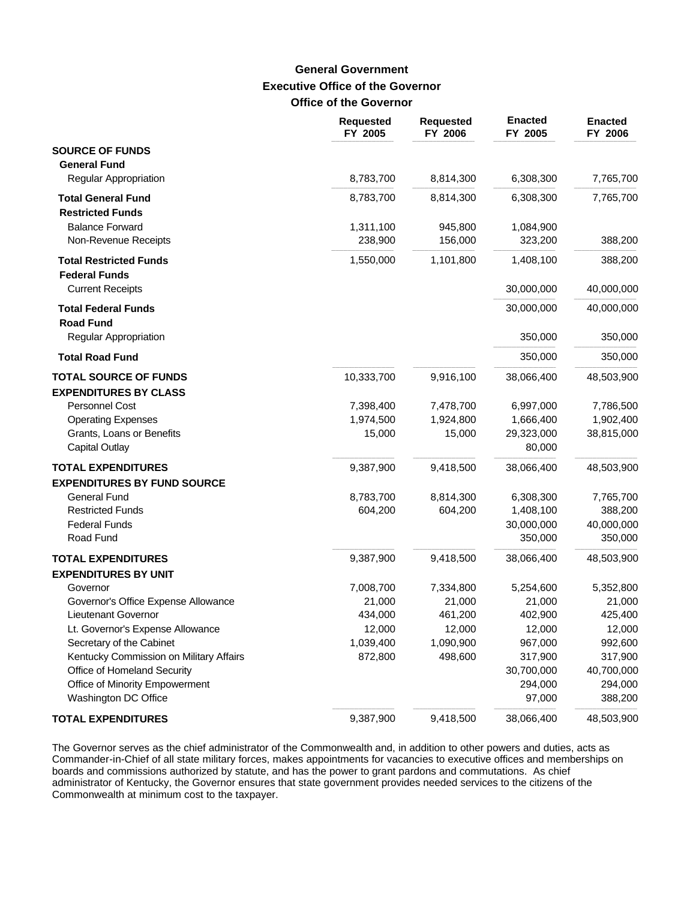# **Executive Office of the Governor Office of the Governor General Government**

|                                                                 | <b>Requested</b><br>FY 2005 | <b>Requested</b><br>FY 2006 | <b>Enacted</b><br>FY 2005 | <b>Enacted</b><br>FY 2006 |
|-----------------------------------------------------------------|-----------------------------|-----------------------------|---------------------------|---------------------------|
| <b>SOURCE OF FUNDS</b>                                          |                             |                             |                           |                           |
| <b>General Fund</b><br>Regular Appropriation                    | 8,783,700                   | 8,814,300                   | 6,308,300                 | 7,765,700                 |
| <b>Total General Fund</b><br><b>Restricted Funds</b>            | 8,783,700                   | 8,814,300                   | 6,308,300                 | 7,765,700                 |
| <b>Balance Forward</b><br>Non-Revenue Receipts                  | 1,311,100<br>238,900        | 945,800<br>156,000          | 1,084,900<br>323,200      | 388,200                   |
| <b>Total Restricted Funds</b><br><b>Federal Funds</b>           | 1,550,000                   | 1,101,800                   | 1,408,100                 | 388,200                   |
| <b>Current Receipts</b>                                         |                             |                             | 30,000,000                | 40,000,000                |
| <b>Total Federal Funds</b><br><b>Road Fund</b>                  |                             |                             | 30,000,000                | 40,000,000                |
| Regular Appropriation                                           |                             |                             | 350,000                   | 350,000                   |
| <b>Total Road Fund</b>                                          |                             |                             | 350,000                   | 350,000                   |
| <b>TOTAL SOURCE OF FUNDS</b><br><b>EXPENDITURES BY CLASS</b>    | 10,333,700                  | 9,916,100                   | 38,066,400                | 48,503,900                |
| Personnel Cost                                                  | 7,398,400                   | 7,478,700                   | 6,997,000                 | 7,786,500                 |
| <b>Operating Expenses</b>                                       | 1,974,500                   | 1,924,800                   | 1,666,400                 | 1,902,400                 |
| Grants, Loans or Benefits<br><b>Capital Outlay</b>              | 15,000                      | 15,000                      | 29,323,000<br>80,000      | 38,815,000                |
| <b>TOTAL EXPENDITURES</b><br><b>EXPENDITURES BY FUND SOURCE</b> | 9,387,900                   | 9,418,500                   | 38,066,400                | 48,503,900                |
| <b>General Fund</b>                                             | 8,783,700                   | 8,814,300                   | 6,308,300                 | 7,765,700                 |
| <b>Restricted Funds</b>                                         | 604,200                     | 604,200                     | 1,408,100                 | 388,200                   |
| <b>Federal Funds</b><br>Road Fund                               |                             |                             | 30,000,000<br>350,000     | 40,000,000<br>350,000     |
| <b>TOTAL EXPENDITURES</b><br><b>EXPENDITURES BY UNIT</b>        | 9,387,900                   | 9,418,500                   | 38,066,400                | 48,503,900                |
| Governor                                                        | 7,008,700                   | 7,334,800                   | 5,254,600                 | 5,352,800                 |
| Governor's Office Expense Allowance                             | 21,000                      | 21,000                      | 21,000                    | 21,000                    |
| Lieutenant Governor                                             | 434,000                     | 461,200                     | 402,900                   | 425,400                   |
| Lt. Governor's Expense Allowance                                | 12,000                      | 12,000                      | 12,000                    | 12,000                    |
| Secretary of the Cabinet                                        | 1,039,400                   | 1,090,900                   | 967,000                   | 992,600                   |
| Kentucky Commission on Military Affairs                         | 872,800                     | 498,600                     | 317,900                   | 317,900                   |
| Office of Homeland Security                                     |                             |                             | 30,700,000                | 40,700,000                |
| Office of Minority Empowerment<br>Washington DC Office          |                             |                             | 294,000<br>97,000         | 294,000<br>388,200        |
| <b>TOTAL EXPENDITURES</b>                                       | 9,387,900                   | 9,418,500                   | 38,066,400                | 48,503,900                |

The Governor serves as the chief administrator of the Commonwealth and, in addition to other powers and duties, acts as Commander-in-Chief of all state military forces, makes appointments for vacancies to executive offices and memberships on boards and commissions authorized by statute, and has the power to grant pardons and commutations. As chief administrator of Kentucky, the Governor ensures that state government provides needed services to the citizens of the Commonwealth at minimum cost to the taxpayer.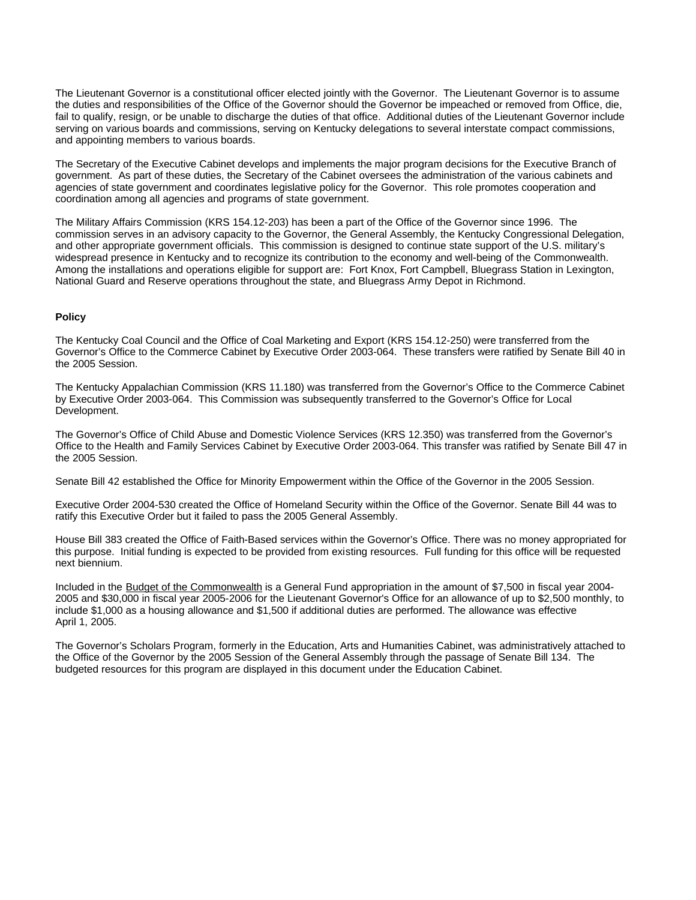The Lieutenant Governor is a constitutional officer elected jointly with the Governor. The Lieutenant Governor is to assume the duties and responsibilities of the Office of the Governor should the Governor be impeached or removed from Office, die, fail to qualify, resign, or be unable to discharge the duties of that office. Additional duties of the Lieutenant Governor include serving on various boards and commissions, serving on Kentucky delegations to several interstate compact commissions, and appointing members to various boards.

The Secretary of the Executive Cabinet develops and implements the major program decisions for the Executive Branch of government. As part of these duties, the Secretary of the Cabinet oversees the administration of the various cabinets and agencies of state government and coordinates legislative policy for the Governor. This role promotes cooperation and coordination among all agencies and programs of state government.

The Military Affairs Commission (KRS 154.12-203) has been a part of the Office of the Governor since 1996. The commission serves in an advisory capacity to the Governor, the General Assembly, the Kentucky Congressional Delegation, and other appropriate government officials. This commission is designed to continue state support of the U.S. military's widespread presence in Kentucky and to recognize its contribution to the economy and well-being of the Commonwealth. Among the installations and operations eligible for support are: Fort Knox, Fort Campbell, Bluegrass Station in Lexington, National Guard and Reserve operations throughout the state, and Bluegrass Army Depot in Richmond.

#### **Policy**

The Kentucky Coal Council and the Office of Coal Marketing and Export (KRS 154.12-250) were transferred from the Governor's Office to the Commerce Cabinet by Executive Order 2003-064. These transfers were ratified by Senate Bill 40 in the 2005 Session.

The Kentucky Appalachian Commission (KRS 11.180) was transferred from the Governor's Office to the Commerce Cabinet by Executive Order 2003-064. This Commission was subsequently transferred to the Governor's Office for Local Development.

The Governor's Office of Child Abuse and Domestic Violence Services (KRS 12.350) was transferred from the Governor's Office to the Health and Family Services Cabinet by Executive Order 2003-064. This transfer was ratified by Senate Bill 47 in the 2005 Session.

Senate Bill 42 established the Office for Minority Empowerment within the Office of the Governor in the 2005 Session.

Executive Order 2004-530 created the Office of Homeland Security within the Office of the Governor. Senate Bill 44 was to ratify this Executive Order but it failed to pass the 2005 General Assembly.

House Bill 383 created the Office of Faith-Based services within the Governor's Office. There was no money appropriated for this purpose. Initial funding is expected to be provided from existing resources. Full funding for this office will be requested next biennium.

Included in the Budget of the Commonwealth is a General Fund appropriation in the amount of \$7,500 in fiscal year 2004-2005 and \$30,000 in fiscal year 2005-2006 for the Lieutenant Governor's Office for an allowance of up to \$2,500 monthly, to include \$1,000 as a housing allowance and \$1,500 if additional duties are performed. The allowance was effective April 1, 2005.

The Governor's Scholars Program, formerly in the Education, Arts and Humanities Cabinet, was administratively attached to the Office of the Governor by the 2005 Session of the General Assembly through the passage of Senate Bill 134. The budgeted resources for this program are displayed in this document under the Education Cabinet.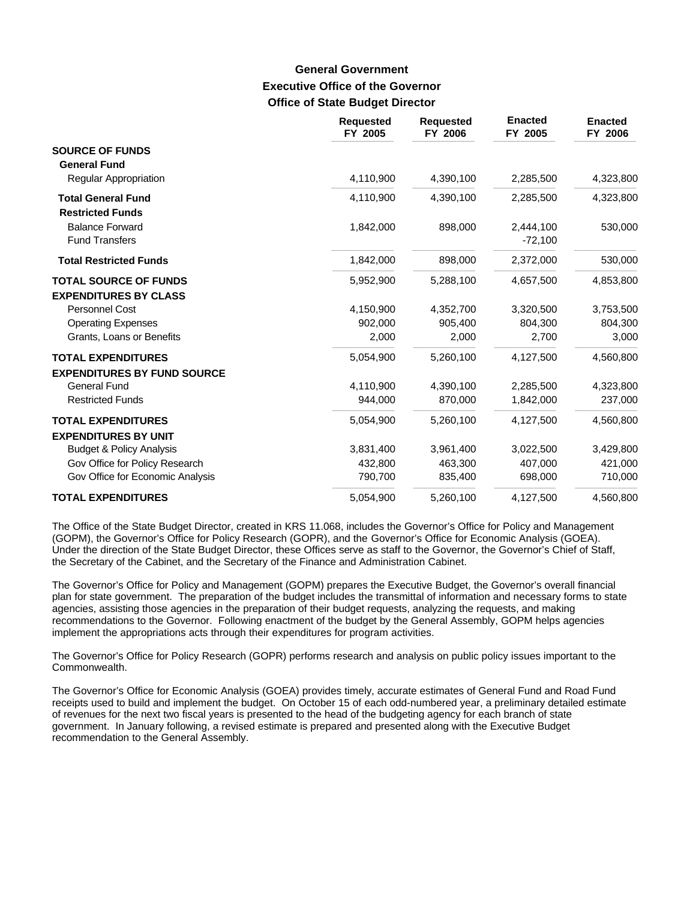# **Executive Office of the Governor Office of State Budget Director General Government**

|                                                                 | <b>Requested</b><br>FY 2005 | <b>Requested</b><br>FY 2006 | <b>Enacted</b><br>FY 2005 | <b>Enacted</b><br>FY 2006 |
|-----------------------------------------------------------------|-----------------------------|-----------------------------|---------------------------|---------------------------|
| <b>SOURCE OF FUNDS</b><br><b>General Fund</b>                   |                             |                             |                           |                           |
| <b>Regular Appropriation</b>                                    | 4,110,900                   | 4,390,100                   | 2,285,500                 | 4,323,800                 |
| <b>Total General Fund</b><br><b>Restricted Funds</b>            | 4,110,900                   | 4,390,100                   | 2,285,500                 | 4,323,800                 |
| <b>Balance Forward</b><br><b>Fund Transfers</b>                 | 1,842,000                   | 898,000                     | 2,444,100<br>$-72,100$    | 530,000                   |
| <b>Total Restricted Funds</b>                                   | 1,842,000                   | 898,000                     | 2,372,000                 | 530,000                   |
| <b>TOTAL SOURCE OF FUNDS</b><br><b>EXPENDITURES BY CLASS</b>    | 5,952,900                   | 5,288,100                   | 4,657,500                 | 4,853,800                 |
| <b>Personnel Cost</b>                                           | 4,150,900                   | 4,352,700                   | 3,320,500                 | 3,753,500                 |
| <b>Operating Expenses</b>                                       | 902,000                     | 905,400                     | 804,300                   | 804,300                   |
| Grants, Loans or Benefits                                       | 2,000                       | 2,000                       | 2,700                     | 3,000                     |
| <b>TOTAL EXPENDITURES</b><br><b>EXPENDITURES BY FUND SOURCE</b> | 5,054,900                   | 5,260,100                   | 4,127,500                 | 4,560,800                 |
| <b>General Fund</b>                                             | 4,110,900                   | 4,390,100                   | 2,285,500                 | 4,323,800                 |
| <b>Restricted Funds</b>                                         | 944,000                     | 870,000                     | 1,842,000                 | 237,000                   |
| <b>TOTAL EXPENDITURES</b><br><b>EXPENDITURES BY UNIT</b>        | 5,054,900                   | 5,260,100                   | 4,127,500                 | 4,560,800                 |
| <b>Budget &amp; Policy Analysis</b>                             | 3,831,400                   | 3,961,400                   | 3,022,500                 | 3,429,800                 |
| Gov Office for Policy Research                                  | 432,800                     | 463,300                     | 407,000                   | 421,000                   |
| Gov Office for Economic Analysis                                | 790,700                     | 835,400                     | 698,000                   | 710,000                   |
| <b>TOTAL EXPENDITURES</b>                                       | 5,054,900                   | 5,260,100                   | 4,127,500                 | 4,560,800                 |

The Office of the State Budget Director, created in KRS 11.068, includes the Governor's Office for Policy and Management (GOPM), the Governor's Office for Policy Research (GOPR), and the Governor's Office for Economic Analysis (GOEA). Under the direction of the State Budget Director, these Offices serve as staff to the Governor, the Governor's Chief of Staff, the Secretary of the Cabinet, and the Secretary of the Finance and Administration Cabinet.

The Governor's Office for Policy and Management (GOPM) prepares the Executive Budget, the Governor's overall financial plan for state government. The preparation of the budget includes the transmittal of information and necessary forms to state agencies, assisting those agencies in the preparation of their budget requests, analyzing the requests, and making recommendations to the Governor. Following enactment of the budget by the General Assembly, GOPM helps agencies implement the appropriations acts through their expenditures for program activities.

The Governor's Office for Policy Research (GOPR) performs research and analysis on public policy issues important to the Commonwealth.

The Governor's Office for Economic Analysis (GOEA) provides timely, accurate estimates of General Fund and Road Fund receipts used to build and implement the budget. On October 15 of each odd-numbered year, a preliminary detailed estimate of revenues for the next two fiscal years is presented to the head of the budgeting agency for each branch of state government. In January following, a revised estimate is prepared and presented along with the Executive Budget recommendation to the General Assembly.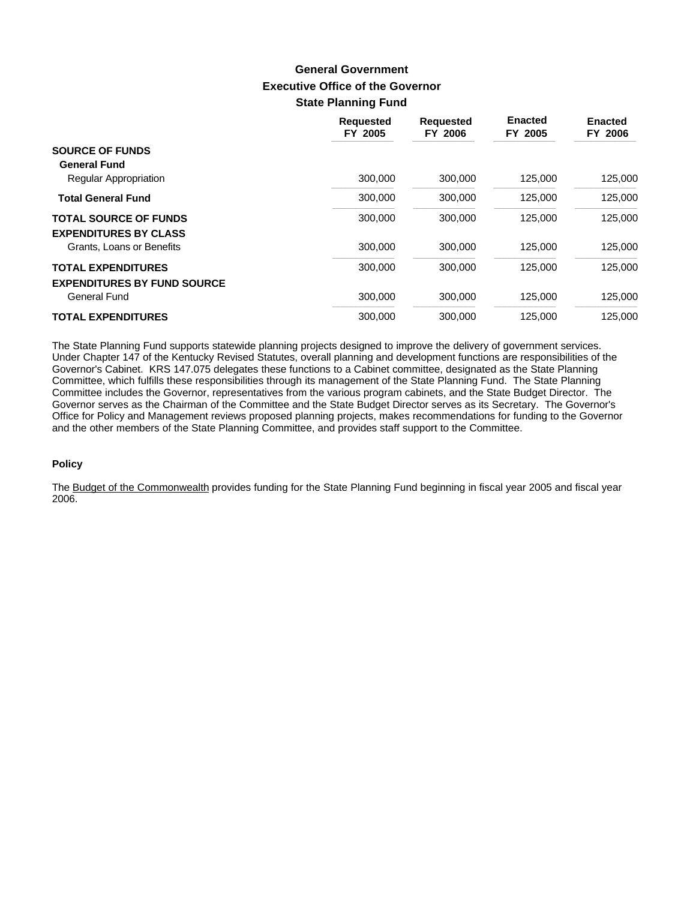# **Executive Office of the Governor State Planning Fund General Government**

|                                    | <b>Requested</b><br>FY 2005 | <b>Requested</b><br>FY 2006 | <b>Enacted</b><br>FY 2005 | <b>Enacted</b><br>FY 2006 |
|------------------------------------|-----------------------------|-----------------------------|---------------------------|---------------------------|
| <b>SOURCE OF FUNDS</b>             |                             |                             |                           |                           |
| <b>General Fund</b>                |                             |                             |                           |                           |
| Regular Appropriation              | 300,000                     | 300,000                     | 125,000                   | 125,000                   |
| <b>Total General Fund</b>          | 300,000                     | 300,000                     | 125,000                   | 125,000                   |
| <b>TOTAL SOURCE OF FUNDS</b>       | 300,000                     | 300,000                     | 125,000                   | 125,000                   |
| <b>EXPENDITURES BY CLASS</b>       |                             |                             |                           |                           |
| Grants, Loans or Benefits          | 300,000                     | 300,000                     | 125,000                   | 125,000                   |
| <b>TOTAL EXPENDITURES</b>          | 300,000                     | 300,000                     | 125.000                   | 125.000                   |
| <b>EXPENDITURES BY FUND SOURCE</b> |                             |                             |                           |                           |
| General Fund                       | 300,000                     | 300,000                     | 125,000                   | 125,000                   |
| <b>TOTAL EXPENDITURES</b>          | 300.000                     | 300.000                     | 125.000                   | 125.000                   |

The State Planning Fund supports statewide planning projects designed to improve the delivery of government services. Under Chapter 147 of the Kentucky Revised Statutes, overall planning and development functions are responsibilities of the Governor's Cabinet. KRS 147.075 delegates these functions to a Cabinet committee, designated as the State Planning Committee, which fulfills these responsibilities through its management of the State Planning Fund. The State Planning Committee includes the Governor, representatives from the various program cabinets, and the State Budget Director. The Governor serves as the Chairman of the Committee and the State Budget Director serves as its Secretary. The Governor's Office for Policy and Management reviews proposed planning projects, makes recommendations for funding to the Governor and the other members of the State Planning Committee, and provides staff support to the Committee.

### **Policy**

The Budget of the Commonwealth provides funding for the State Planning Fund beginning in fiscal year 2005 and fiscal year 2006.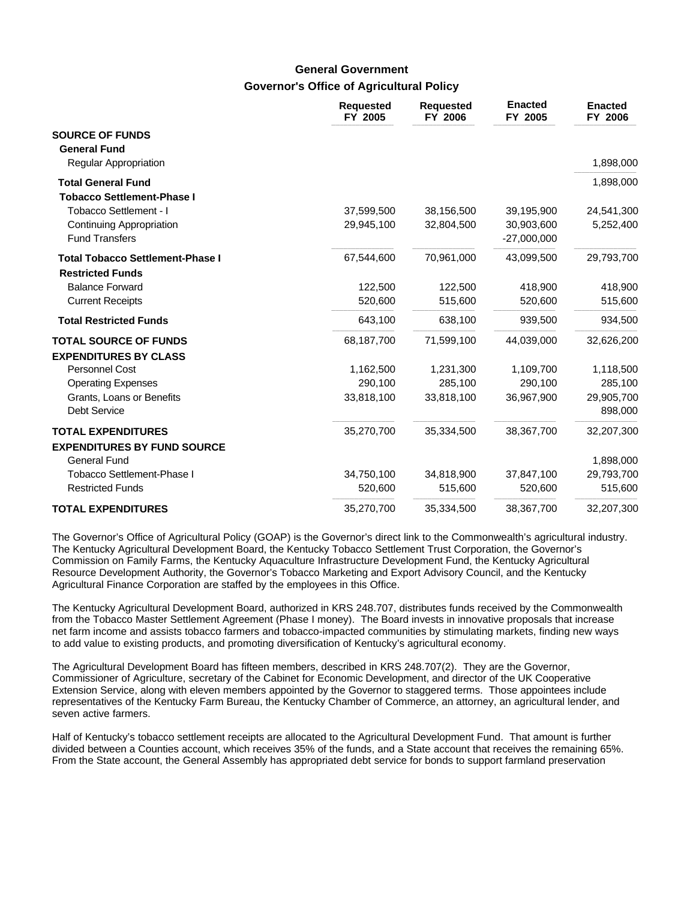# **Governor's Office of Agricultural Policy General Government**

|                                                                                                                  | <b>Requested</b><br>FY 2005        | <b>Requested</b><br>FY 2006        | <b>Enacted</b><br>FY 2005                 | <b>Enacted</b><br>FY 2006                     |
|------------------------------------------------------------------------------------------------------------------|------------------------------------|------------------------------------|-------------------------------------------|-----------------------------------------------|
| <b>SOURCE OF FUNDS</b><br><b>General Fund</b><br><b>Regular Appropriation</b>                                    |                                    |                                    |                                           | 1,898,000                                     |
| <b>Total General Fund</b>                                                                                        |                                    |                                    |                                           | 1,898,000                                     |
| <b>Tobacco Settlement-Phase I</b><br>Tobacco Settlement - I<br>Continuing Appropriation<br><b>Fund Transfers</b> | 37,599,500<br>29,945,100           | 38,156,500<br>32,804,500           | 39,195,900<br>30,903,600<br>$-27,000,000$ | 24,541,300<br>5,252,400                       |
| <b>Total Tobacco Settlement-Phase I</b>                                                                          | 67,544,600                         | 70,961,000                         | 43,099,500                                | 29,793,700                                    |
| <b>Restricted Funds</b><br><b>Balance Forward</b><br><b>Current Receipts</b>                                     | 122,500<br>520,600                 | 122,500<br>515,600                 | 418,900<br>520,600                        | 418,900<br>515,600                            |
| <b>Total Restricted Funds</b>                                                                                    | 643,100                            | 638,100                            | 939,500                                   | 934,500                                       |
| <b>TOTAL SOURCE OF FUNDS</b><br><b>EXPENDITURES BY CLASS</b>                                                     | 68,187,700                         | 71,599,100                         | 44,039,000                                | 32,626,200                                    |
| <b>Personnel Cost</b><br><b>Operating Expenses</b><br>Grants, Loans or Benefits<br><b>Debt Service</b>           | 1,162,500<br>290,100<br>33,818,100 | 1,231,300<br>285,100<br>33,818,100 | 1,109,700<br>290,100<br>36,967,900        | 1,118,500<br>285,100<br>29,905,700<br>898,000 |
| <b>TOTAL EXPENDITURES</b><br><b>EXPENDITURES BY FUND SOURCE</b><br><b>General Fund</b>                           | 35,270,700                         | 35,334,500                         | 38,367,700                                | 32,207,300                                    |
| <b>Tobacco Settlement-Phase I</b><br><b>Restricted Funds</b>                                                     | 34,750,100<br>520,600              | 34,818,900<br>515,600              | 37,847,100<br>520,600                     | 1,898,000<br>29,793,700<br>515,600            |
| <b>TOTAL EXPENDITURES</b>                                                                                        | 35,270,700                         | 35,334,500                         | 38,367,700                                | 32,207,300                                    |

The Governor's Office of Agricultural Policy (GOAP) is the Governor's direct link to the Commonwealth's agricultural industry. The Kentucky Agricultural Development Board, the Kentucky Tobacco Settlement Trust Corporation, the Governor's Commission on Family Farms, the Kentucky Aquaculture Infrastructure Development Fund, the Kentucky Agricultural Resource Development Authority, the Governor's Tobacco Marketing and Export Advisory Council, and the Kentucky Agricultural Finance Corporation are staffed by the employees in this Office.

The Kentucky Agricultural Development Board, authorized in KRS 248.707, distributes funds received by the Commonwealth from the Tobacco Master Settlement Agreement (Phase I money). The Board invests in innovative proposals that increase net farm income and assists tobacco farmers and tobacco-impacted communities by stimulating markets, finding new ways to add value to existing products, and promoting diversification of Kentucky's agricultural economy.

The Agricultural Development Board has fifteen members, described in KRS 248.707(2). They are the Governor, Commissioner of Agriculture, secretary of the Cabinet for Economic Development, and director of the UK Cooperative Extension Service, along with eleven members appointed by the Governor to staggered terms. Those appointees include representatives of the Kentucky Farm Bureau, the Kentucky Chamber of Commerce, an attorney, an agricultural lender, and seven active farmers.

Half of Kentucky's tobacco settlement receipts are allocated to the Agricultural Development Fund. That amount is further divided between a Counties account, which receives 35% of the funds, and a State account that receives the remaining 65%. From the State account, the General Assembly has appropriated debt service for bonds to support farmland preservation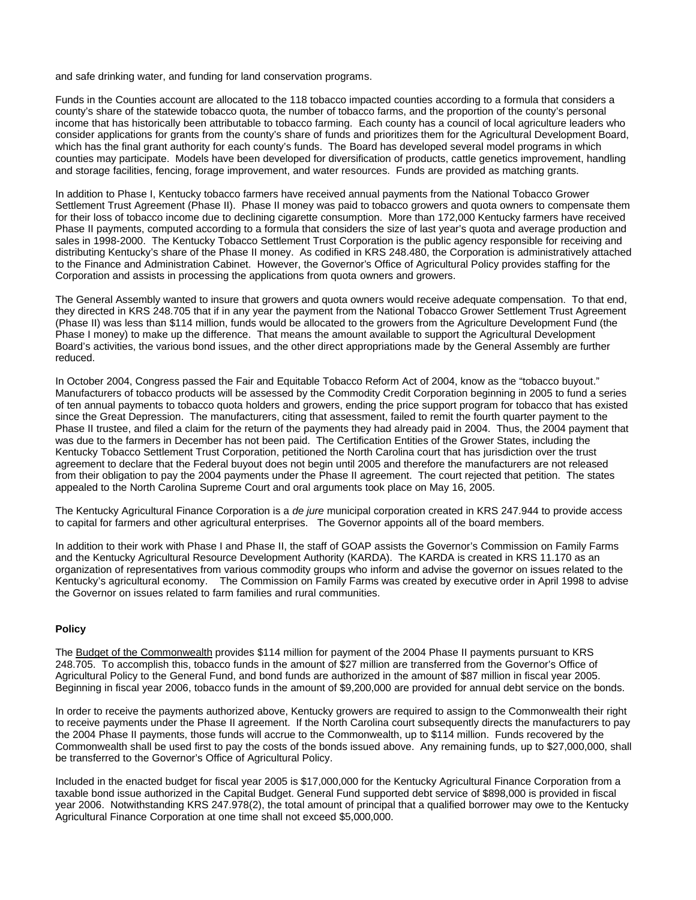and safe drinking water, and funding for land conservation programs.

Funds in the Counties account are allocated to the 118 tobacco impacted counties according to a formula that considers a county's share of the statewide tobacco quota, the number of tobacco farms, and the proportion of the county's personal income that has historically been attributable to tobacco farming. Each county has a council of local agriculture leaders who consider applications for grants from the county's share of funds and prioritizes them for the Agricultural Development Board, which has the final grant authority for each county's funds. The Board has developed several model programs in which counties may participate. Models have been developed for diversification of products, cattle genetics improvement, handling and storage facilities, fencing, forage improvement, and water resources. Funds are provided as matching grants.

In addition to Phase I, Kentucky tobacco farmers have received annual payments from the National Tobacco Grower Settlement Trust Agreement (Phase II). Phase II money was paid to tobacco growers and quota owners to compensate them for their loss of tobacco income due to declining cigarette consumption. More than 172,000 Kentucky farmers have received Phase II payments, computed according to a formula that considers the size of last year's quota and average production and sales in 1998-2000. The Kentucky Tobacco Settlement Trust Corporation is the public agency responsible for receiving and distributing Kentucky's share of the Phase II money. As codified in KRS 248.480, the Corporation is administratively attached to the Finance and Administration Cabinet. However, the Governor's Office of Agricultural Policy provides staffing for the Corporation and assists in processing the applications from quota owners and growers.

The General Assembly wanted to insure that growers and quota owners would receive adequate compensation. To that end, they directed in KRS 248.705 that if in any year the payment from the National Tobacco Grower Settlement Trust Agreement (Phase II) was less than \$114 million, funds would be allocated to the growers from the Agriculture Development Fund (the Phase I money) to make up the difference. That means the amount available to support the Agricultural Development Board's activities, the various bond issues, and the other direct appropriations made by the General Assembly are further reduced.

In October 2004, Congress passed the Fair and Equitable Tobacco Reform Act of 2004, know as the "tobacco buyout." Manufacturers of tobacco products will be assessed by the Commodity Credit Corporation beginning in 2005 to fund a series of ten annual payments to tobacco quota holders and growers, ending the price support program for tobacco that has existed since the Great Depression. The manufacturers, citing that assessment, failed to remit the fourth quarter payment to the Phase II trustee, and filed a claim for the return of the payments they had already paid in 2004. Thus, the 2004 payment that was due to the farmers in December has not been paid. The Certification Entities of the Grower States, including the Kentucky Tobacco Settlement Trust Corporation, petitioned the North Carolina court that has jurisdiction over the trust agreement to declare that the Federal buyout does not begin until 2005 and therefore the manufacturers are not released from their obligation to pay the 2004 payments under the Phase II agreement. The court rejected that petition. The states appealed to the North Carolina Supreme Court and oral arguments took place on May 16, 2005.

The Kentucky Agricultural Finance Corporation is a *de jure* municipal corporation created in KRS 247.944 to provide access to capital for farmers and other agricultural enterprises. The Governor appoints all of the board members.

In addition to their work with Phase I and Phase II, the staff of GOAP assists the Governor's Commission on Family Farms and the Kentucky Agricultural Resource Development Authority (KARDA). The KARDA is created in KRS 11.170 as an organization of representatives from various commodity groups who inform and advise the governor on issues related to the Kentucky's agricultural economy. The Commission on Family Farms was created by executive order in April 1998 to advise the Governor on issues related to farm families and rural communities.

### **Policy**

The Budget of the Commonwealth provides \$114 million for payment of the 2004 Phase II payments pursuant to KRS 248.705. To accomplish this, tobacco funds in the amount of \$27 million are transferred from the Governor's Office of Agricultural Policy to the General Fund, and bond funds are authorized in the amount of \$87 million in fiscal year 2005. Beginning in fiscal year 2006, tobacco funds in the amount of \$9,200,000 are provided for annual debt service on the bonds.

In order to receive the payments authorized above, Kentucky growers are required to assign to the Commonwealth their right to receive payments under the Phase II agreement. If the North Carolina court subsequently directs the manufacturers to pay the 2004 Phase II payments, those funds will accrue to the Commonwealth, up to \$114 million. Funds recovered by the Commonwealth shall be used first to pay the costs of the bonds issued above. Any remaining funds, up to \$27,000,000, shall be transferred to the Governor's Office of Agricultural Policy.

Included in the enacted budget for fiscal year 2005 is \$17,000,000 for the Kentucky Agricultural Finance Corporation from a taxable bond issue authorized in the Capital Budget. General Fund supported debt service of \$898,000 is provided in fiscal year 2006. Notwithstanding KRS 247.978(2), the total amount of principal that a qualified borrower may owe to the Kentucky Agricultural Finance Corporation at one time shall not exceed \$5,000,000.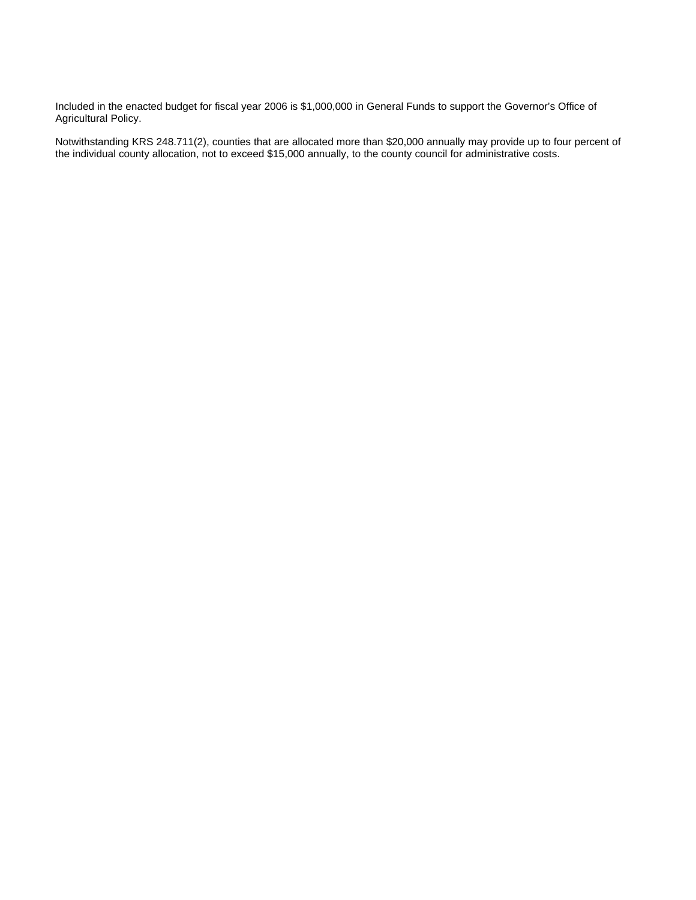Included in the enacted budget for fiscal year 2006 is \$1,000,000 in General Funds to support the Governor's Office of Agricultural Policy.

Notwithstanding KRS 248.711(2), counties that are allocated more than \$20,000 annually may provide up to four percent of the individual county allocation, not to exceed \$15,000 annually, to the county council for administrative costs.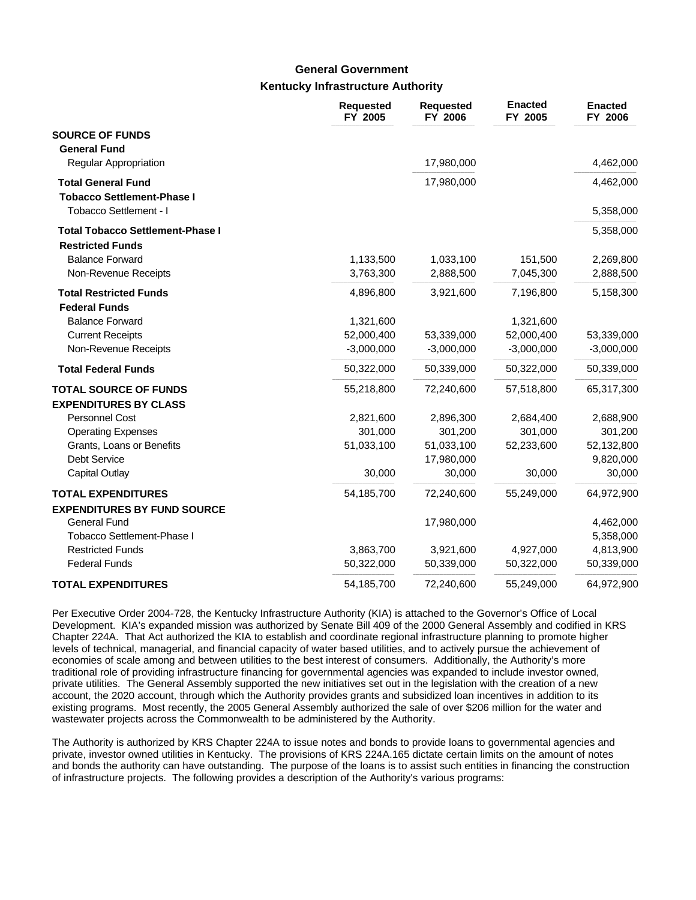# **Kentucky Infrastructure Authority General Government**

|                                                                    | <b>Requested</b><br>FY 2005 | <b>Requested</b><br>FY 2006 | <b>Enacted</b><br>FY 2005 | <b>Enacted</b><br>FY 2006 |
|--------------------------------------------------------------------|-----------------------------|-----------------------------|---------------------------|---------------------------|
| <b>SOURCE OF FUNDS</b>                                             |                             |                             |                           |                           |
| <b>General Fund</b><br><b>Regular Appropriation</b>                |                             | 17,980,000                  |                           | 4,462,000                 |
| <b>Total General Fund</b><br><b>Tobacco Settlement-Phase I</b>     |                             | 17,980,000                  |                           | 4,462,000                 |
| Tobacco Settlement - I                                             |                             |                             |                           | 5,358,000                 |
| <b>Total Tobacco Settlement-Phase I</b><br><b>Restricted Funds</b> |                             |                             |                           | 5,358,000                 |
| <b>Balance Forward</b>                                             | 1,133,500                   | 1,033,100                   | 151,500                   | 2,269,800                 |
| Non-Revenue Receipts                                               | 3,763,300                   | 2,888,500                   | 7,045,300                 | 2,888,500                 |
| <b>Total Restricted Funds</b>                                      | 4,896,800                   | 3,921,600                   | 7,196,800                 | 5,158,300                 |
| <b>Federal Funds</b><br><b>Balance Forward</b>                     | 1,321,600                   |                             | 1,321,600                 |                           |
| <b>Current Receipts</b>                                            | 52,000,400                  | 53,339,000                  | 52,000,400                | 53,339,000                |
| Non-Revenue Receipts                                               | $-3,000,000$                | $-3,000,000$                | $-3,000,000$              | $-3,000,000$              |
| <b>Total Federal Funds</b>                                         | 50,322,000                  | 50,339,000                  | 50,322,000                | 50,339,000                |
| <b>TOTAL SOURCE OF FUNDS</b>                                       | 55,218,800                  | 72,240,600                  | 57,518,800                | 65,317,300                |
| <b>EXPENDITURES BY CLASS</b>                                       |                             |                             |                           |                           |
| Personnel Cost                                                     | 2,821,600                   | 2,896,300                   | 2,684,400                 | 2,688,900                 |
| <b>Operating Expenses</b>                                          | 301,000                     | 301,200                     | 301,000                   | 301,200                   |
| Grants, Loans or Benefits                                          | 51,033,100                  | 51,033,100                  | 52,233,600                | 52,132,800                |
| Debt Service                                                       |                             | 17,980,000                  |                           | 9,820,000                 |
| <b>Capital Outlay</b>                                              | 30,000                      | 30,000                      | 30,000                    | 30,000                    |
| <b>TOTAL EXPENDITURES</b><br><b>EXPENDITURES BY FUND SOURCE</b>    | 54,185,700                  | 72,240,600                  | 55,249,000                | 64,972,900                |
| <b>General Fund</b>                                                |                             | 17,980,000                  |                           | 4,462,000                 |
| <b>Tobacco Settlement-Phase I</b>                                  |                             |                             |                           | 5,358,000                 |
| <b>Restricted Funds</b>                                            | 3,863,700                   | 3,921,600                   | 4,927,000                 | 4,813,900                 |
| <b>Federal Funds</b>                                               | 50,322,000                  | 50,339,000                  | 50,322,000                | 50,339,000                |
| <b>TOTAL EXPENDITURES</b>                                          | 54,185,700                  | 72,240,600                  | 55,249,000                | 64,972,900                |

Per Executive Order 2004-728, the Kentucky Infrastructure Authority (KIA) is attached to the Governor's Office of Local Development. KIA's expanded mission was authorized by Senate Bill 409 of the 2000 General Assembly and codified in KRS Chapter 224A. That Act authorized the KIA to establish and coordinate regional infrastructure planning to promote higher levels of technical, managerial, and financial capacity of water based utilities, and to actively pursue the achievement of economies of scale among and between utilities to the best interest of consumers. Additionally, the Authority's more traditional role of providing infrastructure financing for governmental agencies was expanded to include investor owned, private utilities. The General Assembly supported the new initiatives set out in the legislation with the creation of a new account, the 2020 account, through which the Authority provides grants and subsidized loan incentives in addition to its existing programs. Most recently, the 2005 General Assembly authorized the sale of over \$206 million for the water and wastewater projects across the Commonwealth to be administered by the Authority.

The Authority is authorized by KRS Chapter 224A to issue notes and bonds to provide loans to governmental agencies and private, investor owned utilities in Kentucky. The provisions of KRS 224A.165 dictate certain limits on the amount of notes and bonds the authority can have outstanding. The purpose of the loans is to assist such entities in financing the construction of infrastructure projects. The following provides a description of the Authority's various programs: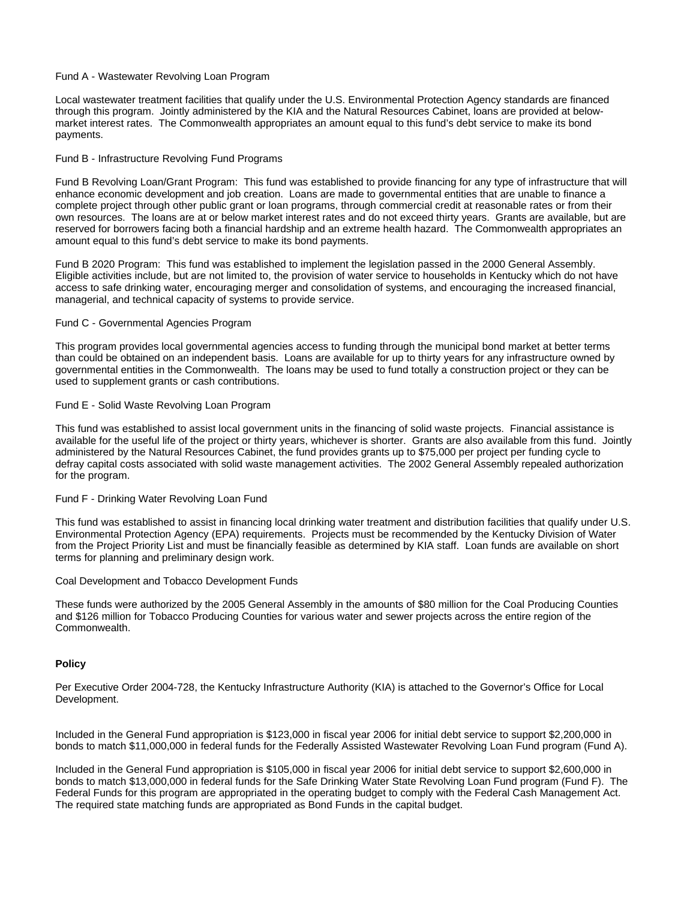#### Fund A - Wastewater Revolving Loan Program

Local wastewater treatment facilities that qualify under the U.S. Environmental Protection Agency standards are financed through this program. Jointly administered by the KIA and the Natural Resources Cabinet, loans are provided at belowmarket interest rates. The Commonwealth appropriates an amount equal to this fund's debt service to make its bond payments.

#### Fund B - Infrastructure Revolving Fund Programs

Fund B Revolving Loan/Grant Program: This fund was established to provide financing for any type of infrastructure that will enhance economic development and job creation. Loans are made to governmental entities that are unable to finance a complete project through other public grant or loan programs, through commercial credit at reasonable rates or from their own resources. The loans are at or below market interest rates and do not exceed thirty years. Grants are available, but are reserved for borrowers facing both a financial hardship and an extreme health hazard. The Commonwealth appropriates an amount equal to this fund's debt service to make its bond payments.

Fund B 2020 Program: This fund was established to implement the legislation passed in the 2000 General Assembly. Eligible activities include, but are not limited to, the provision of water service to households in Kentucky which do not have access to safe drinking water, encouraging merger and consolidation of systems, and encouraging the increased financial, managerial, and technical capacity of systems to provide service.

#### Fund C - Governmental Agencies Program

This program provides local governmental agencies access to funding through the municipal bond market at better terms than could be obtained on an independent basis. Loans are available for up to thirty years for any infrastructure owned by governmental entities in the Commonwealth. The loans may be used to fund totally a construction project or they can be used to supplement grants or cash contributions.

### Fund E - Solid Waste Revolving Loan Program

This fund was established to assist local government units in the financing of solid waste projects. Financial assistance is available for the useful life of the project or thirty years, whichever is shorter. Grants are also available from this fund. Jointly administered by the Natural Resources Cabinet, the fund provides grants up to \$75,000 per project per funding cycle to defray capital costs associated with solid waste management activities. The 2002 General Assembly repealed authorization for the program.

### Fund F - Drinking Water Revolving Loan Fund

This fund was established to assist in financing local drinking water treatment and distribution facilities that qualify under U.S. Environmental Protection Agency (EPA) requirements. Projects must be recommended by the Kentucky Division of Water from the Project Priority List and must be financially feasible as determined by KIA staff. Loan funds are available on short terms for planning and preliminary design work.

#### Coal Development and Tobacco Development Funds

These funds were authorized by the 2005 General Assembly in the amounts of \$80 million for the Coal Producing Counties and \$126 million for Tobacco Producing Counties for various water and sewer projects across the entire region of the Commonwealth.

### **Policy**

Per Executive Order 2004-728, the Kentucky Infrastructure Authority (KIA) is attached to the Governor's Office for Local Development.

Included in the General Fund appropriation is \$123,000 in fiscal year 2006 for initial debt service to support \$2,200,000 in bonds to match \$11,000,000 in federal funds for the Federally Assisted Wastewater Revolving Loan Fund program (Fund A).

Included in the General Fund appropriation is \$105,000 in fiscal year 2006 for initial debt service to support \$2,600,000 in bonds to match \$13,000,000 in federal funds for the Safe Drinking Water State Revolving Loan Fund program (Fund F). The Federal Funds for this program are appropriated in the operating budget to comply with the Federal Cash Management Act. The required state matching funds are appropriated as Bond Funds in the capital budget.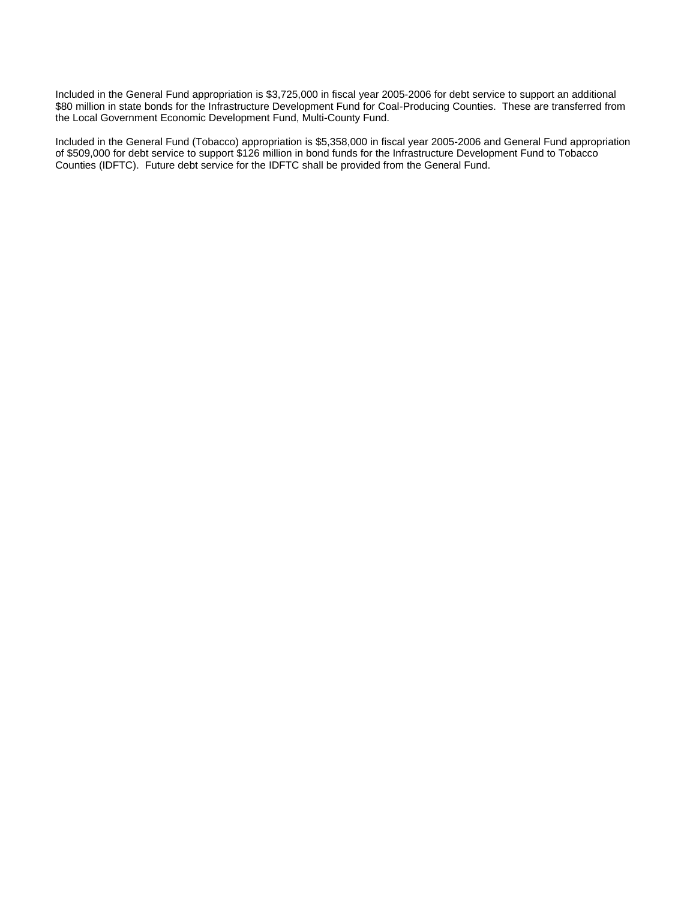Included in the General Fund appropriation is \$3,725,000 in fiscal year 2005-2006 for debt service to support an additional \$80 million in state bonds for the Infrastructure Development Fund for Coal-Producing Counties. These are transferred from the Local Government Economic Development Fund, Multi-County Fund.

Included in the General Fund (Tobacco) appropriation is \$5,358,000 in fiscal year 2005-2006 and General Fund appropriation of \$509,000 for debt service to support \$126 million in bond funds for the Infrastructure Development Fund to Tobacco Counties (IDFTC). Future debt service for the IDFTC shall be provided from the General Fund.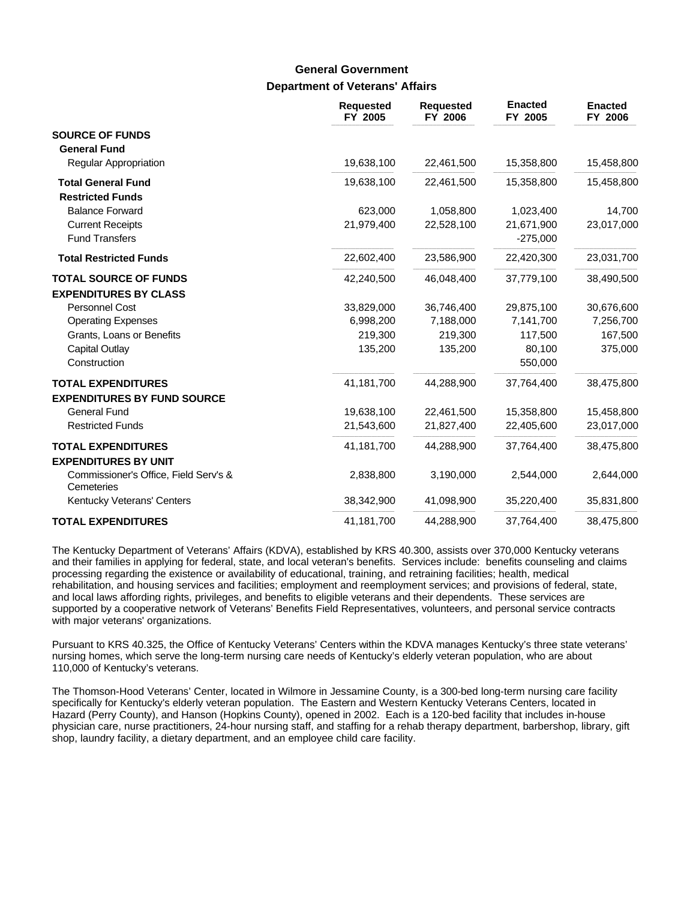## **Department of Veterans' Affairs General Government**

|                                                     | <b>Requested</b><br>FY 2005 | <b>Requested</b><br>FY 2006 | <b>Enacted</b><br>FY 2005 | <b>Enacted</b><br>FY 2006 |
|-----------------------------------------------------|-----------------------------|-----------------------------|---------------------------|---------------------------|
| <b>SOURCE OF FUNDS</b><br><b>General Fund</b>       |                             |                             |                           |                           |
| <b>Regular Appropriation</b>                        | 19,638,100                  | 22,461,500                  | 15,358,800                | 15,458,800                |
| <b>Total General Fund</b>                           | 19,638,100                  | 22,461,500                  | 15,358,800                | 15,458,800                |
| <b>Restricted Funds</b>                             |                             |                             |                           |                           |
| <b>Balance Forward</b>                              | 623,000                     | 1,058,800                   | 1,023,400                 | 14,700                    |
| <b>Current Receipts</b>                             | 21,979,400                  | 22,528,100                  | 21,671,900                | 23,017,000                |
| <b>Fund Transfers</b>                               |                             |                             | $-275,000$                |                           |
| <b>Total Restricted Funds</b>                       | 22,602,400                  | 23,586,900                  | 22,420,300                | 23,031,700                |
| <b>TOTAL SOURCE OF FUNDS</b>                        | 42,240,500                  | 46,048,400                  | 37,779,100                | 38,490,500                |
| <b>EXPENDITURES BY CLASS</b>                        |                             |                             |                           |                           |
| Personnel Cost                                      | 33,829,000                  | 36,746,400                  | 29,875,100                | 30,676,600                |
| <b>Operating Expenses</b>                           | 6,998,200                   | 7,188,000                   | 7,141,700                 | 7,256,700                 |
| Grants, Loans or Benefits                           | 219,300                     | 219,300                     | 117,500                   | 167,500                   |
| <b>Capital Outlay</b>                               | 135,200                     | 135,200                     | 80,100                    | 375,000                   |
| Construction                                        |                             |                             | 550,000                   |                           |
| <b>TOTAL EXPENDITURES</b>                           | 41,181,700                  | 44,288,900                  | 37,764,400                | 38,475,800                |
| <b>EXPENDITURES BY FUND SOURCE</b>                  |                             |                             |                           |                           |
| <b>General Fund</b>                                 | 19,638,100                  | 22,461,500                  | 15,358,800                | 15,458,800                |
| <b>Restricted Funds</b>                             | 21,543,600                  | 21,827,400                  | 22,405,600                | 23,017,000                |
| <b>TOTAL EXPENDITURES</b>                           | 41,181,700                  | 44,288,900                  | 37,764,400                | 38,475,800                |
| <b>EXPENDITURES BY UNIT</b>                         |                             |                             |                           |                           |
| Commissioner's Office, Field Serv's &<br>Cemeteries | 2,838,800                   | 3,190,000                   | 2,544,000                 | 2,644,000                 |
| Kentucky Veterans' Centers                          | 38,342,900                  | 41,098,900                  | 35,220,400                | 35,831,800                |
| <b>TOTAL EXPENDITURES</b>                           | 41,181,700                  | 44,288,900                  | 37,764,400                | 38,475,800                |

The Kentucky Department of Veterans' Affairs (KDVA), established by KRS 40.300, assists over 370,000 Kentucky veterans and their families in applying for federal, state, and local veteran's benefits. Services include: benefits counseling and claims processing regarding the existence or availability of educational, training, and retraining facilities; health, medical rehabilitation, and housing services and facilities; employment and reemployment services; and provisions of federal, state, and local laws affording rights, privileges, and benefits to eligible veterans and their dependents. These services are supported by a cooperative network of Veterans' Benefits Field Representatives, volunteers, and personal service contracts with major veterans' organizations.

Pursuant to KRS 40.325, the Office of Kentucky Veterans' Centers within the KDVA manages Kentucky's three state veterans' nursing homes, which serve the long-term nursing care needs of Kentucky's elderly veteran population, who are about 110,000 of Kentucky's veterans.

The Thomson-Hood Veterans' Center, located in Wilmore in Jessamine County, is a 300-bed long-term nursing care facility specifically for Kentucky's elderly veteran population. The Eastern and Western Kentucky Veterans Centers, located in Hazard (Perry County), and Hanson (Hopkins County), opened in 2002. Each is a 120-bed facility that includes in-house physician care, nurse practitioners, 24-hour nursing staff, and staffing for a rehab therapy department, barbershop, library, gift shop, laundry facility, a dietary department, and an employee child care facility.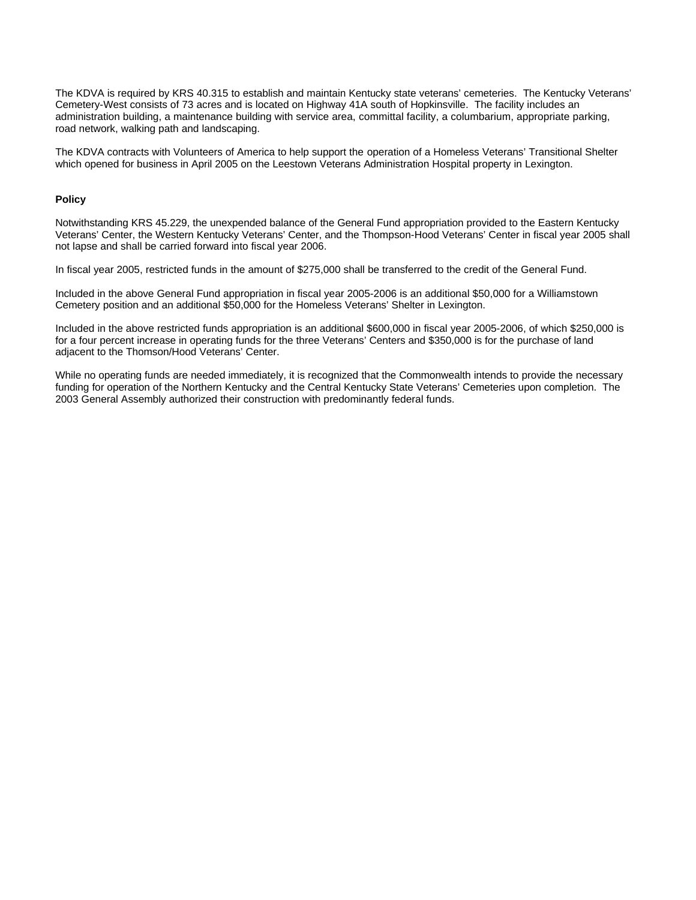The KDVA is required by KRS 40.315 to establish and maintain Kentucky state veterans' cemeteries. The Kentucky Veterans' Cemetery-West consists of 73 acres and is located on Highway 41A south of Hopkinsville. The facility includes an administration building, a maintenance building with service area, committal facility, a columbarium, appropriate parking, road network, walking path and landscaping.

The KDVA contracts with Volunteers of America to help support the operation of a Homeless Veterans' Transitional Shelter which opened for business in April 2005 on the Leestown Veterans Administration Hospital property in Lexington.

#### **Policy**

Notwithstanding KRS 45.229, the unexpended balance of the General Fund appropriation provided to the Eastern Kentucky Veterans' Center, the Western Kentucky Veterans' Center, and the Thompson-Hood Veterans' Center in fiscal year 2005 shall not lapse and shall be carried forward into fiscal year 2006.

In fiscal year 2005, restricted funds in the amount of \$275,000 shall be transferred to the credit of the General Fund.

Included in the above General Fund appropriation in fiscal year 2005-2006 is an additional \$50,000 for a Williamstown Cemetery position and an additional \$50,000 for the Homeless Veterans' Shelter in Lexington.

Included in the above restricted funds appropriation is an additional \$600,000 in fiscal year 2005-2006, of which \$250,000 is for a four percent increase in operating funds for the three Veterans' Centers and \$350,000 is for the purchase of land adjacent to the Thomson/Hood Veterans' Center.

While no operating funds are needed immediately, it is recognized that the Commonwealth intends to provide the necessary funding for operation of the Northern Kentucky and the Central Kentucky State Veterans' Cemeteries upon completion. The 2003 General Assembly authorized their construction with predominantly federal funds.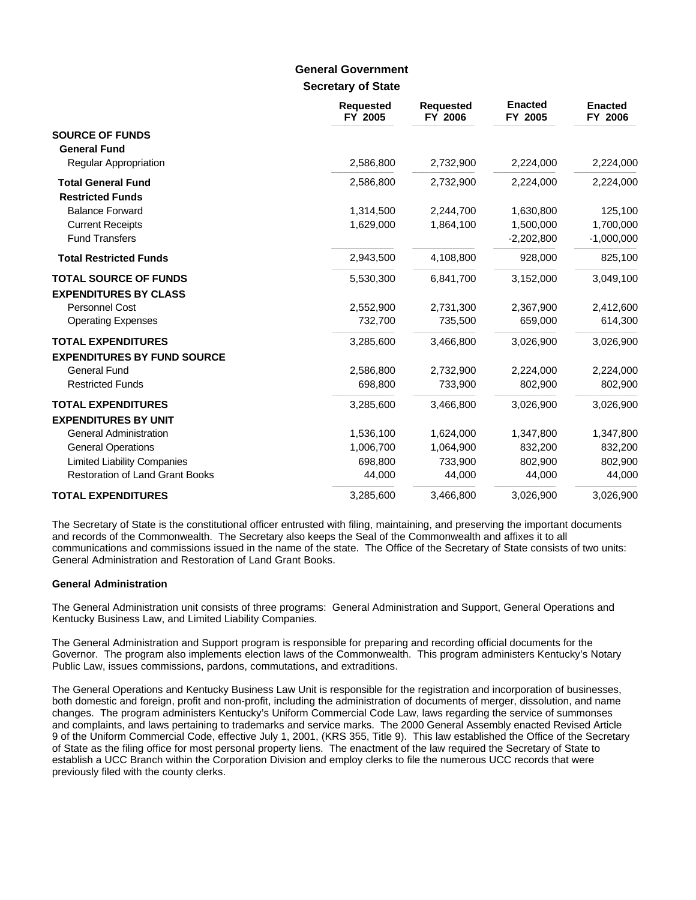## **Secretary of State General Government**

|                                                                 | <b>Requested</b><br>FY 2005 | <b>Requested</b><br>FY 2006 | <b>Enacted</b><br>FY 2005 | <b>Enacted</b><br>FY 2006 |
|-----------------------------------------------------------------|-----------------------------|-----------------------------|---------------------------|---------------------------|
| <b>SOURCE OF FUNDS</b><br><b>General Fund</b>                   |                             |                             |                           |                           |
| <b>Regular Appropriation</b>                                    | 2,586,800                   | 2,732,900                   | 2,224,000                 | 2,224,000                 |
| <b>Total General Fund</b><br><b>Restricted Funds</b>            | 2,586,800                   | 2,732,900                   | 2,224,000                 | 2,224,000                 |
| <b>Balance Forward</b>                                          | 1,314,500                   | 2,244,700                   | 1,630,800                 | 125,100                   |
| <b>Current Receipts</b>                                         | 1,629,000                   | 1,864,100                   | 1,500,000                 | 1,700,000                 |
| <b>Fund Transfers</b>                                           |                             |                             | $-2,202,800$              | $-1,000,000$              |
| <b>Total Restricted Funds</b>                                   | 2,943,500                   | 4,108,800                   | 928,000                   | 825,100                   |
| <b>TOTAL SOURCE OF FUNDS</b><br><b>EXPENDITURES BY CLASS</b>    | 5,530,300                   | 6,841,700                   | 3,152,000                 | 3,049,100                 |
| Personnel Cost                                                  | 2,552,900                   | 2,731,300                   | 2,367,900                 | 2,412,600                 |
| <b>Operating Expenses</b>                                       | 732,700                     | 735,500                     | 659,000                   | 614,300                   |
| <b>TOTAL EXPENDITURES</b><br><b>EXPENDITURES BY FUND SOURCE</b> | 3,285,600                   | 3,466,800                   | 3,026,900                 | 3,026,900                 |
| <b>General Fund</b>                                             | 2,586,800                   | 2,732,900                   | 2,224,000                 | 2,224,000                 |
| <b>Restricted Funds</b>                                         | 698,800                     | 733,900                     | 802,900                   | 802,900                   |
| <b>TOTAL EXPENDITURES</b><br><b>EXPENDITURES BY UNIT</b>        | 3,285,600                   | 3,466,800                   | 3,026,900                 | 3,026,900                 |
| <b>General Administration</b>                                   | 1,536,100                   | 1,624,000                   | 1,347,800                 | 1,347,800                 |
| <b>General Operations</b>                                       | 1,006,700                   | 1,064,900                   | 832,200                   | 832,200                   |
| <b>Limited Liability Companies</b>                              | 698,800                     | 733,900                     | 802,900                   | 802,900                   |
| <b>Restoration of Land Grant Books</b>                          | 44,000                      | 44,000                      | 44,000                    | 44,000                    |
| <b>TOTAL EXPENDITURES</b>                                       | 3,285,600                   | 3,466,800                   | 3,026,900                 | 3,026,900                 |

The Secretary of State is the constitutional officer entrusted with filing, maintaining, and preserving the important documents and records of the Commonwealth. The Secretary also keeps the Seal of the Commonwealth and affixes it to all communications and commissions issued in the name of the state. The Office of the Secretary of State consists of two units: General Administration and Restoration of Land Grant Books.

### **General Administration**

The General Administration unit consists of three programs: General Administration and Support, General Operations and Kentucky Business Law, and Limited Liability Companies.

The General Administration and Support program is responsible for preparing and recording official documents for the Governor. The program also implements election laws of the Commonwealth. This program administers Kentucky's Notary Public Law, issues commissions, pardons, commutations, and extraditions.

The General Operations and Kentucky Business Law Unit is responsible for the registration and incorporation of businesses, both domestic and foreign, profit and non-profit, including the administration of documents of merger, dissolution, and name changes. The program administers Kentucky's Uniform Commercial Code Law, laws regarding the service of summonses and complaints, and laws pertaining to trademarks and service marks. The 2000 General Assembly enacted Revised Article 9 of the Uniform Commercial Code, effective July 1, 2001, (KRS 355, Title 9). This law established the Office of the Secretary of State as the filing office for most personal property liens. The enactment of the law required the Secretary of State to establish a UCC Branch within the Corporation Division and employ clerks to file the numerous UCC records that were previously filed with the county clerks.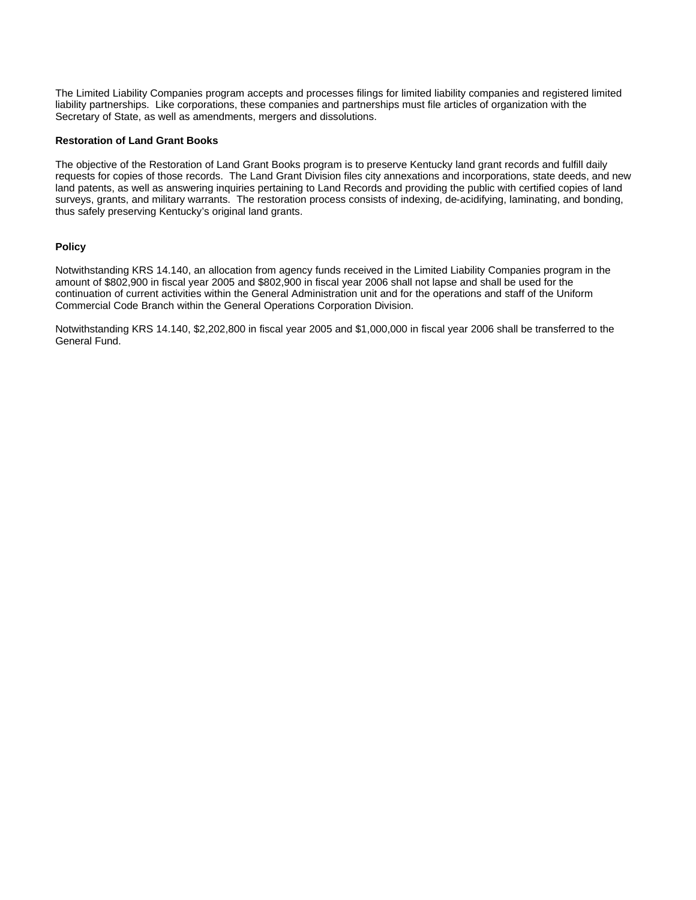The Limited Liability Companies program accepts and processes filings for limited liability companies and registered limited liability partnerships. Like corporations, these companies and partnerships must file articles of organization with the Secretary of State, as well as amendments, mergers and dissolutions.

#### **Restoration of Land Grant Books**

The objective of the Restoration of Land Grant Books program is to preserve Kentucky land grant records and fulfill daily requests for copies of those records. The Land Grant Division files city annexations and incorporations, state deeds, and new land patents, as well as answering inquiries pertaining to Land Records and providing the public with certified copies of land surveys, grants, and military warrants. The restoration process consists of indexing, de-acidifying, laminating, and bonding, thus safely preserving Kentucky's original land grants.

### **Policy**

Notwithstanding KRS 14.140, an allocation from agency funds received in the Limited Liability Companies program in the amount of \$802,900 in fiscal year 2005 and \$802,900 in fiscal year 2006 shall not lapse and shall be used for the continuation of current activities within the General Administration unit and for the operations and staff of the Uniform Commercial Code Branch within the General Operations Corporation Division.

Notwithstanding KRS 14.140, \$2,202,800 in fiscal year 2005 and \$1,000,000 in fiscal year 2006 shall be transferred to the General Fund.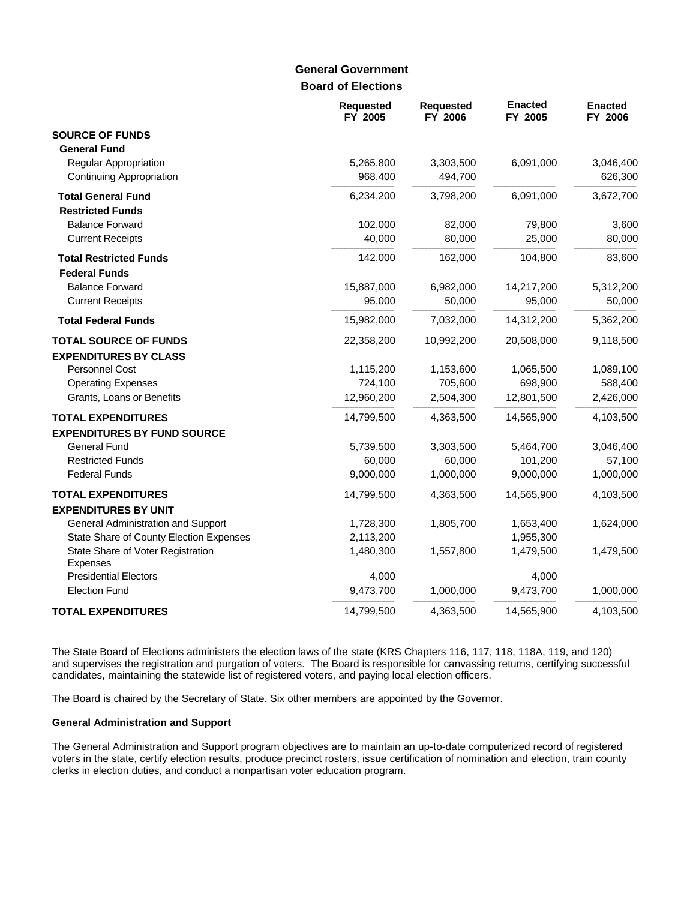## **Board of Elections General Government**

|                                               | <b>Requested</b><br>FY 2005 | <b>Requested</b><br>FY 2006 | <b>Enacted</b><br>FY 2005 | <b>Enacted</b><br>FY 2006 |
|-----------------------------------------------|-----------------------------|-----------------------------|---------------------------|---------------------------|
| <b>SOURCE OF FUNDS</b>                        |                             |                             |                           |                           |
| <b>General Fund</b>                           |                             |                             |                           |                           |
| Regular Appropriation                         | 5,265,800                   | 3,303,500                   | 6,091,000                 | 3,046,400                 |
| <b>Continuing Appropriation</b>               | 968,400                     | 494,700                     |                           | 626,300                   |
| <b>Total General Fund</b>                     | 6,234,200                   | 3,798,200                   | 6,091,000                 | 3,672,700                 |
| <b>Restricted Funds</b>                       |                             |                             |                           |                           |
| <b>Balance Forward</b>                        | 102,000                     | 82,000                      | 79,800                    | 3,600                     |
| <b>Current Receipts</b>                       | 40,000                      | 80,000                      | 25,000                    | 80,000                    |
| <b>Total Restricted Funds</b>                 | 142,000                     | 162,000                     | 104,800                   | 83,600                    |
| <b>Federal Funds</b>                          |                             |                             |                           |                           |
| <b>Balance Forward</b>                        | 15,887,000                  | 6,982,000                   | 14,217,200                | 5,312,200                 |
| <b>Current Receipts</b>                       | 95,000                      | 50,000                      | 95,000                    | 50,000                    |
| <b>Total Federal Funds</b>                    | 15,982,000                  | 7,032,000                   | 14,312,200                | 5,362,200                 |
| <b>TOTAL SOURCE OF FUNDS</b>                  | 22,358,200                  | 10,992,200                  | 20,508,000                | 9,118,500                 |
| <b>EXPENDITURES BY CLASS</b>                  |                             |                             |                           |                           |
| Personnel Cost                                | 1,115,200                   | 1,153,600                   | 1,065,500                 | 1,089,100                 |
| <b>Operating Expenses</b>                     | 724,100                     | 705,600                     | 698,900                   | 588,400                   |
| Grants, Loans or Benefits                     | 12,960,200                  | 2,504,300                   | 12,801,500                | 2,426,000                 |
| <b>TOTAL EXPENDITURES</b>                     | 14,799,500                  | 4,363,500                   | 14,565,900                | 4,103,500                 |
| <b>EXPENDITURES BY FUND SOURCE</b>            |                             |                             |                           |                           |
| <b>General Fund</b>                           | 5,739,500                   | 3,303,500                   | 5,464,700                 | 3,046,400                 |
| <b>Restricted Funds</b>                       | 60,000                      | 60,000                      | 101,200                   | 57,100                    |
| <b>Federal Funds</b>                          | 9,000,000                   | 1,000,000                   | 9,000,000                 | 1,000,000                 |
| <b>TOTAL EXPENDITURES</b>                     | 14,799,500                  | 4,363,500                   | 14,565,900                | 4,103,500                 |
| <b>EXPENDITURES BY UNIT</b>                   |                             |                             |                           |                           |
| General Administration and Support            | 1,728,300                   | 1,805,700                   | 1,653,400                 | 1,624,000                 |
| State Share of County Election Expenses       | 2,113,200                   |                             | 1,955,300                 |                           |
| State Share of Voter Registration<br>Expenses | 1,480,300                   | 1,557,800                   | 1,479,500                 | 1,479,500                 |
| <b>Presidential Electors</b>                  | 4,000                       |                             | 4,000                     |                           |
| <b>Election Fund</b>                          | 9,473,700                   | 1,000,000                   | 9,473,700                 | 1,000,000                 |
| <b>TOTAL EXPENDITURES</b>                     | 14,799,500                  | 4,363,500                   | 14,565,900                | 4,103,500                 |

The State Board of Elections administers the election laws of the state (KRS Chapters 116, 117, 118, 118A, 119, and 120) and supervises the registration and purgation of voters. The Board is responsible for canvassing returns, certifying successful candidates, maintaining the statewide list of registered voters, and paying local election officers.

The Board is chaired by the Secretary of State. Six other members are appointed by the Governor.

#### **General Administration and Support**

The General Administration and Support program objectives are to maintain an up-to-date computerized record of registered voters in the state, certify election results, produce precinct rosters, issue certification of nomination and election, train county clerks in election duties, and conduct a nonpartisan voter education program.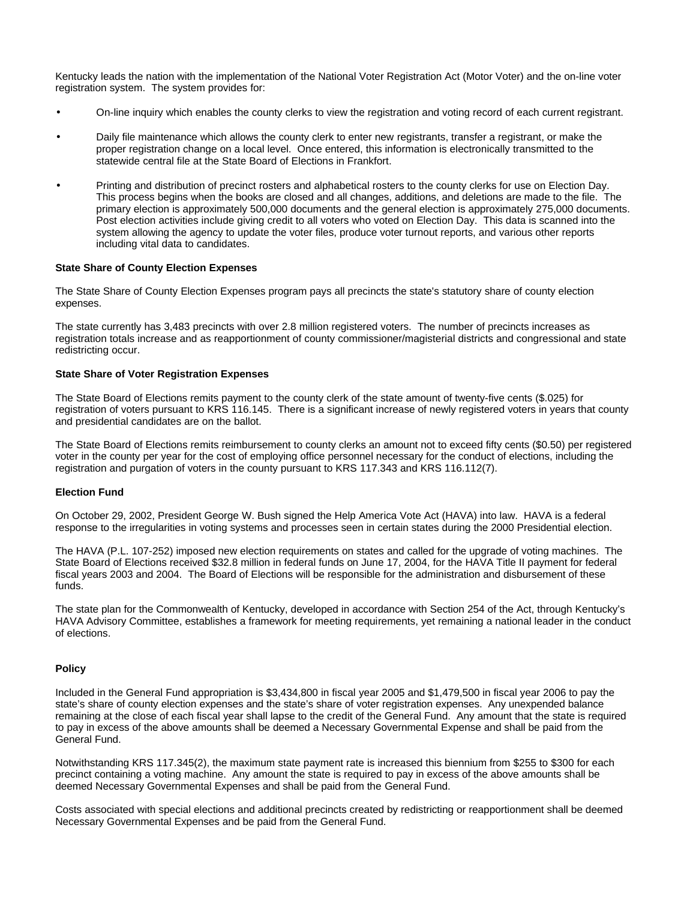Kentucky leads the nation with the implementation of the National Voter Registration Act (Motor Voter) and the on-line voter registration system. The system provides for:

- On-line inquiry which enables the county clerks to view the registration and voting record of each current registrant.
- Daily file maintenance which allows the county clerk to enter new registrants, transfer a registrant, or make the proper registration change on a local level. Once entered, this information is electronically transmitted to the statewide central file at the State Board of Elections in Frankfort.
- Printing and distribution of precinct rosters and alphabetical rosters to the county clerks for use on Election Day. This process begins when the books are closed and all changes, additions, and deletions are made to the file. The primary election is approximately 500,000 documents and the general election is approximately 275,000 documents. Post election activities include giving credit to all voters who voted on Election Day. This data is scanned into the system allowing the agency to update the voter files, produce voter turnout reports, and various other reports including vital data to candidates.

### **State Share of County Election Expenses**

The State Share of County Election Expenses program pays all precincts the state's statutory share of county election expenses.

The state currently has 3,483 precincts with over 2.8 million registered voters. The number of precincts increases as registration totals increase and as reapportionment of county commissioner/magisterial districts and congressional and state redistricting occur.

#### **State Share of Voter Registration Expenses**

The State Board of Elections remits payment to the county clerk of the state amount of twenty-five cents (\$.025) for registration of voters pursuant to KRS 116.145. There is a significant increase of newly registered voters in years that county and presidential candidates are on the ballot.

The State Board of Elections remits reimbursement to county clerks an amount not to exceed fifty cents (\$0.50) per registered voter in the county per year for the cost of employing office personnel necessary for the conduct of elections, including the registration and purgation of voters in the county pursuant to KRS 117.343 and KRS 116.112(7).

#### **Election Fund**

On October 29, 2002, President George W. Bush signed the Help America Vote Act (HAVA) into law. HAVA is a federal response to the irregularities in voting systems and processes seen in certain states during the 2000 Presidential election.

The HAVA (P.L. 107-252) imposed new election requirements on states and called for the upgrade of voting machines. The State Board of Elections received \$32.8 million in federal funds on June 17, 2004, for the HAVA Title II payment for federal fiscal years 2003 and 2004. The Board of Elections will be responsible for the administration and disbursement of these funds.

The state plan for the Commonwealth of Kentucky, developed in accordance with Section 254 of the Act, through Kentucky's HAVA Advisory Committee, establishes a framework for meeting requirements, yet remaining a national leader in the conduct of elections.

### **Policy**

Included in the General Fund appropriation is \$3,434,800 in fiscal year 2005 and \$1,479,500 in fiscal year 2006 to pay the state's share of county election expenses and the state's share of voter registration expenses. Any unexpended balance remaining at the close of each fiscal year shall lapse to the credit of the General Fund. Any amount that the state is required to pay in excess of the above amounts shall be deemed a Necessary Governmental Expense and shall be paid from the General Fund.

Notwithstanding KRS 117.345(2), the maximum state payment rate is increased this biennium from \$255 to \$300 for each precinct containing a voting machine. Any amount the state is required to pay in excess of the above amounts shall be deemed Necessary Governmental Expenses and shall be paid from the General Fund.

Costs associated with special elections and additional precincts created by redistricting or reapportionment shall be deemed Necessary Governmental Expenses and be paid from the General Fund.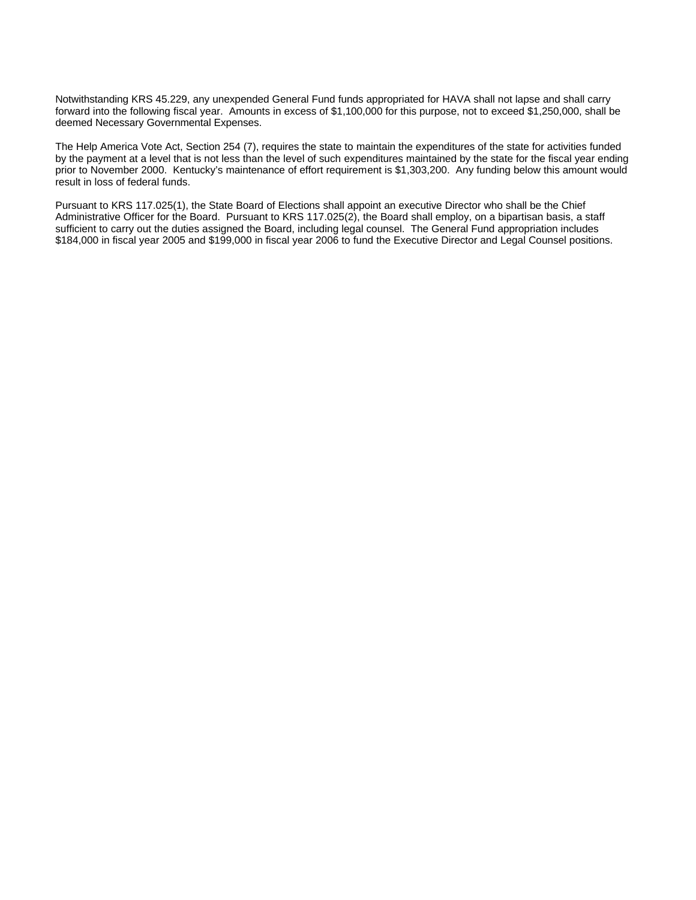Notwithstanding KRS 45.229, any unexpended General Fund funds appropriated for HAVA shall not lapse and shall carry forward into the following fiscal year. Amounts in excess of \$1,100,000 for this purpose, not to exceed \$1,250,000, shall be deemed Necessary Governmental Expenses.

The Help America Vote Act, Section 254 (7), requires the state to maintain the expenditures of the state for activities funded by the payment at a level that is not less than the level of such expenditures maintained by the state for the fiscal year ending prior to November 2000. Kentucky's maintenance of effort requirement is \$1,303,200. Any funding below this amount would result in loss of federal funds.

Pursuant to KRS 117.025(1), the State Board of Elections shall appoint an executive Director who shall be the Chief Administrative Officer for the Board. Pursuant to KRS 117.025(2), the Board shall employ, on a bipartisan basis, a staff sufficient to carry out the duties assigned the Board, including legal counsel. The General Fund appropriation includes \$184,000 in fiscal year 2005 and \$199,000 in fiscal year 2006 to fund the Executive Director and Legal Counsel positions.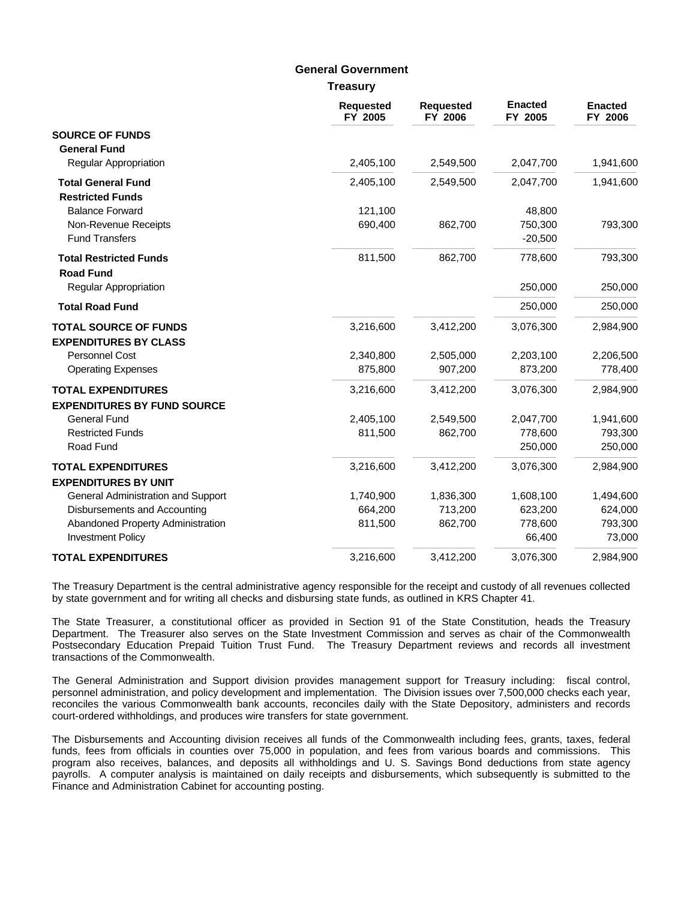# **General Government**

**Treasury**

|                                                   | <b>Requested</b><br>FY 2005 | <b>Requested</b><br>FY 2006 | <b>Enacted</b><br>FY 2005 | <b>Enacted</b><br>FY 2006 |
|---------------------------------------------------|-----------------------------|-----------------------------|---------------------------|---------------------------|
| <b>SOURCE OF FUNDS</b>                            |                             |                             |                           |                           |
| <b>General Fund</b>                               |                             |                             |                           |                           |
| Regular Appropriation                             | 2,405,100                   | 2,549,500                   | 2,047,700                 | 1,941,600                 |
| <b>Total General Fund</b>                         | 2,405,100                   | 2,549,500                   | 2,047,700                 | 1,941,600                 |
| <b>Restricted Funds</b>                           |                             |                             |                           |                           |
| <b>Balance Forward</b>                            | 121,100                     |                             | 48,800                    |                           |
| Non-Revenue Receipts                              | 690,400                     | 862,700                     | 750,300                   | 793,300                   |
| <b>Fund Transfers</b>                             |                             |                             | $-20,500$                 |                           |
| <b>Total Restricted Funds</b><br><b>Road Fund</b> | 811,500                     | 862,700                     | 778,600                   | 793,300                   |
| <b>Regular Appropriation</b>                      |                             |                             | 250,000                   | 250,000                   |
| <b>Total Road Fund</b>                            |                             |                             | 250,000                   | 250,000                   |
| <b>TOTAL SOURCE OF FUNDS</b>                      | 3,216,600                   | 3,412,200                   | 3,076,300                 | 2,984,900                 |
| <b>EXPENDITURES BY CLASS</b>                      |                             |                             |                           |                           |
| Personnel Cost                                    | 2,340,800                   | 2,505,000                   | 2,203,100                 | 2,206,500                 |
| <b>Operating Expenses</b>                         | 875,800                     | 907,200                     | 873,200                   | 778,400                   |
| <b>TOTAL EXPENDITURES</b>                         | 3,216,600                   | 3,412,200                   | 3,076,300                 | 2,984,900                 |
| <b>EXPENDITURES BY FUND SOURCE</b>                |                             |                             |                           |                           |
| <b>General Fund</b>                               | 2,405,100                   | 2,549,500                   | 2,047,700                 | 1,941,600                 |
| <b>Restricted Funds</b>                           | 811,500                     | 862,700                     | 778,600                   | 793,300                   |
| Road Fund                                         |                             |                             | 250,000                   | 250,000                   |
| <b>TOTAL EXPENDITURES</b>                         | 3,216,600                   | 3,412,200                   | 3,076,300                 | 2,984,900                 |
| <b>EXPENDITURES BY UNIT</b>                       |                             |                             |                           |                           |
| General Administration and Support                | 1,740,900                   | 1,836,300                   | 1,608,100                 | 1,494,600                 |
| Disbursements and Accounting                      | 664,200                     | 713,200                     | 623,200                   | 624,000                   |
| Abandoned Property Administration                 | 811,500                     | 862,700                     | 778,600                   | 793,300                   |
| <b>Investment Policy</b>                          |                             |                             | 66,400                    | 73,000                    |
| <b>TOTAL EXPENDITURES</b>                         | 3,216,600                   | 3,412,200                   | 3,076,300                 | 2,984,900                 |

The Treasury Department is the central administrative agency responsible for the receipt and custody of all revenues collected by state government and for writing all checks and disbursing state funds, as outlined in KRS Chapter 41.

The State Treasurer, a constitutional officer as provided in Section 91 of the State Constitution, heads the Treasury Department. The Treasurer also serves on the State Investment Commission and serves as chair of the Commonwealth Postsecondary Education Prepaid Tuition Trust Fund. The Treasury Department reviews and records all investment transactions of the Commonwealth.

The General Administration and Support division provides management support for Treasury including: fiscal control, personnel administration, and policy development and implementation. The Division issues over 7,500,000 checks each year, reconciles the various Commonwealth bank accounts, reconciles daily with the State Depository, administers and records court-ordered withholdings, and produces wire transfers for state government.

The Disbursements and Accounting division receives all funds of the Commonwealth including fees, grants, taxes, federal funds, fees from officials in counties over 75,000 in population, and fees from various boards and commissions. This program also receives, balances, and deposits all withholdings and U. S. Savings Bond deductions from state agency payrolls. A computer analysis is maintained on daily receipts and disbursements, which subsequently is submitted to the Finance and Administration Cabinet for accounting posting.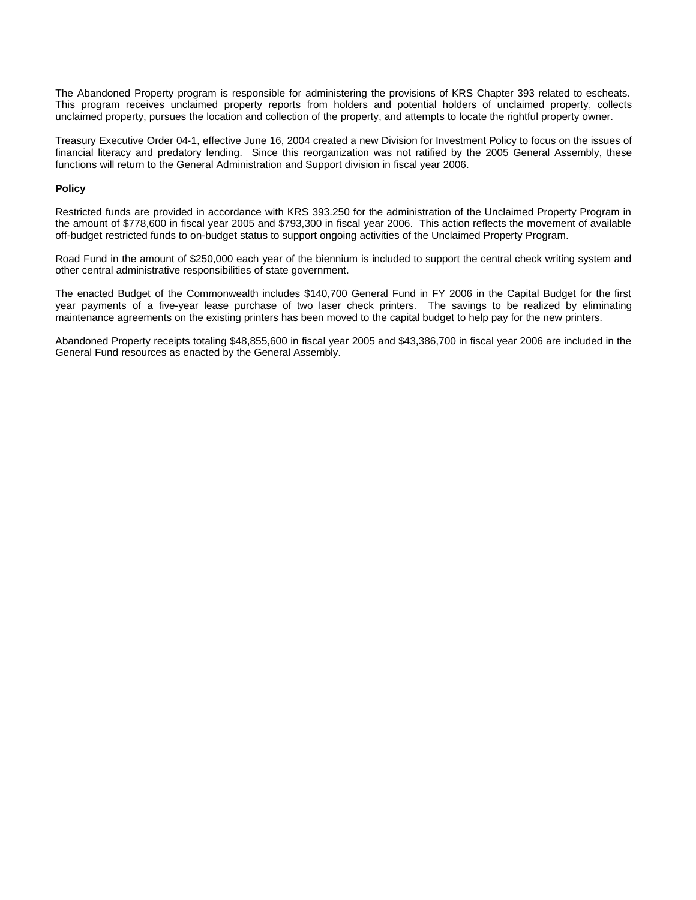The Abandoned Property program is responsible for administering the provisions of KRS Chapter 393 related to escheats. This program receives unclaimed property reports from holders and potential holders of unclaimed property, collects unclaimed property, pursues the location and collection of the property, and attempts to locate the rightful property owner.

Treasury Executive Order 04-1, effective June 16, 2004 created a new Division for Investment Policy to focus on the issues of financial literacy and predatory lending. Since this reorganization was not ratified by the 2005 General Assembly, these functions will return to the General Administration and Support division in fiscal year 2006.

#### **Policy**

Restricted funds are provided in accordance with KRS 393.250 for the administration of the Unclaimed Property Program in the amount of \$778,600 in fiscal year 2005 and \$793,300 in fiscal year 2006. This action reflects the movement of available off-budget restricted funds to on-budget status to support ongoing activities of the Unclaimed Property Program.

Road Fund in the amount of \$250,000 each year of the biennium is included to support the central check writing system and other central administrative responsibilities of state government.

The enacted Budget of the Commonwealth includes \$140,700 General Fund in FY 2006 in the Capital Budget for the first year payments of a five-year lease purchase of two laser check printers. The savings to be realized by eliminating maintenance agreements on the existing printers has been moved to the capital budget to help pay for the new printers.

Abandoned Property receipts totaling \$48,855,600 in fiscal year 2005 and \$43,386,700 in fiscal year 2006 are included in the General Fund resources as enacted by the General Assembly.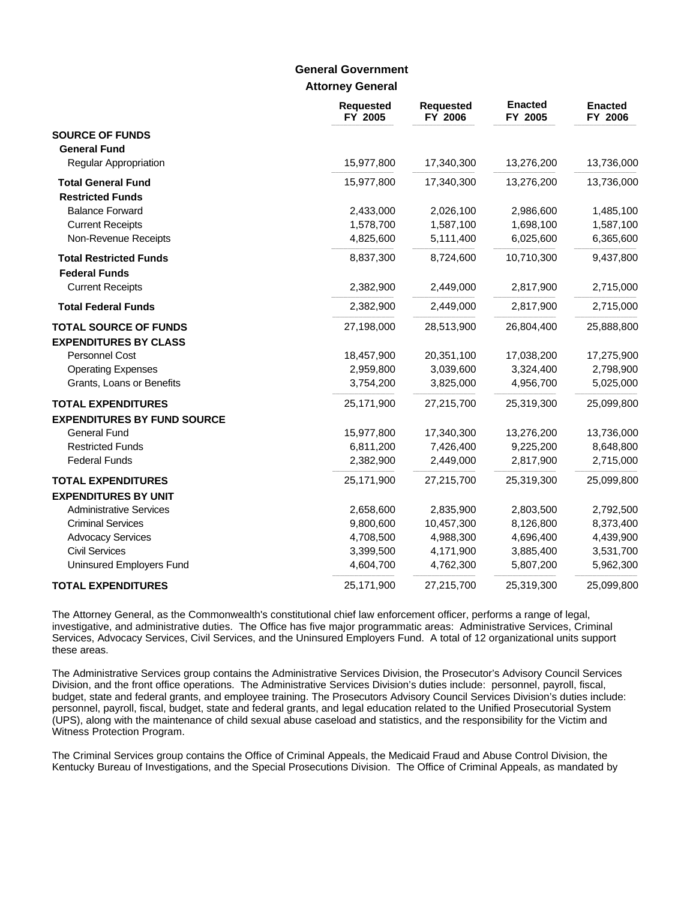## **Attorney General General Government**

|                                                 | <b>Requested</b><br>FY 2005 | <b>Requested</b><br>FY 2006 | <b>Enacted</b><br>FY 2005 | <b>Enacted</b><br>FY 2006 |
|-------------------------------------------------|-----------------------------|-----------------------------|---------------------------|---------------------------|
| <b>SOURCE OF FUNDS</b>                          |                             |                             |                           |                           |
| <b>General Fund</b>                             |                             |                             |                           |                           |
| <b>Regular Appropriation</b>                    | 15,977,800                  | 17,340,300                  | 13,276,200                | 13,736,000                |
| <b>Total General Fund</b>                       | 15,977,800                  | 17,340,300                  | 13,276,200                | 13,736,000                |
| <b>Restricted Funds</b>                         |                             |                             |                           |                           |
| <b>Balance Forward</b>                          | 2,433,000                   | 2,026,100                   | 2,986,600                 | 1,485,100                 |
| <b>Current Receipts</b>                         | 1,578,700                   | 1,587,100                   | 1,698,100                 | 1,587,100                 |
| Non-Revenue Receipts                            | 4,825,600                   | 5,111,400                   | 6,025,600                 | 6,365,600                 |
| <b>Total Restricted Funds</b>                   | 8,837,300                   | 8,724,600                   | 10,710,300                | 9,437,800                 |
| <b>Federal Funds</b><br><b>Current Receipts</b> | 2,382,900                   | 2,449,000                   | 2,817,900                 | 2,715,000                 |
| <b>Total Federal Funds</b>                      | 2,382,900                   | 2,449,000                   | 2,817,900                 | 2,715,000                 |
| <b>TOTAL SOURCE OF FUNDS</b>                    | 27,198,000                  | 28,513,900                  | 26,804,400                | 25,888,800                |
| <b>EXPENDITURES BY CLASS</b>                    |                             |                             |                           |                           |
| <b>Personnel Cost</b>                           | 18,457,900                  | 20,351,100                  | 17,038,200                | 17,275,900                |
| <b>Operating Expenses</b>                       | 2,959,800                   | 3,039,600                   | 3,324,400                 | 2,798,900                 |
| Grants, Loans or Benefits                       | 3,754,200                   | 3,825,000                   | 4,956,700                 | 5,025,000                 |
| <b>TOTAL EXPENDITURES</b>                       | 25,171,900                  | 27,215,700                  | 25,319,300                | 25,099,800                |
| <b>EXPENDITURES BY FUND SOURCE</b>              |                             |                             |                           |                           |
| <b>General Fund</b>                             | 15,977,800                  | 17,340,300                  | 13,276,200                | 13,736,000                |
| <b>Restricted Funds</b>                         | 6,811,200                   | 7,426,400                   | 9,225,200                 | 8,648,800                 |
| <b>Federal Funds</b>                            | 2,382,900                   | 2,449,000                   | 2,817,900                 | 2,715,000                 |
| <b>TOTAL EXPENDITURES</b>                       | 25,171,900                  | 27,215,700                  | 25,319,300                | 25,099,800                |
| <b>EXPENDITURES BY UNIT</b>                     |                             |                             |                           |                           |
| <b>Administrative Services</b>                  | 2,658,600                   | 2,835,900                   | 2,803,500                 | 2,792,500                 |
| <b>Criminal Services</b>                        | 9,800,600                   | 10,457,300                  | 8,126,800                 | 8,373,400                 |
| <b>Advocacy Services</b>                        | 4,708,500                   | 4,988,300                   | 4,696,400                 | 4,439,900                 |
| <b>Civil Services</b>                           | 3,399,500                   | 4,171,900                   | 3,885,400                 | 3,531,700                 |
| Uninsured Employers Fund                        | 4,604,700                   | 4,762,300                   | 5,807,200                 | 5,962,300                 |
| <b>TOTAL EXPENDITURES</b>                       | 25,171,900                  | 27,215,700                  | 25,319,300                | 25,099,800                |

The Attorney General, as the Commonwealth's constitutional chief law enforcement officer, performs a range of legal, investigative, and administrative duties. The Office has five major programmatic areas: Administrative Services, Criminal Services, Advocacy Services, Civil Services, and the Uninsured Employers Fund. A total of 12 organizational units support these areas.

The Administrative Services group contains the Administrative Services Division, the Prosecutor's Advisory Council Services Division, and the front office operations. The Administrative Services Division's duties include: personnel, payroll, fiscal, budget, state and federal grants, and employee training. The Prosecutors Advisory Council Services Division's duties include: personnel, payroll, fiscal, budget, state and federal grants, and legal education related to the Unified Prosecutorial System (UPS), along with the maintenance of child sexual abuse caseload and statistics, and the responsibility for the Victim and Witness Protection Program.

The Criminal Services group contains the Office of Criminal Appeals, the Medicaid Fraud and Abuse Control Division, the Kentucky Bureau of Investigations, and the Special Prosecutions Division. The Office of Criminal Appeals, as mandated by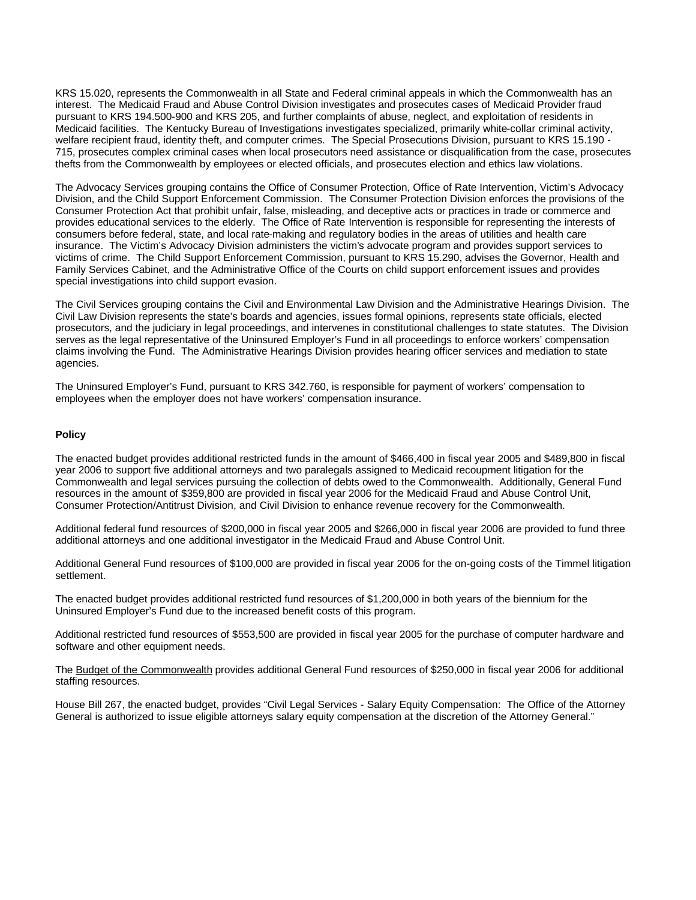KRS 15.020, represents the Commonwealth in all State and Federal criminal appeals in which the Commonwealth has an interest. The Medicaid Fraud and Abuse Control Division investigates and prosecutes cases of Medicaid Provider fraud pursuant to KRS 194.500-900 and KRS 205, and further complaints of abuse, neglect, and exploitation of residents in Medicaid facilities. The Kentucky Bureau of Investigations investigates specialized, primarily white-collar criminal activity, welfare recipient fraud, identity theft, and computer crimes. The Special Prosecutions Division, pursuant to KRS 15.190 - 715, prosecutes complex criminal cases when local prosecutors need assistance or disqualification from the case, prosecutes thefts from the Commonwealth by employees or elected officials, and prosecutes election and ethics law violations.

The Advocacy Services grouping contains the Office of Consumer Protection, Office of Rate Intervention, Victim's Advocacy Division, and the Child Support Enforcement Commission. The Consumer Protection Division enforces the provisions of the Consumer Protection Act that prohibit unfair, false, misleading, and deceptive acts or practices in trade or commerce and provides educational services to the elderly. The Office of Rate Intervention is responsible for representing the interests of consumers before federal, state, and local rate-making and regulatory bodies in the areas of utilities and health care insurance. The Victim's Advocacy Division administers the victim's advocate program and provides support services to victims of crime. The Child Support Enforcement Commission, pursuant to KRS 15.290, advises the Governor, Health and Family Services Cabinet, and the Administrative Office of the Courts on child support enforcement issues and provides special investigations into child support evasion.

The Civil Services grouping contains the Civil and Environmental Law Division and the Administrative Hearings Division. The Civil Law Division represents the state's boards and agencies, issues formal opinions, represents state officials, elected prosecutors, and the judiciary in legal proceedings, and intervenes in constitutional challenges to state statutes. The Division serves as the legal representative of the Uninsured Employer's Fund in all proceedings to enforce workers' compensation claims involving the Fund. The Administrative Hearings Division provides hearing officer services and mediation to state agencies.

The Uninsured Employer's Fund, pursuant to KRS 342.760, is responsible for payment of workers' compensation to employees when the employer does not have workers' compensation insurance.

#### **Policy**

The enacted budget provides additional restricted funds in the amount of \$466,400 in fiscal year 2005 and \$489,800 in fiscal year 2006 to support five additional attorneys and two paralegals assigned to Medicaid recoupment litigation for the Commonwealth and legal services pursuing the collection of debts owed to the Commonwealth. Additionally, General Fund resources in the amount of \$359,800 are provided in fiscal year 2006 for the Medicaid Fraud and Abuse Control Unit, Consumer Protection/Antitrust Division, and Civil Division to enhance revenue recovery for the Commonwealth.

Additional federal fund resources of \$200,000 in fiscal year 2005 and \$266,000 in fiscal year 2006 are provided to fund three additional attorneys and one additional investigator in the Medicaid Fraud and Abuse Control Unit.

Additional General Fund resources of \$100,000 are provided in fiscal year 2006 for the on-going costs of the Timmel litigation settlement.

The enacted budget provides additional restricted fund resources of \$1,200,000 in both years of the biennium for the Uninsured Employer's Fund due to the increased benefit costs of this program.

Additional restricted fund resources of \$553,500 are provided in fiscal year 2005 for the purchase of computer hardware and software and other equipment needs.

The Budget of the Commonwealth provides additional General Fund resources of \$250,000 in fiscal year 2006 for additional staffing resources.

House Bill 267, the enacted budget, provides "Civil Legal Services - Salary Equity Compensation: The Office of the Attorney General is authorized to issue eligible attorneys salary equity compensation at the discretion of the Attorney General."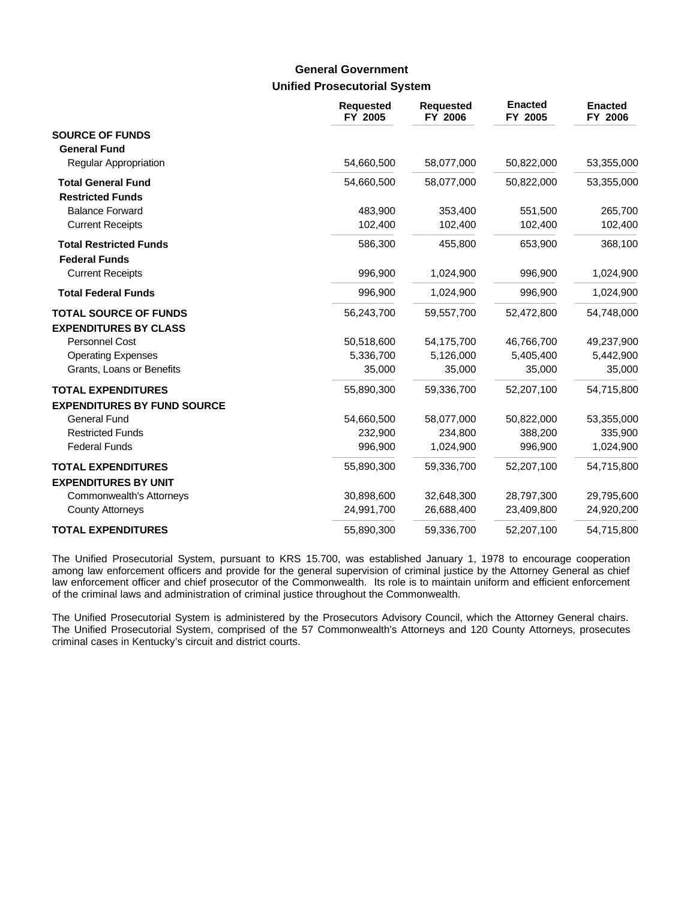## **Unified Prosecutorial System General Government**

|                                                                 | <b>Requested</b><br>FY 2005 | <b>Requested</b><br>FY 2006 | <b>Enacted</b><br>FY 2005 | <b>Enacted</b><br>FY 2006 |
|-----------------------------------------------------------------|-----------------------------|-----------------------------|---------------------------|---------------------------|
| <b>SOURCE OF FUNDS</b><br><b>General Fund</b>                   |                             |                             |                           |                           |
| <b>Regular Appropriation</b>                                    | 54,660,500                  | 58,077,000                  | 50,822,000                | 53,355,000                |
| <b>Total General Fund</b>                                       | 54,660,500                  | 58,077,000                  | 50,822,000                | 53,355,000                |
| <b>Restricted Funds</b>                                         |                             |                             |                           |                           |
| <b>Balance Forward</b>                                          | 483,900                     | 353,400                     | 551,500                   | 265,700                   |
| <b>Current Receipts</b>                                         | 102,400                     | 102,400                     | 102,400                   | 102,400                   |
| <b>Total Restricted Funds</b><br><b>Federal Funds</b>           | 586,300                     | 455,800                     | 653,900                   | 368,100                   |
| <b>Current Receipts</b>                                         | 996,900                     | 1,024,900                   | 996,900                   | 1,024,900                 |
| <b>Total Federal Funds</b>                                      | 996,900                     | 1,024,900                   | 996,900                   | 1,024,900                 |
| <b>TOTAL SOURCE OF FUNDS</b><br><b>EXPENDITURES BY CLASS</b>    | 56,243,700                  | 59,557,700                  | 52,472,800                | 54,748,000                |
| Personnel Cost                                                  | 50,518,600                  | 54,175,700                  | 46,766,700                | 49,237,900                |
| <b>Operating Expenses</b>                                       | 5,336,700                   | 5,126,000                   | 5,405,400                 | 5,442,900                 |
| Grants, Loans or Benefits                                       | 35,000                      | 35,000                      | 35,000                    | 35,000                    |
| <b>TOTAL EXPENDITURES</b><br><b>EXPENDITURES BY FUND SOURCE</b> | 55,890,300                  | 59,336,700                  | 52,207,100                | 54,715,800                |
| <b>General Fund</b>                                             | 54,660,500                  | 58,077,000                  | 50,822,000                | 53,355,000                |
| <b>Restricted Funds</b>                                         | 232,900                     | 234,800                     | 388,200                   | 335,900                   |
| <b>Federal Funds</b>                                            | 996,900                     | 1,024,900                   | 996,900                   | 1,024,900                 |
| <b>TOTAL EXPENDITURES</b><br><b>EXPENDITURES BY UNIT</b>        | 55,890,300                  | 59,336,700                  | 52,207,100                | 54,715,800                |
| <b>Commonwealth's Attorneys</b>                                 | 30,898,600                  | 32,648,300                  | 28,797,300                | 29,795,600                |
| <b>County Attorneys</b>                                         | 24,991,700                  | 26,688,400                  | 23,409,800                | 24,920,200                |
| <b>TOTAL EXPENDITURES</b>                                       | 55,890,300                  | 59,336,700                  | 52,207,100                | 54,715,800                |

The Unified Prosecutorial System, pursuant to KRS 15.700, was established January 1, 1978 to encourage cooperation among law enforcement officers and provide for the general supervision of criminal justice by the Attorney General as chief law enforcement officer and chief prosecutor of the Commonwealth. Its role is to maintain uniform and efficient enforcement of the criminal laws and administration of criminal justice throughout the Commonwealth.

The Unified Prosecutorial System is administered by the Prosecutors Advisory Council, which the Attorney General chairs. The Unified Prosecutorial System, comprised of the 57 Commonwealth's Attorneys and 120 County Attorneys, prosecutes criminal cases in Kentucky's circuit and district courts.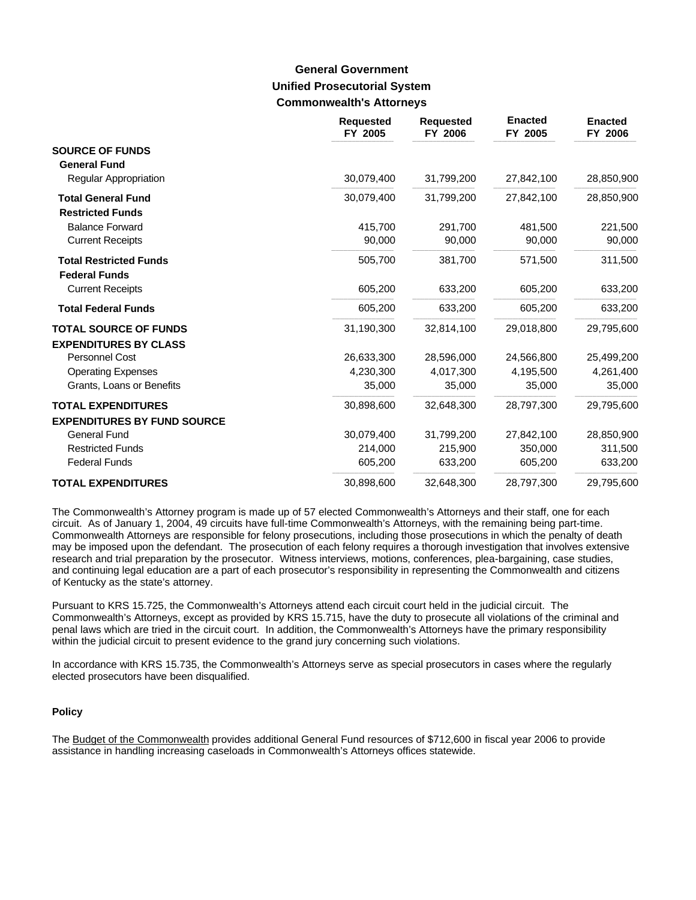# **Unified Prosecutorial System Commonwealth's Attorneys General Government**

|                                                              | <b>Requested</b><br>FY 2005 | <b>Requested</b><br>FY 2006 | <b>Enacted</b><br>FY 2005 | <b>Enacted</b><br>FY 2006 |
|--------------------------------------------------------------|-----------------------------|-----------------------------|---------------------------|---------------------------|
| <b>SOURCE OF FUNDS</b><br><b>General Fund</b>                |                             |                             |                           |                           |
| <b>Regular Appropriation</b>                                 | 30,079,400                  | 31,799,200                  | 27,842,100                | 28,850,900                |
| <b>Total General Fund</b><br><b>Restricted Funds</b>         | 30.079.400                  | 31,799,200                  | 27.842.100                | 28,850,900                |
| <b>Balance Forward</b>                                       | 415,700                     | 291,700                     | 481,500                   | 221,500                   |
| <b>Current Receipts</b>                                      | 90,000                      | 90,000                      | 90,000                    | 90,000                    |
| <b>Total Restricted Funds</b><br><b>Federal Funds</b>        | 505,700                     | 381,700                     | 571,500                   | 311,500                   |
| <b>Current Receipts</b>                                      | 605,200                     | 633,200                     | 605,200                   | 633,200                   |
| <b>Total Federal Funds</b>                                   | 605,200                     | 633,200                     | 605,200                   | 633,200                   |
| <b>TOTAL SOURCE OF FUNDS</b><br><b>EXPENDITURES BY CLASS</b> | 31,190,300                  | 32,814,100                  | 29,018,800                | 29,795,600                |
| Personnel Cost                                               | 26,633,300                  | 28,596,000                  | 24,566,800                | 25,499,200                |
| <b>Operating Expenses</b>                                    | 4,230,300                   | 4,017,300                   | 4,195,500                 | 4,261,400                 |
| Grants, Loans or Benefits                                    | 35,000                      | 35,000                      | 35,000                    | 35,000                    |
| <b>TOTAL EXPENDITURES</b>                                    | 30,898,600                  | 32,648,300                  | 28,797,300                | 29,795,600                |
| <b>EXPENDITURES BY FUND SOURCE</b>                           |                             |                             |                           |                           |
| <b>General Fund</b>                                          | 30,079,400                  | 31,799,200                  | 27,842,100                | 28,850,900                |
| <b>Restricted Funds</b>                                      | 214,000                     | 215,900                     | 350,000                   | 311,500                   |
| <b>Federal Funds</b>                                         | 605,200                     | 633,200                     | 605,200                   | 633,200                   |
| <b>TOTAL EXPENDITURES</b>                                    | 30,898,600                  | 32,648,300                  | 28,797,300                | 29,795,600                |

The Commonwealth's Attorney program is made up of 57 elected Commonwealth's Attorneys and their staff, one for each circuit. As of January 1, 2004, 49 circuits have full-time Commonwealth's Attorneys, with the remaining being part-time. Commonwealth Attorneys are responsible for felony prosecutions, including those prosecutions in which the penalty of death may be imposed upon the defendant. The prosecution of each felony requires a thorough investigation that involves extensive research and trial preparation by the prosecutor. Witness interviews, motions, conferences, plea-bargaining, case studies, and continuing legal education are a part of each prosecutor's responsibility in representing the Commonwealth and citizens of Kentucky as the state's attorney.

Pursuant to KRS 15.725, the Commonwealth's Attorneys attend each circuit court held in the judicial circuit. The Commonwealth's Attorneys, except as provided by KRS 15.715, have the duty to prosecute all violations of the criminal and penal laws which are tried in the circuit court. In addition, the Commonwealth's Attorneys have the primary responsibility within the judicial circuit to present evidence to the grand jury concerning such violations.

In accordance with KRS 15.735, the Commonwealth's Attorneys serve as special prosecutors in cases where the regularly elected prosecutors have been disqualified.

### **Policy**

The Budget of the Commonwealth provides additional General Fund resources of \$712,600 in fiscal year 2006 to provide assistance in handling increasing caseloads in Commonwealth's Attorneys offices statewide.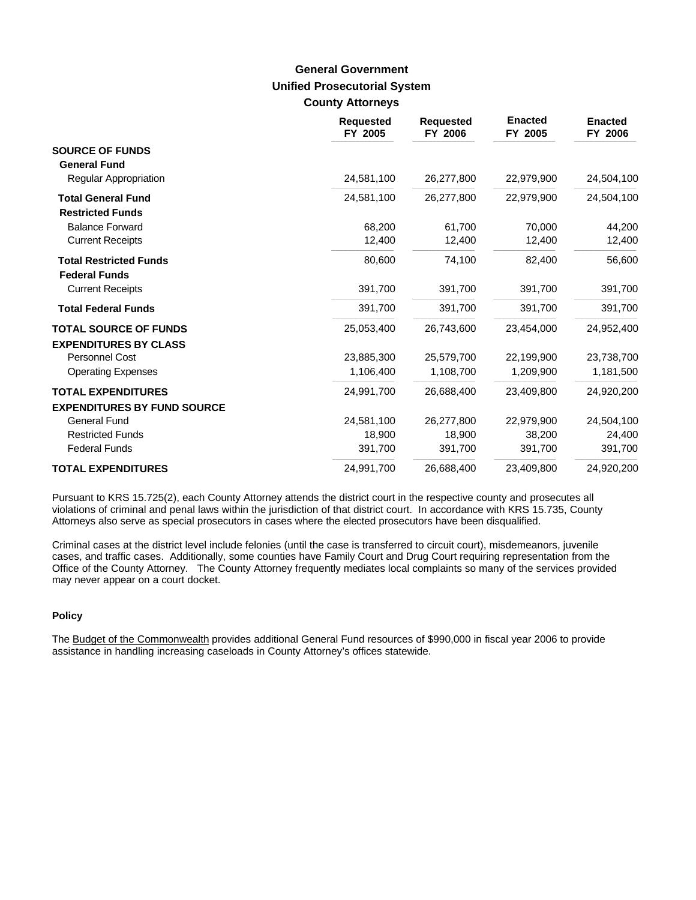# **Unified Prosecutorial System County Attorneys General Government**

|                                    | <b>Requested</b><br>FY 2005 | <b>Requested</b><br>FY 2006 | <b>Enacted</b><br>FY 2005 | <b>Enacted</b><br>FY 2006 |
|------------------------------------|-----------------------------|-----------------------------|---------------------------|---------------------------|
| <b>SOURCE OF FUNDS</b>             |                             |                             |                           |                           |
| <b>General Fund</b>                |                             |                             |                           |                           |
| Regular Appropriation              | 24,581,100                  | 26,277,800                  | 22,979,900                | 24,504,100                |
| <b>Total General Fund</b>          | 24,581,100                  | 26,277,800                  | 22,979,900                | 24,504,100                |
| <b>Restricted Funds</b>            |                             |                             |                           |                           |
| <b>Balance Forward</b>             | 68,200                      | 61,700                      | 70,000                    | 44,200                    |
| <b>Current Receipts</b>            | 12,400                      | 12,400                      | 12,400                    | 12,400                    |
| <b>Total Restricted Funds</b>      | 80,600                      | 74,100                      | 82,400                    | 56,600                    |
| <b>Federal Funds</b>               |                             |                             |                           |                           |
| <b>Current Receipts</b>            | 391,700                     | 391,700                     | 391,700                   | 391,700                   |
| <b>Total Federal Funds</b>         | 391,700                     | 391,700                     | 391,700                   | 391,700                   |
| <b>TOTAL SOURCE OF FUNDS</b>       | 25,053,400                  | 26,743,600                  | 23,454,000                | 24,952,400                |
| <b>EXPENDITURES BY CLASS</b>       |                             |                             |                           |                           |
| Personnel Cost                     | 23,885,300                  | 25,579,700                  | 22.199.900                | 23,738,700                |
| <b>Operating Expenses</b>          | 1,106,400                   | 1,108,700                   | 1,209,900                 | 1,181,500                 |
| <b>TOTAL EXPENDITURES</b>          | 24,991,700                  | 26,688,400                  | 23,409,800                | 24,920,200                |
| <b>EXPENDITURES BY FUND SOURCE</b> |                             |                             |                           |                           |
| <b>General Fund</b>                | 24,581,100                  | 26,277,800                  | 22,979,900                | 24,504,100                |
| <b>Restricted Funds</b>            | 18,900                      | 18,900                      | 38,200                    | 24,400                    |
| <b>Federal Funds</b>               | 391,700                     | 391,700                     | 391,700                   | 391,700                   |
| <b>TOTAL EXPENDITURES</b>          | 24,991,700                  | 26,688,400                  | 23,409,800                | 24,920,200                |

Pursuant to KRS 15.725(2), each County Attorney attends the district court in the respective county and prosecutes all violations of criminal and penal laws within the jurisdiction of that district court. In accordance with KRS 15.735, County Attorneys also serve as special prosecutors in cases where the elected prosecutors have been disqualified.

Criminal cases at the district level include felonies (until the case is transferred to circuit court), misdemeanors, juvenile cases, and traffic cases. Additionally, some counties have Family Court and Drug Court requiring representation from the Office of the County Attorney. The County Attorney frequently mediates local complaints so many of the services provided may never appear on a court docket.

### **Policy**

The Budget of the Commonwealth provides additional General Fund resources of \$990,000 in fiscal year 2006 to provide assistance in handling increasing caseloads in County Attorney's offices statewide.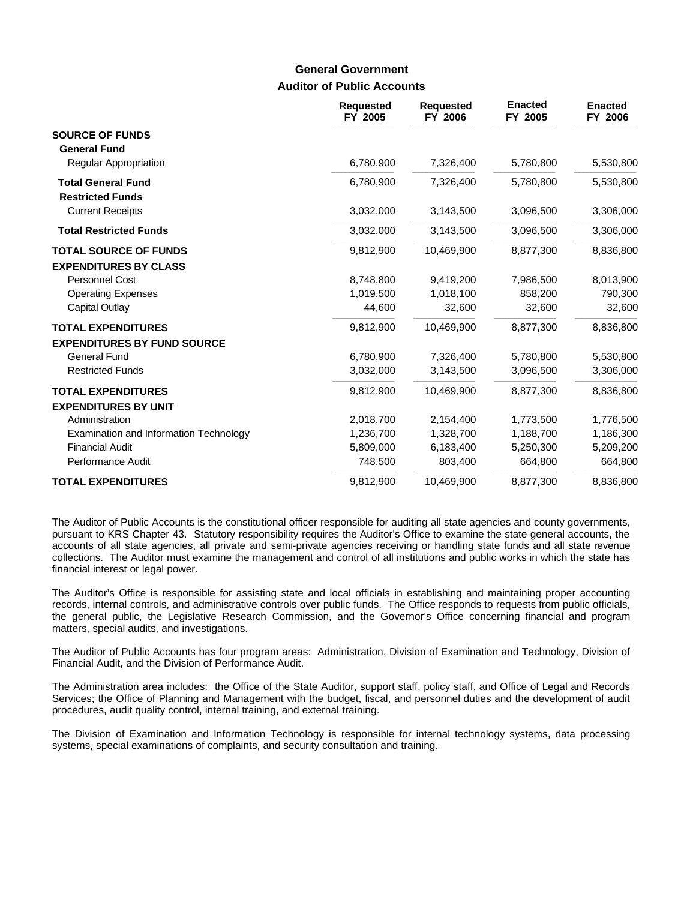## **Auditor of Public Accounts General Government**

|                                                                 | <b>Requested</b><br>FY 2005 | <b>Requested</b><br>FY 2006 | <b>Enacted</b><br>FY 2005 | <b>Enacted</b><br>FY 2006 |
|-----------------------------------------------------------------|-----------------------------|-----------------------------|---------------------------|---------------------------|
| <b>SOURCE OF FUNDS</b><br><b>General Fund</b>                   |                             |                             |                           |                           |
| <b>Regular Appropriation</b>                                    | 6,780,900                   | 7,326,400                   | 5,780,800                 | 5,530,800                 |
| <b>Total General Fund</b><br><b>Restricted Funds</b>            | 6,780,900                   | 7,326,400                   | 5,780,800                 | 5,530,800                 |
| <b>Current Receipts</b>                                         | 3,032,000                   | 3,143,500                   | 3,096,500                 | 3,306,000                 |
| <b>Total Restricted Funds</b>                                   | 3,032,000                   | 3,143,500                   | 3,096,500                 | 3,306,000                 |
| <b>TOTAL SOURCE OF FUNDS</b><br><b>EXPENDITURES BY CLASS</b>    | 9,812,900                   | 10,469,900                  | 8,877,300                 | 8,836,800                 |
| Personnel Cost                                                  | 8,748,800                   | 9,419,200                   | 7,986,500                 | 8,013,900                 |
| <b>Operating Expenses</b>                                       | 1,019,500                   | 1,018,100                   | 858,200                   | 790,300                   |
| Capital Outlay                                                  | 44,600                      | 32,600                      | 32,600                    | 32,600                    |
| <b>TOTAL EXPENDITURES</b><br><b>EXPENDITURES BY FUND SOURCE</b> | 9,812,900                   | 10,469,900                  | 8,877,300                 | 8,836,800                 |
| <b>General Fund</b>                                             | 6,780,900                   | 7,326,400                   | 5,780,800                 | 5,530,800                 |
| <b>Restricted Funds</b>                                         | 3,032,000                   | 3,143,500                   | 3,096,500                 | 3,306,000                 |
| <b>TOTAL EXPENDITURES</b><br><b>EXPENDITURES BY UNIT</b>        | 9,812,900                   | 10,469,900                  | 8,877,300                 | 8,836,800                 |
| Administration                                                  | 2,018,700                   | 2,154,400                   | 1,773,500                 | 1,776,500                 |
| Examination and Information Technology                          | 1,236,700                   | 1,328,700                   | 1,188,700                 | 1,186,300                 |
| <b>Financial Audit</b>                                          | 5,809,000                   | 6,183,400                   | 5,250,300                 | 5,209,200                 |
| Performance Audit                                               | 748,500                     | 803,400                     | 664,800                   | 664,800                   |
| <b>TOTAL EXPENDITURES</b>                                       | 9,812,900                   | 10,469,900                  | 8,877,300                 | 8,836,800                 |

The Auditor of Public Accounts is the constitutional officer responsible for auditing all state agencies and county governments, pursuant to KRS Chapter 43. Statutory responsibility requires the Auditor's Office to examine the state general accounts, the accounts of all state agencies, all private and semi-private agencies receiving or handling state funds and all state revenue collections. The Auditor must examine the management and control of all institutions and public works in which the state has financial interest or legal power.

The Auditor's Office is responsible for assisting state and local officials in establishing and maintaining proper accounting records, internal controls, and administrative controls over public funds. The Office responds to requests from public officials, the general public, the Legislative Research Commission, and the Governor's Office concerning financial and program matters, special audits, and investigations.

The Auditor of Public Accounts has four program areas: Administration, Division of Examination and Technology, Division of Financial Audit, and the Division of Performance Audit.

The Administration area includes: the Office of the State Auditor, support staff, policy staff, and Office of Legal and Records Services; the Office of Planning and Management with the budget, fiscal, and personnel duties and the development of audit procedures, audit quality control, internal training, and external training.

The Division of Examination and Information Technology is responsible for internal technology systems, data processing systems, special examinations of complaints, and security consultation and training.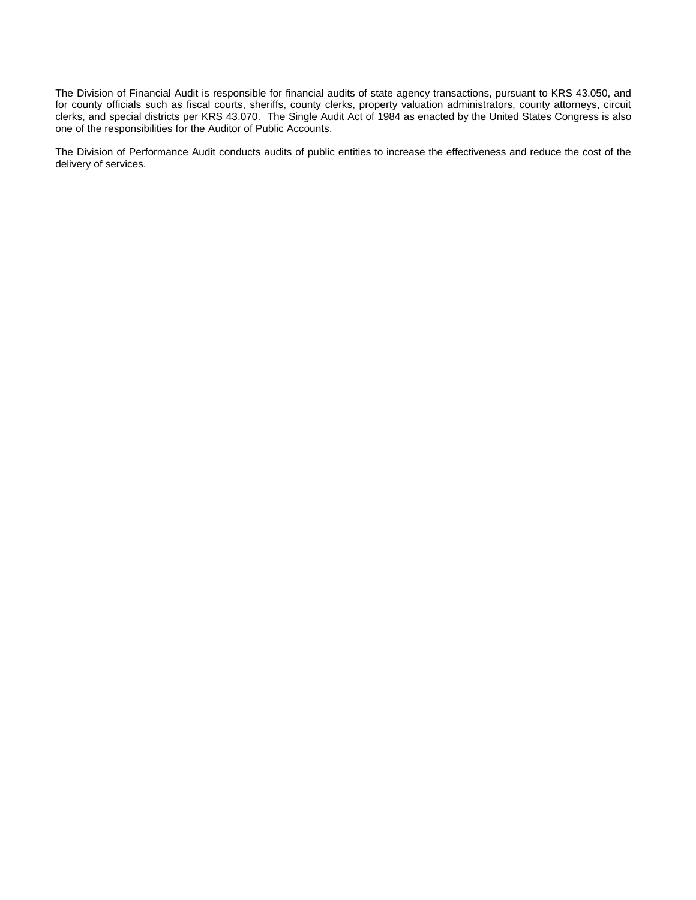The Division of Financial Audit is responsible for financial audits of state agency transactions, pursuant to KRS 43.050, and for county officials such as fiscal courts, sheriffs, county clerks, property valuation administrators, county attorneys, circuit clerks, and special districts per KRS 43.070. The Single Audit Act of 1984 as enacted by the United States Congress is also one of the responsibilities for the Auditor of Public Accounts.

The Division of Performance Audit conducts audits of public entities to increase the effectiveness and reduce the cost of the delivery of services.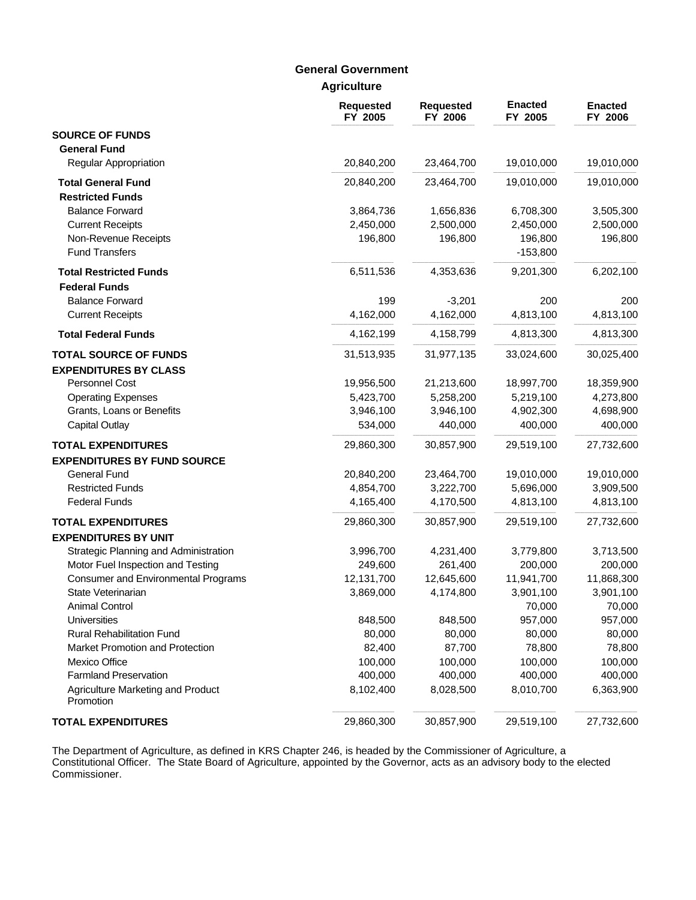## **Agriculture General Government**

|                                                | <b>Requested</b><br>FY 2005 | <b>Requested</b><br>FY 2006 | <b>Enacted</b><br>FY 2005 | <b>Enacted</b><br>FY 2006 |
|------------------------------------------------|-----------------------------|-----------------------------|---------------------------|---------------------------|
| <b>SOURCE OF FUNDS</b>                         |                             |                             |                           |                           |
| <b>General Fund</b>                            |                             |                             |                           |                           |
| Regular Appropriation                          | 20,840,200                  | 23,464,700                  | 19,010,000                | 19,010,000                |
| <b>Total General Fund</b>                      | 20,840,200                  | 23,464,700                  | 19,010,000                | 19,010,000                |
| <b>Restricted Funds</b>                        |                             |                             |                           |                           |
| <b>Balance Forward</b>                         | 3,864,736                   | 1,656,836                   | 6,708,300                 | 3,505,300                 |
| <b>Current Receipts</b>                        | 2,450,000                   | 2,500,000                   | 2,450,000                 | 2,500,000                 |
| Non-Revenue Receipts                           | 196,800                     | 196,800                     | 196,800                   | 196,800                   |
| <b>Fund Transfers</b>                          |                             |                             | $-153,800$                |                           |
| <b>Total Restricted Funds</b>                  | 6,511,536                   | 4,353,636                   | 9,201,300                 | 6,202,100                 |
| <b>Federal Funds</b>                           |                             |                             |                           |                           |
| <b>Balance Forward</b>                         | 199                         | $-3,201$                    | 200                       | 200                       |
| <b>Current Receipts</b>                        | 4,162,000                   | 4,162,000                   | 4,813,100                 | 4,813,100                 |
| <b>Total Federal Funds</b>                     | 4,162,199                   | 4,158,799                   | 4,813,300                 | 4,813,300                 |
| <b>TOTAL SOURCE OF FUNDS</b>                   | 31,513,935                  | 31,977,135                  | 33,024,600                | 30,025,400                |
| <b>EXPENDITURES BY CLASS</b>                   |                             |                             |                           |                           |
| Personnel Cost                                 | 19,956,500                  | 21,213,600                  | 18,997,700                | 18,359,900                |
| <b>Operating Expenses</b>                      | 5,423,700                   | 5,258,200                   | 5,219,100                 | 4,273,800                 |
| Grants, Loans or Benefits                      | 3,946,100                   | 3,946,100                   | 4,902,300                 | 4,698,900                 |
| <b>Capital Outlay</b>                          | 534,000                     | 440,000                     | 400,000                   | 400,000                   |
| <b>TOTAL EXPENDITURES</b>                      | 29,860,300                  | 30,857,900                  | 29,519,100                | 27,732,600                |
| <b>EXPENDITURES BY FUND SOURCE</b>             |                             |                             |                           |                           |
| General Fund                                   | 20,840,200                  | 23,464,700                  | 19,010,000                | 19,010,000                |
| <b>Restricted Funds</b>                        | 4,854,700                   | 3,222,700                   | 5,696,000                 | 3,909,500                 |
| <b>Federal Funds</b>                           | 4,165,400                   | 4,170,500                   | 4,813,100                 | 4,813,100                 |
| <b>TOTAL EXPENDITURES</b>                      | 29,860,300                  | 30,857,900                  | 29,519,100                | 27,732,600                |
| <b>EXPENDITURES BY UNIT</b>                    |                             |                             |                           |                           |
| Strategic Planning and Administration          | 3,996,700                   | 4,231,400                   | 3,779,800                 | 3,713,500                 |
| Motor Fuel Inspection and Testing              | 249,600                     | 261,400                     | 200,000                   | 200,000                   |
| Consumer and Environmental Programs            | 12,131,700                  | 12,645,600                  | 11,941,700                | 11,868,300                |
| State Veterinarian                             | 3,869,000                   | 4,174,800                   | 3,901,100                 | 3,901,100                 |
| Animal Control                                 |                             |                             | 70,000                    | 70,000                    |
| <b>Universities</b>                            | 848,500                     | 848,500                     | 957,000                   | 957,000                   |
| <b>Rural Rehabilitation Fund</b>               | 80,000                      | 80,000                      | 80,000                    | 80,000                    |
| Market Promotion and Protection                | 82,400                      | 87,700                      | 78,800                    | 78,800                    |
| Mexico Office                                  | 100,000                     | 100,000                     | 100,000                   | 100,000                   |
| <b>Farmland Preservation</b>                   | 400,000                     | 400,000                     | 400,000                   | 400,000                   |
| Agriculture Marketing and Product<br>Promotion | 8,102,400                   | 8,028,500                   | 8,010,700                 | 6,363,900                 |
| <b>TOTAL EXPENDITURES</b>                      | 29,860,300                  | 30,857,900                  | 29,519,100                | 27,732,600                |

The Department of Agriculture, as defined in KRS Chapter 246, is headed by the Commissioner of Agriculture, a Constitutional Officer. The State Board of Agriculture, appointed by the Governor, acts as an advisory body to the elected Commissioner.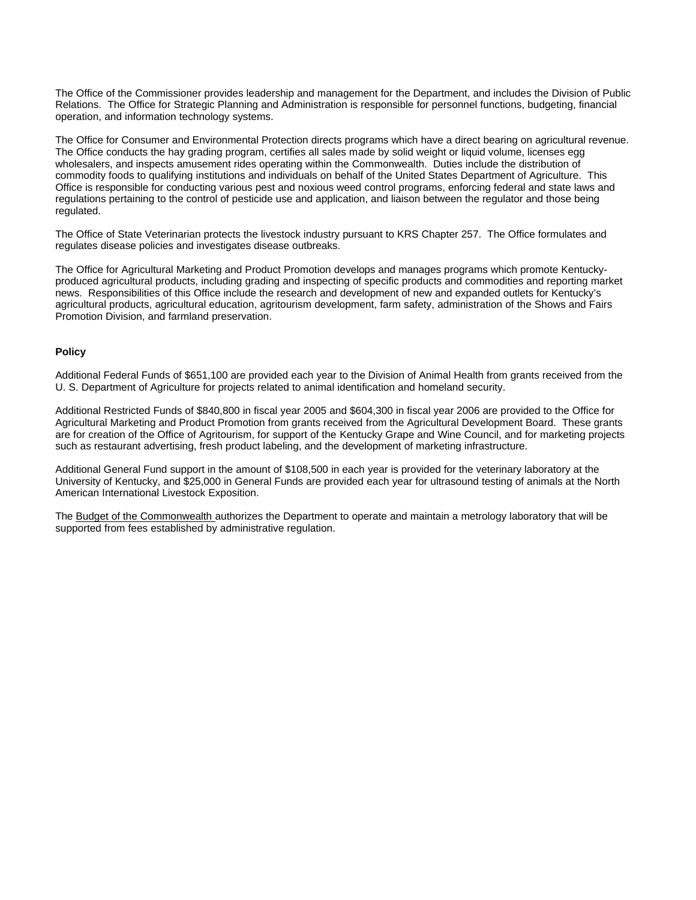The Office of the Commissioner provides leadership and management for the Department, and includes the Division of Public Relations. The Office for Strategic Planning and Administration is responsible for personnel functions, budgeting, financial operation, and information technology systems.

The Office for Consumer and Environmental Protection directs programs which have a direct bearing on agricultural revenue. The Office conducts the hay grading program, certifies all sales made by solid weight or liquid volume, licenses egg wholesalers, and inspects amusement rides operating within the Commonwealth. Duties include the distribution of commodity foods to qualifying institutions and individuals on behalf of the United States Department of Agriculture. This Office is responsible for conducting various pest and noxious weed control programs, enforcing federal and state laws and regulations pertaining to the control of pesticide use and application, and liaison between the regulator and those being regulated.

The Office of State Veterinarian protects the livestock industry pursuant to KRS Chapter 257. The Office formulates and regulates disease policies and investigates disease outbreaks.

The Office for Agricultural Marketing and Product Promotion develops and manages programs which promote Kentuckyproduced agricultural products, including grading and inspecting of specific products and commodities and reporting market news. Responsibilities of this Office include the research and development of new and expanded outlets for Kentucky's agricultural products, agricultural education, agritourism development, farm safety, administration of the Shows and Fairs Promotion Division, and farmland preservation.

### **Policy**

Additional Federal Funds of \$651,100 are provided each year to the Division of Animal Health from grants received from the U. S. Department of Agriculture for projects related to animal identification and homeland security.

Additional Restricted Funds of \$840,800 in fiscal year 2005 and \$604,300 in fiscal year 2006 are provided to the Office for Agricultural Marketing and Product Promotion from grants received from the Agricultural Development Board. These grants are for creation of the Office of Agritourism, for support of the Kentucky Grape and Wine Council, and for marketing projects such as restaurant advertising, fresh product labeling, and the development of marketing infrastructure.

Additional General Fund support in the amount of \$108,500 in each year is provided for the veterinary laboratory at the University of Kentucky, and \$25,000 in General Funds are provided each year for ultrasound testing of animals at the North American International Livestock Exposition.

The Budget of the Commonwealth authorizes the Department to operate and maintain a metrology laboratory that will be supported from fees established by administrative regulation.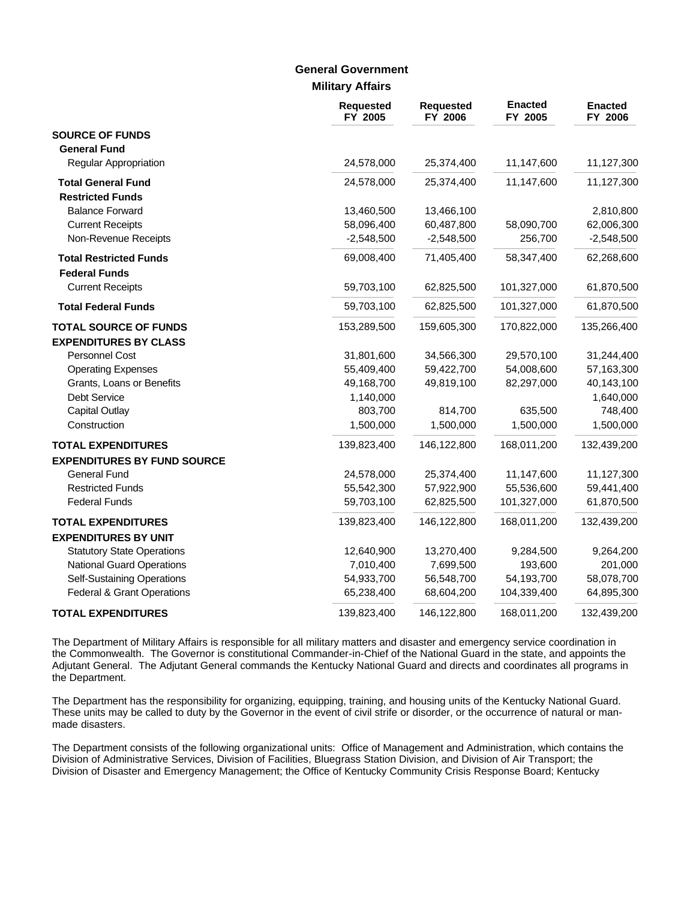## **Military Affairs General Government**

|                                    | <b>Requested</b><br>FY 2005 | <b>Requested</b><br>FY 2006 | <b>Enacted</b><br>FY 2005 | <b>Enacted</b><br>FY 2006 |
|------------------------------------|-----------------------------|-----------------------------|---------------------------|---------------------------|
| <b>SOURCE OF FUNDS</b>             |                             |                             |                           |                           |
| <b>General Fund</b>                |                             |                             |                           |                           |
| <b>Regular Appropriation</b>       | 24,578,000                  | 25,374,400                  | 11,147,600                | 11,127,300                |
| <b>Total General Fund</b>          | 24,578,000                  | 25,374,400                  | 11,147,600                | 11,127,300                |
| <b>Restricted Funds</b>            |                             |                             |                           |                           |
| <b>Balance Forward</b>             | 13,460,500                  | 13,466,100                  |                           | 2,810,800                 |
| <b>Current Receipts</b>            | 58,096,400                  | 60,487,800                  | 58,090,700                | 62,006,300                |
| Non-Revenue Receipts               | $-2,548,500$                | $-2,548,500$                | 256,700                   | $-2,548,500$              |
| <b>Total Restricted Funds</b>      | 69,008,400                  | 71,405,400                  | 58,347,400                | 62,268,600                |
| <b>Federal Funds</b>               |                             |                             |                           |                           |
| <b>Current Receipts</b>            | 59,703,100                  | 62,825,500                  | 101,327,000               | 61,870,500                |
| <b>Total Federal Funds</b>         | 59,703,100                  | 62,825,500                  | 101,327,000               | 61,870,500                |
| <b>TOTAL SOURCE OF FUNDS</b>       | 153,289,500                 | 159,605,300                 | 170,822,000               | 135,266,400               |
| <b>EXPENDITURES BY CLASS</b>       |                             |                             |                           |                           |
| Personnel Cost                     | 31,801,600                  | 34,566,300                  | 29,570,100                | 31,244,400                |
| <b>Operating Expenses</b>          | 55,409,400                  | 59,422,700                  | 54,008,600                | 57,163,300                |
| Grants, Loans or Benefits          | 49,168,700                  | 49,819,100                  | 82,297,000                | 40,143,100                |
| Debt Service                       | 1,140,000                   |                             |                           | 1,640,000                 |
| <b>Capital Outlay</b>              | 803,700                     | 814,700                     | 635,500                   | 748,400                   |
| Construction                       | 1,500,000                   | 1,500,000                   | 1,500,000                 | 1,500,000                 |
| <b>TOTAL EXPENDITURES</b>          | 139,823,400                 | 146,122,800                 | 168,011,200               | 132,439,200               |
| <b>EXPENDITURES BY FUND SOURCE</b> |                             |                             |                           |                           |
| <b>General Fund</b>                | 24,578,000                  | 25,374,400                  | 11,147,600                | 11,127,300                |
| <b>Restricted Funds</b>            | 55,542,300                  | 57,922,900                  | 55,536,600                | 59,441,400                |
| <b>Federal Funds</b>               | 59,703,100                  | 62,825,500                  | 101,327,000               | 61,870,500                |
| <b>TOTAL EXPENDITURES</b>          | 139,823,400                 | 146,122,800                 | 168,011,200               | 132,439,200               |
| <b>EXPENDITURES BY UNIT</b>        |                             |                             |                           |                           |
| <b>Statutory State Operations</b>  | 12,640,900                  | 13,270,400                  | 9,284,500                 | 9,264,200                 |
| <b>National Guard Operations</b>   | 7,010,400                   | 7,699,500                   | 193,600                   | 201,000                   |
| <b>Self-Sustaining Operations</b>  | 54,933,700                  | 56,548,700                  | 54,193,700                | 58,078,700                |
| Federal & Grant Operations         | 65,238,400                  | 68,604,200                  | 104,339,400               | 64,895,300                |
| <b>TOTAL EXPENDITURES</b>          | 139,823,400                 | 146,122,800                 | 168,011,200               | 132,439,200               |

The Department of Military Affairs is responsible for all military matters and disaster and emergency service coordination in the Commonwealth. The Governor is constitutional Commander-in-Chief of the National Guard in the state, and appoints the Adjutant General. The Adjutant General commands the Kentucky National Guard and directs and coordinates all programs in the Department.

The Department has the responsibility for organizing, equipping, training, and housing units of the Kentucky National Guard. These units may be called to duty by the Governor in the event of civil strife or disorder, or the occurrence of natural or manmade disasters.

The Department consists of the following organizational units: Office of Management and Administration, which contains the Division of Administrative Services, Division of Facilities, Bluegrass Station Division, and Division of Air Transport; the Division of Disaster and Emergency Management; the Office of Kentucky Community Crisis Response Board; Kentucky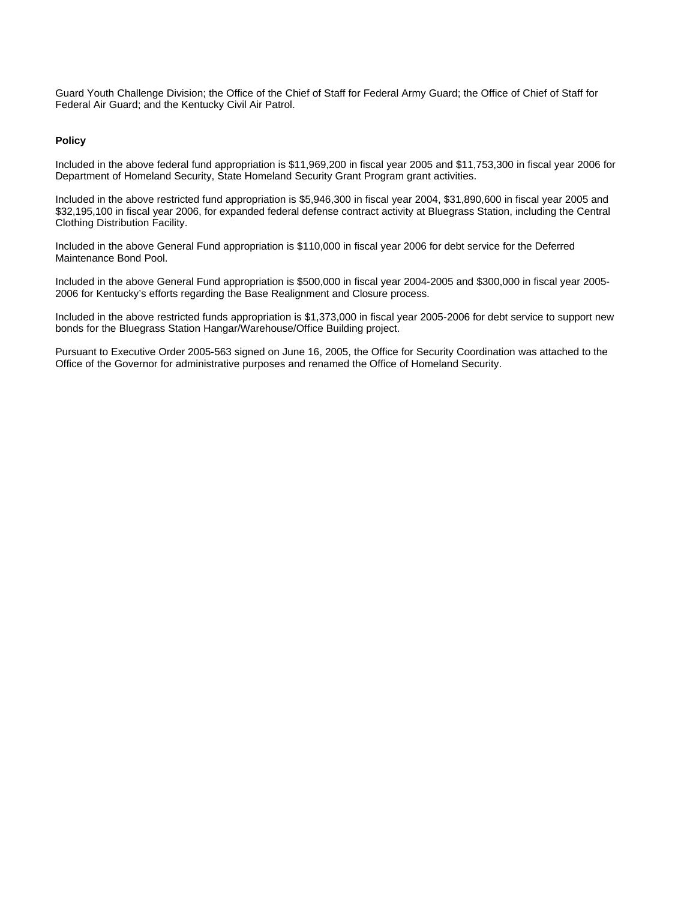Guard Youth Challenge Division; the Office of the Chief of Staff for Federal Army Guard; the Office of Chief of Staff for Federal Air Guard; and the Kentucky Civil Air Patrol.

#### **Policy**

Included in the above federal fund appropriation is \$11,969,200 in fiscal year 2005 and \$11,753,300 in fiscal year 2006 for Department of Homeland Security, State Homeland Security Grant Program grant activities.

Included in the above restricted fund appropriation is \$5,946,300 in fiscal year 2004, \$31,890,600 in fiscal year 2005 and \$32,195,100 in fiscal year 2006, for expanded federal defense contract activity at Bluegrass Station, including the Central Clothing Distribution Facility.

Included in the above General Fund appropriation is \$110,000 in fiscal year 2006 for debt service for the Deferred Maintenance Bond Pool.

Included in the above General Fund appropriation is \$500,000 in fiscal year 2004-2005 and \$300,000 in fiscal year 2005- 2006 for Kentucky's efforts regarding the Base Realignment and Closure process.

Included in the above restricted funds appropriation is \$1,373,000 in fiscal year 2005-2006 for debt service to support new bonds for the Bluegrass Station Hangar/Warehouse/Office Building project.

Pursuant to Executive Order 2005-563 signed on June 16, 2005, the Office for Security Coordination was attached to the Office of the Governor for administrative purposes and renamed the Office of Homeland Security.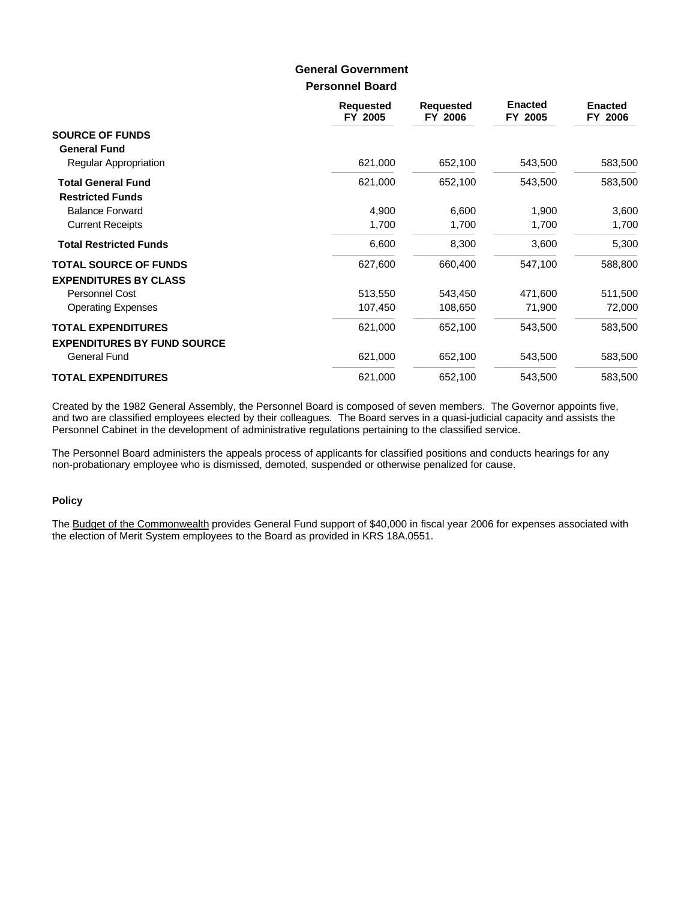### **Personnel Board General Government**

|                                    | <b>Requested</b><br>FY 2005 | <b>Requested</b><br>FY 2006 | <b>Enacted</b><br>FY 2005 | <b>Enacted</b><br>FY 2006 |
|------------------------------------|-----------------------------|-----------------------------|---------------------------|---------------------------|
| <b>SOURCE OF FUNDS</b>             |                             |                             |                           |                           |
| <b>General Fund</b>                |                             |                             |                           |                           |
| Regular Appropriation              | 621,000                     | 652,100                     | 543,500                   | 583,500                   |
| <b>Total General Fund</b>          | 621,000                     | 652,100                     | 543,500                   | 583,500                   |
| <b>Restricted Funds</b>            |                             |                             |                           |                           |
| <b>Balance Forward</b>             | 4,900                       | 6,600                       | 1,900                     | 3,600                     |
| <b>Current Receipts</b>            | 1,700                       | 1,700                       | 1,700                     | 1,700                     |
| <b>Total Restricted Funds</b>      | 6,600                       | 8,300                       | 3,600                     | 5,300                     |
| <b>TOTAL SOURCE OF FUNDS</b>       | 627,600                     | 660,400                     | 547,100                   | 588,800                   |
| <b>EXPENDITURES BY CLASS</b>       |                             |                             |                           |                           |
| Personnel Cost                     | 513,550                     | 543,450                     | 471,600                   | 511,500                   |
| <b>Operating Expenses</b>          | 107,450                     | 108,650                     | 71,900                    | 72,000                    |
| <b>TOTAL EXPENDITURES</b>          | 621,000                     | 652,100                     | 543,500                   | 583,500                   |
| <b>EXPENDITURES BY FUND SOURCE</b> |                             |                             |                           |                           |
| <b>General Fund</b>                | 621,000                     | 652,100                     | 543,500                   | 583,500                   |
| <b>TOTAL EXPENDITURES</b>          | 621,000                     | 652,100                     | 543,500                   | 583,500                   |

Created by the 1982 General Assembly, the Personnel Board is composed of seven members. The Governor appoints five, and two are classified employees elected by their colleagues. The Board serves in a quasi-judicial capacity and assists the Personnel Cabinet in the development of administrative regulations pertaining to the classified service.

The Personnel Board administers the appeals process of applicants for classified positions and conducts hearings for any non-probationary employee who is dismissed, demoted, suspended or otherwise penalized for cause.

#### **Policy**

The Budget of the Commonwealth provides General Fund support of \$40,000 in fiscal year 2006 for expenses associated with the election of Merit System employees to the Board as provided in KRS 18A.0551.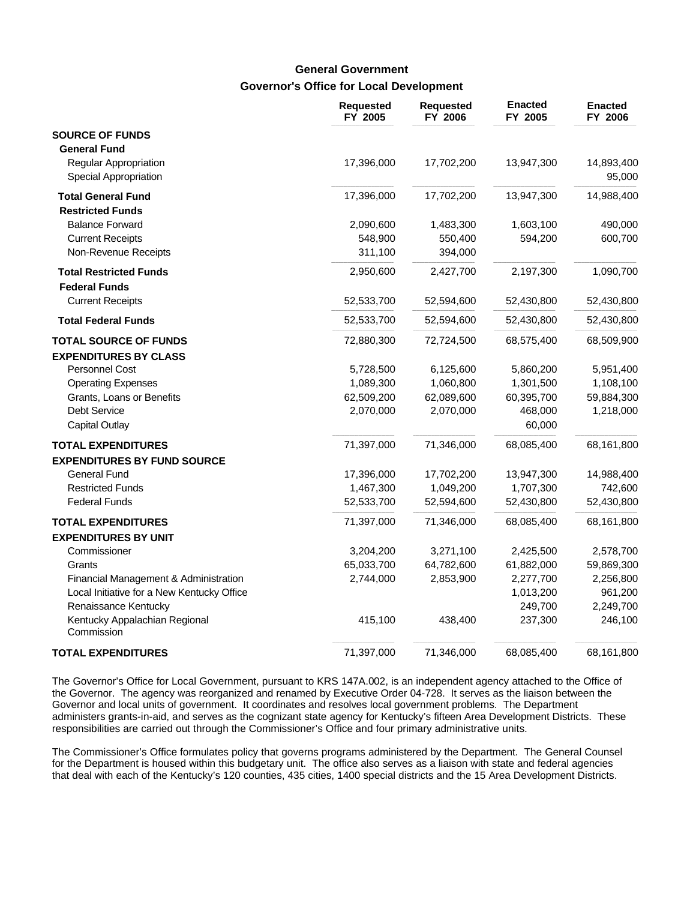# **Governor's Office for Local Development General Government**

|                                             | Requested<br>FY 2005 | <b>Requested</b><br>FY 2006 | <b>Enacted</b><br>FY 2005 | <b>Enacted</b><br>FY 2006 |
|---------------------------------------------|----------------------|-----------------------------|---------------------------|---------------------------|
| <b>SOURCE OF FUNDS</b>                      |                      |                             |                           |                           |
| <b>General Fund</b>                         |                      |                             |                           |                           |
| <b>Regular Appropriation</b>                | 17,396,000           | 17,702,200                  | 13,947,300                | 14,893,400                |
| Special Appropriation                       |                      |                             |                           | 95,000                    |
| <b>Total General Fund</b>                   | 17,396,000           | 17,702,200                  | 13,947,300                | 14,988,400                |
| <b>Restricted Funds</b>                     |                      |                             |                           |                           |
| <b>Balance Forward</b>                      | 2,090,600            | 1,483,300                   | 1,603,100                 | 490,000                   |
| <b>Current Receipts</b>                     | 548,900              | 550,400                     | 594,200                   | 600,700                   |
| Non-Revenue Receipts                        | 311,100              | 394,000                     |                           |                           |
| <b>Total Restricted Funds</b>               | 2,950,600            | 2,427,700                   | 2,197,300                 | 1,090,700                 |
| <b>Federal Funds</b>                        |                      |                             |                           |                           |
| <b>Current Receipts</b>                     | 52,533,700           | 52,594,600                  | 52,430,800                | 52,430,800                |
| <b>Total Federal Funds</b>                  | 52,533,700           | 52,594,600                  | 52,430,800                | 52,430,800                |
| <b>TOTAL SOURCE OF FUNDS</b>                | 72,880,300           | 72,724,500                  | 68,575,400                | 68,509,900                |
| <b>EXPENDITURES BY CLASS</b>                |                      |                             |                           |                           |
| Personnel Cost                              | 5,728,500            | 6,125,600                   | 5,860,200                 | 5,951,400                 |
| <b>Operating Expenses</b>                   | 1,089,300            | 1,060,800                   | 1,301,500                 | 1,108,100                 |
| Grants, Loans or Benefits                   | 62,509,200           | 62,089,600                  | 60,395,700                | 59,884,300                |
| <b>Debt Service</b>                         | 2,070,000            | 2,070,000                   | 468,000                   | 1,218,000                 |
| <b>Capital Outlay</b>                       |                      |                             | 60,000                    |                           |
| <b>TOTAL EXPENDITURES</b>                   | 71,397,000           | 71,346,000                  | 68,085,400                | 68,161,800                |
| <b>EXPENDITURES BY FUND SOURCE</b>          |                      |                             |                           |                           |
| <b>General Fund</b>                         | 17,396,000           | 17,702,200                  | 13,947,300                | 14,988,400                |
| <b>Restricted Funds</b>                     | 1,467,300            | 1,049,200                   | 1,707,300                 | 742,600                   |
| <b>Federal Funds</b>                        | 52,533,700           | 52,594,600                  | 52,430,800                | 52,430,800                |
| <b>TOTAL EXPENDITURES</b>                   | 71,397,000           | 71,346,000                  | 68,085,400                | 68,161,800                |
| <b>EXPENDITURES BY UNIT</b>                 |                      |                             |                           |                           |
| Commissioner                                | 3,204,200            | 3,271,100                   | 2,425,500                 | 2,578,700                 |
| Grants                                      | 65,033,700           | 64,782,600                  | 61,882,000                | 59,869,300                |
| Financial Management & Administration       | 2,744,000            | 2,853,900                   | 2,277,700                 | 2,256,800                 |
| Local Initiative for a New Kentucky Office  |                      |                             | 1,013,200                 | 961,200                   |
| Renaissance Kentucky                        |                      |                             | 249,700                   | 2,249,700                 |
| Kentucky Appalachian Regional<br>Commission | 415,100              | 438,400                     | 237,300                   | 246,100                   |
| <b>TOTAL EXPENDITURES</b>                   | 71,397,000           | 71,346,000                  | 68,085,400                | 68,161,800                |

The Governor's Office for Local Government, pursuant to KRS 147A.002, is an independent agency attached to the Office of the Governor. The agency was reorganized and renamed by Executive Order 04-728. It serves as the liaison between the Governor and local units of government. It coordinates and resolves local government problems. The Department administers grants-in-aid, and serves as the cognizant state agency for Kentucky's fifteen Area Development Districts. These responsibilities are carried out through the Commissioner's Office and four primary administrative units.

The Commissioner's Office formulates policy that governs programs administered by the Department. The General Counsel for the Department is housed within this budgetary unit. The office also serves as a liaison with state and federal agencies that deal with each of the Kentucky's 120 counties, 435 cities, 1400 special districts and the 15 Area Development Districts.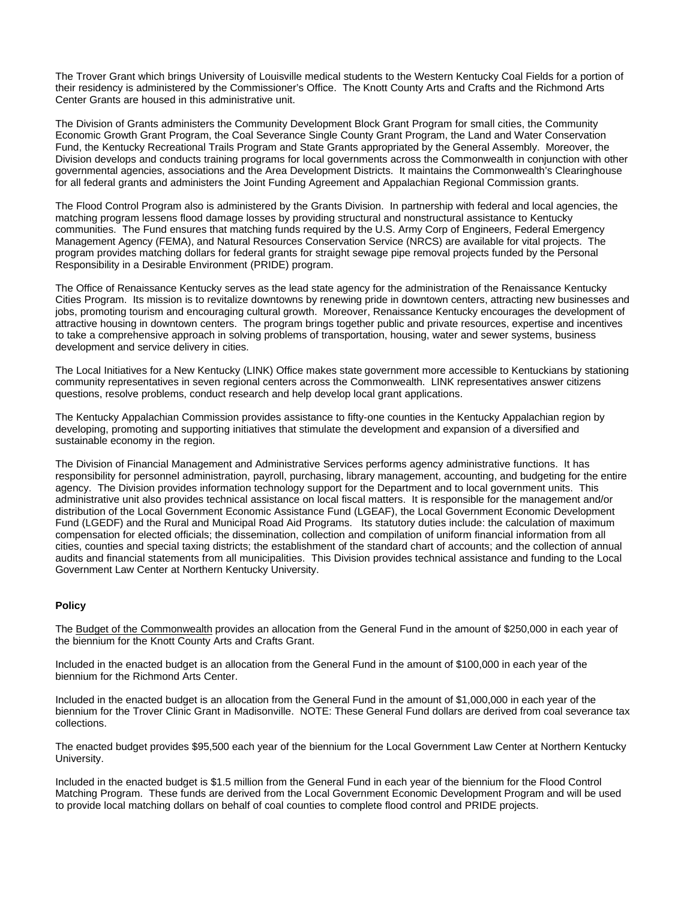The Trover Grant which brings University of Louisville medical students to the Western Kentucky Coal Fields for a portion of their residency is administered by the Commissioner's Office. The Knott County Arts and Crafts and the Richmond Arts Center Grants are housed in this administrative unit.

The Division of Grants administers the Community Development Block Grant Program for small cities, the Community Economic Growth Grant Program, the Coal Severance Single County Grant Program, the Land and Water Conservation Fund, the Kentucky Recreational Trails Program and State Grants appropriated by the General Assembly. Moreover, the Division develops and conducts training programs for local governments across the Commonwealth in conjunction with other governmental agencies, associations and the Area Development Districts. It maintains the Commonwealth's Clearinghouse for all federal grants and administers the Joint Funding Agreement and Appalachian Regional Commission grants.

The Flood Control Program also is administered by the Grants Division. In partnership with federal and local agencies, the matching program lessens flood damage losses by providing structural and nonstructural assistance to Kentucky communities. The Fund ensures that matching funds required by the U.S. Army Corp of Engineers, Federal Emergency Management Agency (FEMA), and Natural Resources Conservation Service (NRCS) are available for vital projects. The program provides matching dollars for federal grants for straight sewage pipe removal projects funded by the Personal Responsibility in a Desirable Environment (PRIDE) program.

The Office of Renaissance Kentucky serves as the lead state agency for the administration of the Renaissance Kentucky Cities Program. Its mission is to revitalize downtowns by renewing pride in downtown centers, attracting new businesses and jobs, promoting tourism and encouraging cultural growth. Moreover, Renaissance Kentucky encourages the development of attractive housing in downtown centers. The program brings together public and private resources, expertise and incentives to take a comprehensive approach in solving problems of transportation, housing, water and sewer systems, business development and service delivery in cities.

The Local Initiatives for a New Kentucky (LINK) Office makes state government more accessible to Kentuckians by stationing community representatives in seven regional centers across the Commonwealth. LINK representatives answer citizens questions, resolve problems, conduct research and help develop local grant applications.

The Kentucky Appalachian Commission provides assistance to fifty-one counties in the Kentucky Appalachian region by developing, promoting and supporting initiatives that stimulate the development and expansion of a diversified and sustainable economy in the region.

The Division of Financial Management and Administrative Services performs agency administrative functions. It has responsibility for personnel administration, payroll, purchasing, library management, accounting, and budgeting for the entire agency. The Division provides information technology support for the Department and to local government units. This administrative unit also provides technical assistance on local fiscal matters. It is responsible for the management and/or distribution of the Local Government Economic Assistance Fund (LGEAF), the Local Government Economic Development Fund (LGEDF) and the Rural and Municipal Road Aid Programs. Its statutory duties include: the calculation of maximum compensation for elected officials; the dissemination, collection and compilation of uniform financial information from all cities, counties and special taxing districts; the establishment of the standard chart of accounts; and the collection of annual audits and financial statements from all municipalities. This Division provides technical assistance and funding to the Local Government Law Center at Northern Kentucky University.

#### **Policy**

The Budget of the Commonwealth provides an allocation from the General Fund in the amount of \$250,000 in each year of the biennium for the Knott County Arts and Crafts Grant.

Included in the enacted budget is an allocation from the General Fund in the amount of \$100,000 in each year of the biennium for the Richmond Arts Center.

Included in the enacted budget is an allocation from the General Fund in the amount of \$1,000,000 in each year of the biennium for the Trover Clinic Grant in Madisonville. NOTE: These General Fund dollars are derived from coal severance tax collections.

The enacted budget provides \$95,500 each year of the biennium for the Local Government Law Center at Northern Kentucky University.

Included in the enacted budget is \$1.5 million from the General Fund in each year of the biennium for the Flood Control Matching Program. These funds are derived from the Local Government Economic Development Program and will be used to provide local matching dollars on behalf of coal counties to complete flood control and PRIDE projects.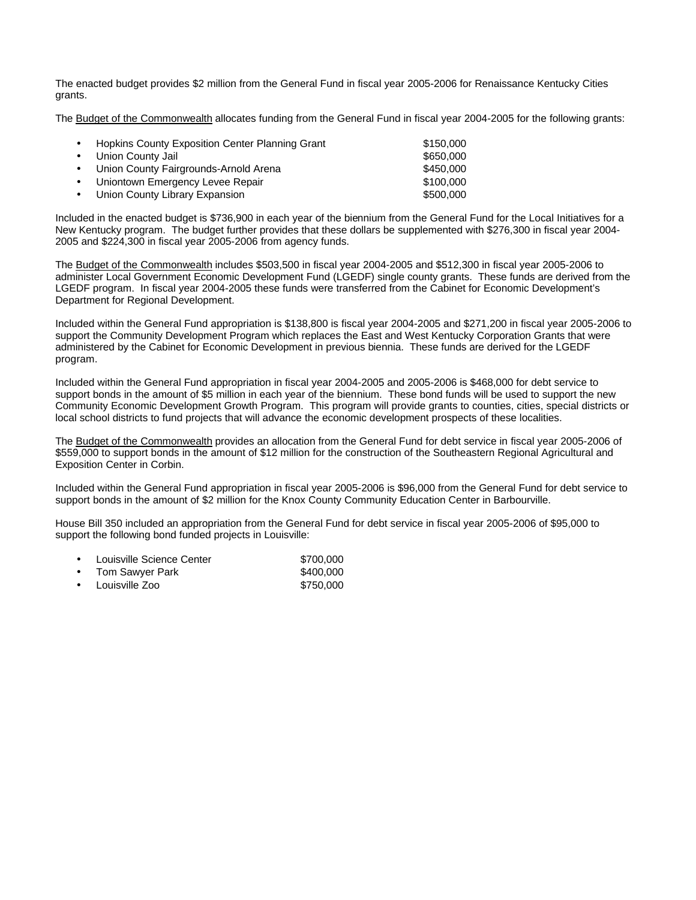The enacted budget provides \$2 million from the General Fund in fiscal year 2005-2006 for Renaissance Kentucky Cities grants.

The Budget of the Commonwealth allocates funding from the General Fund in fiscal year 2004-2005 for the following grants:

| $\bullet$ | <b>Hopkins County Exposition Center Planning Grant</b> | \$150,000 |
|-----------|--------------------------------------------------------|-----------|
|           | • Union County Jail                                    | \$650,000 |
|           | • Union County Fairgrounds-Arnold Arena                | \$450,000 |
|           | • Uniontown Emergency Levee Repair                     | \$100,000 |
|           | • Union County Library Expansion                       | \$500,000 |
|           |                                                        |           |

Included in the enacted budget is \$736,900 in each year of the biennium from the General Fund for the Local Initiatives for a New Kentucky program. The budget further provides that these dollars be supplemented with \$276,300 in fiscal year 2004- 2005 and \$224,300 in fiscal year 2005-2006 from agency funds.

The Budget of the Commonwealth includes \$503,500 in fiscal year 2004-2005 and \$512,300 in fiscal year 2005-2006 to administer Local Government Economic Development Fund (LGEDF) single county grants. These funds are derived from the LGEDF program. In fiscal year 2004-2005 these funds were transferred from the Cabinet for Economic Development's Department for Regional Development.

Included within the General Fund appropriation is \$138,800 is fiscal year 2004-2005 and \$271,200 in fiscal year 2005-2006 to support the Community Development Program which replaces the East and West Kentucky Corporation Grants that were administered by the Cabinet for Economic Development in previous biennia. These funds are derived for the LGEDF program.

Included within the General Fund appropriation in fiscal year 2004-2005 and 2005-2006 is \$468,000 for debt service to support bonds in the amount of \$5 million in each year of the biennium. These bond funds will be used to support the new Community Economic Development Growth Program. This program will provide grants to counties, cities, special districts or local school districts to fund projects that will advance the economic development prospects of these localities.

The Budget of the Commonwealth provides an allocation from the General Fund for debt service in fiscal year 2005-2006 of \$559,000 to support bonds in the amount of \$12 million for the construction of the Southeastern Regional Agricultural and Exposition Center in Corbin.

Included within the General Fund appropriation in fiscal year 2005-2006 is \$96,000 from the General Fund for debt service to support bonds in the amount of \$2 million for the Knox County Community Education Center in Barbourville.

House Bill 350 included an appropriation from the General Fund for debt service in fiscal year 2005-2006 of \$95,000 to support the following bond funded projects in Louisville:

| $\bullet$ | Louisville Science Center | \$700,000 |
|-----------|---------------------------|-----------|
|           | • Tom Sawyer Park         | \$400,000 |
|           | • Louisville Zoo          | \$750,000 |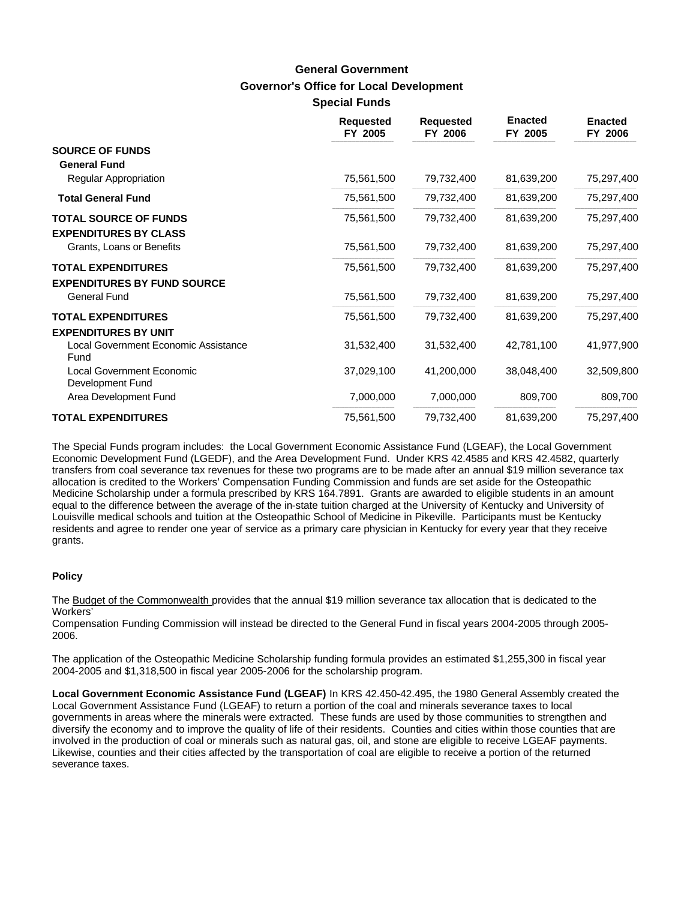## **Governor's Office for Local Development Special Funds General Government**

|                                                                 | <b>Requested</b><br>FY 2005 | <b>Requested</b><br>FY 2006 | <b>Enacted</b><br>FY 2005 | <b>Enacted</b><br>FY 2006 |
|-----------------------------------------------------------------|-----------------------------|-----------------------------|---------------------------|---------------------------|
| <b>SOURCE OF FUNDS</b><br><b>General Fund</b>                   |                             |                             |                           |                           |
| Regular Appropriation                                           | 75,561,500                  | 79,732,400                  | 81,639,200                | 75,297,400                |
| <b>Total General Fund</b>                                       | 75,561,500                  | 79,732,400                  | 81,639,200                | 75,297,400                |
| <b>TOTAL SOURCE OF FUNDS</b><br><b>EXPENDITURES BY CLASS</b>    | 75,561,500                  | 79,732,400                  | 81,639,200                | 75,297,400                |
| Grants, Loans or Benefits                                       | 75,561,500                  | 79,732,400                  | 81,639,200                | 75,297,400                |
| <b>TOTAL EXPENDITURES</b><br><b>EXPENDITURES BY FUND SOURCE</b> | 75,561,500                  | 79,732,400                  | 81,639,200                | 75,297,400                |
| <b>General Fund</b>                                             | 75,561,500                  | 79,732,400                  | 81,639,200                | 75,297,400                |
| <b>TOTAL EXPENDITURES</b><br><b>EXPENDITURES BY UNIT</b>        | 75,561,500                  | 79,732,400                  | 81,639,200                | 75,297,400                |
| Local Government Economic Assistance<br>Fund                    | 31,532,400                  | 31,532,400                  | 42,781,100                | 41,977,900                |
| Local Government Economic<br>Development Fund                   | 37,029,100                  | 41,200,000                  | 38,048,400                | 32,509,800                |
| Area Development Fund                                           | 7,000,000                   | 7,000,000                   | 809,700                   | 809,700                   |
| <b>TOTAL EXPENDITURES</b>                                       | 75,561,500                  | 79,732,400                  | 81,639,200                | 75,297,400                |

The Special Funds program includes: the Local Government Economic Assistance Fund (LGEAF), the Local Government Economic Development Fund (LGEDF), and the Area Development Fund. Under KRS 42.4585 and KRS 42.4582, quarterly transfers from coal severance tax revenues for these two programs are to be made after an annual \$19 million severance tax allocation is credited to the Workers' Compensation Funding Commission and funds are set aside for the Osteopathic Medicine Scholarship under a formula prescribed by KRS 164.7891. Grants are awarded to eligible students in an amount equal to the difference between the average of the in-state tuition charged at the University of Kentucky and University of Louisville medical schools and tuition at the Osteopathic School of Medicine in Pikeville. Participants must be Kentucky residents and agree to render one year of service as a primary care physician in Kentucky for every year that they receive grants.

#### **Policy**

The Budget of the Commonwealth provides that the annual \$19 million severance tax allocation that is dedicated to the Workers'

Compensation Funding Commission will instead be directed to the General Fund in fiscal years 2004-2005 through 2005- 2006.

The application of the Osteopathic Medicine Scholarship funding formula provides an estimated \$1,255,300 in fiscal year 2004-2005 and \$1,318,500 in fiscal year 2005-2006 for the scholarship program.

**Local Government Economic Assistance Fund (LGEAF)** In KRS 42.450-42.495, the 1980 General Assembly created the Local Government Assistance Fund (LGEAF) to return a portion of the coal and minerals severance taxes to local governments in areas where the minerals were extracted. These funds are used by those communities to strengthen and diversify the economy and to improve the quality of life of their residents. Counties and cities within those counties that are involved in the production of coal or minerals such as natural gas, oil, and stone are eligible to receive LGEAF payments. Likewise, counties and their cities affected by the transportation of coal are eligible to receive a portion of the returned severance taxes.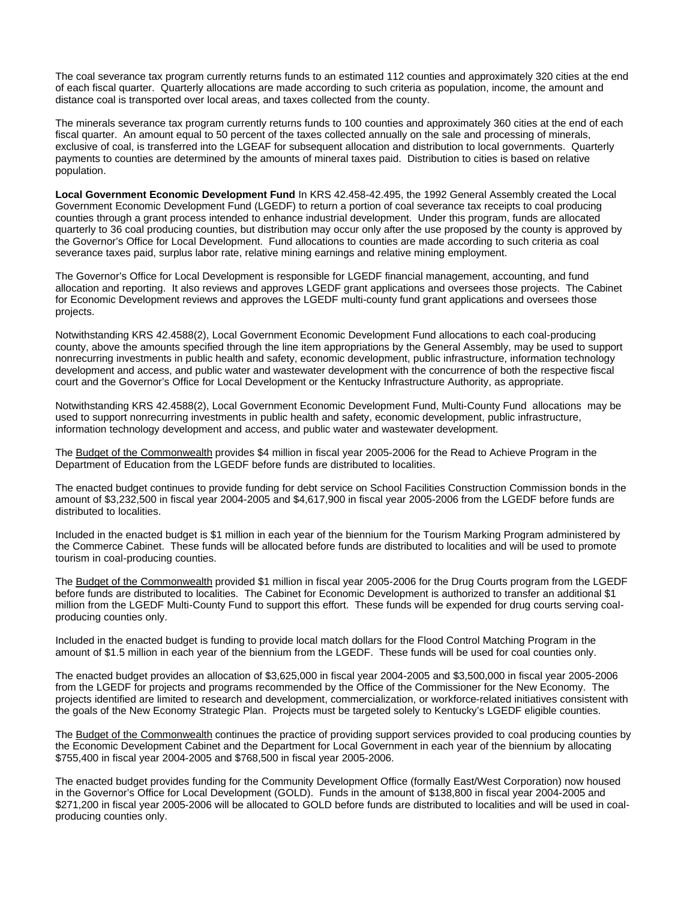The coal severance tax program currently returns funds to an estimated 112 counties and approximately 320 cities at the end of each fiscal quarter. Quarterly allocations are made according to such criteria as population, income, the amount and distance coal is transported over local areas, and taxes collected from the county.

The minerals severance tax program currently returns funds to 100 counties and approximately 360 cities at the end of each fiscal quarter. An amount equal to 50 percent of the taxes collected annually on the sale and processing of minerals, exclusive of coal, is transferred into the LGEAF for subsequent allocation and distribution to local governments. Quarterly payments to counties are determined by the amounts of mineral taxes paid. Distribution to cities is based on relative population.

**Local Government Economic Development Fund** In KRS 42.458-42.495, the 1992 General Assembly created the Local Government Economic Development Fund (LGEDF) to return a portion of coal severance tax receipts to coal producing counties through a grant process intended to enhance industrial development. Under this program, funds are allocated quarterly to 36 coal producing counties, but distribution may occur only after the use proposed by the county is approved by the Governor's Office for Local Development. Fund allocations to counties are made according to such criteria as coal severance taxes paid, surplus labor rate, relative mining earnings and relative mining employment.

The Governor's Office for Local Development is responsible for LGEDF financial management, accounting, and fund allocation and reporting. It also reviews and approves LGEDF grant applications and oversees those projects. The Cabinet for Economic Development reviews and approves the LGEDF multi-county fund grant applications and oversees those projects.

Notwithstanding KRS 42.4588(2), Local Government Economic Development Fund allocations to each coal-producing county, above the amounts specified through the line item appropriations by the General Assembly, may be used to support nonrecurring investments in public health and safety, economic development, public infrastructure, information technology development and access, and public water and wastewater development with the concurrence of both the respective fiscal court and the Governor's Office for Local Development or the Kentucky Infrastructure Authority, as appropriate.

Notwithstanding KRS 42.4588(2), Local Government Economic Development Fund, Multi-County Fund allocations may be used to support nonrecurring investments in public health and safety, economic development, public infrastructure, information technology development and access, and public water and wastewater development.

The Budget of the Commonwealth provides \$4 million in fiscal year 2005-2006 for the Read to Achieve Program in the Department of Education from the LGEDF before funds are distributed to localities.

The enacted budget continues to provide funding for debt service on School Facilities Construction Commission bonds in the amount of \$3,232,500 in fiscal year 2004-2005 and \$4,617,900 in fiscal year 2005-2006 from the LGEDF before funds are distributed to localities.

Included in the enacted budget is \$1 million in each year of the biennium for the Tourism Marking Program administered by the Commerce Cabinet. These funds will be allocated before funds are distributed to localities and will be used to promote tourism in coal-producing counties.

The Budget of the Commonwealth provided \$1 million in fiscal year 2005-2006 for the Drug Courts program from the LGEDF before funds are distributed to localities. The Cabinet for Economic Development is authorized to transfer an additional \$1 million from the LGEDF Multi-County Fund to support this effort. These funds will be expended for drug courts serving coalproducing counties only.

Included in the enacted budget is funding to provide local match dollars for the Flood Control Matching Program in the amount of \$1.5 million in each year of the biennium from the LGEDF. These funds will be used for coal counties only.

The enacted budget provides an allocation of \$3,625,000 in fiscal year 2004-2005 and \$3,500,000 in fiscal year 2005-2006 from the LGEDF for projects and programs recommended by the Office of the Commissioner for the New Economy. The projects identified are limited to research and development, commercialization, or workforce-related initiatives consistent with the goals of the New Economy Strategic Plan. Projects must be targeted solely to Kentucky's LGEDF eligible counties.

The Budget of the Commonwealth continues the practice of providing support services provided to coal producing counties by the Economic Development Cabinet and the Department for Local Government in each year of the biennium by allocating \$755,400 in fiscal year 2004-2005 and \$768,500 in fiscal year 2005-2006.

The enacted budget provides funding for the Community Development Office (formally East/West Corporation) now housed in the Governor's Office for Local Development (GOLD). Funds in the amount of \$138,800 in fiscal year 2004-2005 and \$271,200 in fiscal year 2005-2006 will be allocated to GOLD before funds are distributed to localities and will be used in coalproducing counties only.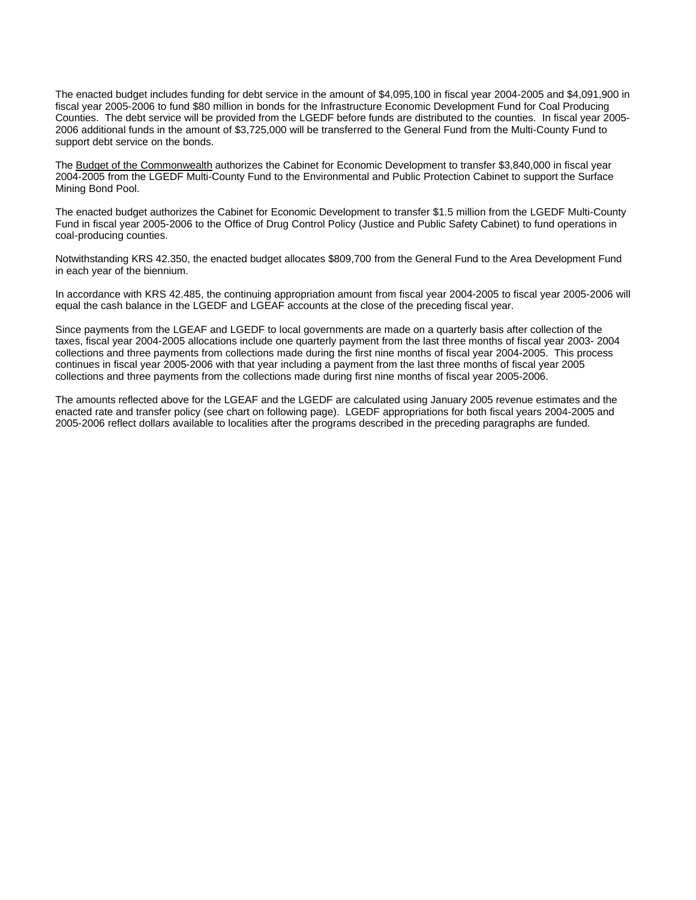The enacted budget includes funding for debt service in the amount of \$4,095,100 in fiscal year 2004-2005 and \$4,091,900 in fiscal year 2005-2006 to fund \$80 million in bonds for the Infrastructure Economic Development Fund for Coal Producing Counties. The debt service will be provided from the LGEDF before funds are distributed to the counties. In fiscal year 2005- 2006 additional funds in the amount of \$3,725,000 will be transferred to the General Fund from the Multi-County Fund to support debt service on the bonds.

The Budget of the Commonwealth authorizes the Cabinet for Economic Development to transfer \$3,840,000 in fiscal year 2004-2005 from the LGEDF Multi-County Fund to the Environmental and Public Protection Cabinet to support the Surface Mining Bond Pool.

The enacted budget authorizes the Cabinet for Economic Development to transfer \$1.5 million from the LGEDF Multi-County Fund in fiscal year 2005-2006 to the Office of Drug Control Policy (Justice and Public Safety Cabinet) to fund operations in coal-producing counties.

Notwithstanding KRS 42.350, the enacted budget allocates \$809,700 from the General Fund to the Area Development Fund in each year of the biennium.

In accordance with KRS 42.485, the continuing appropriation amount from fiscal year 2004-2005 to fiscal year 2005-2006 will equal the cash balance in the LGEDF and LGEAF accounts at the close of the preceding fiscal year.

Since payments from the LGEAF and LGEDF to local governments are made on a quarterly basis after collection of the taxes, fiscal year 2004-2005 allocations include one quarterly payment from the last three months of fiscal year 2003- 2004 collections and three payments from collections made during the first nine months of fiscal year 2004-2005. This process continues in fiscal year 2005-2006 with that year including a payment from the last three months of fiscal year 2005 collections and three payments from the collections made during first nine months of fiscal year 2005-2006.

The amounts reflected above for the LGEAF and the LGEDF are calculated using January 2005 revenue estimates and the enacted rate and transfer policy (see chart on following page). LGEDF appropriations for both fiscal years 2004-2005 and 2005-2006 reflect dollars available to localities after the programs described in the preceding paragraphs are funded.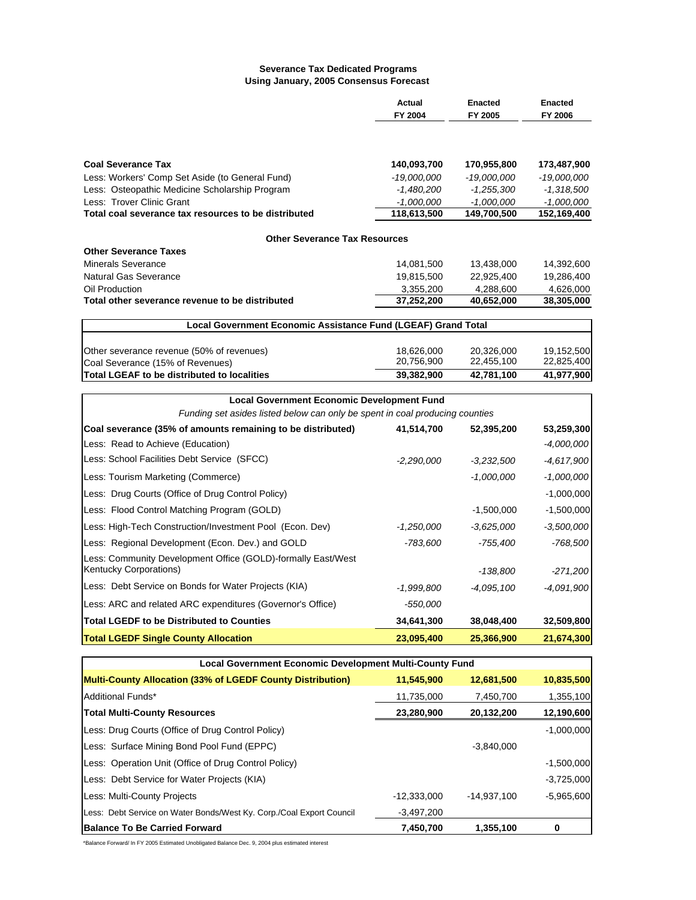#### **Severance Tax Dedicated Programs Using January, 2005 Consensus Forecast**

|                                                                                        | Actual<br>FY 2004          | Enacted<br>FY 2005           | <b>Enacted</b><br>FY 2006  |
|----------------------------------------------------------------------------------------|----------------------------|------------------------------|----------------------------|
|                                                                                        |                            |                              |                            |
| <b>Coal Severance Tax</b>                                                              | 140,093,700                | 170,955,800                  | 173,487,900                |
| Less: Workers' Comp Set Aside (to General Fund)                                        | $-19,000,000$              | $-19,000,000$                | $-19,000,000$              |
| Less: Osteopathic Medicine Scholarship Program<br>Less: Trover Clinic Grant            | -1,480,200<br>$-1,000,000$ | $-1,255,300$<br>$-1,000,000$ | -1,318,500<br>$-1,000,000$ |
| Total coal severance tax resources to be distributed                                   | 118,613,500                | 149,700,500                  | 152,169,400                |
| <b>Other Severance Tax Resources</b>                                                   |                            |                              |                            |
| <b>Other Severance Taxes</b>                                                           |                            |                              |                            |
| <b>Minerals Severance</b>                                                              | 14,081,500                 | 13,438,000                   | 14,392,600                 |
| <b>Natural Gas Severance</b>                                                           | 19,815,500                 | 22,925,400                   | 19,286,400                 |
| Oil Production<br>Total other severance revenue to be distributed                      | 3,355,200<br>37,252,200    | 4,288,600<br>40,652,000      | 4,626,000<br>38,305,000    |
|                                                                                        |                            |                              |                            |
| Local Government Economic Assistance Fund (LGEAF) Grand Total                          |                            |                              |                            |
| Other severance revenue (50% of revenues)                                              | 18,626,000                 | 20,326,000                   | 19,152,500                 |
| Coal Severance (15% of Revenues)                                                       | 20,756,900                 | 22,455,100                   | 22,825,400                 |
| Total LGEAF to be distributed to localities                                            | 39,382,900                 | 42,781,100                   | 41,977,900                 |
| <b>Local Government Economic Development Fund</b>                                      |                            |                              |                            |
| Funding set asides listed below can only be spent in coal producing counties           |                            |                              |                            |
| Coal severance (35% of amounts remaining to be distributed)                            | 41,514,700                 | 52,395,200                   | 53,259,300                 |
| Less: Read to Achieve (Education)                                                      |                            |                              | $-4,000,000$               |
| Less: School Facilities Debt Service (SFCC)                                            | -2,290,000                 | $-3,232,500$                 | $-4,617,900$               |
| Less: Tourism Marketing (Commerce)                                                     |                            | $-1,000,000$                 | -1,000,000                 |
| Less: Drug Courts (Office of Drug Control Policy)                                      |                            |                              | $-1,000,000$               |
| Less: Flood Control Matching Program (GOLD)                                            |                            | $-1,500,000$                 | $-1,500,000$               |
| Less: High-Tech Construction/Investment Pool (Econ. Dev)                               | $-1,250,000$               | -3,625,000                   | $-3,500,000$               |
| Less: Regional Development (Econ. Dev.) and GOLD                                       | $-783,600$                 | -755,400                     | $-768,500$                 |
| Less: Community Development Office (GOLD)-formally East/West<br>Kentucky Corporations) |                            | -138,800                     | -271,200                   |
| Less: Debt Service on Bonds for Water Projects (KIA)                                   | $-1,999,800$               | $-4,095,100$                 | $-4,091,900$               |
| Less: ARC and related ARC expenditures (Governor's Office)                             | $-550,000$                 |                              |                            |
| <b>Total LGEDF to be Distributed to Counties</b>                                       | 34,641,300                 | 38,048,400                   | 32,509,800                 |
| <b>Total LGEDF Single County Allocation</b>                                            | 23,095,400                 | 25,366,900                   | 21,674,300                 |
| Local Government Economic Development Multi-County Fund                                |                            |                              |                            |
| <b>Multi-County Allocation (33% of LGEDF County Distribution)</b>                      | 11,545,900                 | 12,681,500                   | 10,835,500                 |
| Additional Funds*                                                                      | 11,735,000                 | 7,450,700                    | 1,355,100                  |
| <b>Total Multi-County Resources</b>                                                    | 23,280,900                 | 20,132,200                   | 12,190,600                 |
| Less: Drug Courts (Office of Drug Control Policy)                                      |                            |                              | $-1,000,000$               |
| Less: Surface Mining Bond Pool Fund (EPPC)                                             |                            | $-3,840,000$                 |                            |
| Less: Operation Unit (Office of Drug Control Policy)                                   |                            |                              | $-1,500,000$               |
| Less: Debt Service for Water Projects (KIA)                                            |                            |                              | $-3,725,000$               |

Less: Multi-County Projects -12,333,000 -14,937,100 -5,965,600

**Balance To Be Carried Forward 7,450,700 1,355,100 0** \*Balance Forward/ In FY 2005 Estimated Unobligated Balance Dec. 9, 2004 plus estimated interest

Less: Debt Service on Water Bonds/West Ky. Corp./Coal Export Council - -3,497,200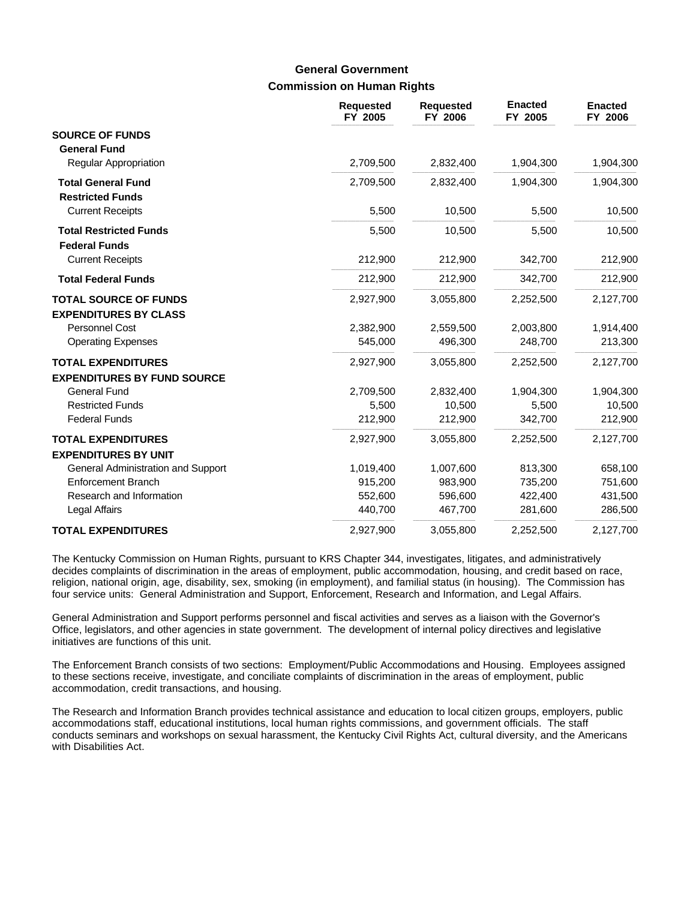## **Commission on Human Rights General Government**

|                                                              | <b>Requested</b><br>FY 2005 | <b>Requested</b><br>FY 2006 | <b>Enacted</b><br>FY 2005 | <b>Enacted</b><br>FY 2006 |
|--------------------------------------------------------------|-----------------------------|-----------------------------|---------------------------|---------------------------|
| <b>SOURCE OF FUNDS</b><br><b>General Fund</b>                |                             |                             |                           |                           |
| <b>Regular Appropriation</b>                                 | 2,709,500                   | 2,832,400                   | 1,904,300                 | 1,904,300                 |
| <b>Total General Fund</b>                                    | 2,709,500                   | 2,832,400                   | 1,904,300                 | 1,904,300                 |
| <b>Restricted Funds</b>                                      |                             |                             |                           |                           |
| <b>Current Receipts</b>                                      | 5,500                       | 10,500                      | 5,500                     | 10,500                    |
| <b>Total Restricted Funds</b><br><b>Federal Funds</b>        | 5,500                       | 10,500                      | 5,500                     | 10,500                    |
| <b>Current Receipts</b>                                      | 212,900                     | 212,900                     | 342,700                   | 212,900                   |
| <b>Total Federal Funds</b>                                   | 212,900                     | 212,900                     | 342,700                   | 212,900                   |
| <b>TOTAL SOURCE OF FUNDS</b><br><b>EXPENDITURES BY CLASS</b> | 2,927,900                   | 3,055,800                   | 2,252,500                 | 2,127,700                 |
| Personnel Cost                                               | 2,382,900                   | 2,559,500                   | 2,003,800                 | 1,914,400                 |
| <b>Operating Expenses</b>                                    | 545,000                     | 496,300                     | 248,700                   | 213,300                   |
| <b>TOTAL EXPENDITURES</b>                                    | 2,927,900                   | 3,055,800                   | 2,252,500                 | 2,127,700                 |
| <b>EXPENDITURES BY FUND SOURCE</b>                           |                             |                             |                           |                           |
| <b>General Fund</b>                                          | 2,709,500                   | 2,832,400                   | 1,904,300                 | 1,904,300                 |
| <b>Restricted Funds</b>                                      | 5,500                       | 10,500                      | 5,500                     | 10,500                    |
| <b>Federal Funds</b>                                         | 212,900                     | 212,900                     | 342,700                   | 212,900                   |
| <b>TOTAL EXPENDITURES</b>                                    | 2,927,900                   | 3,055,800                   | 2,252,500                 | 2,127,700                 |
| <b>EXPENDITURES BY UNIT</b>                                  |                             |                             |                           |                           |
| General Administration and Support                           | 1,019,400                   | 1,007,600                   | 813,300                   | 658,100                   |
| <b>Enforcement Branch</b>                                    | 915,200                     | 983,900                     | 735,200                   | 751,600                   |
| Research and Information                                     | 552,600                     | 596,600                     | 422,400                   | 431,500                   |
| Legal Affairs                                                | 440,700                     | 467,700                     | 281,600                   | 286,500                   |
| <b>TOTAL EXPENDITURES</b>                                    | 2,927,900                   | 3,055,800                   | 2,252,500                 | 2,127,700                 |

The Kentucky Commission on Human Rights, pursuant to KRS Chapter 344, investigates, litigates, and administratively decides complaints of discrimination in the areas of employment, public accommodation, housing, and credit based on race, religion, national origin, age, disability, sex, smoking (in employment), and familial status (in housing). The Commission has four service units: General Administration and Support, Enforcement, Research and Information, and Legal Affairs.

General Administration and Support performs personnel and fiscal activities and serves as a liaison with the Governor's Office, legislators, and other agencies in state government. The development of internal policy directives and legislative initiatives are functions of this unit.

The Enforcement Branch consists of two sections: Employment/Public Accommodations and Housing. Employees assigned to these sections receive, investigate, and conciliate complaints of discrimination in the areas of employment, public accommodation, credit transactions, and housing.

The Research and Information Branch provides technical assistance and education to local citizen groups, employers, public accommodations staff, educational institutions, local human rights commissions, and government officials. The staff conducts seminars and workshops on sexual harassment, the Kentucky Civil Rights Act, cultural diversity, and the Americans with Disabilities Act.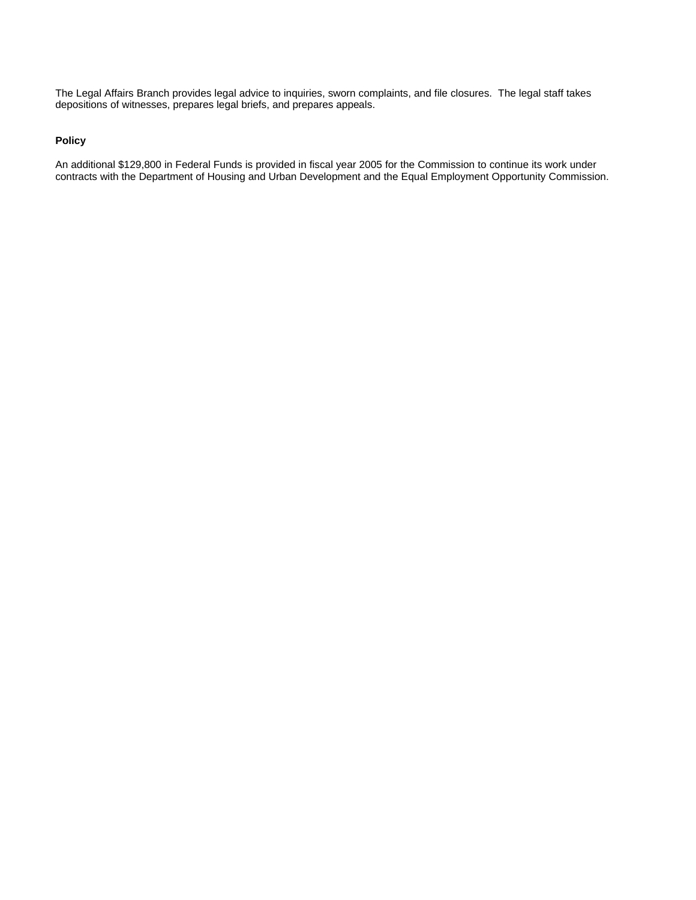The Legal Affairs Branch provides legal advice to inquiries, sworn complaints, and file closures. The legal staff takes depositions of witnesses, prepares legal briefs, and prepares appeals.

#### **Policy**

An additional \$129,800 in Federal Funds is provided in fiscal year 2005 for the Commission to continue its work under contracts with the Department of Housing and Urban Development and the Equal Employment Opportunity Commission.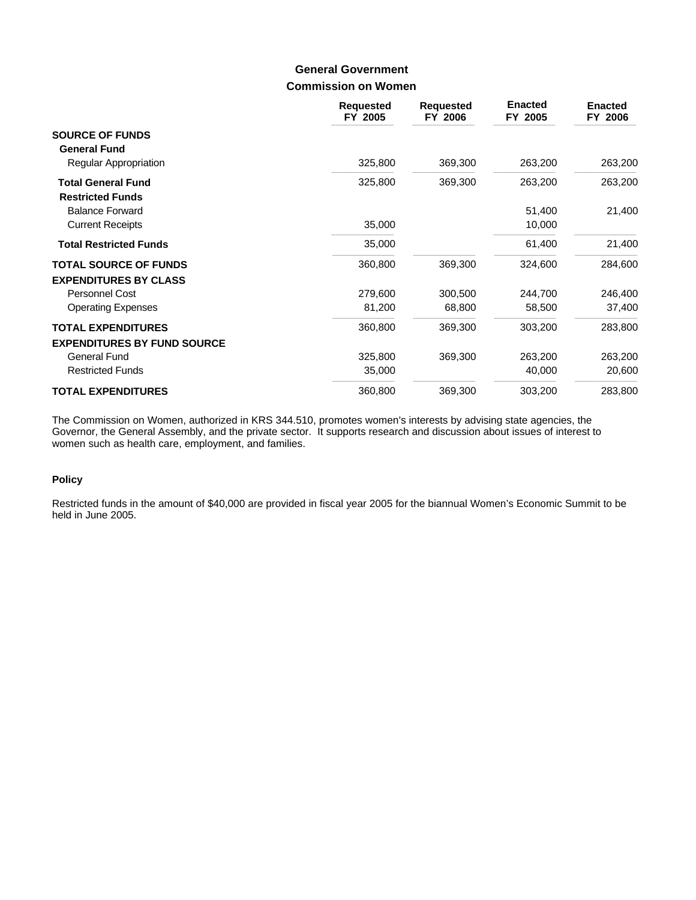### **Commission on Women General Government**

|                                                      | <b>Requested</b><br>FY 2005 | <b>Requested</b><br>FY 2006 | <b>Enacted</b><br>FY 2005 | <b>Enacted</b><br>FY 2006 |
|------------------------------------------------------|-----------------------------|-----------------------------|---------------------------|---------------------------|
| <b>SOURCE OF FUNDS</b><br><b>General Fund</b>        |                             |                             |                           |                           |
| Regular Appropriation                                | 325,800                     | 369,300                     | 263,200                   | 263,200                   |
| <b>Total General Fund</b><br><b>Restricted Funds</b> | 325,800                     | 369,300                     | 263,200                   | 263,200                   |
| <b>Balance Forward</b>                               |                             |                             | 51,400                    | 21,400                    |
| <b>Current Receipts</b>                              | 35,000                      |                             | 10,000                    |                           |
| <b>Total Restricted Funds</b>                        | 35,000                      |                             | 61,400                    | 21,400                    |
| <b>TOTAL SOURCE OF FUNDS</b>                         | 360,800                     | 369,300                     | 324,600                   | 284,600                   |
| <b>EXPENDITURES BY CLASS</b><br>Personnel Cost       | 279,600                     | 300,500                     | 244,700                   | 246,400                   |
| <b>Operating Expenses</b>                            | 81,200                      | 68,800                      | 58,500                    | 37,400                    |
| <b>TOTAL EXPENDITURES</b>                            | 360,800                     | 369,300                     | 303,200                   | 283,800                   |
| <b>EXPENDITURES BY FUND SOURCE</b>                   |                             |                             |                           |                           |
| <b>General Fund</b>                                  | 325,800                     | 369,300                     | 263,200                   | 263,200                   |
| <b>Restricted Funds</b>                              | 35,000                      |                             | 40,000                    | 20,600                    |
| <b>TOTAL EXPENDITURES</b>                            | 360,800                     | 369,300                     | 303,200                   | 283,800                   |

The Commission on Women, authorized in KRS 344.510, promotes women's interests by advising state agencies, the Governor, the General Assembly, and the private sector. It supports research and discussion about issues of interest to women such as health care, employment, and families.

#### **Policy**

Restricted funds in the amount of \$40,000 are provided in fiscal year 2005 for the biannual Women's Economic Summit to be held in June 2005.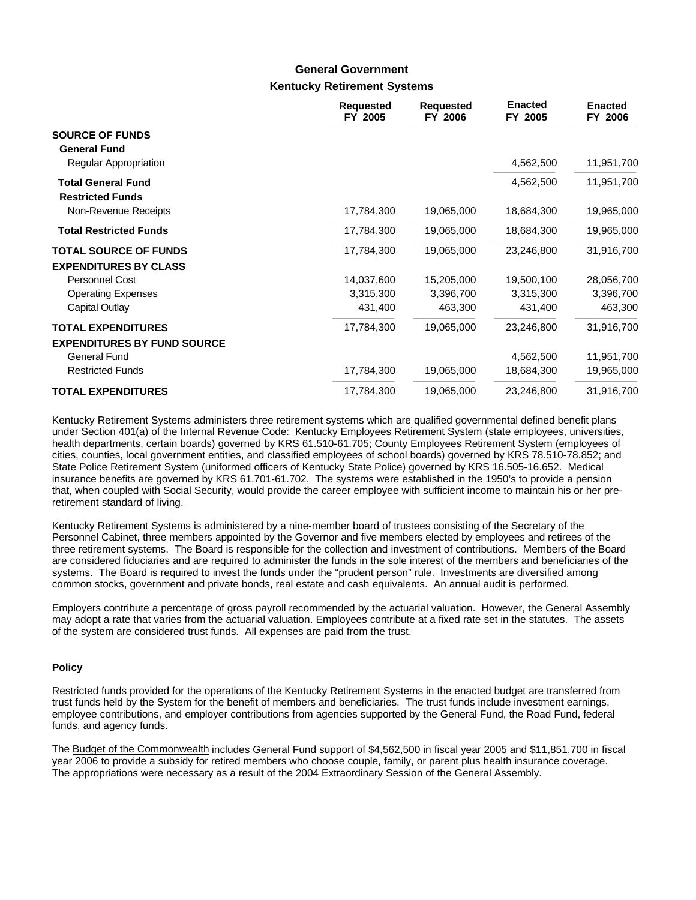## **Kentucky Retirement Systems General Government**

|                                                      | <b>Requested</b><br>FY 2005 | <b>Requested</b><br>FY 2006 | <b>Enacted</b><br>FY 2005 | <b>Enacted</b><br>FY 2006 |
|------------------------------------------------------|-----------------------------|-----------------------------|---------------------------|---------------------------|
| <b>SOURCE OF FUNDS</b><br><b>General Fund</b>        |                             |                             |                           |                           |
| Regular Appropriation                                |                             |                             | 4,562,500                 | 11,951,700                |
| <b>Total General Fund</b><br><b>Restricted Funds</b> |                             |                             | 4,562,500                 | 11,951,700                |
| Non-Revenue Receipts                                 | 17,784,300                  | 19,065,000                  | 18,684,300                | 19,965,000                |
| <b>Total Restricted Funds</b>                        | 17,784,300                  | 19,065,000                  | 18,684,300                | 19,965,000                |
| <b>TOTAL SOURCE OF FUNDS</b>                         | 17,784,300                  | 19,065,000                  | 23,246,800                | 31,916,700                |
| <b>EXPENDITURES BY CLASS</b>                         |                             |                             |                           |                           |
| <b>Personnel Cost</b>                                | 14,037,600                  | 15,205,000                  | 19,500,100                | 28,056,700                |
| <b>Operating Expenses</b>                            | 3,315,300                   | 3,396,700                   | 3,315,300                 | 3,396,700                 |
| Capital Outlay                                       | 431,400                     | 463,300                     | 431,400                   | 463,300                   |
| <b>TOTAL EXPENDITURES</b>                            | 17,784,300                  | 19,065,000                  | 23,246,800                | 31,916,700                |
| <b>EXPENDITURES BY FUND SOURCE</b>                   |                             |                             |                           |                           |
| <b>General Fund</b>                                  |                             |                             | 4,562,500                 | 11,951,700                |
| <b>Restricted Funds</b>                              | 17,784,300                  | 19,065,000                  | 18,684,300                | 19,965,000                |
| <b>TOTAL EXPENDITURES</b>                            | 17,784,300                  | 19,065,000                  | 23,246,800                | 31,916,700                |

Kentucky Retirement Systems administers three retirement systems which are qualified governmental defined benefit plans under Section 401(a) of the Internal Revenue Code: Kentucky Employees Retirement System (state employees, universities, health departments, certain boards) governed by KRS 61.510-61.705; County Employees Retirement System (employees of cities, counties, local government entities, and classified employees of school boards) governed by KRS 78.510-78.852; and State Police Retirement System (uniformed officers of Kentucky State Police) governed by KRS 16.505-16.652. Medical insurance benefits are governed by KRS 61.701-61.702. The systems were established in the 1950's to provide a pension that, when coupled with Social Security, would provide the career employee with sufficient income to maintain his or her preretirement standard of living.

Kentucky Retirement Systems is administered by a nine-member board of trustees consisting of the Secretary of the Personnel Cabinet, three members appointed by the Governor and five members elected by employees and retirees of the three retirement systems. The Board is responsible for the collection and investment of contributions. Members of the Board are considered fiduciaries and are required to administer the funds in the sole interest of the members and beneficiaries of the systems. The Board is required to invest the funds under the "prudent person" rule. Investments are diversified among common stocks, government and private bonds, real estate and cash equivalents. An annual audit is performed.

Employers contribute a percentage of gross payroll recommended by the actuarial valuation. However, the General Assembly may adopt a rate that varies from the actuarial valuation. Employees contribute at a fixed rate set in the statutes. The assets of the system are considered trust funds. All expenses are paid from the trust.

#### **Policy**

Restricted funds provided for the operations of the Kentucky Retirement Systems in the enacted budget are transferred from trust funds held by the System for the benefit of members and beneficiaries. The trust funds include investment earnings, employee contributions, and employer contributions from agencies supported by the General Fund, the Road Fund, federal funds, and agency funds.

The Budget of the Commonwealth includes General Fund support of \$4,562,500 in fiscal year 2005 and \$11,851,700 in fiscal year 2006 to provide a subsidy for retired members who choose couple, family, or parent plus health insurance coverage. The appropriations were necessary as a result of the 2004 Extraordinary Session of the General Assembly.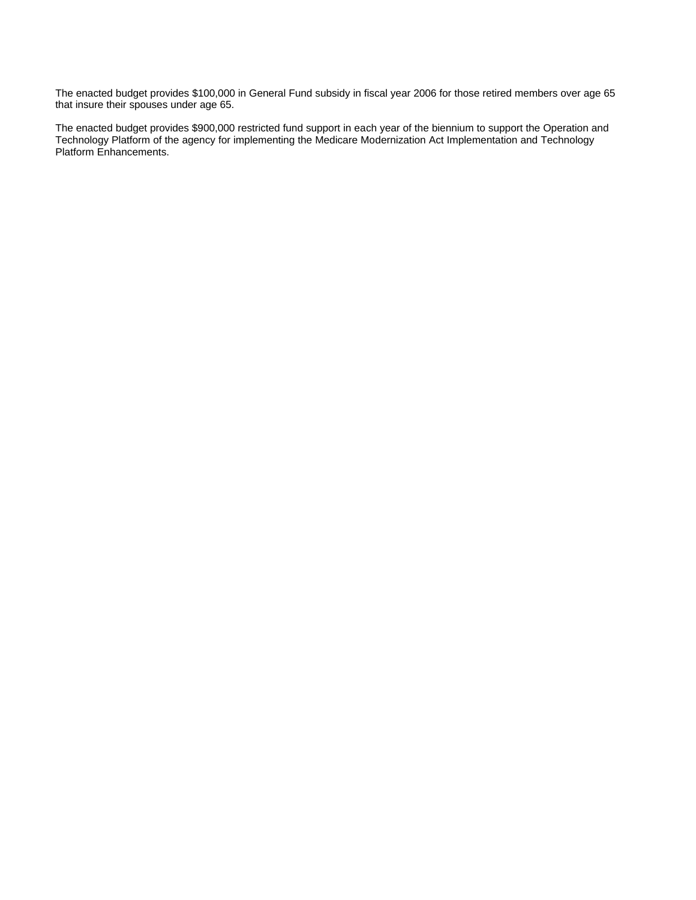The enacted budget provides \$100,000 in General Fund subsidy in fiscal year 2006 for those retired members over age 65 that insure their spouses under age 65.

The enacted budget provides \$900,000 restricted fund support in each year of the biennium to support the Operation and Technology Platform of the agency for implementing the Medicare Modernization Act Implementation and Technology Platform Enhancements.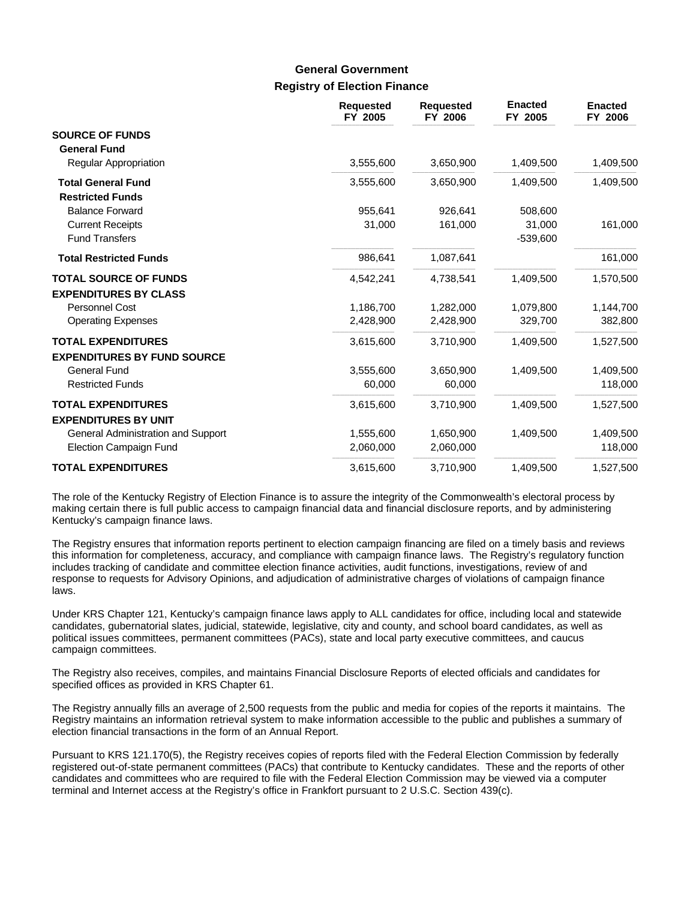## **Registry of Election Finance General Government**

|                                                                               | <b>Requested</b><br>FY 2005 | <b>Requested</b><br>FY 2006 | <b>Enacted</b><br>FY 2005 | <b>Enacted</b><br>FY 2006 |
|-------------------------------------------------------------------------------|-----------------------------|-----------------------------|---------------------------|---------------------------|
| <b>SOURCE OF FUNDS</b><br><b>General Fund</b><br><b>Regular Appropriation</b> | 3,555,600                   | 3,650,900                   | 1,409,500                 | 1,409,500                 |
|                                                                               |                             |                             |                           |                           |
| <b>Total General Fund</b><br><b>Restricted Funds</b>                          | 3,555,600                   | 3,650,900                   | 1,409,500                 | 1,409,500                 |
| <b>Balance Forward</b>                                                        | 955,641                     | 926,641                     | 508,600                   |                           |
| <b>Current Receipts</b><br><b>Fund Transfers</b>                              | 31,000                      | 161,000                     | 31,000<br>$-539,600$      | 161,000                   |
| <b>Total Restricted Funds</b>                                                 | 986,641                     | 1,087,641                   |                           | 161,000                   |
| <b>TOTAL SOURCE OF FUNDS</b><br><b>EXPENDITURES BY CLASS</b>                  | 4,542,241                   | 4,738,541                   | 1,409,500                 | 1,570,500                 |
| Personnel Cost                                                                | 1,186,700                   | 1,282,000                   | 1,079,800                 | 1,144,700                 |
| <b>Operating Expenses</b>                                                     | 2,428,900                   | 2,428,900                   | 329,700                   | 382,800                   |
| <b>TOTAL EXPENDITURES</b><br><b>EXPENDITURES BY FUND SOURCE</b>               | 3,615,600                   | 3,710,900                   | 1,409,500                 | 1,527,500                 |
| General Fund                                                                  | 3,555,600                   | 3,650,900                   | 1,409,500                 | 1,409,500                 |
| <b>Restricted Funds</b>                                                       | 60,000                      | 60,000                      |                           | 118,000                   |
| <b>TOTAL EXPENDITURES</b><br><b>EXPENDITURES BY UNIT</b>                      | 3,615,600                   | 3,710,900                   | 1,409,500                 | 1,527,500                 |
| General Administration and Support                                            | 1,555,600                   | 1,650,900                   | 1,409,500                 | 1,409,500                 |
| <b>Election Campaign Fund</b>                                                 | 2,060,000                   | 2,060,000                   |                           | 118,000                   |
| <b>TOTAL EXPENDITURES</b>                                                     | 3,615,600                   | 3,710,900                   | 1,409,500                 | 1,527,500                 |

The role of the Kentucky Registry of Election Finance is to assure the integrity of the Commonwealth's electoral process by making certain there is full public access to campaign financial data and financial disclosure reports, and by administering Kentucky's campaign finance laws.

The Registry ensures that information reports pertinent to election campaign financing are filed on a timely basis and reviews this information for completeness, accuracy, and compliance with campaign finance laws. The Registry's regulatory function includes tracking of candidate and committee election finance activities, audit functions, investigations, review of and response to requests for Advisory Opinions, and adjudication of administrative charges of violations of campaign finance laws.

Under KRS Chapter 121, Kentucky's campaign finance laws apply to ALL candidates for office, including local and statewide candidates, gubernatorial slates, judicial, statewide, legislative, city and county, and school board candidates, as well as political issues committees, permanent committees (PACs), state and local party executive committees, and caucus campaign committees.

The Registry also receives, compiles, and maintains Financial Disclosure Reports of elected officials and candidates for specified offices as provided in KRS Chapter 61.

The Registry annually fills an average of 2,500 requests from the public and media for copies of the reports it maintains. The Registry maintains an information retrieval system to make information accessible to the public and publishes a summary of election financial transactions in the form of an Annual Report.

Pursuant to KRS 121.170(5), the Registry receives copies of reports filed with the Federal Election Commission by federally registered out-of-state permanent committees (PACs) that contribute to Kentucky candidates. These and the reports of other candidates and committees who are required to file with the Federal Election Commission may be viewed via a computer terminal and Internet access at the Registry's office in Frankfort pursuant to 2 U.S.C. Section 439(c).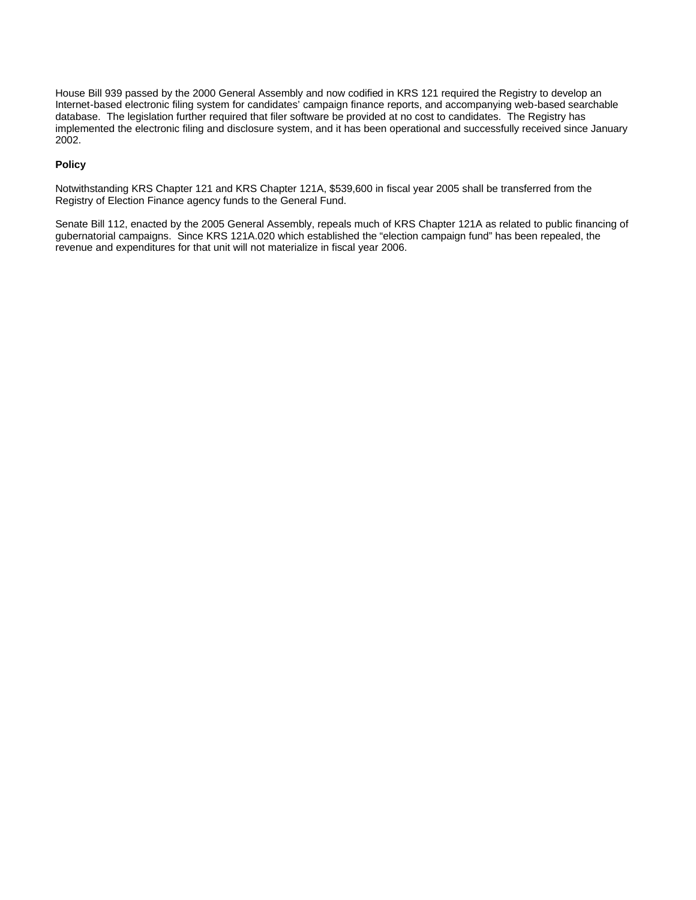House Bill 939 passed by the 2000 General Assembly and now codified in KRS 121 required the Registry to develop an Internet-based electronic filing system for candidates' campaign finance reports, and accompanying web-based searchable database. The legislation further required that filer software be provided at no cost to candidates. The Registry has implemented the electronic filing and disclosure system, and it has been operational and successfully received since January 2002.

#### **Policy**

Notwithstanding KRS Chapter 121 and KRS Chapter 121A, \$539,600 in fiscal year 2005 shall be transferred from the Registry of Election Finance agency funds to the General Fund.

Senate Bill 112, enacted by the 2005 General Assembly, repeals much of KRS Chapter 121A as related to public financing of gubernatorial campaigns. Since KRS 121A.020 which established the "election campaign fund" has been repealed, the revenue and expenditures for that unit will not materialize in fiscal year 2006.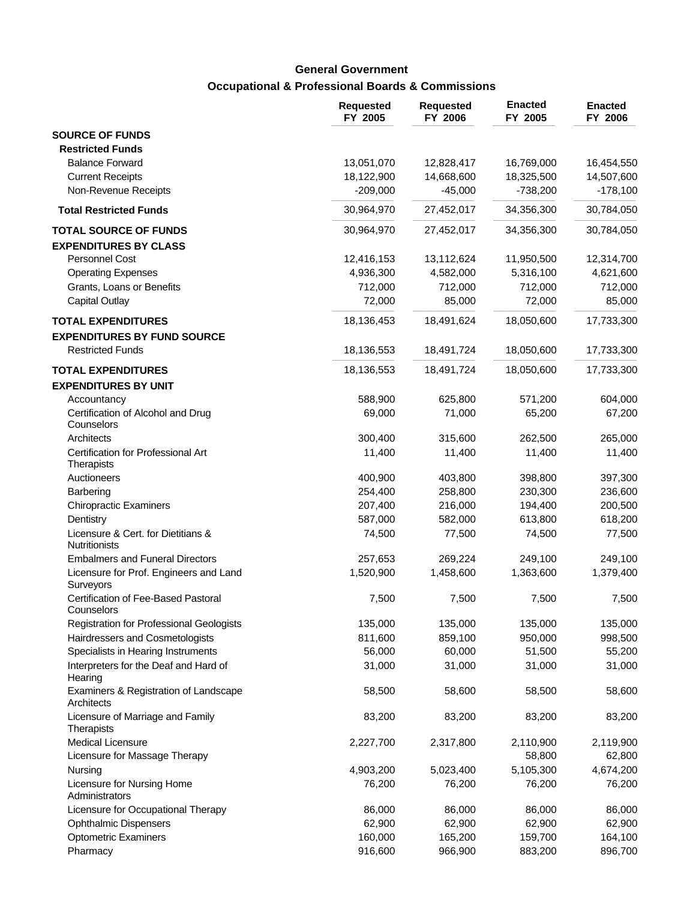# **Occupational & Professional Boards & Commissions General Government**

|                                                     | <b>Requested</b><br>FY 2005 | <b>Requested</b><br>FY 2006 | <b>Enacted</b><br>FY 2005 | <b>Enacted</b><br>FY 2006 |
|-----------------------------------------------------|-----------------------------|-----------------------------|---------------------------|---------------------------|
| <b>SOURCE OF FUNDS</b>                              |                             |                             |                           |                           |
| <b>Restricted Funds</b>                             |                             |                             |                           |                           |
| <b>Balance Forward</b>                              | 13,051,070                  | 12,828,417                  | 16,769,000                | 16,454,550                |
| <b>Current Receipts</b>                             | 18,122,900                  | 14,668,600                  | 18,325,500                | 14,507,600                |
| Non-Revenue Receipts                                | $-209,000$                  | $-45,000$                   | $-738,200$                | $-178,100$                |
| <b>Total Restricted Funds</b>                       | 30,964,970                  | 27,452,017                  | 34,356,300                | 30,784,050                |
| <b>TOTAL SOURCE OF FUNDS</b>                        | 30,964,970                  | 27,452,017                  | 34,356,300                | 30,784,050                |
| <b>EXPENDITURES BY CLASS</b>                        |                             |                             |                           |                           |
| Personnel Cost                                      | 12,416,153                  | 13,112,624                  | 11,950,500                | 12,314,700                |
| <b>Operating Expenses</b>                           | 4,936,300                   | 4,582,000                   | 5,316,100                 | 4,621,600                 |
| Grants, Loans or Benefits                           | 712,000                     | 712,000                     | 712,000                   | 712,000                   |
| <b>Capital Outlay</b>                               | 72,000                      | 85,000                      | 72,000                    | 85,000                    |
| <b>TOTAL EXPENDITURES</b>                           | 18,136,453                  | 18,491,624                  | 18,050,600                | 17,733,300                |
| <b>EXPENDITURES BY FUND SOURCE</b>                  |                             |                             |                           |                           |
| <b>Restricted Funds</b>                             | 18,136,553                  | 18,491,724                  | 18,050,600                | 17,733,300                |
| <b>TOTAL EXPENDITURES</b>                           | 18,136,553                  | 18,491,724                  | 18,050,600                | 17,733,300                |
| <b>EXPENDITURES BY UNIT</b>                         |                             |                             |                           |                           |
| Accountancy                                         | 588,900                     | 625,800                     | 571,200                   | 604,000                   |
| Certification of Alcohol and Drug<br>Counselors     | 69,000                      | 71,000                      | 65,200                    | 67,200                    |
| Architects                                          | 300,400                     | 315,600                     | 262,500                   | 265,000                   |
| Certification for Professional Art<br>Therapists    | 11,400                      | 11,400                      | 11,400                    | 11,400                    |
| Auctioneers                                         | 400,900                     | 403,800                     | 398,800                   | 397,300                   |
| Barbering                                           | 254,400                     | 258,800                     | 230,300                   | 236,600                   |
| <b>Chiropractic Examiners</b>                       | 207,400                     | 216,000                     | 194,400                   | 200,500                   |
| Dentistry                                           | 587,000                     | 582,000                     | 613,800                   | 618,200                   |
| Licensure & Cert. for Dietitians &<br>Nutritionists | 74,500                      | 77,500                      | 74,500                    | 77,500                    |
| <b>Embalmers and Funeral Directors</b>              | 257,653                     | 269,224                     | 249,100                   | 249,100                   |
| Licensure for Prof. Engineers and Land              | 1,520,900                   | 1,458,600                   | 1,363,600                 | 1,379,400                 |
| Surveyors                                           |                             |                             |                           |                           |
| Certification of Fee-Based Pastoral<br>Counselors   | 7,500                       | 7,500                       | 7,500                     | 7,500                     |
| Registration for Professional Geologists            | 135,000                     | 135,000                     | 135,000                   | 135,000                   |
| Hairdressers and Cosmetologists                     | 811,600                     | 859,100                     | 950,000                   | 998,500                   |
| Specialists in Hearing Instruments                  | 56,000                      | 60,000                      | 51,500                    | 55,200                    |
| Interpreters for the Deaf and Hard of<br>Hearing    | 31,000                      | 31,000                      | 31,000                    | 31,000                    |
| Examiners & Registration of Landscape<br>Architects | 58,500                      | 58,600                      | 58,500                    | 58,600                    |
| Licensure of Marriage and Family<br>Therapists      | 83,200                      | 83,200                      | 83,200                    | 83,200                    |
| <b>Medical Licensure</b>                            | 2,227,700                   | 2,317,800                   | 2,110,900                 | 2,119,900                 |
| Licensure for Massage Therapy                       |                             |                             | 58,800                    | 62,800                    |
| Nursing                                             | 4,903,200                   | 5,023,400                   | 5,105,300                 | 4,674,200                 |
| Licensure for Nursing Home<br>Administrators        | 76,200                      | 76,200                      | 76,200                    | 76,200                    |
| Licensure for Occupational Therapy                  | 86,000                      | 86,000                      | 86,000                    | 86,000                    |
| <b>Ophthalmic Dispensers</b>                        | 62,900                      | 62,900                      | 62,900                    | 62,900                    |
| <b>Optometric Examiners</b>                         | 160,000                     | 165,200                     | 159,700                   | 164,100                   |
| Pharmacy                                            | 916,600                     | 966,900                     | 883,200                   | 896,700                   |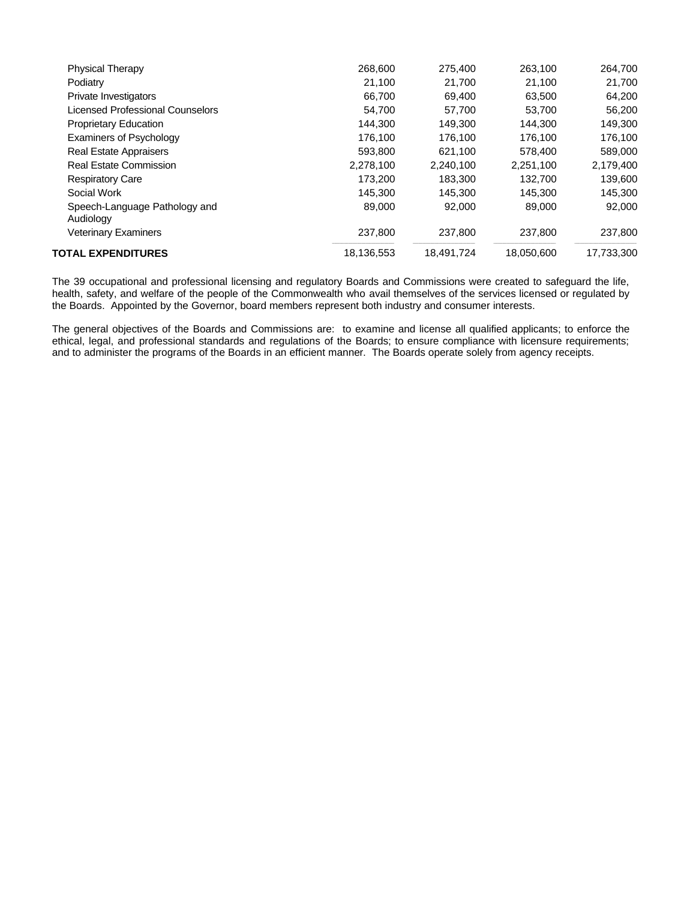| TOTAL EXPENDITURES               | 18,136,553 | 18,491,724 | 18.050.600 | 17,733,300 |
|----------------------------------|------------|------------|------------|------------|
| <b>Veterinary Examiners</b>      | 237.800    | 237.800    | 237.800    | 237,800    |
| Audiology                        |            |            |            |            |
| Speech-Language Pathology and    | 89,000     | 92,000     | 89,000     | 92,000     |
| Social Work                      | 145.300    | 145.300    | 145.300    | 145,300    |
| <b>Respiratory Care</b>          | 173.200    | 183.300    | 132.700    | 139,600    |
| <b>Real Estate Commission</b>    | 2,278,100  | 2,240,100  | 2,251,100  | 2,179,400  |
| <b>Real Estate Appraisers</b>    | 593,800    | 621,100    | 578,400    | 589,000    |
| <b>Examiners of Psychology</b>   | 176.100    | 176.100    | 176.100    | 176,100    |
| <b>Proprietary Education</b>     | 144.300    | 149.300    | 144,300    | 149,300    |
| Licensed Professional Counselors | 54,700     | 57,700     | 53,700     | 56,200     |
| Private Investigators            | 66,700     | 69,400     | 63,500     | 64,200     |
| Podiatry                         | 21,100     | 21,700     | 21,100     | 21,700     |
| <b>Physical Therapy</b>          | 268,600    | 275,400    | 263,100    | 264,700    |
|                                  |            |            |            |            |

The 39 occupational and professional licensing and regulatory Boards and Commissions were created to safeguard the life, health, safety, and welfare of the people of the Commonwealth who avail themselves of the services licensed or regulated by the Boards. Appointed by the Governor, board members represent both industry and consumer interests.

The general objectives of the Boards and Commissions are: to examine and license all qualified applicants; to enforce the ethical, legal, and professional standards and regulations of the Boards; to ensure compliance with licensure requirements; and to administer the programs of the Boards in an efficient manner. The Boards operate solely from agency receipts.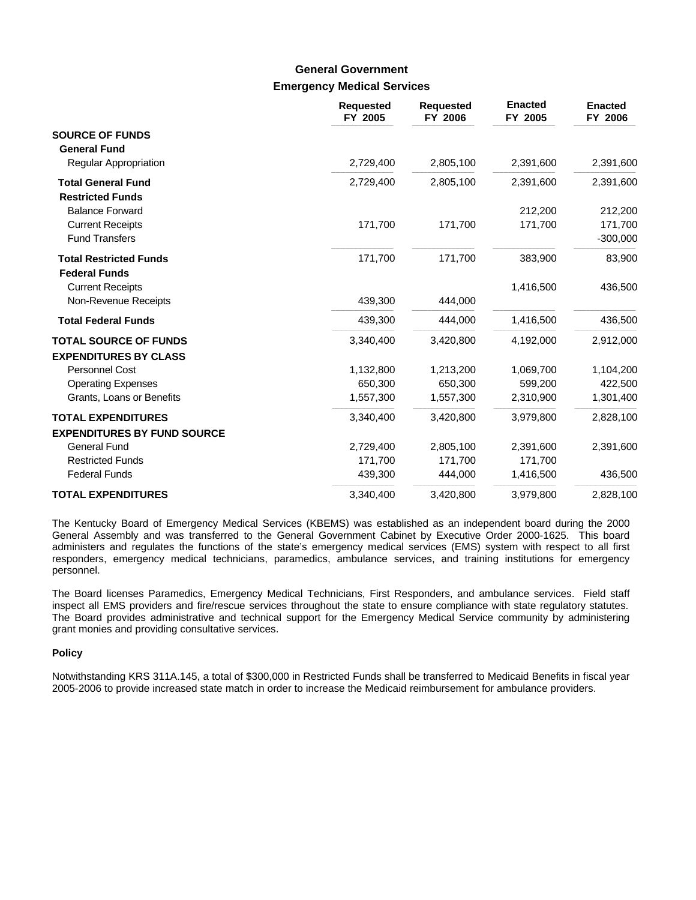## **Emergency Medical Services General Government**

|                                                                 | <b>Requested</b><br>FY 2005 | <b>Requested</b><br>FY 2006 | <b>Enacted</b><br>FY 2005 | <b>Enacted</b><br>FY 2006 |
|-----------------------------------------------------------------|-----------------------------|-----------------------------|---------------------------|---------------------------|
| <b>SOURCE OF FUNDS</b><br><b>General Fund</b>                   |                             |                             |                           |                           |
| Regular Appropriation                                           | 2,729,400                   | 2,805,100                   | 2,391,600                 | 2,391,600                 |
| <b>Total General Fund</b><br><b>Restricted Funds</b>            | 2,729,400                   | 2,805,100                   | 2,391,600                 | 2,391,600                 |
| <b>Balance Forward</b>                                          |                             |                             | 212,200                   | 212,200                   |
| <b>Current Receipts</b><br><b>Fund Transfers</b>                | 171,700                     | 171,700                     | 171,700                   | 171,700<br>$-300,000$     |
| <b>Total Restricted Funds</b><br><b>Federal Funds</b>           | 171,700                     | 171,700                     | 383,900                   | 83,900                    |
| <b>Current Receipts</b>                                         |                             |                             | 1,416,500                 | 436,500                   |
| Non-Revenue Receipts                                            | 439,300                     | 444,000                     |                           |                           |
| <b>Total Federal Funds</b>                                      | 439,300                     | 444,000                     | 1,416,500                 | 436,500                   |
| <b>TOTAL SOURCE OF FUNDS</b>                                    | 3,340,400                   | 3,420,800                   | 4,192,000                 | 2,912,000                 |
| <b>EXPENDITURES BY CLASS</b>                                    |                             |                             |                           |                           |
| <b>Personnel Cost</b>                                           | 1,132,800                   | 1,213,200                   | 1,069,700                 | 1,104,200                 |
| <b>Operating Expenses</b>                                       | 650.300                     | 650.300                     | 599,200                   | 422,500                   |
| Grants, Loans or Benefits                                       | 1,557,300                   | 1,557,300                   | 2,310,900                 | 1,301,400                 |
| <b>TOTAL EXPENDITURES</b><br><b>EXPENDITURES BY FUND SOURCE</b> | 3,340,400                   | 3,420,800                   | 3,979,800                 | 2,828,100                 |
| <b>General Fund</b>                                             | 2,729,400                   | 2,805,100                   | 2,391,600                 | 2,391,600                 |
| <b>Restricted Funds</b>                                         | 171,700                     | 171,700                     | 171,700                   |                           |
| <b>Federal Funds</b>                                            | 439,300                     | 444,000                     | 1,416,500                 | 436,500                   |
| <b>TOTAL EXPENDITURES</b>                                       | 3,340,400                   | 3,420,800                   | 3,979,800                 | 2,828,100                 |

The Kentucky Board of Emergency Medical Services (KBEMS) was established as an independent board during the 2000 General Assembly and was transferred to the General Government Cabinet by Executive Order 2000-1625. This board administers and regulates the functions of the state's emergency medical services (EMS) system with respect to all first responders, emergency medical technicians, paramedics, ambulance services, and training institutions for emergency personnel.

The Board licenses Paramedics, Emergency Medical Technicians, First Responders, and ambulance services. Field staff inspect all EMS providers and fire/rescue services throughout the state to ensure compliance with state regulatory statutes. The Board provides administrative and technical support for the Emergency Medical Service community by administering grant monies and providing consultative services.

#### **Policy**

Notwithstanding KRS 311A.145, a total of \$300,000 in Restricted Funds shall be transferred to Medicaid Benefits in fiscal year 2005-2006 to provide increased state match in order to increase the Medicaid reimbursement for ambulance providers.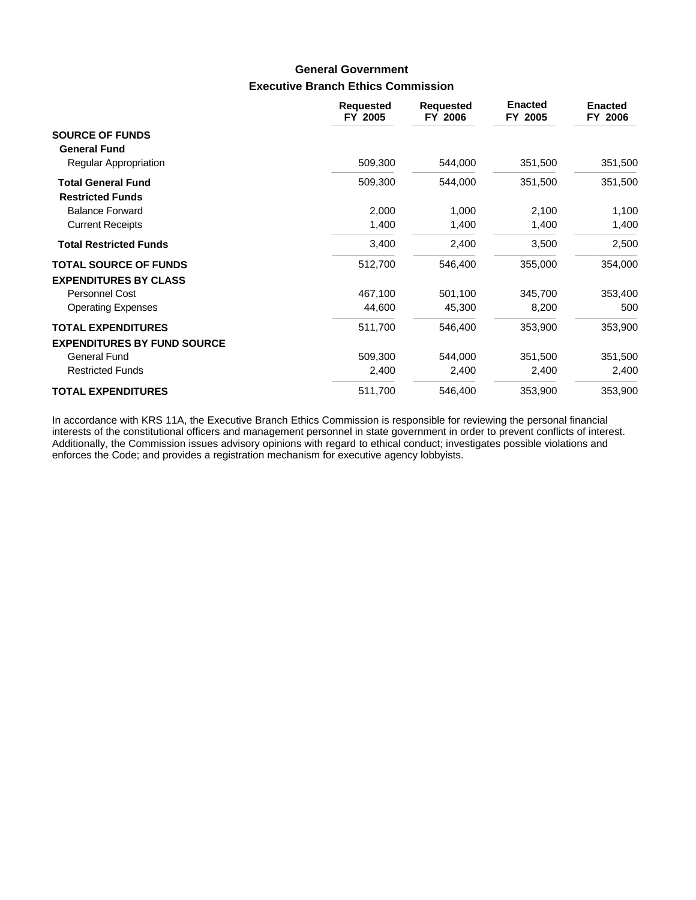# **Executive Branch Ethics Commission General Government**

|                                    | <b>Requested</b><br>FY 2005 | <b>Requested</b><br>FY 2006 | <b>Enacted</b><br>FY 2005 | <b>Enacted</b><br>FY 2006 |
|------------------------------------|-----------------------------|-----------------------------|---------------------------|---------------------------|
| <b>SOURCE OF FUNDS</b>             |                             |                             |                           |                           |
| <b>General Fund</b>                |                             |                             |                           |                           |
| Regular Appropriation              | 509,300                     | 544,000                     | 351,500                   | 351,500                   |
| <b>Total General Fund</b>          | 509,300                     | 544,000                     | 351,500                   | 351,500                   |
| <b>Restricted Funds</b>            |                             |                             |                           |                           |
| <b>Balance Forward</b>             | 2,000                       | 1,000                       | 2,100                     | 1,100                     |
| <b>Current Receipts</b>            | 1,400                       | 1,400                       | 1,400                     | 1,400                     |
| <b>Total Restricted Funds</b>      | 3,400                       | 2,400                       | 3,500                     | 2,500                     |
| <b>TOTAL SOURCE OF FUNDS</b>       | 512,700                     | 546,400                     | 355,000                   | 354,000                   |
| <b>EXPENDITURES BY CLASS</b>       |                             |                             |                           |                           |
| Personnel Cost                     | 467,100                     | 501,100                     | 345,700                   | 353,400                   |
| <b>Operating Expenses</b>          | 44,600                      | 45,300                      | 8,200                     | 500                       |
| <b>TOTAL EXPENDITURES</b>          | 511,700                     | 546,400                     | 353,900                   | 353,900                   |
| <b>EXPENDITURES BY FUND SOURCE</b> |                             |                             |                           |                           |
| <b>General Fund</b>                | 509,300                     | 544,000                     | 351,500                   | 351,500                   |
| <b>Restricted Funds</b>            | 2,400                       | 2,400                       | 2,400                     | 2,400                     |
| <b>TOTAL EXPENDITURES</b>          | 511,700                     | 546,400                     | 353,900                   | 353,900                   |

In accordance with KRS 11A, the Executive Branch Ethics Commission is responsible for reviewing the personal financial interests of the constitutional officers and management personnel in state government in order to prevent conflicts of interest. Additionally, the Commission issues advisory opinions with regard to ethical conduct; investigates possible violations and enforces the Code; and provides a registration mechanism for executive agency lobbyists.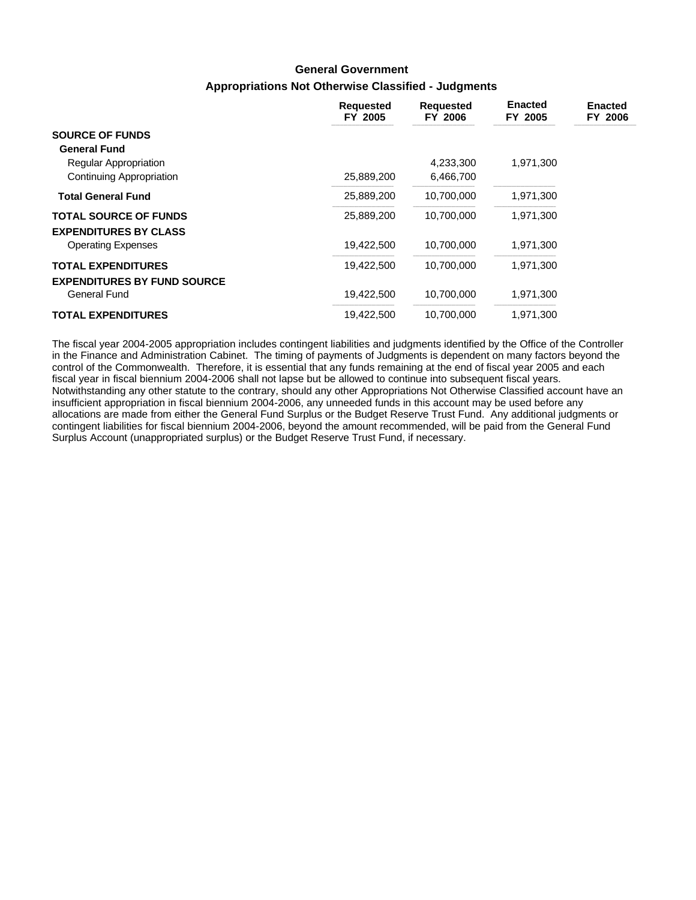### **Appropriations Not Otherwise Classified - Judgments General Government**

|                                    | <b>Requested</b><br>FY 2005 | <b>Requested</b><br>FY 2006 | <b>Enacted</b><br>FY 2005 | <b>Enacted</b><br>FY 2006 |
|------------------------------------|-----------------------------|-----------------------------|---------------------------|---------------------------|
| <b>SOURCE OF FUNDS</b>             |                             |                             |                           |                           |
| <b>General Fund</b>                |                             |                             |                           |                           |
| Regular Appropriation              |                             | 4,233,300                   | 1,971,300                 |                           |
| Continuing Appropriation           | 25,889,200                  | 6,466,700                   |                           |                           |
| <b>Total General Fund</b>          | 25,889,200                  | 10,700,000                  | 1,971,300                 |                           |
| <b>TOTAL SOURCE OF FUNDS</b>       | 25,889,200                  | 10,700,000                  | 1,971,300                 |                           |
| <b>EXPENDITURES BY CLASS</b>       |                             |                             |                           |                           |
| <b>Operating Expenses</b>          | 19,422,500                  | 10,700,000                  | 1,971,300                 |                           |
| <b>TOTAL EXPENDITURES</b>          | 19.422.500                  | 10,700,000                  | 1,971,300                 |                           |
| <b>EXPENDITURES BY FUND SOURCE</b> |                             |                             |                           |                           |
| <b>General Fund</b>                | 19,422,500                  | 10,700,000                  | 1,971,300                 |                           |
| <b>TOTAL EXPENDITURES</b>          | 19,422,500                  | 10,700,000                  | 1,971,300                 |                           |

The fiscal year 2004-2005 appropriation includes contingent liabilities and judgments identified by the Office of the Controller in the Finance and Administration Cabinet. The timing of payments of Judgments is dependent on many factors beyond the control of the Commonwealth. Therefore, it is essential that any funds remaining at the end of fiscal year 2005 and each fiscal year in fiscal biennium 2004-2006 shall not lapse but be allowed to continue into subsequent fiscal years. Notwithstanding any other statute to the contrary, should any other Appropriations Not Otherwise Classified account have an insufficient appropriation in fiscal biennium 2004-2006, any unneeded funds in this account may be used before any allocations are made from either the General Fund Surplus or the Budget Reserve Trust Fund. Any additional judgments or contingent liabilities for fiscal biennium 2004-2006, beyond the amount recommended, will be paid from the General Fund Surplus Account (unappropriated surplus) or the Budget Reserve Trust Fund, if necessary.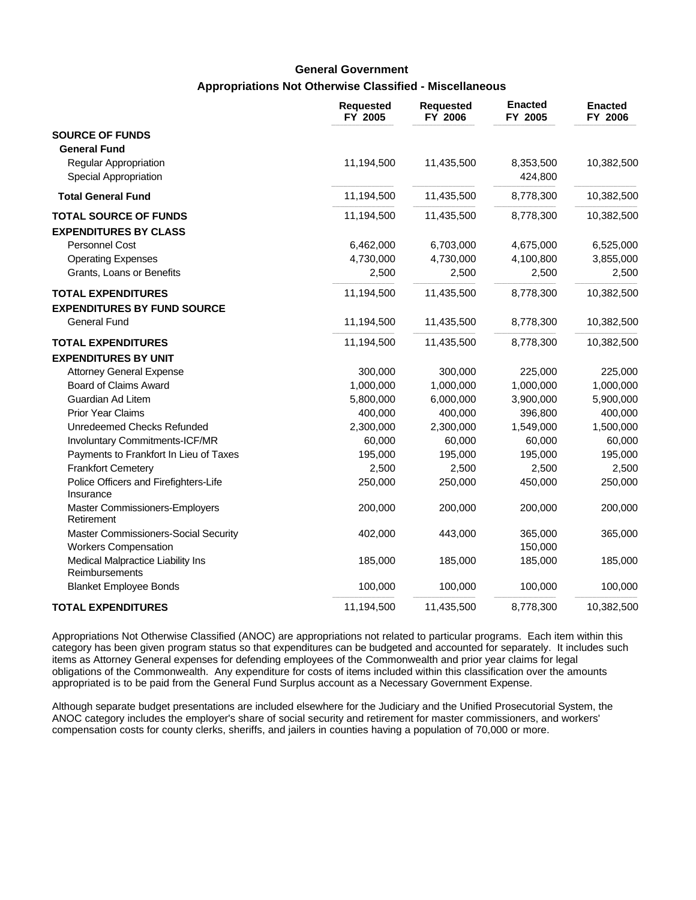### **Appropriations Not Otherwise Classified - Miscellaneous General Government**

|                                                                     | <b>Requested</b><br>FY 2005 | <b>Requested</b><br>FY 2006 | <b>Enacted</b><br>FY 2005 | <b>Enacted</b><br>FY 2006 |
|---------------------------------------------------------------------|-----------------------------|-----------------------------|---------------------------|---------------------------|
| <b>SOURCE OF FUNDS</b>                                              |                             |                             |                           |                           |
| <b>General Fund</b>                                                 |                             |                             |                           |                           |
| Regular Appropriation<br>Special Appropriation                      | 11,194,500                  | 11,435,500                  | 8,353,500<br>424,800      | 10,382,500                |
| <b>Total General Fund</b>                                           | 11,194,500                  | 11,435,500                  | 8,778,300                 | 10,382,500                |
| <b>TOTAL SOURCE OF FUNDS</b>                                        | 11,194,500                  | 11,435,500                  | 8,778,300                 | 10,382,500                |
| <b>EXPENDITURES BY CLASS</b>                                        |                             |                             |                           |                           |
| <b>Personnel Cost</b>                                               | 6,462,000                   | 6,703,000                   | 4,675,000                 | 6,525,000                 |
| <b>Operating Expenses</b>                                           | 4,730,000                   | 4,730,000                   | 4,100,800                 | 3,855,000                 |
| Grants, Loans or Benefits                                           | 2,500                       | 2,500                       | 2,500                     | 2,500                     |
| <b>TOTAL EXPENDITURES</b>                                           | 11,194,500                  | 11,435,500                  | 8,778,300                 | 10,382,500                |
| <b>EXPENDITURES BY FUND SOURCE</b>                                  |                             |                             |                           |                           |
| <b>General Fund</b>                                                 | 11,194,500                  | 11,435,500                  | 8,778,300                 | 10,382,500                |
| <b>TOTAL EXPENDITURES</b>                                           | 11,194,500                  | 11,435,500                  | 8,778,300                 | 10,382,500                |
| <b>EXPENDITURES BY UNIT</b>                                         |                             |                             |                           |                           |
| <b>Attorney General Expense</b>                                     | 300,000                     | 300,000                     | 225,000                   | 225,000                   |
| Board of Claims Award                                               | 1,000,000                   | 1,000,000                   | 1,000,000                 | 1,000,000                 |
| Guardian Ad Litem                                                   | 5,800,000                   | 6,000,000                   | 3,900,000                 | 5,900,000                 |
| <b>Prior Year Claims</b>                                            | 400,000                     | 400,000                     | 396,800                   | 400,000                   |
| Unredeemed Checks Refunded                                          | 2,300,000                   | 2,300,000                   | 1,549,000                 | 1,500,000                 |
| Involuntary Commitments-ICF/MR                                      | 60,000                      | 60,000                      | 60,000                    | 60,000                    |
| Payments to Frankfort In Lieu of Taxes                              | 195,000                     | 195,000                     | 195,000                   | 195,000                   |
| <b>Frankfort Cemetery</b>                                           | 2,500                       | 2,500                       | 2,500                     | 2,500                     |
| Police Officers and Firefighters-Life<br>Insurance                  | 250,000                     | 250,000                     | 450,000                   | 250,000                   |
| Master Commissioners-Employers<br>Retirement                        | 200,000                     | 200,000                     | 200,000                   | 200,000                   |
| Master Commissioners-Social Security<br><b>Workers Compensation</b> | 402,000                     | 443,000                     | 365,000<br>150,000        | 365,000                   |
| Medical Malpractice Liability Ins<br>Reimbursements                 | 185,000                     | 185,000                     | 185,000                   | 185,000                   |
| <b>Blanket Employee Bonds</b>                                       | 100,000                     | 100,000                     | 100,000                   | 100,000                   |
| <b>TOTAL EXPENDITURES</b>                                           | 11,194,500                  | 11,435,500                  | 8,778,300                 | 10,382,500                |

Appropriations Not Otherwise Classified (ANOC) are appropriations not related to particular programs. Each item within this category has been given program status so that expenditures can be budgeted and accounted for separately. It includes such items as Attorney General expenses for defending employees of the Commonwealth and prior year claims for legal obligations of the Commonwealth. Any expenditure for costs of items included within this classification over the amounts appropriated is to be paid from the General Fund Surplus account as a Necessary Government Expense.

Although separate budget presentations are included elsewhere for the Judiciary and the Unified Prosecutorial System, the ANOC category includes the employer's share of social security and retirement for master commissioners, and workers' compensation costs for county clerks, sheriffs, and jailers in counties having a population of 70,000 or more.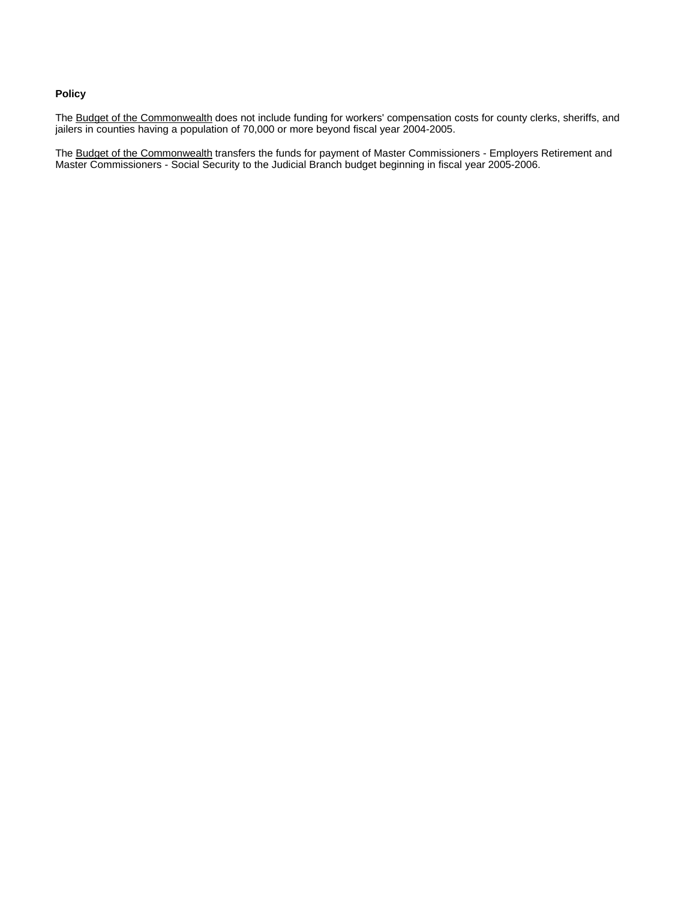### **Policy**

The Budget of the Commonwealth does not include funding for workers' compensation costs for county clerks, sheriffs, and jailers in counties having a population of 70,000 or more beyond fiscal year 2004-2005.

The Budget of the Commonwealth transfers the funds for payment of Master Commissioners - Employers Retirement and Master Commissioners - Social Security to the Judicial Branch budget beginning in fiscal year 2005-2006.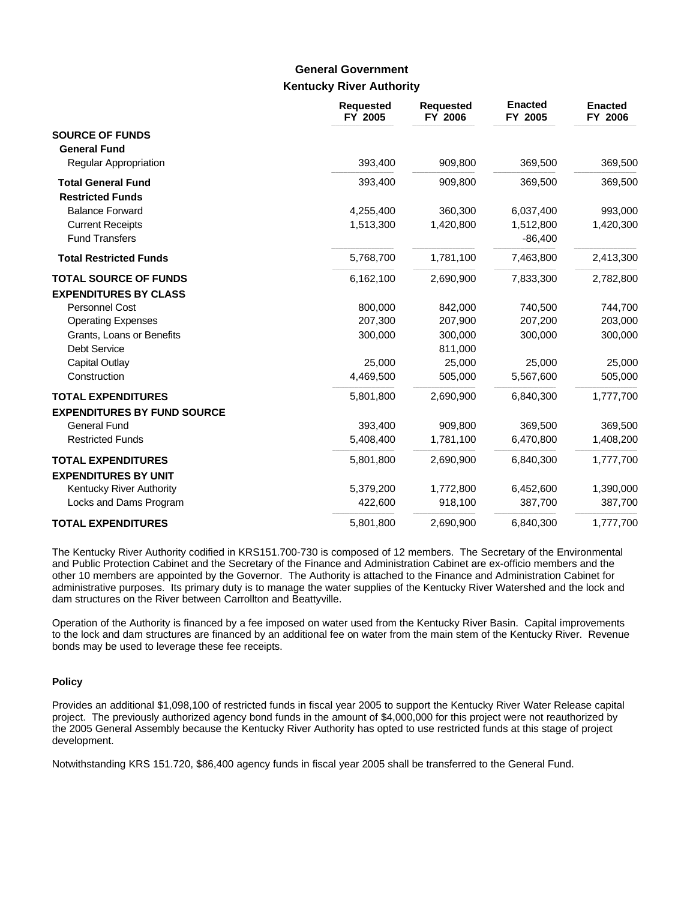## **Kentucky River Authority General Government**

|                                    | <b>Requested</b><br>FY 2005 | <b>Requested</b><br>FY 2006 | <b>Enacted</b><br>FY 2005 | <b>Enacted</b><br>FY 2006 |
|------------------------------------|-----------------------------|-----------------------------|---------------------------|---------------------------|
| <b>SOURCE OF FUNDS</b>             |                             |                             |                           |                           |
| <b>General Fund</b>                |                             |                             |                           |                           |
| Regular Appropriation              | 393,400                     | 909,800                     | 369,500                   | 369,500                   |
| <b>Total General Fund</b>          | 393,400                     | 909,800                     | 369,500                   | 369,500                   |
| <b>Restricted Funds</b>            |                             |                             |                           |                           |
| <b>Balance Forward</b>             | 4,255,400                   | 360,300                     | 6,037,400                 | 993,000                   |
| <b>Current Receipts</b>            | 1,513,300                   | 1,420,800                   | 1,512,800                 | 1,420,300                 |
| <b>Fund Transfers</b>              |                             |                             | $-86,400$                 |                           |
| <b>Total Restricted Funds</b>      | 5,768,700                   | 1,781,100                   | 7,463,800                 | 2,413,300                 |
| <b>TOTAL SOURCE OF FUNDS</b>       | 6,162,100                   | 2,690,900                   | 7,833,300                 | 2,782,800                 |
| <b>EXPENDITURES BY CLASS</b>       |                             |                             |                           |                           |
| <b>Personnel Cost</b>              | 800,000                     | 842,000                     | 740,500                   | 744,700                   |
| <b>Operating Expenses</b>          | 207,300                     | 207,900                     | 207,200                   | 203,000                   |
| Grants, Loans or Benefits          | 300,000                     | 300,000                     | 300,000                   | 300,000                   |
| Debt Service                       |                             | 811,000                     |                           |                           |
| Capital Outlay                     | 25,000                      | 25,000                      | 25,000                    | 25,000                    |
| Construction                       | 4,469,500                   | 505,000                     | 5,567,600                 | 505,000                   |
| <b>TOTAL EXPENDITURES</b>          | 5,801,800                   | 2,690,900                   | 6,840,300                 | 1,777,700                 |
| <b>EXPENDITURES BY FUND SOURCE</b> |                             |                             |                           |                           |
| <b>General Fund</b>                | 393,400                     | 909,800                     | 369,500                   | 369,500                   |
| <b>Restricted Funds</b>            | 5,408,400                   | 1,781,100                   | 6,470,800                 | 1,408,200                 |
| <b>TOTAL EXPENDITURES</b>          | 5,801,800                   | 2,690,900                   | 6,840,300                 | 1,777,700                 |
| <b>EXPENDITURES BY UNIT</b>        |                             |                             |                           |                           |
| Kentucky River Authority           | 5,379,200                   | 1,772,800                   | 6,452,600                 | 1,390,000                 |
| Locks and Dams Program             | 422,600                     | 918,100                     | 387,700                   | 387,700                   |
| <b>TOTAL EXPENDITURES</b>          | 5,801,800                   | 2,690,900                   | 6,840,300                 | 1,777,700                 |

The Kentucky River Authority codified in KRS151.700-730 is composed of 12 members. The Secretary of the Environmental and Public Protection Cabinet and the Secretary of the Finance and Administration Cabinet are ex-officio members and the other 10 members are appointed by the Governor. The Authority is attached to the Finance and Administration Cabinet for administrative purposes. Its primary duty is to manage the water supplies of the Kentucky River Watershed and the lock and dam structures on the River between Carrollton and Beattyville.

Operation of the Authority is financed by a fee imposed on water used from the Kentucky River Basin. Capital improvements to the lock and dam structures are financed by an additional fee on water from the main stem of the Kentucky River. Revenue bonds may be used to leverage these fee receipts.

#### **Policy**

Provides an additional \$1,098,100 of restricted funds in fiscal year 2005 to support the Kentucky River Water Release capital project. The previously authorized agency bond funds in the amount of \$4,000,000 for this project were not reauthorized by the 2005 General Assembly because the Kentucky River Authority has opted to use restricted funds at this stage of project development.

Notwithstanding KRS 151.720, \$86,400 agency funds in fiscal year 2005 shall be transferred to the General Fund.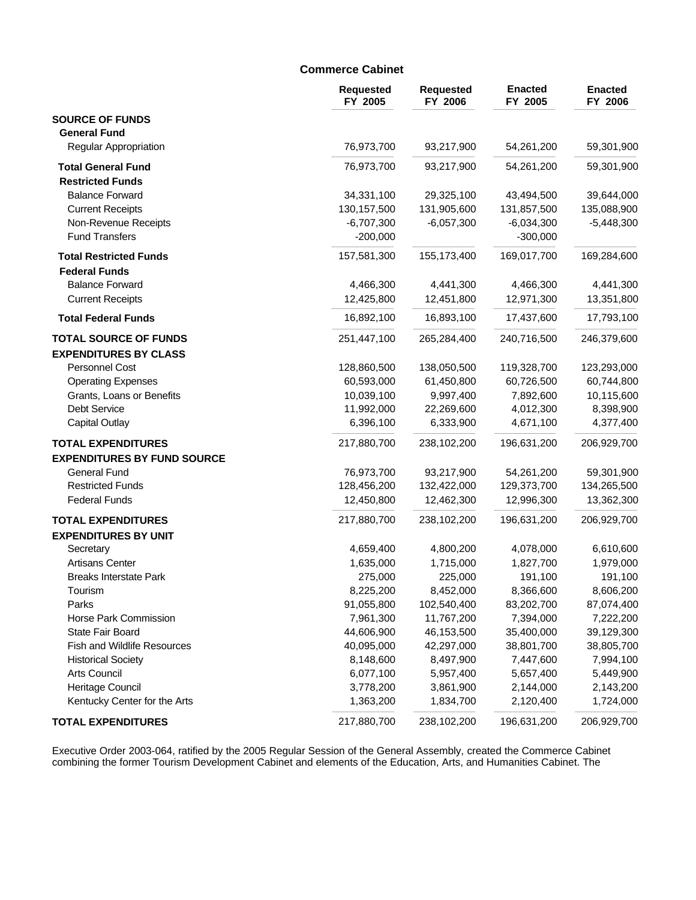### **Commerce Cabinet**

|                                                              | <b>Requested</b><br>FY 2005 | <b>Requested</b><br>FY 2006 | <b>Enacted</b><br>FY 2005 | <b>Enacted</b><br>FY 2006 |
|--------------------------------------------------------------|-----------------------------|-----------------------------|---------------------------|---------------------------|
| <b>SOURCE OF FUNDS</b>                                       |                             |                             |                           |                           |
| <b>General Fund</b><br><b>Regular Appropriation</b>          | 76,973,700                  | 93,217,900                  | 54,261,200                | 59,301,900                |
| <b>Total General Fund</b>                                    | 76,973,700                  | 93,217,900                  | 54,261,200                | 59,301,900                |
| <b>Restricted Funds</b>                                      |                             |                             |                           |                           |
| <b>Balance Forward</b>                                       | 34,331,100                  | 29,325,100                  | 43,494,500                | 39,644,000                |
| <b>Current Receipts</b>                                      | 130, 157, 500               | 131,905,600                 | 131,857,500               | 135,088,900               |
| Non-Revenue Receipts                                         | $-6,707,300$                | $-6,057,300$                | $-6,034,300$              | $-5,448,300$              |
| <b>Fund Transfers</b>                                        | $-200,000$                  |                             | $-300,000$                |                           |
| <b>Total Restricted Funds</b><br><b>Federal Funds</b>        | 157,581,300                 | 155,173,400                 | 169,017,700               | 169,284,600               |
| <b>Balance Forward</b>                                       | 4,466,300                   | 4,441,300                   | 4,466,300                 | 4,441,300                 |
| <b>Current Receipts</b>                                      | 12,425,800                  | 12,451,800                  | 12,971,300                | 13,351,800                |
| <b>Total Federal Funds</b>                                   | 16,892,100                  | 16,893,100                  | 17,437,600                | 17,793,100                |
| <b>TOTAL SOURCE OF FUNDS</b><br><b>EXPENDITURES BY CLASS</b> | 251,447,100                 | 265,284,400                 | 240,716,500               | 246,379,600               |
| Personnel Cost                                               | 128,860,500                 | 138,050,500                 | 119,328,700               | 123,293,000               |
| <b>Operating Expenses</b>                                    | 60,593,000                  | 61,450,800                  | 60,726,500                | 60,744,800                |
| Grants, Loans or Benefits                                    | 10,039,100                  | 9,997,400                   | 7,892,600                 | 10,115,600                |
| <b>Debt Service</b>                                          | 11,992,000                  | 22,269,600                  | 4,012,300                 | 8,398,900                 |
| <b>Capital Outlay</b>                                        | 6,396,100                   | 6,333,900                   | 4,671,100                 | 4,377,400                 |
| <b>TOTAL EXPENDITURES</b>                                    | 217,880,700                 | 238,102,200                 | 196,631,200               | 206,929,700               |
| <b>EXPENDITURES BY FUND SOURCE</b>                           |                             |                             |                           |                           |
| <b>General Fund</b>                                          | 76,973,700                  | 93,217,900                  | 54,261,200                | 59,301,900                |
| <b>Restricted Funds</b>                                      | 128,456,200                 | 132,422,000                 | 129,373,700               | 134,265,500               |
| <b>Federal Funds</b>                                         | 12,450,800                  | 12,462,300                  | 12,996,300                | 13,362,300                |
| <b>TOTAL EXPENDITURES</b>                                    | 217,880,700                 | 238,102,200                 | 196,631,200               | 206,929,700               |
| <b>EXPENDITURES BY UNIT</b>                                  |                             |                             |                           |                           |
| Secretary                                                    | 4,659,400                   | 4,800,200                   | 4,078,000                 | 6,610,600                 |
| <b>Artisans Center</b><br><b>Breaks Interstate Park</b>      | 1,635,000<br>275,000        | 1,715,000<br>225,000        | 1,827,700<br>191,100      | 1,979,000                 |
| Tourism                                                      | 8,225,200                   | 8,452,000                   | 8,366,600                 | 191,100<br>8,606,200      |
| Parks                                                        | 91,055,800                  | 102,540,400                 | 83,202,700                | 87,074,400                |
| Horse Park Commission                                        | 7,961,300                   | 11,767,200                  | 7,394,000                 | 7,222,200                 |
| <b>State Fair Board</b>                                      | 44,606,900                  | 46,153,500                  | 35,400,000                | 39,129,300                |
| Fish and Wildlife Resources                                  | 40,095,000                  | 42,297,000                  | 38,801,700                | 38,805,700                |
| <b>Historical Society</b>                                    | 8,148,600                   | 8,497,900                   | 7,447,600                 | 7,994,100                 |
| Arts Council                                                 | 6,077,100                   | 5,957,400                   | 5,657,400                 | 5,449,900                 |
| Heritage Council                                             | 3,778,200                   | 3,861,900                   | 2,144,000                 | 2,143,200                 |
| Kentucky Center for the Arts                                 | 1,363,200                   | 1,834,700                   | 2,120,400                 | 1,724,000                 |
| <b>TOTAL EXPENDITURES</b>                                    | 217,880,700                 | 238,102,200                 | 196,631,200               | 206,929,700               |

Executive Order 2003-064, ratified by the 2005 Regular Session of the General Assembly, created the Commerce Cabinet combining the former Tourism Development Cabinet and elements of the Education, Arts, and Humanities Cabinet. The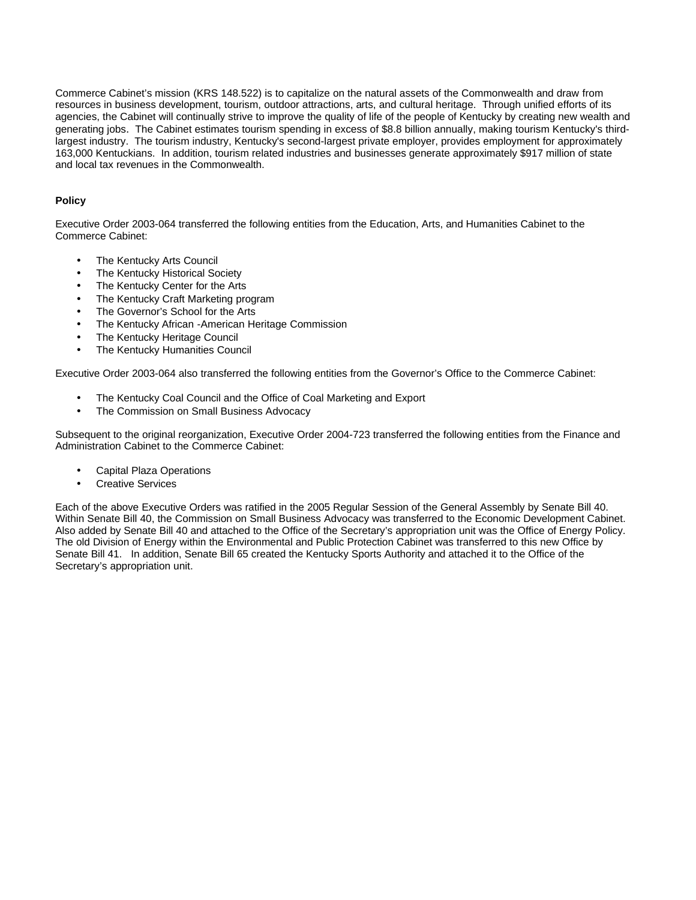Commerce Cabinet's mission (KRS 148.522) is to capitalize on the natural assets of the Commonwealth and draw from resources in business development, tourism, outdoor attractions, arts, and cultural heritage. Through unified efforts of its agencies, the Cabinet will continually strive to improve the quality of life of the people of Kentucky by creating new wealth and generating jobs. The Cabinet estimates tourism spending in excess of \$8.8 billion annually, making tourism Kentucky's thirdlargest industry. The tourism industry, Kentucky's second-largest private employer, provides employment for approximately 163,000 Kentuckians. In addition, tourism related industries and businesses generate approximately \$917 million of state and local tax revenues in the Commonwealth.

#### **Policy**

Executive Order 2003-064 transferred the following entities from the Education, Arts, and Humanities Cabinet to the Commerce Cabinet:

- The Kentucky Arts Council
- The Kentucky Historical Society
- The Kentucky Center for the Arts
- The Kentucky Craft Marketing program
- The Governor's School for the Arts
- The Kentucky African -American Heritage Commission
- The Kentucky Heritage Council
- The Kentucky Humanities Council

Executive Order 2003-064 also transferred the following entities from the Governor's Office to the Commerce Cabinet:

- The Kentucky Coal Council and the Office of Coal Marketing and Export
- The Commission on Small Business Advocacy

Subsequent to the original reorganization, Executive Order 2004-723 transferred the following entities from the Finance and Administration Cabinet to the Commerce Cabinet:

- Capital Plaza Operations
- Creative Services

Each of the above Executive Orders was ratified in the 2005 Regular Session of the General Assembly by Senate Bill 40. Within Senate Bill 40, the Commission on Small Business Advocacy was transferred to the Economic Development Cabinet. Also added by Senate Bill 40 and attached to the Office of the Secretary's appropriation unit was the Office of Energy Policy. The old Division of Energy within the Environmental and Public Protection Cabinet was transferred to this new Office by Senate Bill 41. In addition, Senate Bill 65 created the Kentucky Sports Authority and attached it to the Office of the Secretary's appropriation unit.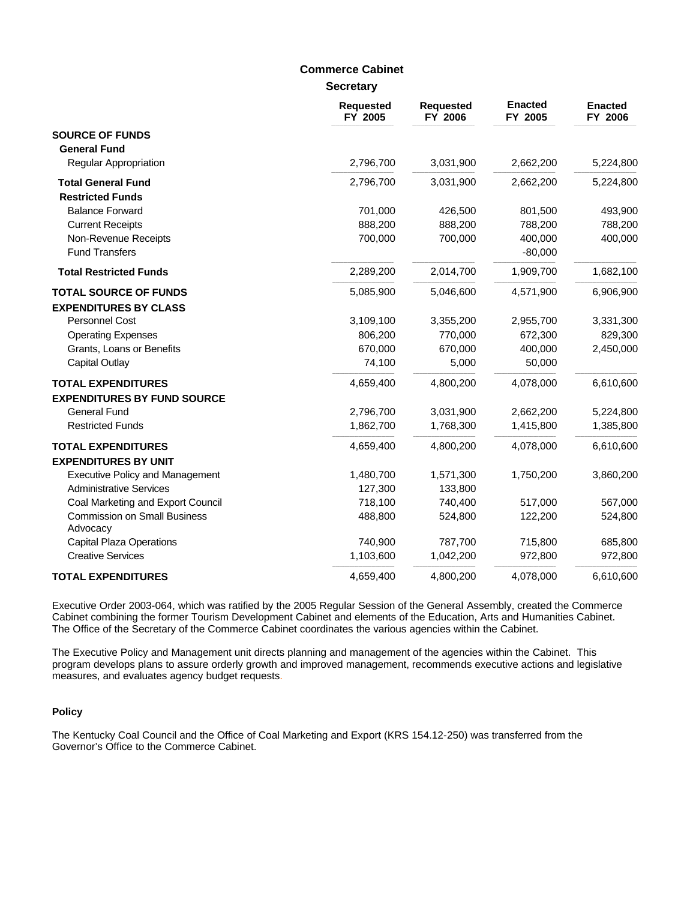# **Commerce Cabinet**

**Secretary**

|                                                 | <b>Requested</b><br>FY 2005 | <b>Requested</b><br>FY 2006 | <b>Enacted</b><br>FY 2005 | <b>Enacted</b><br>FY 2006 |
|-------------------------------------------------|-----------------------------|-----------------------------|---------------------------|---------------------------|
| <b>SOURCE OF FUNDS</b>                          |                             |                             |                           |                           |
| <b>General Fund</b>                             |                             |                             |                           |                           |
| Regular Appropriation                           | 2,796,700                   | 3,031,900                   | 2,662,200                 | 5,224,800                 |
| <b>Total General Fund</b>                       | 2,796,700                   | 3,031,900                   | 2,662,200                 | 5,224,800                 |
| <b>Restricted Funds</b>                         |                             |                             |                           |                           |
| <b>Balance Forward</b>                          | 701,000                     | 426,500                     | 801,500                   | 493,900                   |
| <b>Current Receipts</b>                         | 888,200                     | 888,200                     | 788,200                   | 788,200                   |
| Non-Revenue Receipts                            | 700,000                     | 700,000                     | 400,000                   | 400,000                   |
| <b>Fund Transfers</b>                           |                             |                             | $-80,000$                 |                           |
| <b>Total Restricted Funds</b>                   | 2,289,200                   | 2,014,700                   | 1,909,700                 | 1,682,100                 |
| <b>TOTAL SOURCE OF FUNDS</b>                    | 5,085,900                   | 5,046,600                   | 4,571,900                 | 6,906,900                 |
| <b>EXPENDITURES BY CLASS</b>                    |                             |                             |                           |                           |
| Personnel Cost                                  | 3,109,100                   | 3,355,200                   | 2,955,700                 | 3,331,300                 |
| <b>Operating Expenses</b>                       | 806,200                     | 770,000                     | 672,300                   | 829,300                   |
| Grants, Loans or Benefits                       | 670,000                     | 670,000                     | 400,000                   | 2,450,000                 |
| <b>Capital Outlay</b>                           | 74,100                      | 5,000                       | 50,000                    |                           |
| <b>TOTAL EXPENDITURES</b>                       | 4,659,400                   | 4,800,200                   | 4,078,000                 | 6,610,600                 |
| <b>EXPENDITURES BY FUND SOURCE</b>              |                             |                             |                           |                           |
| <b>General Fund</b>                             | 2,796,700                   | 3,031,900                   | 2,662,200                 | 5,224,800                 |
| <b>Restricted Funds</b>                         | 1,862,700                   | 1,768,300                   | 1,415,800                 | 1,385,800                 |
| <b>TOTAL EXPENDITURES</b>                       | 4,659,400                   | 4,800,200                   | 4,078,000                 | 6,610,600                 |
| <b>EXPENDITURES BY UNIT</b>                     |                             |                             |                           |                           |
| <b>Executive Policy and Management</b>          | 1,480,700                   | 1,571,300                   | 1,750,200                 | 3,860,200                 |
| <b>Administrative Services</b>                  | 127,300                     | 133,800                     |                           |                           |
| Coal Marketing and Export Council               | 718,100                     | 740,400                     | 517,000                   | 567,000                   |
| <b>Commission on Small Business</b><br>Advocacy | 488,800                     | 524,800                     | 122,200                   | 524,800                   |
| <b>Capital Plaza Operations</b>                 | 740,900                     | 787,700                     | 715,800                   | 685,800                   |
| <b>Creative Services</b>                        | 1,103,600                   | 1,042,200                   | 972,800                   | 972,800                   |
| <b>TOTAL EXPENDITURES</b>                       | 4,659,400                   | 4,800,200                   | 4,078,000                 | 6,610,600                 |

Executive Order 2003-064, which was ratified by the 2005 Regular Session of the General Assembly, created the Commerce Cabinet combining the former Tourism Development Cabinet and elements of the Education, Arts and Humanities Cabinet. The Office of the Secretary of the Commerce Cabinet coordinates the various agencies within the Cabinet.

The Executive Policy and Management unit directs planning and management of the agencies within the Cabinet. This program develops plans to assure orderly growth and improved management, recommends executive actions and legislative measures, and evaluates agency budget requests.

#### **Policy**

The Kentucky Coal Council and the Office of Coal Marketing and Export (KRS 154.12-250) was transferred from the Governor's Office to the Commerce Cabinet.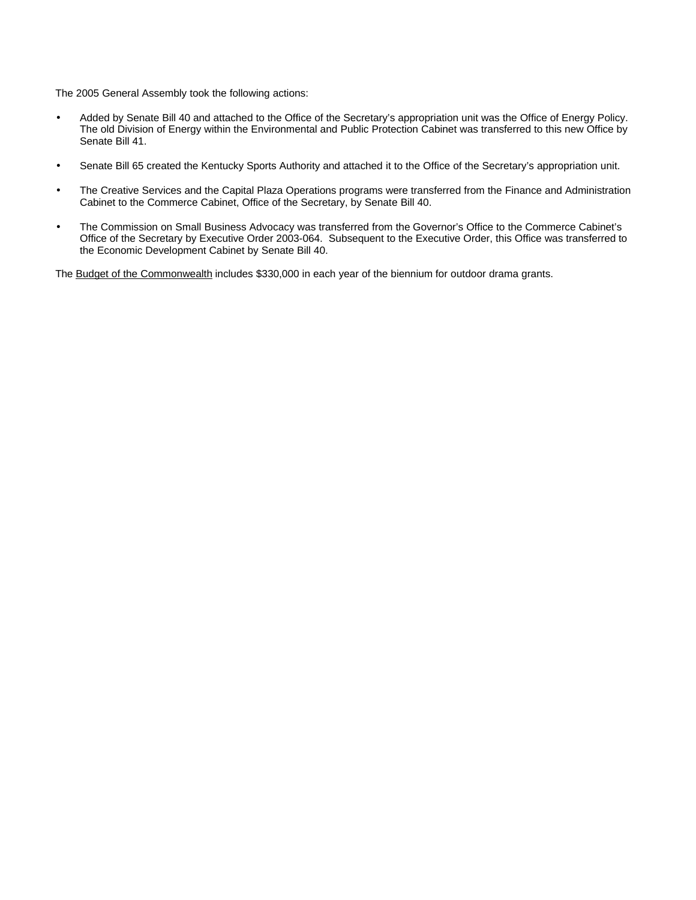The 2005 General Assembly took the following actions:

- Added by Senate Bill 40 and attached to the Office of the Secretary's appropriation unit was the Office of Energy Policy. The old Division of Energy within the Environmental and Public Protection Cabinet was transferred to this new Office by Senate Bill 41.
- Senate Bill 65 created the Kentucky Sports Authority and attached it to the Office of the Secretary's appropriation unit.
- The Creative Services and the Capital Plaza Operations programs were transferred from the Finance and Administration Cabinet to the Commerce Cabinet, Office of the Secretary, by Senate Bill 40.
- The Commission on Small Business Advocacy was transferred from the Governor's Office to the Commerce Cabinet's Office of the Secretary by Executive Order 2003-064. Subsequent to the Executive Order, this Office was transferred to the Economic Development Cabinet by Senate Bill 40.

The Budget of the Commonwealth includes \$330,000 in each year of the biennium for outdoor drama grants.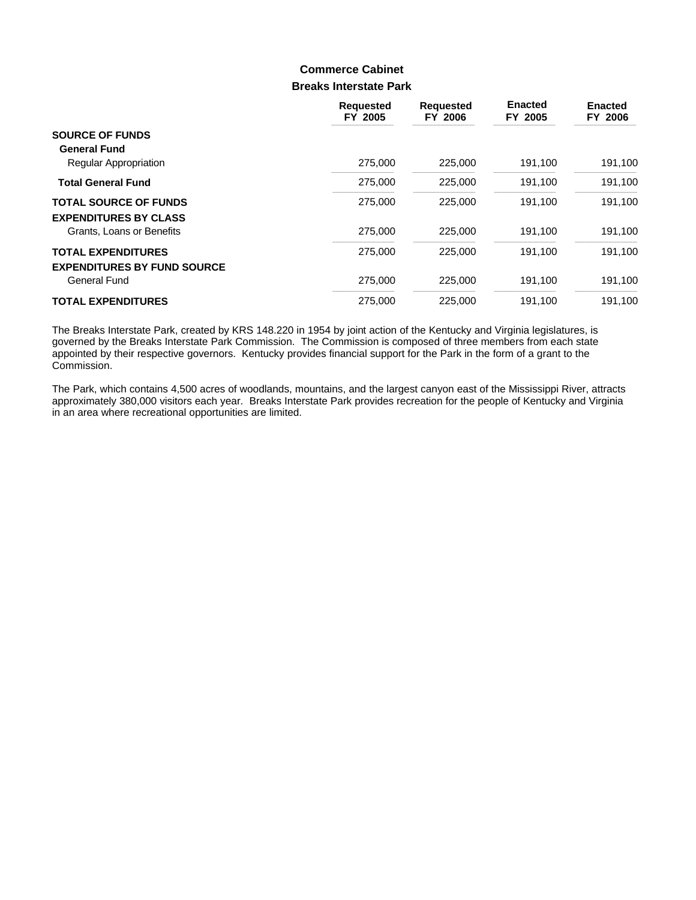## **Breaks Interstate Park Commerce Cabinet**

|                                    | <b>Requested</b><br>FY 2005 | <b>Requested</b><br>FY 2006 | <b>Enacted</b><br>FY 2005 | <b>Enacted</b><br>FY 2006 |
|------------------------------------|-----------------------------|-----------------------------|---------------------------|---------------------------|
| <b>SOURCE OF FUNDS</b>             |                             |                             |                           |                           |
| <b>General Fund</b>                |                             |                             |                           |                           |
| Regular Appropriation              | 275,000                     | 225,000                     | 191,100                   | 191,100                   |
| <b>Total General Fund</b>          | 275,000                     | 225,000                     | 191,100                   | 191,100                   |
| <b>TOTAL SOURCE OF FUNDS</b>       | 275,000                     | 225,000                     | 191.100                   | 191,100                   |
| <b>EXPENDITURES BY CLASS</b>       |                             |                             |                           |                           |
| Grants, Loans or Benefits          | 275,000                     | 225,000                     | 191,100                   | 191,100                   |
| <b>TOTAL EXPENDITURES</b>          | 275,000                     | 225,000                     | 191,100                   | 191,100                   |
| <b>EXPENDITURES BY FUND SOURCE</b> |                             |                             |                           |                           |
| General Fund                       | 275,000                     | 225,000                     | 191.100                   | 191,100                   |
| <b>TOTAL EXPENDITURES</b>          | 275,000                     | 225,000                     | 191.100                   | 191.100                   |

The Breaks Interstate Park, created by KRS 148.220 in 1954 by joint action of the Kentucky and Virginia legislatures, is governed by the Breaks Interstate Park Commission. The Commission is composed of three members from each state appointed by their respective governors. Kentucky provides financial support for the Park in the form of a grant to the Commission.

The Park, which contains 4,500 acres of woodlands, mountains, and the largest canyon east of the Mississippi River, attracts approximately 380,000 visitors each year. Breaks Interstate Park provides recreation for the people of Kentucky and Virginia in an area where recreational opportunities are limited.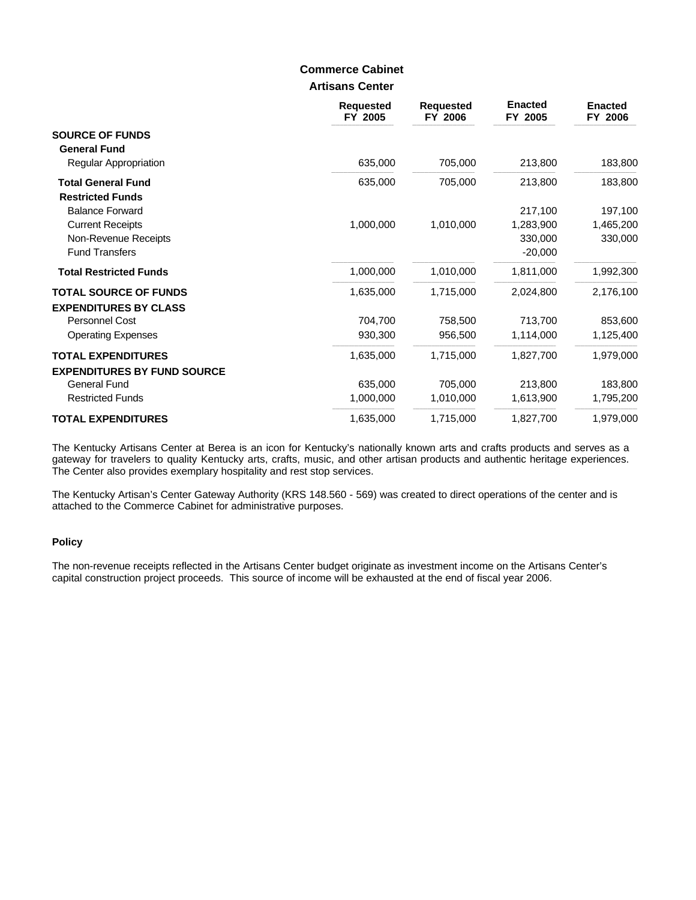### **Artisans Center Commerce Cabinet**

|                                    | <b>Requested</b><br>FY 2005 | <b>Requested</b><br>FY 2006 | <b>Enacted</b><br>FY 2005 | <b>Enacted</b><br>FY 2006 |
|------------------------------------|-----------------------------|-----------------------------|---------------------------|---------------------------|
| <b>SOURCE OF FUNDS</b>             |                             |                             |                           |                           |
| <b>General Fund</b>                |                             |                             |                           |                           |
| Regular Appropriation              | 635,000                     | 705,000                     | 213,800                   | 183,800                   |
| <b>Total General Fund</b>          | 635,000                     | 705,000                     | 213,800                   | 183,800                   |
| <b>Restricted Funds</b>            |                             |                             |                           |                           |
| <b>Balance Forward</b>             |                             |                             | 217,100                   | 197,100                   |
| <b>Current Receipts</b>            | 1,000,000                   | 1,010,000                   | 1,283,900                 | 1,465,200                 |
| Non-Revenue Receipts               |                             |                             | 330,000                   | 330,000                   |
| <b>Fund Transfers</b>              |                             |                             | $-20,000$                 |                           |
| <b>Total Restricted Funds</b>      | 1,000,000                   | 1,010,000                   | 1,811,000                 | 1,992,300                 |
| <b>TOTAL SOURCE OF FUNDS</b>       | 1,635,000                   | 1,715,000                   | 2,024,800                 | 2,176,100                 |
| <b>EXPENDITURES BY CLASS</b>       |                             |                             |                           |                           |
| <b>Personnel Cost</b>              | 704,700                     | 758,500                     | 713,700                   | 853,600                   |
| <b>Operating Expenses</b>          | 930,300                     | 956,500                     | 1,114,000                 | 1,125,400                 |
| <b>TOTAL EXPENDITURES</b>          | 1,635,000                   | 1,715,000                   | 1,827,700                 | 1,979,000                 |
| <b>EXPENDITURES BY FUND SOURCE</b> |                             |                             |                           |                           |
| <b>General Fund</b>                | 635,000                     | 705,000                     | 213,800                   | 183,800                   |
| <b>Restricted Funds</b>            | 1,000,000                   | 1,010,000                   | 1,613,900                 | 1,795,200                 |
| <b>TOTAL EXPENDITURES</b>          | 1,635,000                   | 1,715,000                   | 1,827,700                 | 1,979,000                 |

The Kentucky Artisans Center at Berea is an icon for Kentucky's nationally known arts and crafts products and serves as a gateway for travelers to quality Kentucky arts, crafts, music, and other artisan products and authentic heritage experiences. The Center also provides exemplary hospitality and rest stop services.

The Kentucky Artisan's Center Gateway Authority (KRS 148.560 - 569) was created to direct operations of the center and is attached to the Commerce Cabinet for administrative purposes.

#### **Policy**

The non-revenue receipts reflected in the Artisans Center budget originate as investment income on the Artisans Center's capital construction project proceeds. This source of income will be exhausted at the end of fiscal year 2006.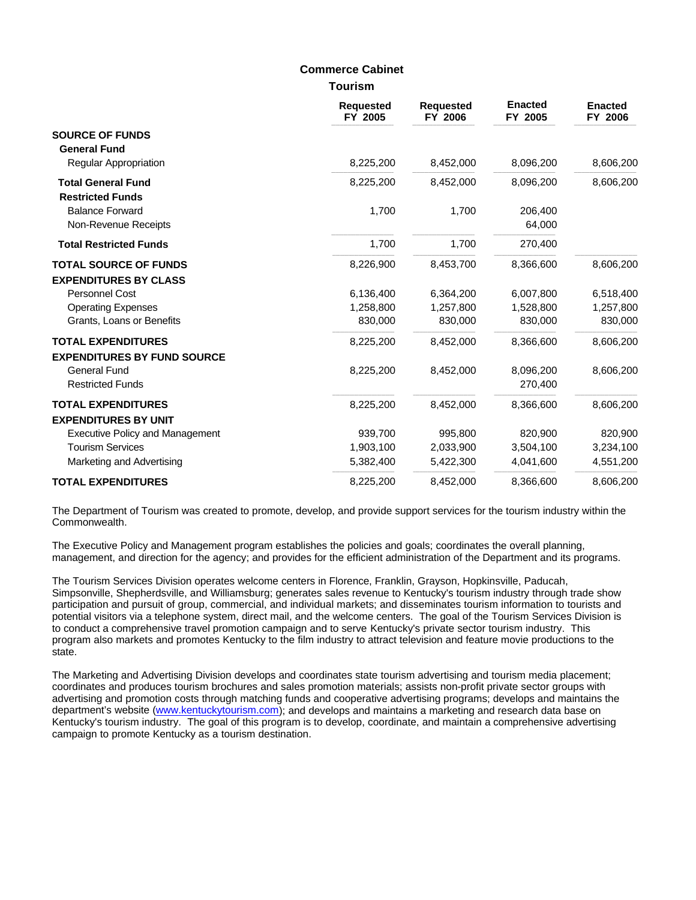#### **Commerce Cabinet**

**Tourism**

| <b>Requested</b><br>FY 2005 | <b>Requested</b><br>FY 2006 | <b>Enacted</b><br>FY 2005 | <b>Enacted</b><br>FY 2006 |
|-----------------------------|-----------------------------|---------------------------|---------------------------|
|                             |                             |                           |                           |
|                             |                             |                           |                           |
|                             |                             |                           |                           |
| 8,225,200                   | 8,452,000                   | 8,096,200                 | 8,606,200                 |
| 8,225,200                   | 8,452,000                   | 8,096,200                 | 8,606,200                 |
|                             |                             |                           |                           |
|                             |                             |                           |                           |
|                             |                             | 64,000                    |                           |
| 1,700                       | 1,700                       | 270,400                   |                           |
| 8,226,900                   | 8,453,700                   | 8,366,600                 | 8,606,200                 |
|                             |                             |                           |                           |
| 6,136,400                   | 6,364,200                   | 6,007,800                 | 6,518,400                 |
| 1,258,800                   | 1,257,800                   | 1,528,800                 | 1,257,800                 |
| 830,000                     | 830,000                     | 830,000                   | 830,000                   |
| 8,225,200                   | 8,452,000                   | 8,366,600                 | 8,606,200                 |
|                             |                             |                           |                           |
| 8,225,200                   | 8,452,000                   | 8,096,200                 | 8,606,200                 |
|                             |                             | 270,400                   |                           |
| 8,225,200                   | 8,452,000                   | 8,366,600                 | 8,606,200                 |
|                             |                             |                           |                           |
| 939,700                     | 995,800                     | 820,900                   | 820,900                   |
| 1,903,100                   | 2,033,900                   | 3,504,100                 | 3,234,100                 |
| 5,382,400                   | 5,422,300                   | 4,041,600                 | 4,551,200                 |
| 8,225,200                   | 8,452,000                   | 8,366,600                 | 8,606,200                 |
|                             | 1,700                       | 1,700                     | 206,400                   |

The Department of Tourism was created to promote, develop, and provide support services for the tourism industry within the Commonwealth.

The Executive Policy and Management program establishes the policies and goals; coordinates the overall planning, management, and direction for the agency; and provides for the efficient administration of the Department and its programs.

The Tourism Services Division operates welcome centers in Florence, Franklin, Grayson, Hopkinsville, Paducah, Simpsonville, Shepherdsville, and Williamsburg; generates sales revenue to Kentucky's tourism industry through trade show participation and pursuit of group, commercial, and individual markets; and disseminates tourism information to tourists and potential visitors via a telephone system, direct mail, and the welcome centers. The goal of the Tourism Services Division is to conduct a comprehensive travel promotion campaign and to serve Kentucky's private sector tourism industry. This program also markets and promotes Kentucky to the film industry to attract television and feature movie productions to the state.

The Marketing and Advertising Division develops and coordinates state tourism advertising and tourism media placement; coordinates and produces tourism brochures and sales promotion materials; assists non-profit private sector groups with advertising and promotion costs through matching funds and cooperative advertising programs; develops and maintains the department's website (www.kentuckytourism.com); and develops and maintains a marketing and research data base on Kentucky's tourism industry. The goal of this program is to develop, coordinate, and maintain a comprehensive advertising campaign to promote Kentucky as a tourism destination.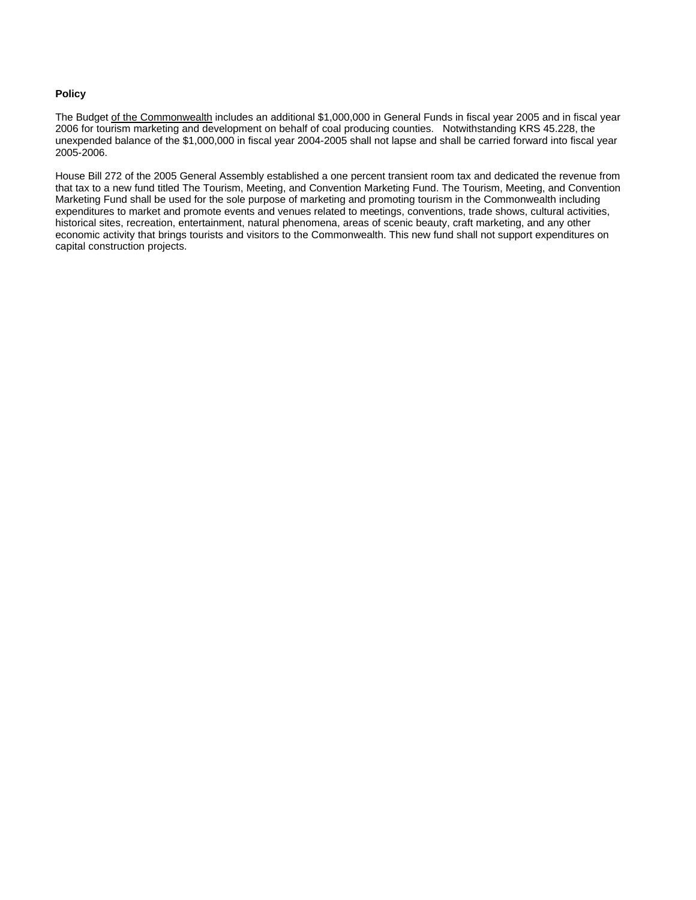#### **Policy**

The Budget of the Commonwealth includes an additional \$1,000,000 in General Funds in fiscal year 2005 and in fiscal year 2006 for tourism marketing and development on behalf of coal producing counties. Notwithstanding KRS 45.228, the unexpended balance of the \$1,000,000 in fiscal year 2004-2005 shall not lapse and shall be carried forward into fiscal year 2005-2006.

House Bill 272 of the 2005 General Assembly established a one percent transient room tax and dedicated the revenue from that tax to a new fund titled The Tourism, Meeting, and Convention Marketing Fund. The Tourism, Meeting, and Convention Marketing Fund shall be used for the sole purpose of marketing and promoting tourism in the Commonwealth including expenditures to market and promote events and venues related to meetings, conventions, trade shows, cultural activities, historical sites, recreation, entertainment, natural phenomena, areas of scenic beauty, craft marketing, and any other economic activity that brings tourists and visitors to the Commonwealth. This new fund shall not support expenditures on capital construction projects.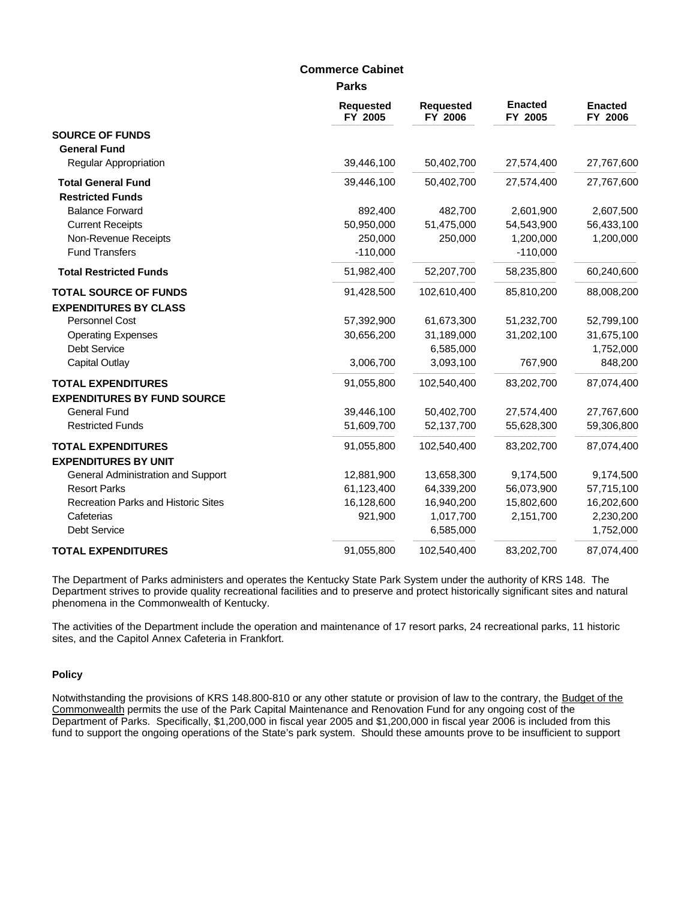#### **Commerce Cabinet**

**Parks**

|                                                           | <b>Requested</b><br>FY 2005 | <b>Requested</b><br>FY 2006 | <b>Enacted</b><br>FY 2005 | <b>Enacted</b><br>FY 2006 |
|-----------------------------------------------------------|-----------------------------|-----------------------------|---------------------------|---------------------------|
| <b>SOURCE OF FUNDS</b><br><b>General Fund</b>             |                             |                             |                           |                           |
| <b>Regular Appropriation</b>                              | 39,446,100                  | 50,402,700                  | 27,574,400                | 27,767,600                |
| <b>Total General Fund</b>                                 | 39,446,100                  | 50,402,700                  | 27,574,400                | 27,767,600                |
| <b>Restricted Funds</b>                                   |                             |                             |                           |                           |
| <b>Balance Forward</b>                                    | 892,400                     | 482,700                     | 2,601,900                 | 2,607,500                 |
| <b>Current Receipts</b>                                   | 50,950,000                  | 51,475,000                  | 54,543,900                | 56,433,100                |
| Non-Revenue Receipts                                      | 250,000                     | 250,000                     | 1,200,000                 | 1,200,000                 |
| <b>Fund Transfers</b>                                     | $-110,000$                  |                             | $-110,000$                |                           |
| <b>Total Restricted Funds</b>                             | 51,982,400                  | 52,207,700                  | 58,235,800                | 60,240,600                |
| <b>TOTAL SOURCE OF FUNDS</b>                              | 91,428,500                  | 102,610,400                 | 85,810,200                | 88,008,200                |
| <b>EXPENDITURES BY CLASS</b>                              |                             |                             |                           |                           |
| Personnel Cost                                            | 57,392,900                  | 61,673,300                  | 51,232,700                | 52,799,100                |
| <b>Operating Expenses</b>                                 | 30,656,200                  | 31,189,000                  | 31,202,100                | 31,675,100                |
| <b>Debt Service</b>                                       |                             | 6,585,000                   |                           | 1,752,000                 |
| <b>Capital Outlay</b>                                     | 3,006,700                   | 3,093,100                   | 767,900                   | 848,200                   |
| <b>TOTAL EXPENDITURES</b>                                 | 91,055,800                  | 102,540,400                 | 83,202,700                | 87,074,400                |
| <b>EXPENDITURES BY FUND SOURCE</b><br><b>General Fund</b> |                             |                             |                           |                           |
|                                                           | 39,446,100                  | 50,402,700                  | 27,574,400                | 27,767,600                |
| <b>Restricted Funds</b>                                   | 51,609,700                  | 52,137,700                  | 55,628,300                | 59,306,800                |
| <b>TOTAL EXPENDITURES</b>                                 | 91,055,800                  | 102,540,400                 | 83,202,700                | 87,074,400                |
| <b>EXPENDITURES BY UNIT</b>                               |                             |                             |                           |                           |
| General Administration and Support                        | 12,881,900                  | 13,658,300                  | 9,174,500                 | 9,174,500                 |
| <b>Resort Parks</b>                                       | 61,123,400                  | 64,339,200                  | 56,073,900                | 57,715,100                |
| Recreation Parks and Historic Sites                       | 16,128,600                  | 16,940,200                  | 15,802,600                | 16,202,600                |
| Cafeterias                                                | 921,900                     | 1,017,700                   | 2,151,700                 | 2,230,200                 |
| <b>Debt Service</b>                                       |                             | 6,585,000                   |                           | 1,752,000                 |
| <b>TOTAL EXPENDITURES</b>                                 | 91,055,800                  | 102,540,400                 | 83,202,700                | 87,074,400                |

The Department of Parks administers and operates the Kentucky State Park System under the authority of KRS 148. The Department strives to provide quality recreational facilities and to preserve and protect historically significant sites and natural phenomena in the Commonwealth of Kentucky.

The activities of the Department include the operation and maintenance of 17 resort parks, 24 recreational parks, 11 historic sites, and the Capitol Annex Cafeteria in Frankfort.

#### **Policy**

Notwithstanding the provisions of KRS 148.800-810 or any other statute or provision of law to the contrary, the Budget of the Commonwealth permits the use of the Park Capital Maintenance and Renovation Fund for any ongoing cost of the Department of Parks. Specifically, \$1,200,000 in fiscal year 2005 and \$1,200,000 in fiscal year 2006 is included from this fund to support the ongoing operations of the State's park system. Should these amounts prove to be insufficient to support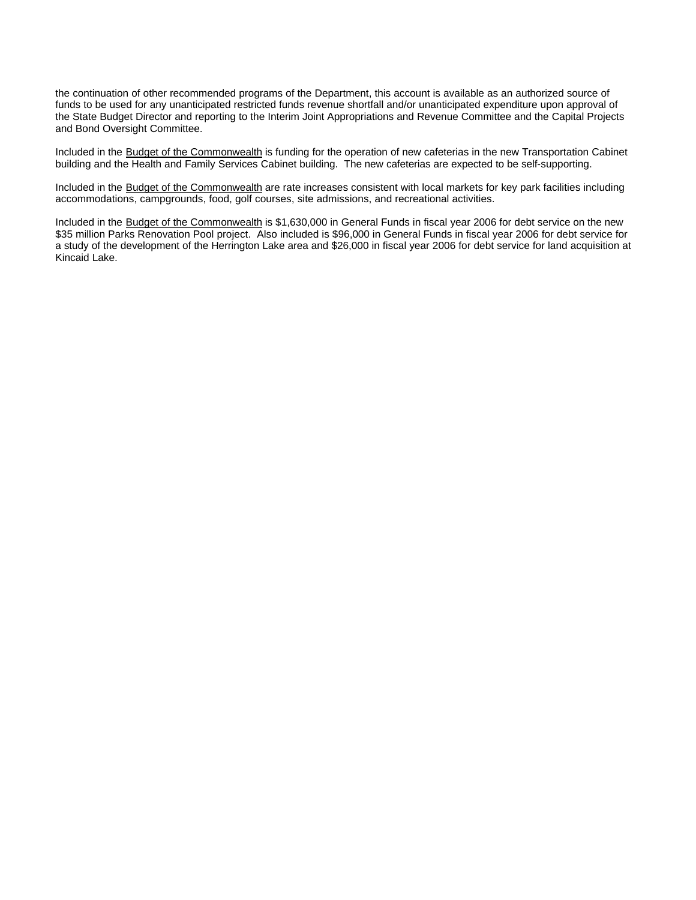the continuation of other recommended programs of the Department, this account is available as an authorized source of funds to be used for any unanticipated restricted funds revenue shortfall and/or unanticipated expenditure upon approval of the State Budget Director and reporting to the Interim Joint Appropriations and Revenue Committee and the Capital Projects and Bond Oversight Committee.

Included in the Budget of the Commonwealth is funding for the operation of new cafeterias in the new Transportation Cabinet building and the Health and Family Services Cabinet building. The new cafeterias are expected to be self-supporting.

Included in the Budget of the Commonwealth are rate increases consistent with local markets for key park facilities including accommodations, campgrounds, food, golf courses, site admissions, and recreational activities.

Included in the Budget of the Commonwealth is \$1,630,000 in General Funds in fiscal year 2006 for debt service on the new \$35 million Parks Renovation Pool project. Also included is \$96,000 in General Funds in fiscal year 2006 for debt service for a study of the development of the Herrington Lake area and \$26,000 in fiscal year 2006 for debt service for land acquisition at Kincaid Lake.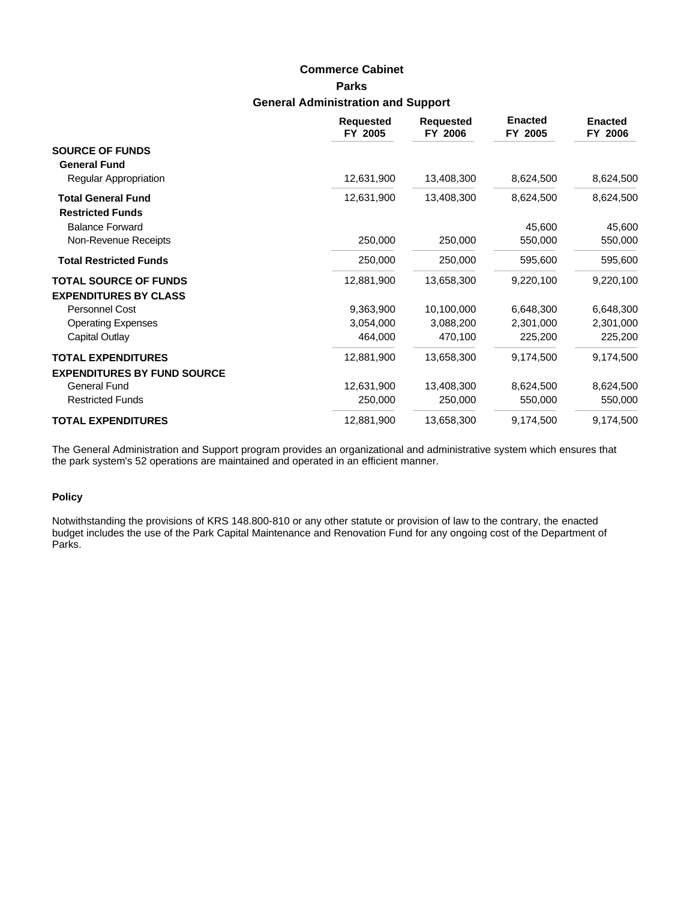# **Parks General Administration and Support Commerce Cabinet**

|                                    | <b>Requested</b><br>FY 2005 | <b>Requested</b><br>FY 2006 | <b>Enacted</b><br>FY 2005 | <b>Enacted</b><br>FY 2006 |
|------------------------------------|-----------------------------|-----------------------------|---------------------------|---------------------------|
| <b>SOURCE OF FUNDS</b>             |                             |                             |                           |                           |
| <b>General Fund</b>                |                             |                             |                           |                           |
| Regular Appropriation              | 12,631,900                  | 13,408,300                  | 8,624,500                 | 8,624,500                 |
| <b>Total General Fund</b>          | 12,631,900                  | 13,408,300                  | 8,624,500                 | 8,624,500                 |
| <b>Restricted Funds</b>            |                             |                             |                           |                           |
| <b>Balance Forward</b>             |                             |                             | 45,600                    | 45,600                    |
| Non-Revenue Receipts               | 250,000                     | 250,000                     | 550,000                   | 550,000                   |
| <b>Total Restricted Funds</b>      | 250,000                     | 250,000                     | 595,600                   | 595,600                   |
| <b>TOTAL SOURCE OF FUNDS</b>       | 12,881,900                  | 13,658,300                  | 9,220,100                 | 9,220,100                 |
| <b>EXPENDITURES BY CLASS</b>       |                             |                             |                           |                           |
| Personnel Cost                     | 9,363,900                   | 10,100,000                  | 6,648,300                 | 6,648,300                 |
| <b>Operating Expenses</b>          | 3,054,000                   | 3,088,200                   | 2,301,000                 | 2,301,000                 |
| Capital Outlay                     | 464,000                     | 470,100                     | 225,200                   | 225,200                   |
| <b>TOTAL EXPENDITURES</b>          | 12,881,900                  | 13,658,300                  | 9,174,500                 | 9,174,500                 |
| <b>EXPENDITURES BY FUND SOURCE</b> |                             |                             |                           |                           |
| <b>General Fund</b>                | 12,631,900                  | 13,408,300                  | 8,624,500                 | 8,624,500                 |
| <b>Restricted Funds</b>            | 250,000                     | 250,000                     | 550,000                   | 550,000                   |
| <b>TOTAL EXPENDITURES</b>          | 12,881,900                  | 13,658,300                  | 9,174,500                 | 9,174,500                 |

The General Administration and Support program provides an organizational and administrative system which ensures that the park system's 52 operations are maintained and operated in an efficient manner.

### **Policy**

Notwithstanding the provisions of KRS 148.800-810 or any other statute or provision of law to the contrary, the enacted budget includes the use of the Park Capital Maintenance and Renovation Fund for any ongoing cost of the Department of Parks.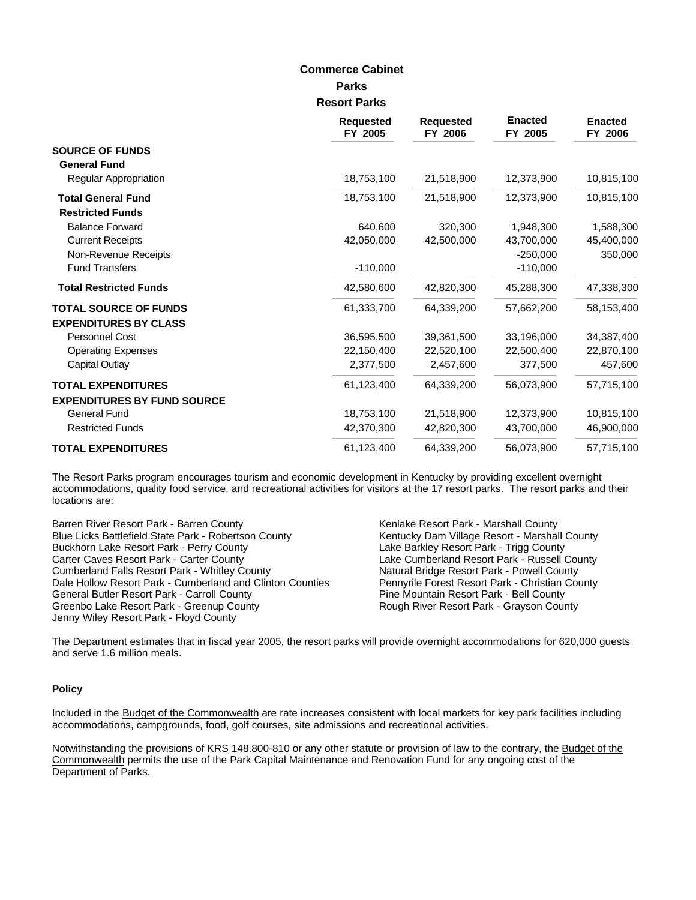### **Parks Resort Parks Commerce Cabinet**

|                                                                 | <b>Requested</b><br>FY 2005 | <b>Requested</b><br>FY 2006 | <b>Enacted</b><br>FY 2005 | <b>Enacted</b><br>FY 2006 |
|-----------------------------------------------------------------|-----------------------------|-----------------------------|---------------------------|---------------------------|
| <b>SOURCE OF FUNDS</b><br><b>General Fund</b>                   |                             |                             |                           |                           |
| Regular Appropriation                                           | 18,753,100                  | 21,518,900                  | 12,373,900                | 10,815,100                |
| <b>Total General Fund</b><br><b>Restricted Funds</b>            | 18,753,100                  | 21,518,900                  | 12,373,900                | 10,815,100                |
| <b>Balance Forward</b>                                          | 640,600                     | 320,300                     | 1,948,300                 | 1,588,300                 |
| <b>Current Receipts</b><br>Non-Revenue Receipts                 | 42,050,000                  | 42,500,000                  | 43,700,000<br>$-250,000$  | 45,400,000<br>350,000     |
| <b>Fund Transfers</b>                                           | $-110,000$                  |                             | $-110,000$                |                           |
| <b>Total Restricted Funds</b>                                   | 42,580,600                  | 42,820,300                  | 45,288,300                | 47,338,300                |
| <b>TOTAL SOURCE OF FUNDS</b>                                    | 61,333,700                  | 64,339,200                  | 57,662,200                | 58,153,400                |
| <b>EXPENDITURES BY CLASS</b>                                    |                             |                             |                           |                           |
| <b>Personnel Cost</b>                                           | 36,595,500                  | 39,361,500                  | 33,196,000                | 34,387,400                |
| <b>Operating Expenses</b>                                       | 22,150,400                  | 22,520,100                  | 22,500,400                | 22,870,100                |
| Capital Outlay                                                  | 2,377,500                   | 2,457,600                   | 377,500                   | 457,600                   |
| <b>TOTAL EXPENDITURES</b><br><b>EXPENDITURES BY FUND SOURCE</b> | 61,123,400                  | 64,339,200                  | 56,073,900                | 57,715,100                |
| General Fund                                                    | 18,753,100                  | 21,518,900                  | 12,373,900                | 10,815,100                |
| <b>Restricted Funds</b>                                         | 42,370,300                  | 42,820,300                  | 43,700,000                | 46,900,000                |
| <b>TOTAL EXPENDITURES</b>                                       | 61,123,400                  | 64,339,200                  | 56,073,900                | 57,715,100                |

The Resort Parks program encourages tourism and economic development in Kentucky by providing excellent overnight accommodations, quality food service, and recreational activities for visitors at the 17 resort parks. The resort parks and their locations are:

Barren River Resort Park - Barren County<br>Blue Licks Battlefield State Park - Robertson County **Kentucky Dam Village Resort - Marshall County** Blue Licks Battlefield State Park - Robertson County **Kentucky Dam Village Resort - Marshall** County<br>Buckhorn Lake Resort Park - Perry County **County** Lake Barkley Resort Park - Trigg County Buckhorn Lake Resort Park - Perry County<br>Carter Caves Resort Park - Carter County Cumberland Falls Resort Park - Whitley County<br>
Dale Hollow Resort Park - Cumberland and Clinton Counties<br>
Pennyrile Forest Resort Park - Christian County Dale Hollow Resort Park - Cumberland and Clinton Counties Pennyrile Forest Resort Park - Christian County<br>General Butler Resort Park - Carroll County Pine Mountain Resort Park - Bell County General Butler Resort Park - Carroll County<br>Greenbo Lake Resort Park - Greenup County Pine Prough River Resort Park - Grayson County Greenbo Lake Resort Park - Greenup County Jenny Wiley Resort Park - Floyd County

Lake Cumberland Resort Park - Russell County

The Department estimates that in fiscal year 2005, the resort parks will provide overnight accommodations for 620,000 guests and serve 1.6 million meals.

#### **Policy**

Included in the Budget of the Commonwealth are rate increases consistent with local markets for key park facilities including accommodations, campgrounds, food, golf courses, site admissions and recreational activities.

Notwithstanding the provisions of KRS 148.800-810 or any other statute or provision of law to the contrary, the Budget of the Commonwealth permits the use of the Park Capital Maintenance and Renovation Fund for any ongoing cost of the Department of Parks.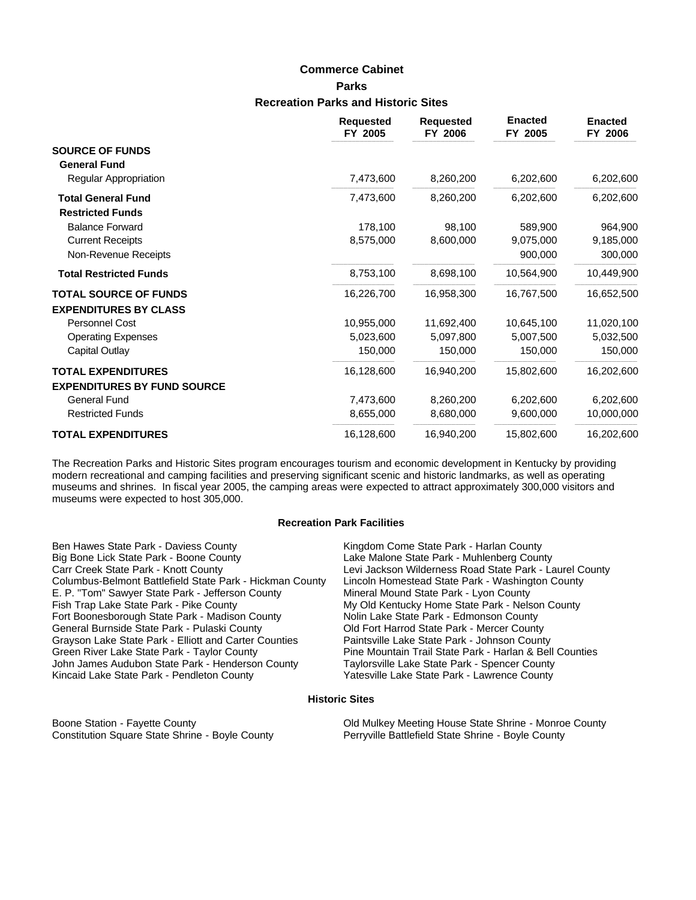# **Parks Recreation Parks and Historic Sites Commerce Cabinet**

|                                                                 | <b>Requested</b><br>FY 2005 | <b>Requested</b><br>FY 2006 | <b>Enacted</b><br>FY 2005 | <b>Enacted</b><br>FY 2006 |
|-----------------------------------------------------------------|-----------------------------|-----------------------------|---------------------------|---------------------------|
| <b>SOURCE OF FUNDS</b><br><b>General Fund</b>                   |                             |                             |                           |                           |
| <b>Regular Appropriation</b>                                    | 7,473,600                   | 8,260,200                   | 6,202,600                 | 6,202,600                 |
| <b>Total General Fund</b><br><b>Restricted Funds</b>            | 7,473,600                   | 8,260,200                   | 6,202,600                 | 6,202,600                 |
| <b>Balance Forward</b>                                          | 178,100                     | 98,100                      | 589,900                   | 964,900                   |
| <b>Current Receipts</b><br>Non-Revenue Receipts                 | 8,575,000                   | 8,600,000                   | 9,075,000<br>900,000      | 9,185,000<br>300,000      |
| <b>Total Restricted Funds</b>                                   | 8,753,100                   | 8,698,100                   | 10,564,900                | 10,449,900                |
| <b>TOTAL SOURCE OF FUNDS</b><br><b>EXPENDITURES BY CLASS</b>    | 16,226,700                  | 16,958,300                  | 16,767,500                | 16,652,500                |
| Personnel Cost                                                  | 10,955,000                  | 11,692,400                  | 10,645,100                | 11,020,100                |
| <b>Operating Expenses</b>                                       | 5,023,600                   | 5,097,800                   | 5,007,500                 | 5,032,500                 |
| Capital Outlay                                                  | 150,000                     | 150,000                     | 150,000                   | 150,000                   |
| <b>TOTAL EXPENDITURES</b><br><b>EXPENDITURES BY FUND SOURCE</b> | 16,128,600                  | 16,940,200                  | 15,802,600                | 16,202,600                |
| <b>General Fund</b>                                             | 7,473,600                   | 8,260,200                   | 6,202,600                 | 6,202,600                 |
| <b>Restricted Funds</b>                                         | 8,655,000                   | 8,680,000                   | 9,600,000                 | 10,000,000                |
| <b>TOTAL EXPENDITURES</b>                                       | 16,128,600                  | 16,940,200                  | 15,802,600                | 16,202,600                |

The Recreation Parks and Historic Sites program encourages tourism and economic development in Kentucky by providing modern recreational and camping facilities and preserving significant scenic and historic landmarks, as well as operating museums and shrines. In fiscal year 2005, the camping areas were expected to attract approximately 300,000 visitors and museums were expected to host 305,000.

#### **Recreation Park Facilities**

| Ben Hawes State Park - Daviess County                    | Kingdom Come State Park - Harlan County                 |
|----------------------------------------------------------|---------------------------------------------------------|
| Big Bone Lick State Park - Boone County                  | Lake Malone State Park - Muhlenberg County              |
| Carr Creek State Park - Knott County                     | Levi Jackson Wilderness Road State Park - Laurel County |
| Columbus-Belmont Battlefield State Park - Hickman County | Lincoln Homestead State Park - Washington County        |
| E. P. "Tom" Sawyer State Park - Jefferson County         | Mineral Mound State Park - Lyon County                  |
| Fish Trap Lake State Park - Pike County                  | My Old Kentucky Home State Park - Nelson County         |
| Fort Boonesborough State Park - Madison County           | Nolin Lake State Park - Edmonson County                 |
| General Burnside State Park - Pulaski County             | Old Fort Harrod State Park - Mercer County              |
| Grayson Lake State Park - Elliott and Carter Counties    | Paintsville Lake State Park - Johnson County            |
| Green River Lake State Park - Taylor County              | Pine Mountain Trail State Park - Harlan & Bell Counties |
| John James Audubon State Park - Henderson County         | Taylorsville Lake State Park - Spencer County           |
| Kincaid Lake State Park - Pendleton County               | Yatesville Lake State Park - Lawrence County            |

#### **Historic Sites**

Boone Station - Fayette County<br>
Constitution Square State Shrine - Boyle County<br>
Perryville Battlefield State Shrine - Boyle County<br>
Perryville Battlefield State Shrine - Boyle County Perryville Battlefield State Shrine - Boyle County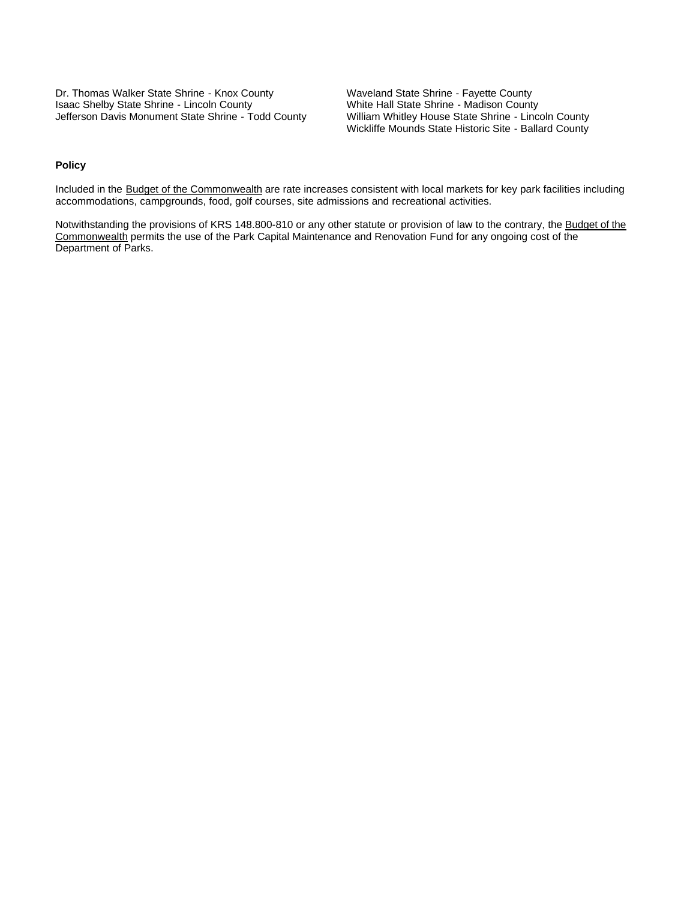Dr. Thomas Walker State Shrine - Knox County Waveland State Shrine - Fayette County Isaac Shelby State Shrine - Lincoln County<br>
Jefferson Davis Monument State Shrine - Todd County William Whitley House State Shrine - Lincoln County Jefferson Davis Monument State Shrine - Todd County

Wickliffe Mounds State Historic Site - Ballard County

### **Policy**

Included in the Budget of the Commonwealth are rate increases consistent with local markets for key park facilities including accommodations, campgrounds, food, golf courses, site admissions and recreational activities.

Notwithstanding the provisions of KRS 148.800-810 or any other statute or provision of law to the contrary, the Budget of the Commonwealth permits the use of the Park Capital Maintenance and Renovation Fund for any ongoing cost of the Department of Parks.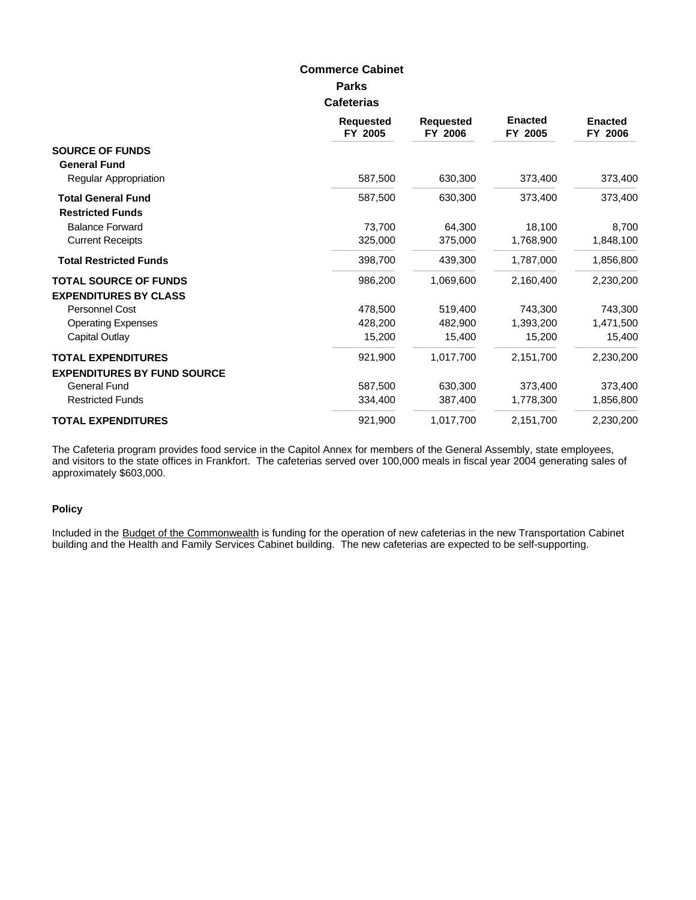### **Parks Cafeterias Commerce Cabinet**

|                                    | <b>Requested</b><br>FY 2005 | <b>Requested</b><br>FY 2006 | <b>Enacted</b><br>FY 2005 | <b>Enacted</b><br>FY 2006 |
|------------------------------------|-----------------------------|-----------------------------|---------------------------|---------------------------|
| <b>SOURCE OF FUNDS</b>             |                             |                             |                           |                           |
| <b>General Fund</b>                |                             |                             |                           |                           |
| Regular Appropriation              | 587,500                     | 630,300                     | 373,400                   | 373,400                   |
| <b>Total General Fund</b>          | 587,500                     | 630,300                     | 373,400                   | 373,400                   |
| <b>Restricted Funds</b>            |                             |                             |                           |                           |
| <b>Balance Forward</b>             | 73,700                      | 64,300                      | 18,100                    | 8,700                     |
| <b>Current Receipts</b>            | 325,000                     | 375,000                     | 1,768,900                 | 1,848,100                 |
| <b>Total Restricted Funds</b>      | 398,700                     | 439,300                     | 1,787,000                 | 1,856,800                 |
| <b>TOTAL SOURCE OF FUNDS</b>       | 986,200                     | 1,069,600                   | 2,160,400                 | 2,230,200                 |
| <b>EXPENDITURES BY CLASS</b>       |                             |                             |                           |                           |
| Personnel Cost                     | 478,500                     | 519,400                     | 743,300                   | 743,300                   |
| <b>Operating Expenses</b>          | 428,200                     | 482,900                     | 1,393,200                 | 1,471,500                 |
| Capital Outlay                     | 15,200                      | 15,400                      | 15,200                    | 15,400                    |
| <b>TOTAL EXPENDITURES</b>          | 921,900                     | 1,017,700                   | 2,151,700                 | 2,230,200                 |
| <b>EXPENDITURES BY FUND SOURCE</b> |                             |                             |                           |                           |
| General Fund                       | 587,500                     | 630,300                     | 373,400                   | 373,400                   |
| <b>Restricted Funds</b>            | 334,400                     | 387,400                     | 1,778,300                 | 1,856,800                 |
| <b>TOTAL EXPENDITURES</b>          | 921,900                     | 1,017,700                   | 2,151,700                 | 2,230,200                 |

The Cafeteria program provides food service in the Capitol Annex for members of the General Assembly, state employees, and visitors to the state offices in Frankfort. The cafeterias served over 100,000 meals in fiscal year 2004 generating sales of approximately \$603,000.

### **Policy**

Included in the Budget of the Commonwealth is funding for the operation of new cafeterias in the new Transportation Cabinet building and the Health and Family Services Cabinet building. The new cafeterias are expected to be self-supporting.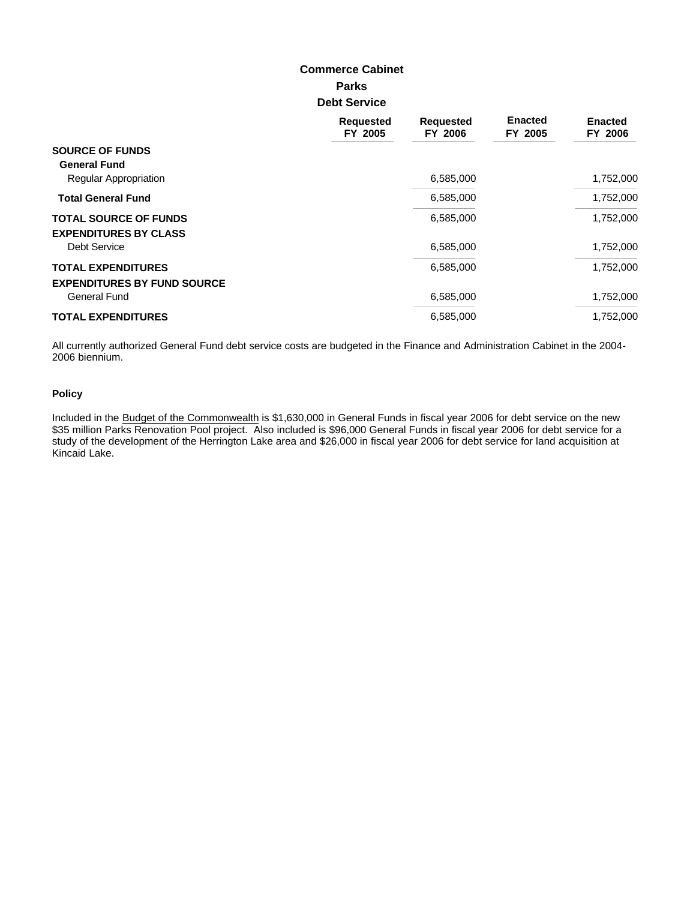### **Parks Debt Service Commerce Cabinet**

|                                    | <b>Requested</b><br>FY 2005 | <b>Requested</b><br>FY 2006 | <b>Enacted</b><br>FY 2005 | <b>Enacted</b><br>FY 2006 |
|------------------------------------|-----------------------------|-----------------------------|---------------------------|---------------------------|
| <b>SOURCE OF FUNDS</b>             |                             |                             |                           |                           |
| <b>General Fund</b>                |                             |                             |                           |                           |
| <b>Regular Appropriation</b>       |                             | 6,585,000                   |                           | 1,752,000                 |
| <b>Total General Fund</b>          |                             | 6,585,000                   |                           | 1,752,000                 |
| <b>TOTAL SOURCE OF FUNDS</b>       |                             | 6,585,000                   |                           | 1,752,000                 |
| <b>EXPENDITURES BY CLASS</b>       |                             |                             |                           |                           |
| <b>Debt Service</b>                |                             | 6,585,000                   |                           | 1,752,000                 |
| <b>TOTAL EXPENDITURES</b>          |                             | 6,585,000                   |                           | 1,752,000                 |
| <b>EXPENDITURES BY FUND SOURCE</b> |                             |                             |                           |                           |
| General Fund                       |                             | 6,585,000                   |                           | 1,752,000                 |
| <b>TOTAL EXPENDITURES</b>          |                             | 6,585,000                   |                           | 1,752,000                 |

All currently authorized General Fund debt service costs are budgeted in the Finance and Administration Cabinet in the 2004- 2006 biennium.

### **Policy**

Included in the Budget of the Commonwealth is \$1,630,000 in General Funds in fiscal year 2006 for debt service on the new \$35 million Parks Renovation Pool project. Also included is \$96,000 General Funds in fiscal year 2006 for debt service for a study of the development of the Herrington Lake area and \$26,000 in fiscal year 2006 for debt service for land acquisition at Kincaid Lake.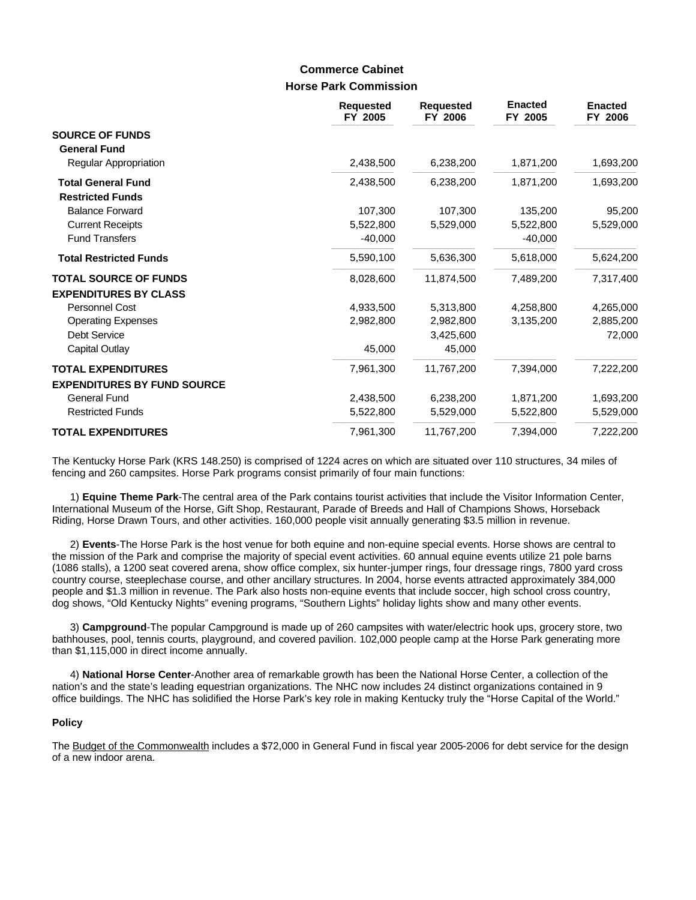### **Horse Park Commission Commerce Cabinet**

|                                    | <b>Requested</b><br>FY 2005 | <b>Requested</b><br>FY 2006 | <b>Enacted</b><br>FY 2005 | <b>Enacted</b><br>FY 2006 |
|------------------------------------|-----------------------------|-----------------------------|---------------------------|---------------------------|
| <b>SOURCE OF FUNDS</b>             |                             |                             |                           |                           |
| <b>General Fund</b>                |                             |                             |                           |                           |
| <b>Regular Appropriation</b>       | 2,438,500                   | 6,238,200                   | 1,871,200                 | 1,693,200                 |
| <b>Total General Fund</b>          | 2,438,500                   | 6,238,200                   | 1,871,200                 | 1,693,200                 |
| <b>Restricted Funds</b>            |                             |                             |                           |                           |
| <b>Balance Forward</b>             | 107,300                     | 107,300                     | 135,200                   | 95,200                    |
| <b>Current Receipts</b>            | 5,522,800                   | 5,529,000                   | 5,522,800                 | 5,529,000                 |
| <b>Fund Transfers</b>              | $-40,000$                   |                             | $-40,000$                 |                           |
| <b>Total Restricted Funds</b>      | 5,590,100                   | 5,636,300                   | 5,618,000                 | 5,624,200                 |
| <b>TOTAL SOURCE OF FUNDS</b>       | 8,028,600                   | 11,874,500                  | 7,489,200                 | 7,317,400                 |
| <b>EXPENDITURES BY CLASS</b>       |                             |                             |                           |                           |
| Personnel Cost                     | 4,933,500                   | 5,313,800                   | 4,258,800                 | 4,265,000                 |
| <b>Operating Expenses</b>          | 2,982,800                   | 2,982,800                   | 3,135,200                 | 2,885,200                 |
| Debt Service                       |                             | 3,425,600                   |                           | 72,000                    |
| Capital Outlay                     | 45,000                      | 45,000                      |                           |                           |
| <b>TOTAL EXPENDITURES</b>          | 7,961,300                   | 11,767,200                  | 7,394,000                 | 7,222,200                 |
| <b>EXPENDITURES BY FUND SOURCE</b> |                             |                             |                           |                           |
| General Fund                       | 2,438,500                   | 6,238,200                   | 1,871,200                 | 1,693,200                 |
| <b>Restricted Funds</b>            | 5,522,800                   | 5,529,000                   | 5,522,800                 | 5,529,000                 |
| <b>TOTAL EXPENDITURES</b>          | 7,961,300                   | 11,767,200                  | 7,394,000                 | 7,222,200                 |

The Kentucky Horse Park (KRS 148.250) is comprised of 1224 acres on which are situated over 110 structures, 34 miles of fencing and 260 campsites. Horse Park programs consist primarily of four main functions:

 1) **Equine Theme Park**-The central area of the Park contains tourist activities that include the Visitor Information Center, International Museum of the Horse, Gift Shop, Restaurant, Parade of Breeds and Hall of Champions Shows, Horseback Riding, Horse Drawn Tours, and other activities. 160,000 people visit annually generating \$3.5 million in revenue.

 2) **Events**-The Horse Park is the host venue for both equine and non-equine special events. Horse shows are central to the mission of the Park and comprise the majority of special event activities. 60 annual equine events utilize 21 pole barns (1086 stalls), a 1200 seat covered arena, show office complex, six hunter-jumper rings, four dressage rings, 7800 yard cross country course, steeplechase course, and other ancillary structures. In 2004, horse events attracted approximately 384,000 people and \$1.3 million in revenue. The Park also hosts non-equine events that include soccer, high school cross country, dog shows, "Old Kentucky Nights" evening programs, "Southern Lights" holiday lights show and many other events.

 3) **Campground**-The popular Campground is made up of 260 campsites with water/electric hook ups, grocery store, two bathhouses, pool, tennis courts, playground, and covered pavilion. 102,000 people camp at the Horse Park generating more than \$1,115,000 in direct income annually.

 4) **National Horse Center**-Another area of remarkable growth has been the National Horse Center, a collection of the nation's and the state's leading equestrian organizations. The NHC now includes 24 distinct organizations contained in 9 office buildings. The NHC has solidified the Horse Park's key role in making Kentucky truly the "Horse Capital of the World."

#### **Policy**

The Budget of the Commonwealth includes a \$72,000 in General Fund in fiscal year 2005-2006 for debt service for the design of a new indoor arena.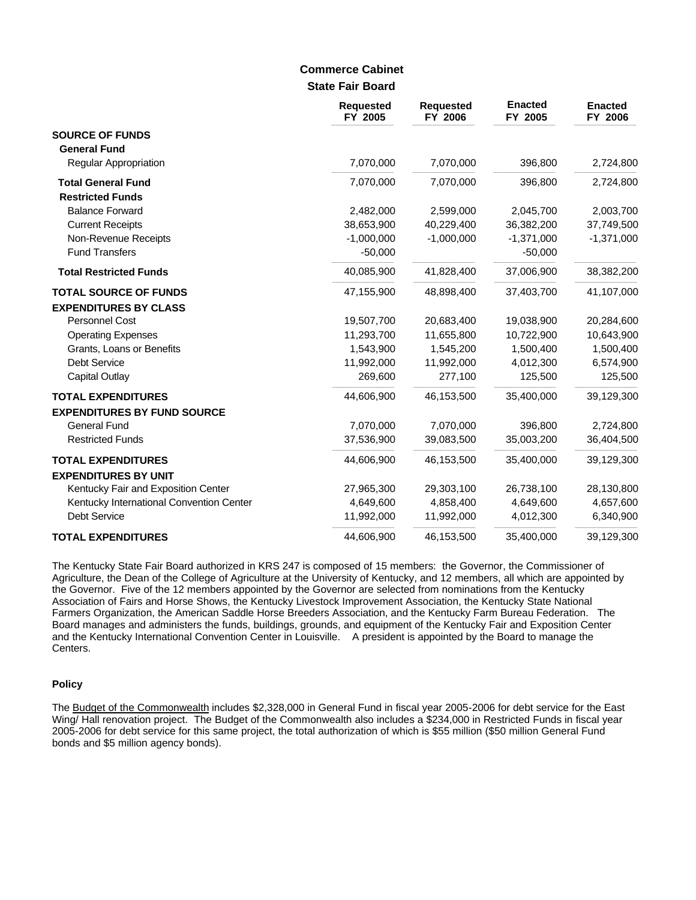### **State Fair Board Commerce Cabinet**

|                                          | <b>Requested</b><br>FY 2005 | <b>Requested</b><br>FY 2006 | <b>Enacted</b><br>FY 2005 | <b>Enacted</b><br>FY 2006 |
|------------------------------------------|-----------------------------|-----------------------------|---------------------------|---------------------------|
| <b>SOURCE OF FUNDS</b>                   |                             |                             |                           |                           |
| <b>General Fund</b>                      |                             |                             |                           |                           |
| <b>Regular Appropriation</b>             | 7,070,000                   | 7,070,000                   | 396,800                   | 2,724,800                 |
| <b>Total General Fund</b>                | 7,070,000                   | 7,070,000                   | 396,800                   | 2,724,800                 |
| <b>Restricted Funds</b>                  |                             |                             |                           |                           |
| <b>Balance Forward</b>                   | 2,482,000                   | 2,599,000                   | 2,045,700                 | 2,003,700                 |
| <b>Current Receipts</b>                  | 38,653,900                  | 40,229,400                  | 36,382,200                | 37,749,500                |
| Non-Revenue Receipts                     | $-1,000,000$                | $-1,000,000$                | $-1,371,000$              | $-1,371,000$              |
| <b>Fund Transfers</b>                    | $-50,000$                   |                             | $-50,000$                 |                           |
| <b>Total Restricted Funds</b>            | 40,085,900                  | 41,828,400                  | 37,006,900                | 38,382,200                |
| <b>TOTAL SOURCE OF FUNDS</b>             | 47,155,900                  | 48,898,400                  | 37,403,700                | 41,107,000                |
| <b>EXPENDITURES BY CLASS</b>             |                             |                             |                           |                           |
| Personnel Cost                           | 19,507,700                  | 20,683,400                  | 19,038,900                | 20,284,600                |
| <b>Operating Expenses</b>                | 11,293,700                  | 11,655,800                  | 10,722,900                | 10,643,900                |
| Grants, Loans or Benefits                | 1,543,900                   | 1,545,200                   | 1,500,400                 | 1,500,400                 |
| <b>Debt Service</b>                      | 11,992,000                  | 11,992,000                  | 4,012,300                 | 6,574,900                 |
| Capital Outlay                           | 269,600                     | 277,100                     | 125,500                   | 125,500                   |
| <b>TOTAL EXPENDITURES</b>                | 44,606,900                  | 46,153,500                  | 35,400,000                | 39,129,300                |
| <b>EXPENDITURES BY FUND SOURCE</b>       |                             |                             |                           |                           |
| <b>General Fund</b>                      | 7,070,000                   | 7,070,000                   | 396,800                   | 2,724,800                 |
| <b>Restricted Funds</b>                  | 37,536,900                  | 39,083,500                  | 35,003,200                | 36,404,500                |
| <b>TOTAL EXPENDITURES</b>                | 44,606,900                  | 46,153,500                  | 35,400,000                | 39,129,300                |
| <b>EXPENDITURES BY UNIT</b>              |                             |                             |                           |                           |
| Kentucky Fair and Exposition Center      | 27,965,300                  | 29,303,100                  | 26,738,100                | 28,130,800                |
| Kentucky International Convention Center | 4,649,600                   | 4,858,400                   | 4,649,600                 | 4,657,600                 |
| Debt Service                             | 11,992,000                  | 11,992,000                  | 4,012,300                 | 6,340,900                 |
| <b>TOTAL EXPENDITURES</b>                | 44,606,900                  | 46,153,500                  | 35,400,000                | 39,129,300                |

The Kentucky State Fair Board authorized in KRS 247 is composed of 15 members: the Governor, the Commissioner of Agriculture, the Dean of the College of Agriculture at the University of Kentucky, and 12 members, all which are appointed by the Governor. Five of the 12 members appointed by the Governor are selected from nominations from the Kentucky Association of Fairs and Horse Shows, the Kentucky Livestock Improvement Association, the Kentucky State National Farmers Organization, the American Saddle Horse Breeders Association, and the Kentucky Farm Bureau Federation. The Board manages and administers the funds, buildings, grounds, and equipment of the Kentucky Fair and Exposition Center and the Kentucky International Convention Center in Louisville. A president is appointed by the Board to manage the Centers.

#### **Policy**

The Budget of the Commonwealth includes \$2,328,000 in General Fund in fiscal year 2005-2006 for debt service for the East Wing/ Hall renovation project. The Budget of the Commonwealth also includes a \$234,000 in Restricted Funds in fiscal year 2005-2006 for debt service for this same project, the total authorization of which is \$55 million (\$50 million General Fund bonds and \$5 million agency bonds).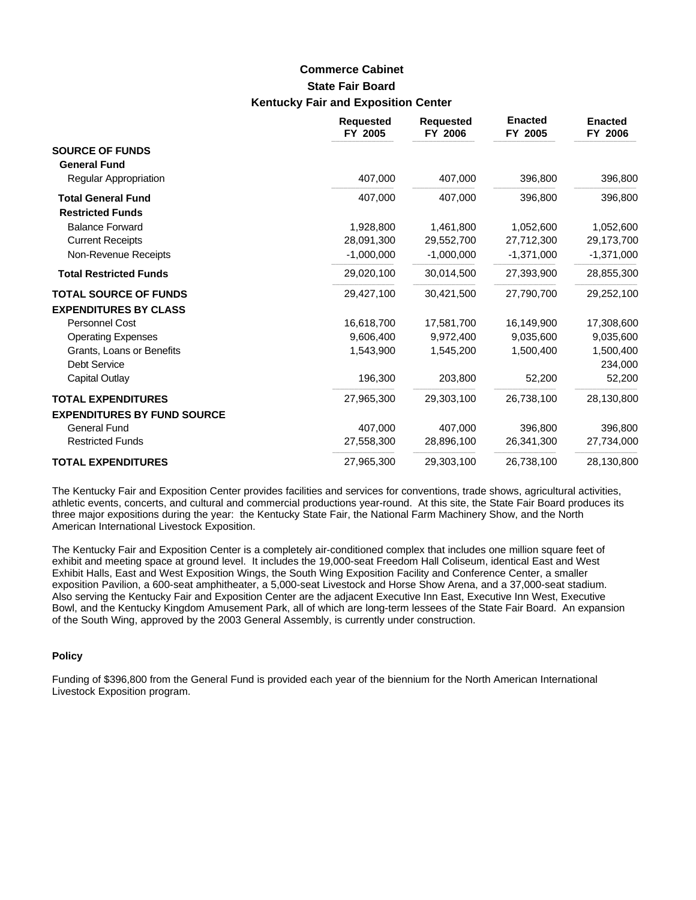# **State Fair Board Kentucky Fair and Exposition Center Commerce Cabinet**

|                                    | <b>Requested</b><br>FY 2005 | <b>Requested</b><br>FY 2006 | <b>Enacted</b><br>FY 2005 | <b>Enacted</b><br>FY 2006 |
|------------------------------------|-----------------------------|-----------------------------|---------------------------|---------------------------|
| <b>SOURCE OF FUNDS</b>             |                             |                             |                           |                           |
| <b>General Fund</b>                |                             |                             |                           |                           |
| Regular Appropriation              | 407,000                     | 407,000                     | 396,800                   | 396,800                   |
| <b>Total General Fund</b>          | 407,000                     | 407,000                     | 396,800                   | 396,800                   |
| <b>Restricted Funds</b>            |                             |                             |                           |                           |
| <b>Balance Forward</b>             | 1,928,800                   | 1,461,800                   | 1,052,600                 | 1,052,600                 |
| <b>Current Receipts</b>            | 28,091,300                  | 29,552,700                  | 27,712,300                | 29,173,700                |
| Non-Revenue Receipts               | $-1,000,000$                | $-1,000,000$                | $-1,371,000$              | $-1,371,000$              |
| <b>Total Restricted Funds</b>      | 29,020,100                  | 30,014,500                  | 27,393,900                | 28,855,300                |
| <b>TOTAL SOURCE OF FUNDS</b>       | 29,427,100                  | 30,421,500                  | 27.790.700                | 29,252,100                |
| <b>EXPENDITURES BY CLASS</b>       |                             |                             |                           |                           |
| Personnel Cost                     | 16,618,700                  | 17,581,700                  | 16,149,900                | 17,308,600                |
| <b>Operating Expenses</b>          | 9,606,400                   | 9,972,400                   | 9,035,600                 | 9,035,600                 |
| Grants, Loans or Benefits          | 1,543,900                   | 1,545,200                   | 1,500,400                 | 1,500,400                 |
| <b>Debt Service</b>                |                             |                             |                           | 234,000                   |
| <b>Capital Outlay</b>              | 196,300                     | 203,800                     | 52,200                    | 52,200                    |
| <b>TOTAL EXPENDITURES</b>          | 27,965,300                  | 29,303,100                  | 26,738,100                | 28,130,800                |
| <b>EXPENDITURES BY FUND SOURCE</b> |                             |                             |                           |                           |
| <b>General Fund</b>                | 407,000                     | 407,000                     | 396,800                   | 396,800                   |
| <b>Restricted Funds</b>            | 27,558,300                  | 28,896,100                  | 26,341,300                | 27,734,000                |
| <b>TOTAL EXPENDITURES</b>          | 27,965,300                  | 29,303,100                  | 26,738,100                | 28,130,800                |

The Kentucky Fair and Exposition Center provides facilities and services for conventions, trade shows, agricultural activities, athletic events, concerts, and cultural and commercial productions year-round. At this site, the State Fair Board produces its three major expositions during the year: the Kentucky State Fair, the National Farm Machinery Show, and the North American International Livestock Exposition.

The Kentucky Fair and Exposition Center is a completely air-conditioned complex that includes one million square feet of exhibit and meeting space at ground level. It includes the 19,000-seat Freedom Hall Coliseum, identical East and West Exhibit Halls, East and West Exposition Wings, the South Wing Exposition Facility and Conference Center, a smaller exposition Pavilion, a 600-seat amphitheater, a 5,000-seat Livestock and Horse Show Arena, and a 37,000-seat stadium. Also serving the Kentucky Fair and Exposition Center are the adjacent Executive Inn East, Executive Inn West, Executive Bowl, and the Kentucky Kingdom Amusement Park, all of which are long-term lessees of the State Fair Board. An expansion of the South Wing, approved by the 2003 General Assembly, is currently under construction.

#### **Policy**

Funding of \$396,800 from the General Fund is provided each year of the biennium for the North American International Livestock Exposition program.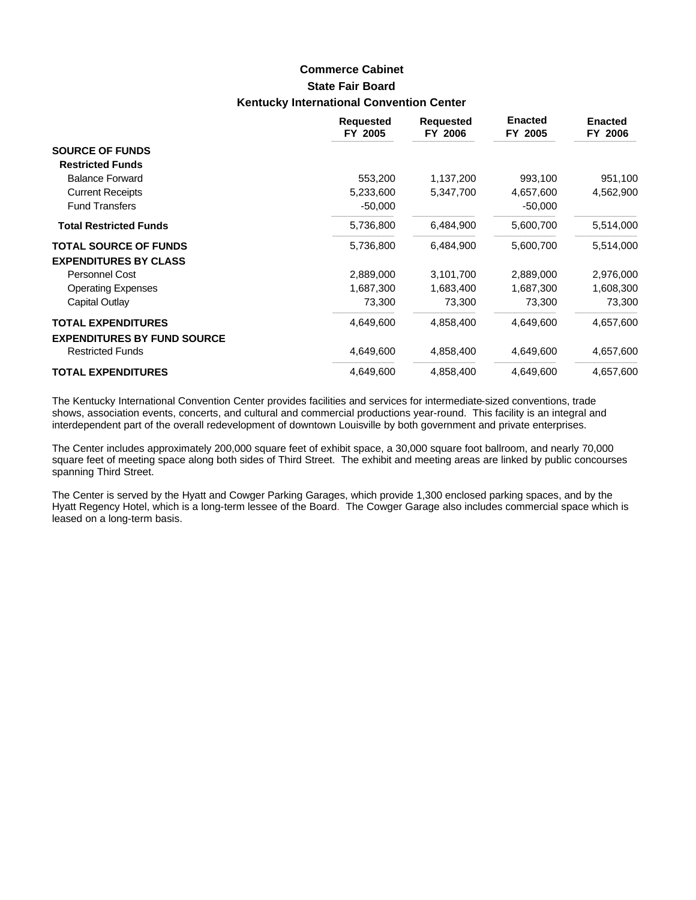## **State Fair Board Kentucky International Convention Center Commerce Cabinet**

|                                    | <b>Requested</b><br>FY 2005 | <b>Requested</b><br>FY 2006 | <b>Enacted</b><br>FY 2005 | <b>Enacted</b><br>FY 2006 |
|------------------------------------|-----------------------------|-----------------------------|---------------------------|---------------------------|
| <b>SOURCE OF FUNDS</b>             |                             |                             |                           |                           |
| <b>Restricted Funds</b>            |                             |                             |                           |                           |
| <b>Balance Forward</b>             | 553,200                     | 1,137,200                   | 993,100                   | 951,100                   |
| <b>Current Receipts</b>            | 5,233,600                   | 5,347,700                   | 4,657,600                 | 4,562,900                 |
| <b>Fund Transfers</b>              | $-50,000$                   |                             | $-50,000$                 |                           |
| <b>Total Restricted Funds</b>      | 5,736,800                   | 6,484,900                   | 5,600,700                 | 5,514,000                 |
| <b>TOTAL SOURCE OF FUNDS</b>       | 5,736,800                   | 6,484,900                   | 5,600,700                 | 5,514,000                 |
| <b>EXPENDITURES BY CLASS</b>       |                             |                             |                           |                           |
| Personnel Cost                     | 2,889,000                   | 3,101,700                   | 2,889,000                 | 2,976,000                 |
| <b>Operating Expenses</b>          | 1,687,300                   | 1,683,400                   | 1,687,300                 | 1,608,300                 |
| Capital Outlay                     | 73,300                      | 73,300                      | 73,300                    | 73,300                    |
| <b>TOTAL EXPENDITURES</b>          | 4,649,600                   | 4,858,400                   | 4,649,600                 | 4,657,600                 |
| <b>EXPENDITURES BY FUND SOURCE</b> |                             |                             |                           |                           |
| <b>Restricted Funds</b>            | 4,649,600                   | 4,858,400                   | 4,649,600                 | 4,657,600                 |
| <b>TOTAL EXPENDITURES</b>          | 4,649,600                   | 4,858,400                   | 4,649,600                 | 4,657,600                 |

The Kentucky International Convention Center provides facilities and services for intermediate-sized conventions, trade shows, association events, concerts, and cultural and commercial productions year-round. This facility is an integral and interdependent part of the overall redevelopment of downtown Louisville by both government and private enterprises.

The Center includes approximately 200,000 square feet of exhibit space, a 30,000 square foot ballroom, and nearly 70,000 square feet of meeting space along both sides of Third Street. The exhibit and meeting areas are linked by public concourses spanning Third Street.

The Center is served by the Hyatt and Cowger Parking Garages, which provide 1,300 enclosed parking spaces, and by the Hyatt Regency Hotel, which is a long-term lessee of the Board. The Cowger Garage also includes commercial space which is leased on a long-term basis.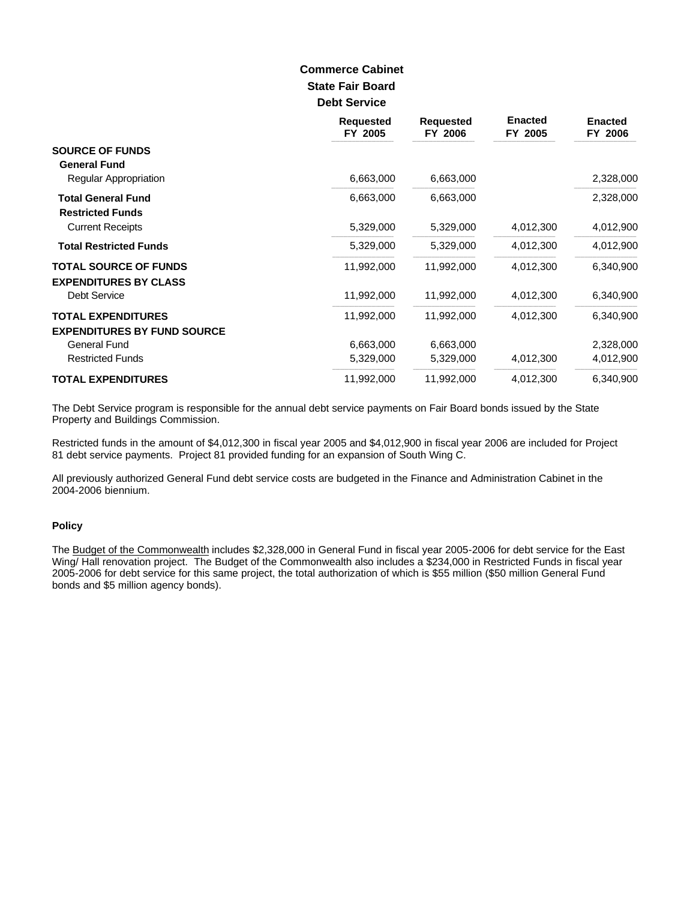### **State Fair Board Debt Service Commerce Cabinet**

|                                                                 | <b>Requested</b><br>FY 2005 | <b>Requested</b><br>FY 2006 | <b>Enacted</b><br>FY 2005 | <b>Enacted</b><br>FY 2006 |
|-----------------------------------------------------------------|-----------------------------|-----------------------------|---------------------------|---------------------------|
| <b>SOURCE OF FUNDS</b><br><b>General Fund</b>                   |                             |                             |                           |                           |
| Regular Appropriation                                           | 6,663,000                   | 6,663,000                   |                           | 2,328,000                 |
| <b>Total General Fund</b><br><b>Restricted Funds</b>            | 6,663,000                   | 6,663,000                   |                           | 2,328,000                 |
| <b>Current Receipts</b>                                         | 5,329,000                   | 5,329,000                   | 4,012,300                 | 4,012,900                 |
| <b>Total Restricted Funds</b>                                   | 5,329,000                   | 5,329,000                   | 4,012,300                 | 4,012,900                 |
| <b>TOTAL SOURCE OF FUNDS</b><br><b>EXPENDITURES BY CLASS</b>    | 11,992,000                  | 11,992,000                  | 4,012,300                 | 6,340,900                 |
| <b>Debt Service</b>                                             | 11,992,000                  | 11,992,000                  | 4,012,300                 | 6,340,900                 |
| <b>TOTAL EXPENDITURES</b><br><b>EXPENDITURES BY FUND SOURCE</b> | 11,992,000                  | 11,992,000                  | 4,012,300                 | 6,340,900                 |
| <b>General Fund</b>                                             | 6,663,000                   | 6,663,000                   |                           | 2,328,000                 |
| <b>Restricted Funds</b>                                         | 5,329,000                   | 5,329,000                   | 4,012,300                 | 4,012,900                 |
| <b>TOTAL EXPENDITURES</b>                                       | 11,992,000                  | 11,992,000                  | 4,012,300                 | 6,340,900                 |

The Debt Service program is responsible for the annual debt service payments on Fair Board bonds issued by the State Property and Buildings Commission.

Restricted funds in the amount of \$4,012,300 in fiscal year 2005 and \$4,012,900 in fiscal year 2006 are included for Project 81 debt service payments. Project 81 provided funding for an expansion of South Wing C.

All previously authorized General Fund debt service costs are budgeted in the Finance and Administration Cabinet in the 2004-2006 biennium.

#### **Policy**

The Budget of the Commonwealth includes \$2,328,000 in General Fund in fiscal year 2005-2006 for debt service for the East Wing/ Hall renovation project. The Budget of the Commonwealth also includes a \$234,000 in Restricted Funds in fiscal year 2005-2006 for debt service for this same project, the total authorization of which is \$55 million (\$50 million General Fund bonds and \$5 million agency bonds).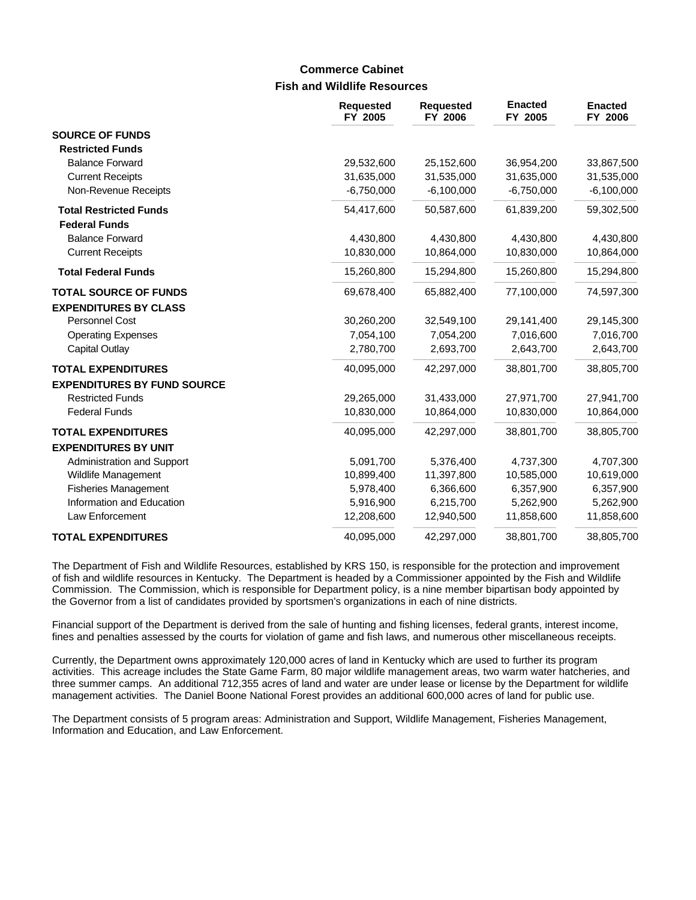## **Fish and Wildlife Resources Commerce Cabinet**

|                                                               | <b>Requested</b><br>FY 2005 | <b>Requested</b><br>FY 2006 | <b>Enacted</b><br>FY 2005 | <b>Enacted</b><br>FY 2006 |
|---------------------------------------------------------------|-----------------------------|-----------------------------|---------------------------|---------------------------|
| <b>SOURCE OF FUNDS</b><br><b>Restricted Funds</b>             |                             |                             |                           |                           |
| <b>Balance Forward</b>                                        | 29,532,600                  | 25,152,600                  | 36,954,200                | 33,867,500                |
| <b>Current Receipts</b>                                       | 31,635,000                  | 31,535,000                  | 31,635,000                | 31,535,000                |
| Non-Revenue Receipts                                          | $-6,750,000$                | $-6,100,000$                | $-6,750,000$              | $-6,100,000$              |
| <b>Total Restricted Funds</b><br><b>Federal Funds</b>         | 54,417,600                  | 50,587,600                  | 61,839,200                | 59,302,500                |
| <b>Balance Forward</b>                                        | 4,430,800                   | 4,430,800                   | 4,430,800                 | 4,430,800                 |
| <b>Current Receipts</b>                                       | 10,830,000                  | 10,864,000                  | 10,830,000                | 10,864,000                |
| <b>Total Federal Funds</b>                                    | 15,260,800                  | 15,294,800                  | 15,260,800                | 15,294,800                |
| <b>TOTAL SOURCE OF FUNDS</b>                                  | 69,678,400                  | 65,882,400                  | 77,100,000                | 74,597,300                |
| <b>EXPENDITURES BY CLASS</b>                                  |                             |                             |                           |                           |
| Personnel Cost<br><b>Operating Expenses</b>                   | 30,260,200<br>7,054,100     | 32,549,100<br>7,054,200     | 29,141,400<br>7,016,600   | 29,145,300<br>7,016,700   |
| Capital Outlay                                                | 2,780,700                   | 2,693,700                   | 2,643,700                 | 2,643,700                 |
| <b>TOTAL EXPENDITURES</b>                                     | 40,095,000                  | 42,297,000                  | 38,801,700                | 38,805,700                |
| <b>EXPENDITURES BY FUND SOURCE</b><br><b>Restricted Funds</b> | 29,265,000                  | 31,433,000                  | 27,971,700                | 27,941,700                |
| <b>Federal Funds</b>                                          | 10,830,000                  | 10,864,000                  | 10,830,000                | 10,864,000                |
| <b>TOTAL EXPENDITURES</b>                                     | 40,095,000                  | 42,297,000                  | 38,801,700                | 38,805,700                |
| <b>EXPENDITURES BY UNIT</b>                                   |                             |                             |                           |                           |
| Administration and Support                                    | 5,091,700                   | 5,376,400                   | 4,737,300                 | 4,707,300                 |
| <b>Wildlife Management</b>                                    | 10,899,400                  | 11,397,800                  | 10,585,000                | 10,619,000                |
| <b>Fisheries Management</b>                                   | 5,978,400                   | 6,366,600                   | 6,357,900                 | 6,357,900                 |
| Information and Education<br>Law Enforcement                  | 5,916,900<br>12,208,600     | 6,215,700<br>12,940,500     | 5,262,900<br>11,858,600   | 5,262,900<br>11,858,600   |
| <b>TOTAL EXPENDITURES</b>                                     | 40,095,000                  | 42,297,000                  | 38,801,700                | 38,805,700                |

The Department of Fish and Wildlife Resources, established by KRS 150, is responsible for the protection and improvement of fish and wildlife resources in Kentucky. The Department is headed by a Commissioner appointed by the Fish and Wildlife Commission. The Commission, which is responsible for Department policy, is a nine member bipartisan body appointed by the Governor from a list of candidates provided by sportsmen's organizations in each of nine districts.

Financial support of the Department is derived from the sale of hunting and fishing licenses, federal grants, interest income, fines and penalties assessed by the courts for violation of game and fish laws, and numerous other miscellaneous receipts.

Currently, the Department owns approximately 120,000 acres of land in Kentucky which are used to further its program activities. This acreage includes the State Game Farm, 80 major wildlife management areas, two warm water hatcheries, and three summer camps. An additional 712,355 acres of land and water are under lease or license by the Department for wildlife management activities. The Daniel Boone National Forest provides an additional 600,000 acres of land for public use.

The Department consists of 5 program areas: Administration and Support, Wildlife Management, Fisheries Management, Information and Education, and Law Enforcement.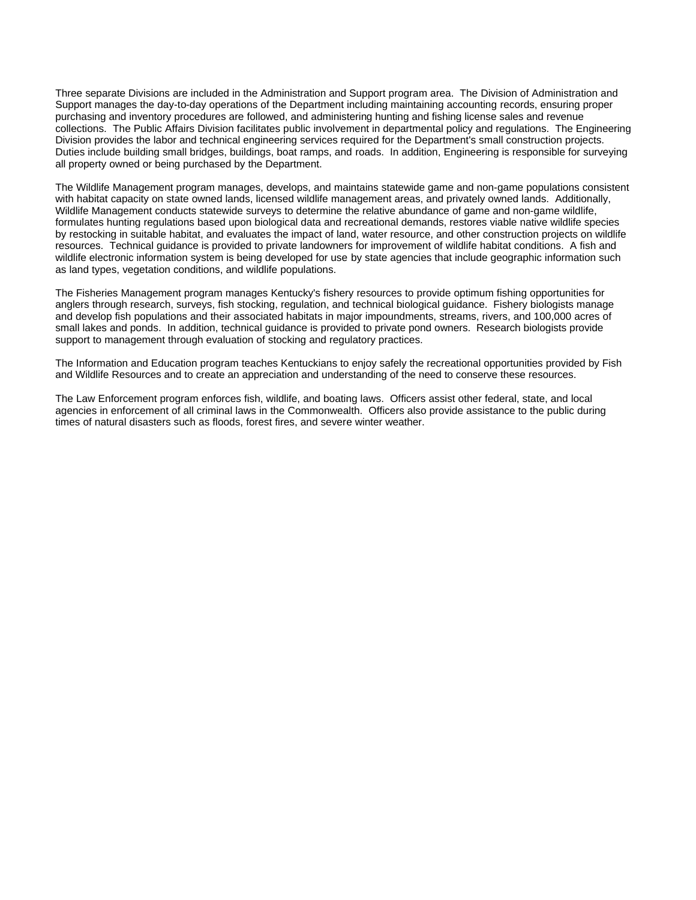Three separate Divisions are included in the Administration and Support program area. The Division of Administration and Support manages the day-to-day operations of the Department including maintaining accounting records, ensuring proper purchasing and inventory procedures are followed, and administering hunting and fishing license sales and revenue collections. The Public Affairs Division facilitates public involvement in departmental policy and regulations. The Engineering Division provides the labor and technical engineering services required for the Department's small construction projects. Duties include building small bridges, buildings, boat ramps, and roads. In addition, Engineering is responsible for surveying all property owned or being purchased by the Department.

The Wildlife Management program manages, develops, and maintains statewide game and non-game populations consistent with habitat capacity on state owned lands, licensed wildlife management areas, and privately owned lands. Additionally, Wildlife Management conducts statewide surveys to determine the relative abundance of game and non-game wildlife, formulates hunting regulations based upon biological data and recreational demands, restores viable native wildlife species by restocking in suitable habitat, and evaluates the impact of land, water resource, and other construction projects on wildlife resources. Technical guidance is provided to private landowners for improvement of wildlife habitat conditions. A fish and wildlife electronic information system is being developed for use by state agencies that include geographic information such as land types, vegetation conditions, and wildlife populations.

The Fisheries Management program manages Kentucky's fishery resources to provide optimum fishing opportunities for anglers through research, surveys, fish stocking, regulation, and technical biological guidance. Fishery biologists manage and develop fish populations and their associated habitats in major impoundments, streams, rivers, and 100,000 acres of small lakes and ponds. In addition, technical guidance is provided to private pond owners. Research biologists provide support to management through evaluation of stocking and regulatory practices.

The Information and Education program teaches Kentuckians to enjoy safely the recreational opportunities provided by Fish and Wildlife Resources and to create an appreciation and understanding of the need to conserve these resources.

The Law Enforcement program enforces fish, wildlife, and boating laws. Officers assist other federal, state, and local agencies in enforcement of all criminal laws in the Commonwealth. Officers also provide assistance to the public during times of natural disasters such as floods, forest fires, and severe winter weather.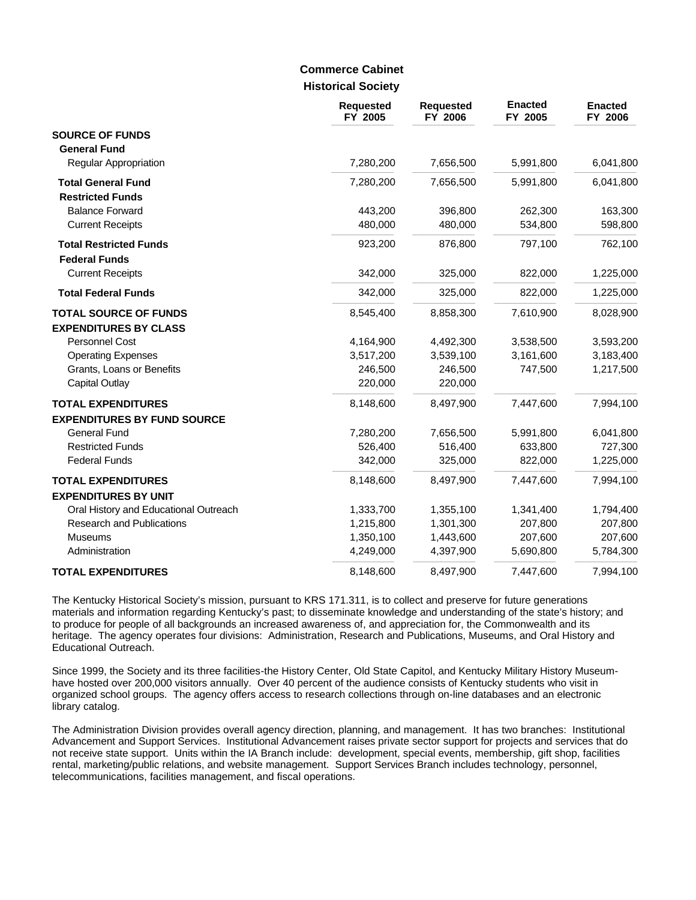### **Historical Society Commerce Cabinet**

|                                       | <b>Requested</b><br>FY 2005 | <b>Requested</b><br>FY 2006 | <b>Enacted</b><br>FY 2005 | <b>Enacted</b><br>FY 2006 |
|---------------------------------------|-----------------------------|-----------------------------|---------------------------|---------------------------|
| <b>SOURCE OF FUNDS</b>                |                             |                             |                           |                           |
| <b>General Fund</b>                   |                             |                             |                           |                           |
| Regular Appropriation                 | 7,280,200                   | 7,656,500                   | 5,991,800                 | 6,041,800                 |
| <b>Total General Fund</b>             | 7,280,200                   | 7,656,500                   | 5,991,800                 | 6,041,800                 |
| <b>Restricted Funds</b>               |                             |                             |                           |                           |
| <b>Balance Forward</b>                | 443,200                     | 396,800                     | 262,300                   | 163,300                   |
| <b>Current Receipts</b>               | 480,000                     | 480,000                     | 534,800                   | 598,800                   |
| <b>Total Restricted Funds</b>         | 923,200                     | 876,800                     | 797,100                   | 762,100                   |
| <b>Federal Funds</b>                  |                             |                             |                           |                           |
| <b>Current Receipts</b>               | 342,000                     | 325,000                     | 822,000                   | 1,225,000                 |
| <b>Total Federal Funds</b>            | 342,000                     | 325,000                     | 822,000                   | 1,225,000                 |
| <b>TOTAL SOURCE OF FUNDS</b>          | 8,545,400                   | 8,858,300                   | 7,610,900                 | 8,028,900                 |
| <b>EXPENDITURES BY CLASS</b>          |                             |                             |                           |                           |
| Personnel Cost                        | 4,164,900                   | 4,492,300                   | 3,538,500                 | 3,593,200                 |
| <b>Operating Expenses</b>             | 3,517,200                   | 3,539,100                   | 3,161,600                 | 3,183,400                 |
| Grants, Loans or Benefits             | 246,500                     | 246,500                     | 747,500                   | 1,217,500                 |
| Capital Outlay                        | 220,000                     | 220,000                     |                           |                           |
| <b>TOTAL EXPENDITURES</b>             | 8,148,600                   | 8,497,900                   | 7,447,600                 | 7,994,100                 |
| <b>EXPENDITURES BY FUND SOURCE</b>    |                             |                             |                           |                           |
| <b>General Fund</b>                   | 7,280,200                   | 7,656,500                   | 5,991,800                 | 6,041,800                 |
| <b>Restricted Funds</b>               | 526,400                     | 516,400                     | 633,800                   | 727,300                   |
| <b>Federal Funds</b>                  | 342,000                     | 325,000                     | 822,000                   | 1,225,000                 |
| <b>TOTAL EXPENDITURES</b>             | 8,148,600                   | 8,497,900                   | 7,447,600                 | 7,994,100                 |
| <b>EXPENDITURES BY UNIT</b>           |                             |                             |                           |                           |
| Oral History and Educational Outreach | 1,333,700                   | 1,355,100                   | 1,341,400                 | 1,794,400                 |
| <b>Research and Publications</b>      | 1,215,800                   | 1,301,300                   | 207,800                   | 207,800                   |
| <b>Museums</b>                        | 1,350,100                   | 1,443,600                   | 207,600                   | 207,600                   |
| Administration                        | 4,249,000                   | 4,397,900                   | 5,690,800                 | 5,784,300                 |
| <b>TOTAL EXPENDITURES</b>             | 8,148,600                   | 8,497,900                   | 7,447,600                 | 7,994,100                 |

The Kentucky Historical Society's mission, pursuant to KRS 171.311, is to collect and preserve for future generations materials and information regarding Kentucky's past; to disseminate knowledge and understanding of the state's history; and to produce for people of all backgrounds an increased awareness of, and appreciation for, the Commonwealth and its heritage. The agency operates four divisions: Administration, Research and Publications, Museums, and Oral History and Educational Outreach.

Since 1999, the Society and its three facilities-the History Center, Old State Capitol, and Kentucky Military History Museumhave hosted over 200,000 visitors annually. Over 40 percent of the audience consists of Kentucky students who visit in organized school groups. The agency offers access to research collections through on-line databases and an electronic library catalog.

The Administration Division provides overall agency direction, planning, and management. It has two branches: Institutional Advancement and Support Services. Institutional Advancement raises private sector support for projects and services that do not receive state support. Units within the IA Branch include: development, special events, membership, gift shop, facilities rental, marketing/public relations, and website management. Support Services Branch includes technology, personnel, telecommunications, facilities management, and fiscal operations.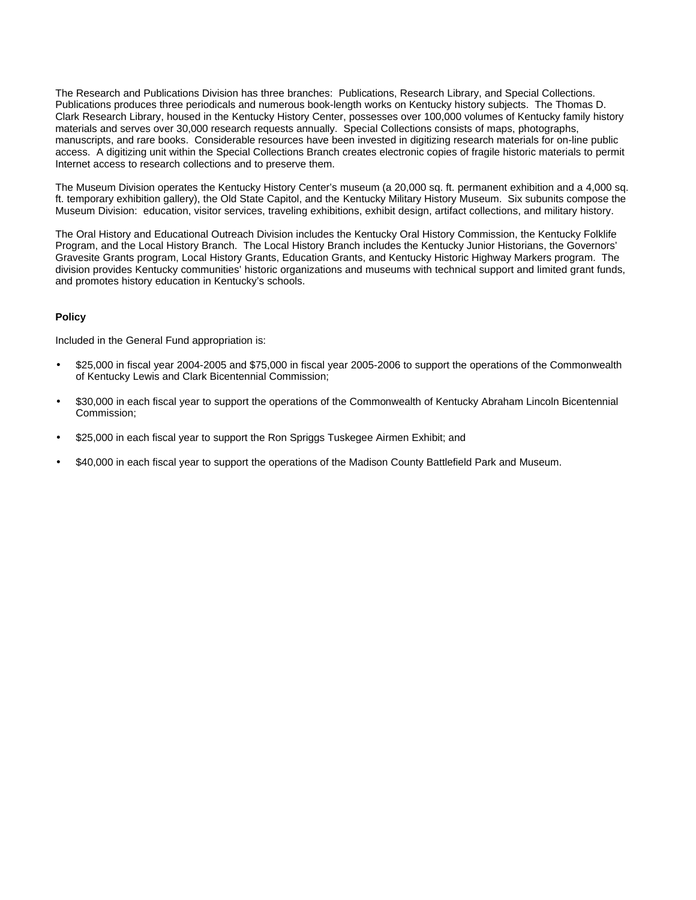The Research and Publications Division has three branches: Publications, Research Library, and Special Collections. Publications produces three periodicals and numerous book-length works on Kentucky history subjects. The Thomas D. Clark Research Library, housed in the Kentucky History Center, possesses over 100,000 volumes of Kentucky family history materials and serves over 30,000 research requests annually. Special Collections consists of maps, photographs, manuscripts, and rare books. Considerable resources have been invested in digitizing research materials for on-line public access. A digitizing unit within the Special Collections Branch creates electronic copies of fragile historic materials to permit Internet access to research collections and to preserve them.

The Museum Division operates the Kentucky History Center's museum (a 20,000 sq. ft. permanent exhibition and a 4,000 sq. ft. temporary exhibition gallery), the Old State Capitol, and the Kentucky Military History Museum. Six subunits compose the Museum Division: education, visitor services, traveling exhibitions, exhibit design, artifact collections, and military history.

The Oral History and Educational Outreach Division includes the Kentucky Oral History Commission, the Kentucky Folklife Program, and the Local History Branch. The Local History Branch includes the Kentucky Junior Historians, the Governors' Gravesite Grants program, Local History Grants, Education Grants, and Kentucky Historic Highway Markers program. The division provides Kentucky communities' historic organizations and museums with technical support and limited grant funds, and promotes history education in Kentucky's schools.

### **Policy**

Included in the General Fund appropriation is:

- \$25,000 in fiscal year 2004-2005 and \$75,000 in fiscal year 2005-2006 to support the operations of the Commonwealth of Kentucky Lewis and Clark Bicentennial Commission;
- \$30,000 in each fiscal year to support the operations of the Commonwealth of Kentucky Abraham Lincoln Bicentennial Commission;
- \$25,000 in each fiscal year to support the Ron Spriggs Tuskegee Airmen Exhibit; and
- \$40,000 in each fiscal year to support the operations of the Madison County Battlefield Park and Museum.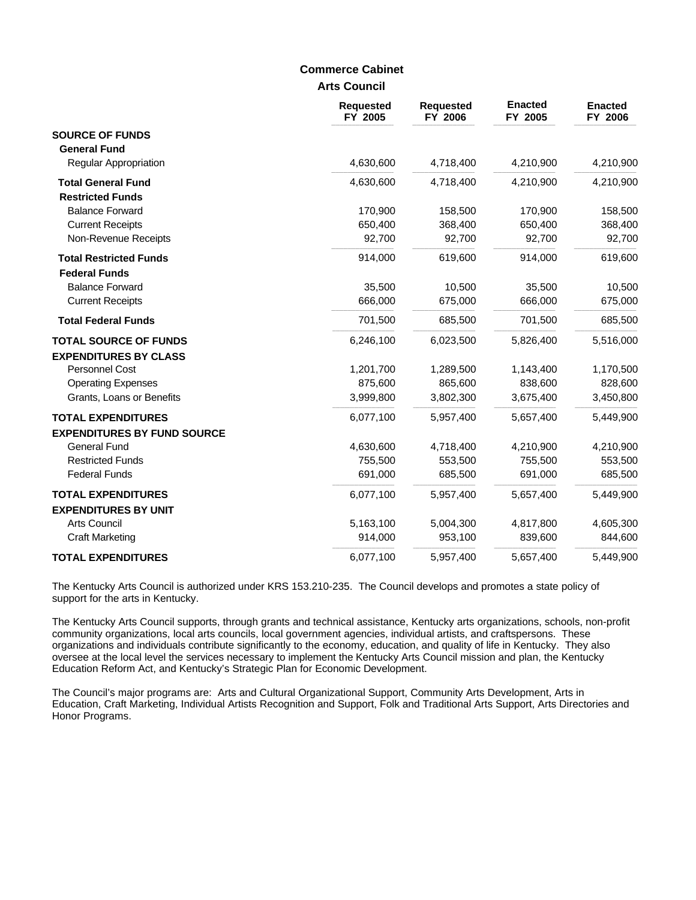### **Arts Council Commerce Cabinet**

|                                                                              | <b>Requested</b><br>FY 2005       | <b>Requested</b><br>FY 2006       | <b>Enacted</b><br>FY 2005         | <b>Enacted</b><br>FY 2006         |
|------------------------------------------------------------------------------|-----------------------------------|-----------------------------------|-----------------------------------|-----------------------------------|
| <b>SOURCE OF FUNDS</b><br><b>General Fund</b>                                |                                   |                                   |                                   |                                   |
| <b>Regular Appropriation</b>                                                 | 4,630,600                         | 4,718,400                         | 4,210,900                         | 4,210,900                         |
| <b>Total General Fund</b>                                                    | 4,630,600                         | 4,718,400                         | 4,210,900                         | 4,210,900                         |
| <b>Restricted Funds</b><br><b>Balance Forward</b><br><b>Current Receipts</b> | 170,900<br>650,400                | 158,500<br>368,400                | 170,900<br>650,400                | 158,500<br>368,400                |
| Non-Revenue Receipts                                                         | 92,700                            | 92,700                            | 92,700                            | 92,700                            |
| <b>Total Restricted Funds</b><br><b>Federal Funds</b>                        | 914,000                           | 619,600                           | 914,000                           | 619,600                           |
| <b>Balance Forward</b><br><b>Current Receipts</b>                            | 35,500<br>666,000                 | 10,500<br>675,000                 | 35,500<br>666,000                 | 10,500<br>675,000                 |
| <b>Total Federal Funds</b>                                                   | 701,500                           | 685,500                           | 701,500                           | 685,500                           |
| <b>TOTAL SOURCE OF FUNDS</b><br><b>EXPENDITURES BY CLASS</b>                 | 6,246,100                         | 6,023,500                         | 5,826,400                         | 5,516,000                         |
| Personnel Cost<br><b>Operating Expenses</b><br>Grants, Loans or Benefits     | 1,201,700<br>875,600<br>3,999,800 | 1,289,500<br>865,600<br>3,802,300 | 1,143,400<br>838,600<br>3,675,400 | 1,170,500<br>828,600<br>3,450,800 |
| <b>TOTAL EXPENDITURES</b><br><b>EXPENDITURES BY FUND SOURCE</b>              | 6,077,100                         | 5,957,400                         | 5,657,400                         | 5,449,900                         |
| <b>General Fund</b>                                                          | 4,630,600                         | 4,718,400                         | 4,210,900                         | 4,210,900                         |
| <b>Restricted Funds</b><br><b>Federal Funds</b>                              | 755,500<br>691,000                | 553,500<br>685,500                | 755,500<br>691,000                | 553,500<br>685,500                |
| <b>TOTAL EXPENDITURES</b><br><b>EXPENDITURES BY UNIT</b>                     | 6,077,100                         | 5,957,400                         | 5,657,400                         | 5,449,900                         |
| Arts Council<br><b>Craft Marketing</b>                                       | 5,163,100<br>914,000              | 5,004,300<br>953,100              | 4,817,800<br>839,600              | 4,605,300<br>844,600              |
| <b>TOTAL EXPENDITURES</b>                                                    | 6,077,100                         | 5,957,400                         | 5,657,400                         | 5,449,900                         |

The Kentucky Arts Council is authorized under KRS 153.210-235. The Council develops and promotes a state policy of support for the arts in Kentucky.

The Kentucky Arts Council supports, through grants and technical assistance, Kentucky arts organizations, schools, non-profit community organizations, local arts councils, local government agencies, individual artists, and craftspersons. These organizations and individuals contribute significantly to the economy, education, and quality of life in Kentucky. They also oversee at the local level the services necessary to implement the Kentucky Arts Council mission and plan, the Kentucky Education Reform Act, and Kentucky's Strategic Plan for Economic Development.

The Council's major programs are: Arts and Cultural Organizational Support, Community Arts Development, Arts in Education, Craft Marketing, Individual Artists Recognition and Support, Folk and Traditional Arts Support, Arts Directories and Honor Programs.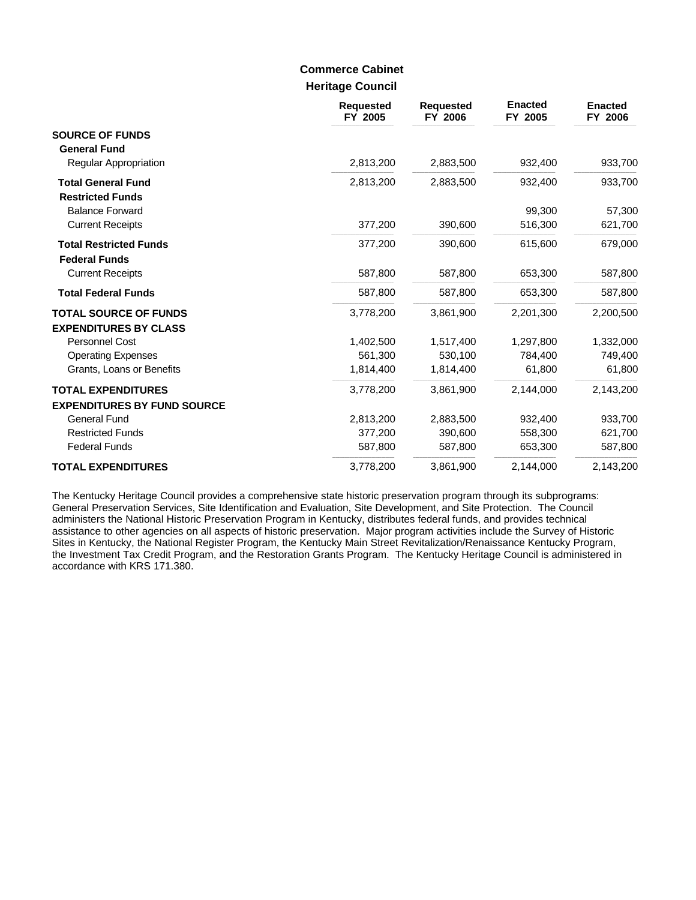### **Heritage Council Commerce Cabinet**

|                                                              | <b>Requested</b><br>FY 2005 | <b>Requested</b><br>FY 2006 | <b>Enacted</b><br>FY 2005 | <b>Enacted</b><br>FY 2006 |
|--------------------------------------------------------------|-----------------------------|-----------------------------|---------------------------|---------------------------|
| <b>SOURCE OF FUNDS</b><br><b>General Fund</b>                |                             |                             |                           |                           |
| <b>Regular Appropriation</b>                                 | 2,813,200                   | 2,883,500                   | 932,400                   | 933,700                   |
| <b>Total General Fund</b><br><b>Restricted Funds</b>         | 2,813,200                   | 2,883,500                   | 932,400                   | 933,700                   |
| <b>Balance Forward</b>                                       |                             |                             | 99,300                    | 57,300                    |
| <b>Current Receipts</b>                                      | 377,200                     | 390,600                     | 516,300                   | 621,700                   |
| <b>Total Restricted Funds</b><br><b>Federal Funds</b>        | 377,200                     | 390,600                     | 615,600                   | 679,000                   |
| <b>Current Receipts</b>                                      | 587,800                     | 587,800                     | 653,300                   | 587,800                   |
| <b>Total Federal Funds</b>                                   | 587,800                     | 587,800                     | 653,300                   | 587,800                   |
| <b>TOTAL SOURCE OF FUNDS</b><br><b>EXPENDITURES BY CLASS</b> | 3,778,200                   | 3,861,900                   | 2,201,300                 | 2,200,500                 |
| Personnel Cost                                               | 1,402,500                   | 1,517,400                   | 1,297,800                 | 1,332,000                 |
| <b>Operating Expenses</b>                                    | 561,300                     | 530,100                     | 784,400                   | 749,400                   |
| Grants, Loans or Benefits                                    | 1,814,400                   | 1,814,400                   | 61,800                    | 61,800                    |
| <b>TOTAL EXPENDITURES</b>                                    | 3,778,200                   | 3,861,900                   | 2,144,000                 | 2,143,200                 |
| <b>EXPENDITURES BY FUND SOURCE</b><br><b>General Fund</b>    | 2,813,200                   | 2,883,500                   | 932,400                   | 933,700                   |
| <b>Restricted Funds</b>                                      | 377,200                     | 390,600                     | 558,300                   | 621,700                   |
| <b>Federal Funds</b>                                         | 587,800                     | 587,800                     | 653,300                   | 587,800                   |
| <b>TOTAL EXPENDITURES</b>                                    | 3,778,200                   | 3,861,900                   | 2,144,000                 | 2,143,200                 |

The Kentucky Heritage Council provides a comprehensive state historic preservation program through its subprograms: General Preservation Services, Site Identification and Evaluation, Site Development, and Site Protection. The Council administers the National Historic Preservation Program in Kentucky, distributes federal funds, and provides technical assistance to other agencies on all aspects of historic preservation. Major program activities include the Survey of Historic Sites in Kentucky, the National Register Program, the Kentucky Main Street Revitalization/Renaissance Kentucky Program, the Investment Tax Credit Program, and the Restoration Grants Program. The Kentucky Heritage Council is administered in accordance with KRS 171.380.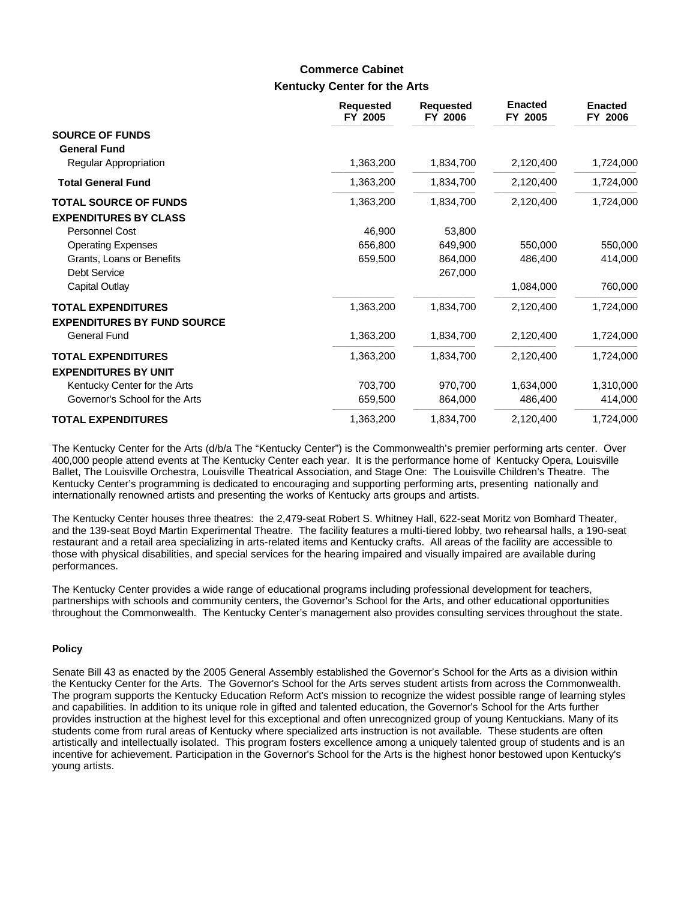## **Kentucky Center for the Arts Commerce Cabinet**

|                                                                 | <b>Requested</b><br>FY 2005 | <b>Requested</b><br>FY 2006 | <b>Enacted</b><br>FY 2005 | <b>Enacted</b><br>FY 2006 |
|-----------------------------------------------------------------|-----------------------------|-----------------------------|---------------------------|---------------------------|
| <b>SOURCE OF FUNDS</b><br><b>General Fund</b>                   |                             |                             |                           |                           |
| Regular Appropriation                                           | 1,363,200                   | 1,834,700                   | 2,120,400                 | 1,724,000                 |
| <b>Total General Fund</b>                                       | 1,363,200                   | 1,834,700                   | 2,120,400                 | 1,724,000                 |
| <b>TOTAL SOURCE OF FUNDS</b>                                    | 1,363,200                   | 1,834,700                   | 2,120,400                 | 1,724,000                 |
| <b>EXPENDITURES BY CLASS</b>                                    |                             |                             |                           |                           |
| Personnel Cost                                                  | 46,900                      | 53,800                      |                           |                           |
| <b>Operating Expenses</b>                                       | 656,800                     | 649,900                     | 550,000                   | 550,000                   |
| Grants, Loans or Benefits                                       | 659,500                     | 864,000                     | 486,400                   | 414,000                   |
| Debt Service                                                    |                             | 267,000                     |                           |                           |
| <b>Capital Outlay</b>                                           |                             |                             | 1,084,000                 | 760,000                   |
| <b>TOTAL EXPENDITURES</b><br><b>EXPENDITURES BY FUND SOURCE</b> | 1,363,200                   | 1,834,700                   | 2,120,400                 | 1,724,000                 |
| General Fund                                                    | 1,363,200                   | 1,834,700                   | 2,120,400                 | 1,724,000                 |
| <b>TOTAL EXPENDITURES</b><br><b>EXPENDITURES BY UNIT</b>        | 1,363,200                   | 1,834,700                   | 2,120,400                 | 1,724,000                 |
| Kentucky Center for the Arts                                    | 703,700                     | 970,700                     | 1,634,000                 | 1,310,000                 |
| Governor's School for the Arts                                  | 659,500                     | 864,000                     | 486,400                   | 414,000                   |
| <b>TOTAL EXPENDITURES</b>                                       | 1,363,200                   | 1,834,700                   | 2,120,400                 | 1,724,000                 |

The Kentucky Center for the Arts (d/b/a The "Kentucky Center") is the Commonwealth's premier performing arts center. Over 400,000 people attend events at The Kentucky Center each year. It is the performance home of Kentucky Opera, Louisville Ballet, The Louisville Orchestra, Louisville Theatrical Association, and Stage One: The Louisville Children's Theatre. The Kentucky Center's programming is dedicated to encouraging and supporting performing arts, presenting nationally and internationally renowned artists and presenting the works of Kentucky arts groups and artists.

The Kentucky Center houses three theatres: the 2,479-seat Robert S. Whitney Hall, 622-seat Moritz von Bomhard Theater, and the 139-seat Boyd Martin Experimental Theatre. The facility features a multi-tiered lobby, two rehearsal halls, a 190-seat restaurant and a retail area specializing in arts-related items and Kentucky crafts. All areas of the facility are accessible to those with physical disabilities, and special services for the hearing impaired and visually impaired are available during performances.

The Kentucky Center provides a wide range of educational programs including professional development for teachers, partnerships with schools and community centers, the Governor's School for the Arts, and other educational opportunities throughout the Commonwealth. The Kentucky Center's management also provides consulting services throughout the state.

#### **Policy**

Senate Bill 43 as enacted by the 2005 General Assembly established the Governor's School for the Arts as a division within the Kentucky Center for the Arts. The Governor's School for the Arts serves student artists from across the Commonwealth. The program supports the Kentucky Education Reform Act's mission to recognize the widest possible range of learning styles and capabilities. In addition to its unique role in gifted and talented education, the Governor's School for the Arts further provides instruction at the highest level for this exceptional and often unrecognized group of young Kentuckians. Many of its students come from rural areas of Kentucky where specialized arts instruction is not available. These students are often artistically and intellectually isolated. This program fosters excellence among a uniquely talented group of students and is an incentive for achievement. Participation in the Governor's School for the Arts is the highest honor bestowed upon Kentucky's young artists.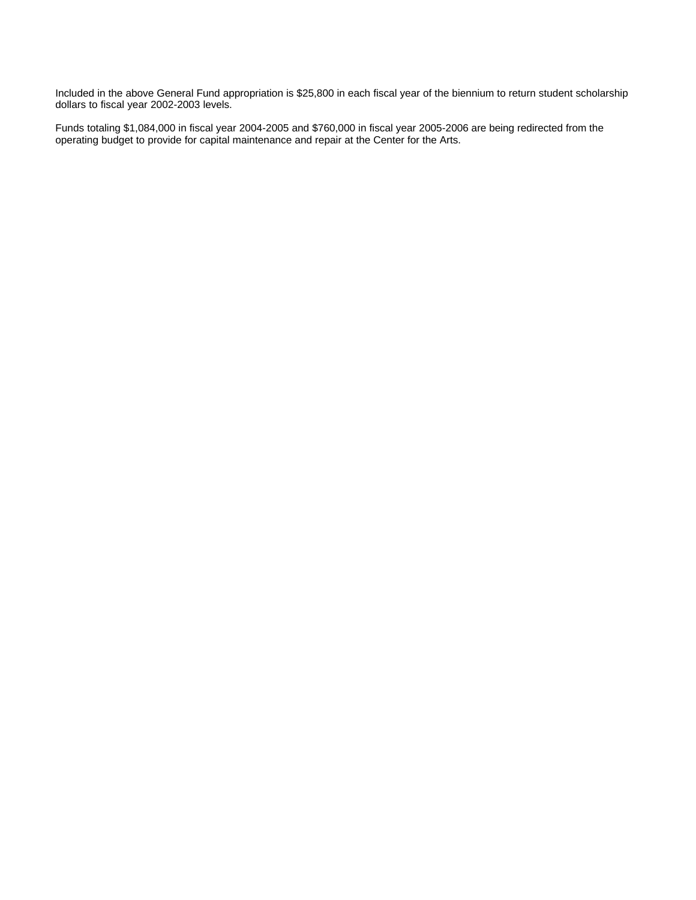Included in the above General Fund appropriation is \$25,800 in each fiscal year of the biennium to return student scholarship dollars to fiscal year 2002-2003 levels.

Funds totaling \$1,084,000 in fiscal year 2004-2005 and \$760,000 in fiscal year 2005-2006 are being redirected from the operating budget to provide for capital maintenance and repair at the Center for the Arts.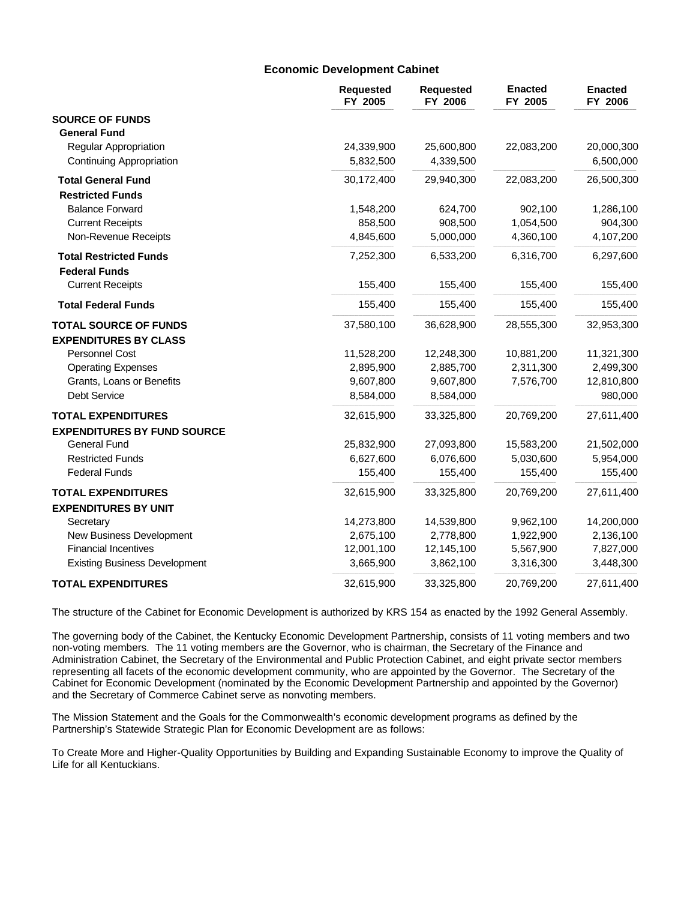### **Economic Development Cabinet**

|                                                          | <b>Requested</b><br>FY 2005 | <b>Requested</b><br>FY 2006 | <b>Enacted</b><br>FY 2005 | <b>Enacted</b><br>FY 2006 |
|----------------------------------------------------------|-----------------------------|-----------------------------|---------------------------|---------------------------|
| <b>SOURCE OF FUNDS</b>                                   |                             |                             |                           |                           |
| <b>General Fund</b>                                      |                             |                             |                           |                           |
| Regular Appropriation                                    | 24,339,900                  | 25,600,800                  | 22,083,200                | 20,000,300                |
| <b>Continuing Appropriation</b>                          | 5,832,500                   | 4,339,500                   |                           | 6,500,000                 |
| <b>Total General Fund</b>                                | 30,172,400                  | 29,940,300                  | 22,083,200                | 26,500,300                |
| <b>Restricted Funds</b>                                  |                             |                             |                           |                           |
| <b>Balance Forward</b>                                   | 1,548,200                   | 624,700                     | 902,100                   | 1,286,100                 |
| <b>Current Receipts</b>                                  | 858,500                     | 908,500                     | 1,054,500                 | 904,300                   |
| Non-Revenue Receipts                                     | 4,845,600                   | 5,000,000                   | 4,360,100                 | 4,107,200                 |
| <b>Total Restricted Funds</b><br><b>Federal Funds</b>    | 7,252,300                   | 6,533,200                   | 6,316,700                 | 6,297,600                 |
| <b>Current Receipts</b>                                  | 155,400                     | 155,400                     | 155,400                   | 155,400                   |
| <b>Total Federal Funds</b>                               | 155,400                     | 155,400                     | 155,400                   | 155,400                   |
| <b>TOTAL SOURCE OF FUNDS</b>                             | 37,580,100                  | 36,628,900                  | 28,555,300                | 32,953,300                |
| <b>EXPENDITURES BY CLASS</b>                             |                             |                             |                           |                           |
| Personnel Cost                                           | 11,528,200                  | 12,248,300                  | 10,881,200                | 11,321,300                |
| <b>Operating Expenses</b>                                | 2,895,900                   | 2,885,700                   | 2,311,300                 | 2,499,300                 |
| Grants, Loans or Benefits                                | 9,607,800                   | 9,607,800                   | 7,576,700                 | 12,810,800                |
| Debt Service                                             | 8,584,000                   | 8,584,000                   |                           | 980,000                   |
| <b>TOTAL EXPENDITURES</b>                                | 32,615,900                  | 33,325,800                  | 20,769,200                | 27,611,400                |
| <b>EXPENDITURES BY FUND SOURCE</b>                       |                             |                             |                           |                           |
| <b>General Fund</b>                                      | 25,832,900                  | 27,093,800                  | 15,583,200                | 21,502,000                |
| <b>Restricted Funds</b>                                  | 6,627,600                   | 6,076,600                   | 5,030,600                 | 5,954,000                 |
| <b>Federal Funds</b>                                     | 155,400                     | 155,400                     | 155,400                   | 155,400                   |
| <b>TOTAL EXPENDITURES</b><br><b>EXPENDITURES BY UNIT</b> | 32,615,900                  | 33,325,800                  | 20,769,200                | 27,611,400                |
| Secretary                                                | 14,273,800                  | 14,539,800                  | 9,962,100                 | 14,200,000                |
| New Business Development                                 | 2,675,100                   | 2,778,800                   | 1,922,900                 | 2,136,100                 |
| <b>Financial Incentives</b>                              | 12,001,100                  | 12,145,100                  | 5,567,900                 | 7,827,000                 |
| <b>Existing Business Development</b>                     | 3,665,900                   | 3,862,100                   | 3,316,300                 | 3,448,300                 |
| <b>TOTAL EXPENDITURES</b>                                | 32,615,900                  | 33,325,800                  | 20,769,200                | 27,611,400                |

The structure of the Cabinet for Economic Development is authorized by KRS 154 as enacted by the 1992 General Assembly.

The governing body of the Cabinet, the Kentucky Economic Development Partnership, consists of 11 voting members and two non-voting members. The 11 voting members are the Governor, who is chairman, the Secretary of the Finance and Administration Cabinet, the Secretary of the Environmental and Public Protection Cabinet, and eight private sector members representing all facets of the economic development community, who are appointed by the Governor. The Secretary of the Cabinet for Economic Development (nominated by the Economic Development Partnership and appointed by the Governor) and the Secretary of Commerce Cabinet serve as nonvoting members.

The Mission Statement and the Goals for the Commonwealth's economic development programs as defined by the Partnership's Statewide Strategic Plan for Economic Development are as follows:

To Create More and Higher-Quality Opportunities by Building and Expanding Sustainable Economy to improve the Quality of Life for all Kentuckians.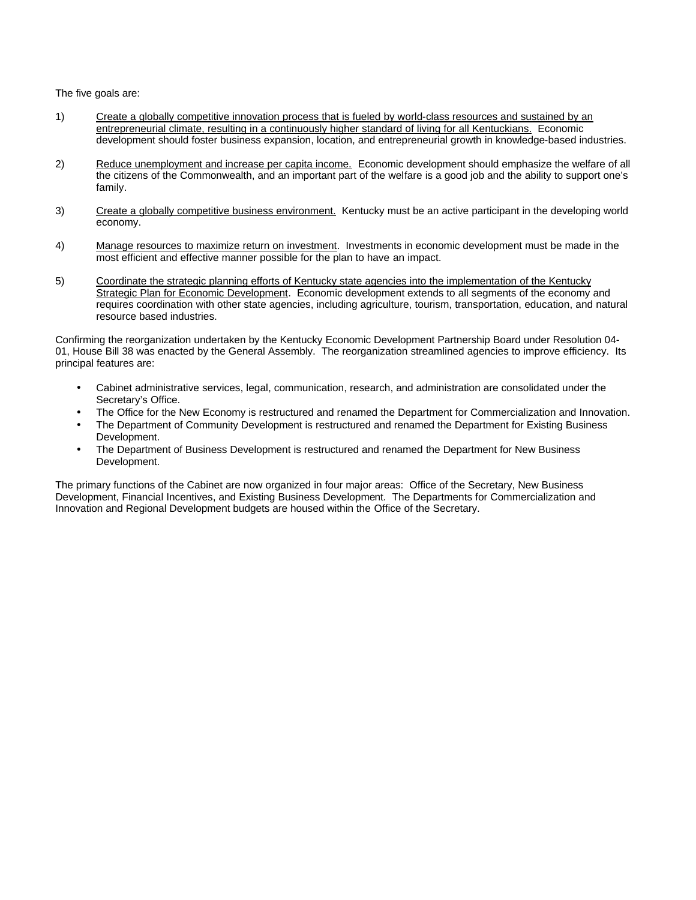The five goals are:

- 1) Create a globally competitive innovation process that is fueled by world-class resources and sustained by an entrepreneurial climate, resulting in a continuously higher standard of living for all Kentuckians. Economic development should foster business expansion, location, and entrepreneurial growth in knowledge-based industries.
- 2) Reduce unemployment and increase per capita income. Economic development should emphasize the welfare of all the citizens of the Commonwealth, and an important part of the welfare is a good job and the ability to support one's family.
- 3) Create a globally competitive business environment. Kentucky must be an active participant in the developing world economy.
- 4) Manage resources to maximize return on investment. Investments in economic development must be made in the most efficient and effective manner possible for the plan to have an impact.
- 5) Coordinate the strategic planning efforts of Kentucky state agencies into the implementation of the Kentucky Strategic Plan for Economic Development. Economic development extends to all segments of the economy and requires coordination with other state agencies, including agriculture, tourism, transportation, education, and natural resource based industries.

Confirming the reorganization undertaken by the Kentucky Economic Development Partnership Board under Resolution 04- 01, House Bill 38 was enacted by the General Assembly. The reorganization streamlined agencies to improve efficiency. Its principal features are:

- Cabinet administrative services, legal, communication, research, and administration are consolidated under the Secretary's Office.
- The Office for the New Economy is restructured and renamed the Department for Commercialization and Innovation.
- The Department of Community Development is restructured and renamed the Department for Existing Business Development.
- The Department of Business Development is restructured and renamed the Department for New Business Development.

The primary functions of the Cabinet are now organized in four major areas: Office of the Secretary, New Business Development, Financial Incentives, and Existing Business Development. The Departments for Commercialization and Innovation and Regional Development budgets are housed within the Office of the Secretary.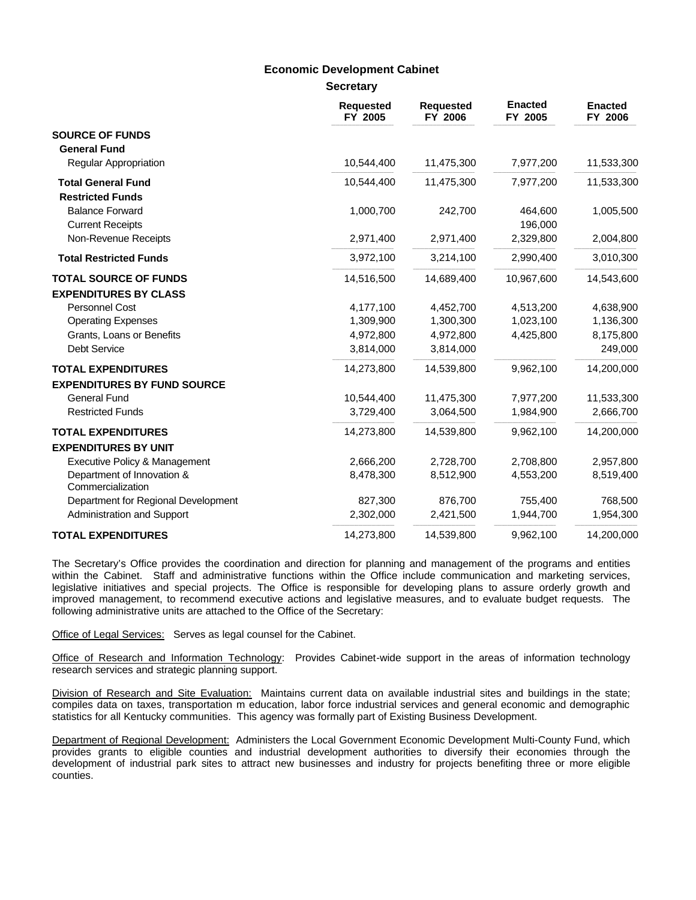### **Economic Development Cabinet**

**Requested FY 2005 Requested FY 2006 FY 2005 Enacted Enacted FY 2006 Secretary SOURCE OF FUNDS General Fund** Regular Appropriation 10,544,400 11,475,300 7,977,200 11,533,300 **Total General Fund** ,我们也不能会在这里,我们也不能会在这里,我们也不能会在这里,我们也不能会不能会不能会不能会。""我们的人,我们也不能会不能会不能会不能会不能会不能会不能会不能 10,544,400 11,475,300 7,977,200 11,533,300 **Restricted Funds** Balance Forward 1,000,700 242,700 464,600 1,005,500 Current Receipts 196,000 Non-Revenue Receipts 2,971,400 2,971,400 2,329,800 2,004,800 **Total Restricted Funds** 3,972,100 3,214,100 2,990,400 3,010,300 14,516,500 14,689,400 10,967,600 14,543,600 **TOTAL SOURCE OF FUNDS EXPENDITURES BY CLASS** Personnel Cost 2,177,100 4,452,700 4,513,200 4,638,900 Operating Expenses 1,309,900 1,300,300 1,023,100 1,136,300 Grants, Loans or Benefits 4,972,800 4,972,800 4,425,800 8,175,800 Debt Service 3,814,000 3,814,000 249,000 14,273,800 14,539,800 9,962,100 14,200,000 **TOTAL EXPENDITURES EXPENDITURES BY FUND SOURCE** General Fund 10,544,400 10,544,400 11,475,300 7,977,200 11,533,300 Restricted Funds 3,729,400 3,064,500 1,984,900 2,666,700 14,273,800 14,539,800 9,962,100 14,200,000 **TOTAL EXPENDITURES EXPENDITURES BY UNIT** Executive Policy & Management 2,666,200 2,728,700 2,708,800 2,957,800 Department of Innovation & 8,478,300 8,512,900 4,553,200 8,519,400 **Commercialization** Department for Regional Development 827,300 876,700 755,400 768,500 Administration and Support 2,302,000 2,421,500 1,944,700 1,954,300 14,273,800 14,539,800 9,962,100 14,200,000 **\_\_\_\_\_\_\_\_\_\_\_\_\_\_\_\_\_\_\_\_\_\_\_\_\_\_\_\_\_\_\_\_\_\_\_\_\_\_\_\_\_\_\_\_\_\_\_\_\_\_\_\_\_\_\_\_\_ \_\_\_\_\_\_\_\_\_\_\_\_\_\_\_\_\_\_\_\_\_\_\_\_\_\_\_\_\_\_\_\_\_\_\_\_\_\_\_\_\_\_\_\_\_\_\_\_\_\_\_\_\_\_\_\_\_ \_\_\_\_\_\_\_\_\_\_\_\_\_\_\_\_\_\_\_\_\_\_\_\_\_\_\_\_\_\_\_\_\_\_\_\_\_\_\_\_\_\_\_\_\_\_\_\_\_\_\_\_\_\_\_\_\_ \_\_\_\_\_\_\_\_\_\_\_\_\_\_\_\_\_\_\_\_\_\_\_\_\_\_\_\_\_\_\_\_\_\_\_\_\_\_\_\_\_\_\_\_\_\_\_\_\_\_\_\_\_\_\_\_\_ TOTAL EXPENDITURES**

The Secretary's Office provides the coordination and direction for planning and management of the programs and entities within the Cabinet. Staff and administrative functions within the Office include communication and marketing services, legislative initiatives and special projects. The Office is responsible for developing plans to assure orderly growth and improved management, to recommend executive actions and legislative measures, and to evaluate budget requests. The following administrative units are attached to the Office of the Secretary:

Office of Legal Services: Serves as legal counsel for the Cabinet.

Office of Research and Information Technology: Provides Cabinet-wide support in the areas of information technology research services and strategic planning support.

Division of Research and Site Evaluation: Maintains current data on available industrial sites and buildings in the state; compiles data on taxes, transportation m education, labor force industrial services and general economic and demographic statistics for all Kentucky communities. This agency was formally part of Existing Business Development.

Department of Regional Development: Administers the Local Government Economic Development Multi-County Fund, which provides grants to eligible counties and industrial development authorities to diversify their economies through the development of industrial park sites to attract new businesses and industry for projects benefiting three or more eligible counties.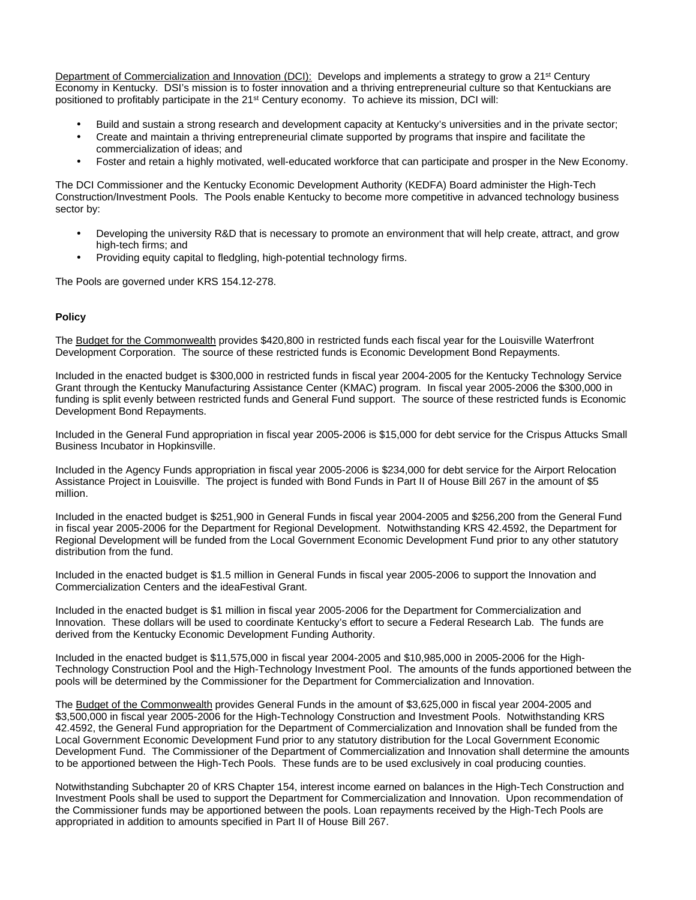Department of Commercialization and Innovation (DCI): Develops and implements a strategy to grow a 21<sup>st</sup> Century Economy in Kentucky. DSI's mission is to foster innovation and a thriving entrepreneurial culture so that Kentuckians are positioned to profitably participate in the 21<sup>st</sup> Century economy. To achieve its mission, DCI will:

- Build and sustain a strong research and development capacity at Kentucky's universities and in the private sector;
- Create and maintain a thriving entrepreneurial climate supported by programs that inspire and facilitate the commercialization of ideas; and
- Foster and retain a highly motivated, well-educated workforce that can participate and prosper in the New Economy.

The DCI Commissioner and the Kentucky Economic Development Authority (KEDFA) Board administer the High-Tech Construction/Investment Pools. The Pools enable Kentucky to become more competitive in advanced technology business sector by:

- Developing the university R&D that is necessary to promote an environment that will help create, attract, and grow high-tech firms; and
- Providing equity capital to fledgling, high-potential technology firms.

The Pools are governed under KRS 154.12-278.

#### **Policy**

The Budget for the Commonwealth provides \$420,800 in restricted funds each fiscal year for the Louisville Waterfront Development Corporation. The source of these restricted funds is Economic Development Bond Repayments.

Included in the enacted budget is \$300,000 in restricted funds in fiscal year 2004-2005 for the Kentucky Technology Service Grant through the Kentucky Manufacturing Assistance Center (KMAC) program. In fiscal year 2005-2006 the \$300,000 in funding is split evenly between restricted funds and General Fund support. The source of these restricted funds is Economic Development Bond Repayments.

Included in the General Fund appropriation in fiscal year 2005-2006 is \$15,000 for debt service for the Crispus Attucks Small Business Incubator in Hopkinsville.

Included in the Agency Funds appropriation in fiscal year 2005-2006 is \$234,000 for debt service for the Airport Relocation Assistance Project in Louisville. The project is funded with Bond Funds in Part II of House Bill 267 in the amount of \$5 million.

Included in the enacted budget is \$251,900 in General Funds in fiscal year 2004-2005 and \$256,200 from the General Fund in fiscal year 2005-2006 for the Department for Regional Development. Notwithstanding KRS 42.4592, the Department for Regional Development will be funded from the Local Government Economic Development Fund prior to any other statutory distribution from the fund.

Included in the enacted budget is \$1.5 million in General Funds in fiscal year 2005-2006 to support the Innovation and Commercialization Centers and the ideaFestival Grant.

Included in the enacted budget is \$1 million in fiscal year 2005-2006 for the Department for Commercialization and Innovation. These dollars will be used to coordinate Kentucky's effort to secure a Federal Research Lab. The funds are derived from the Kentucky Economic Development Funding Authority.

Included in the enacted budget is \$11,575,000 in fiscal year 2004-2005 and \$10,985,000 in 2005-2006 for the High-Technology Construction Pool and the High-Technology Investment Pool. The amounts of the funds apportioned between the pools will be determined by the Commissioner for the Department for Commercialization and Innovation.

The Budget of the Commonwealth provides General Funds in the amount of \$3,625,000 in fiscal year 2004-2005 and \$3,500,000 in fiscal year 2005-2006 for the High-Technology Construction and Investment Pools. Notwithstanding KRS 42.4592, the General Fund appropriation for the Department of Commercialization and Innovation shall be funded from the Local Government Economic Development Fund prior to any statutory distribution for the Local Government Economic Development Fund. The Commissioner of the Department of Commercialization and Innovation shall determine the amounts to be apportioned between the High-Tech Pools. These funds are to be used exclusively in coal producing counties.

Notwithstanding Subchapter 20 of KRS Chapter 154, interest income earned on balances in the High-Tech Construction and Investment Pools shall be used to support the Department for Commercialization and Innovation. Upon recommendation of the Commissioner funds may be apportioned between the pools. Loan repayments received by the High-Tech Pools are appropriated in addition to amounts specified in Part II of House Bill 267.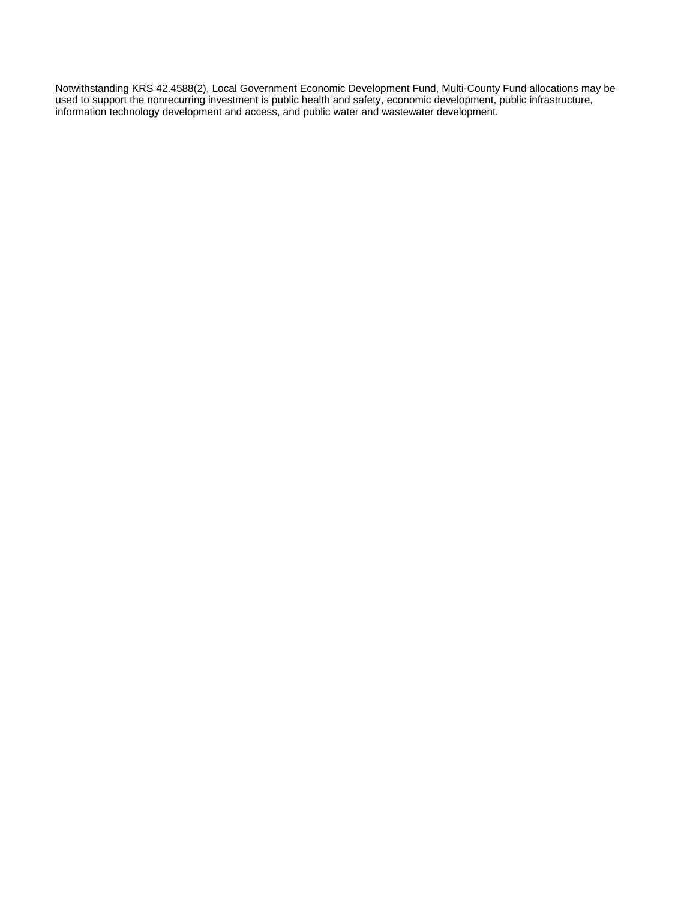Notwithstanding KRS 42.4588(2), Local Government Economic Development Fund, Multi-County Fund allocations may be used to support the nonrecurring investment is public health and safety, economic development, public infrastructure, information technology development and access, and public water and wastewater development.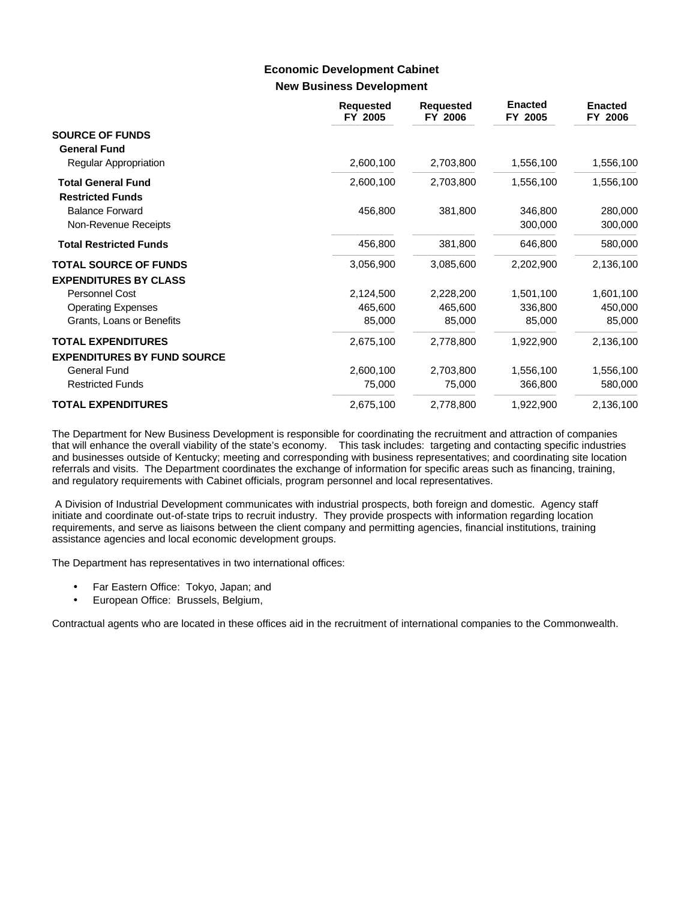### **New Business Development Economic Development Cabinet**

|                                                                 | <b>Requested</b><br>FY 2005 | <b>Requested</b><br>FY 2006 | <b>Enacted</b><br>FY 2005 | <b>Enacted</b><br>FY 2006 |
|-----------------------------------------------------------------|-----------------------------|-----------------------------|---------------------------|---------------------------|
| <b>SOURCE OF FUNDS</b><br><b>General Fund</b>                   |                             |                             |                           |                           |
| Regular Appropriation                                           | 2,600,100                   | 2,703,800                   | 1,556,100                 | 1,556,100                 |
| <b>Total General Fund</b><br><b>Restricted Funds</b>            | 2,600,100                   | 2,703,800                   | 1,556,100                 | 1,556,100                 |
| <b>Balance Forward</b><br>Non-Revenue Receipts                  | 456,800                     | 381,800                     | 346,800<br>300,000        | 280,000<br>300,000        |
| <b>Total Restricted Funds</b>                                   | 456,800                     | 381,800                     | 646,800                   | 580,000                   |
| <b>TOTAL SOURCE OF FUNDS</b><br><b>EXPENDITURES BY CLASS</b>    | 3,056,900                   | 3,085,600                   | 2,202,900                 | 2,136,100                 |
| Personnel Cost                                                  | 2,124,500                   | 2,228,200                   | 1,501,100                 | 1,601,100                 |
| <b>Operating Expenses</b>                                       | 465,600                     | 465,600                     | 336,800                   | 450,000                   |
| Grants, Loans or Benefits                                       | 85,000                      | 85,000                      | 85,000                    | 85,000                    |
| <b>TOTAL EXPENDITURES</b><br><b>EXPENDITURES BY FUND SOURCE</b> | 2,675,100                   | 2,778,800                   | 1,922,900                 | 2,136,100                 |
| General Fund                                                    | 2,600,100                   | 2,703,800                   | 1,556,100                 | 1,556,100                 |
| <b>Restricted Funds</b>                                         | 75,000                      | 75,000                      | 366,800                   | 580,000                   |
| <b>TOTAL EXPENDITURES</b>                                       | 2,675,100                   | 2,778,800                   | 1,922,900                 | 2,136,100                 |

The Department for New Business Development is responsible for coordinating the recruitment and attraction of companies that will enhance the overall viability of the state's economy. This task includes: targeting and contacting specific industries and businesses outside of Kentucky; meeting and corresponding with business representatives; and coordinating site location referrals and visits. The Department coordinates the exchange of information for specific areas such as financing, training, and regulatory requirements with Cabinet officials, program personnel and local representatives.

 A Division of Industrial Development communicates with industrial prospects, both foreign and domestic. Agency staff initiate and coordinate out-of-state trips to recruit industry. They provide prospects with information regarding location requirements, and serve as liaisons between the client company and permitting agencies, financial institutions, training assistance agencies and local economic development groups.

The Department has representatives in two international offices:

- Far Eastern Office: Tokyo, Japan; and
- European Office: Brussels, Belgium,

Contractual agents who are located in these offices aid in the recruitment of international companies to the Commonwealth.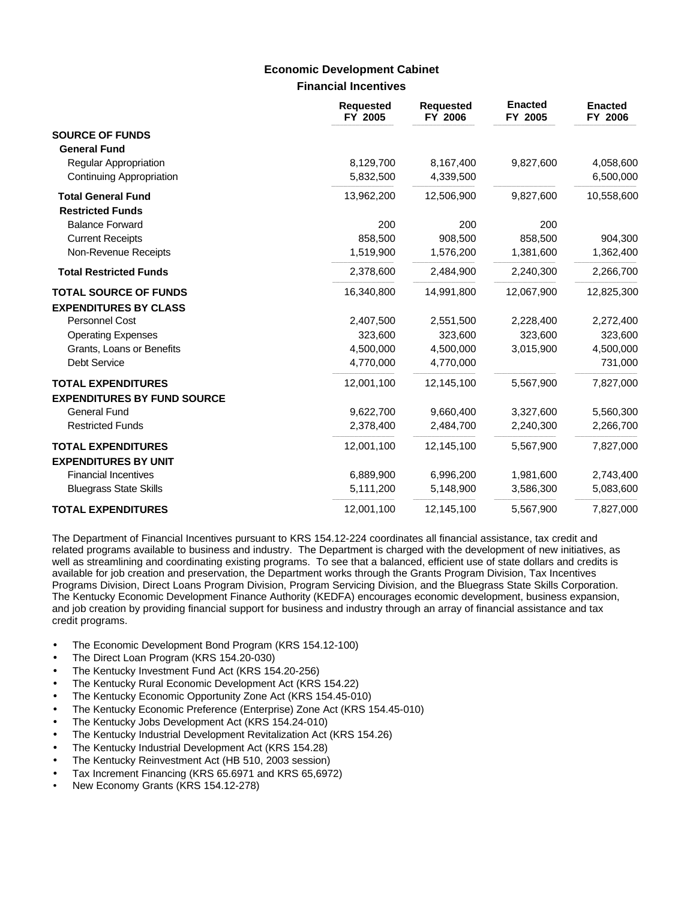### **Financial Incentives Economic Development Cabinet**

|                                                                 | <b>Requested</b><br>FY 2005 | <b>Requested</b><br>FY 2006 | <b>Enacted</b><br>FY 2005 | <b>Enacted</b><br>FY 2006 |
|-----------------------------------------------------------------|-----------------------------|-----------------------------|---------------------------|---------------------------|
| <b>SOURCE OF FUNDS</b><br><b>General Fund</b>                   |                             |                             |                           |                           |
| Regular Appropriation                                           | 8,129,700                   | 8,167,400                   | 9,827,600                 | 4,058,600                 |
| Continuing Appropriation                                        | 5,832,500                   | 4,339,500                   |                           | 6,500,000                 |
| <b>Total General Fund</b><br><b>Restricted Funds</b>            | 13,962,200                  | 12,506,900                  | 9,827,600                 | 10,558,600                |
| <b>Balance Forward</b>                                          | 200                         | 200                         | 200                       |                           |
| <b>Current Receipts</b>                                         | 858,500                     | 908,500                     | 858,500                   | 904,300                   |
| Non-Revenue Receipts                                            | 1,519,900                   | 1,576,200                   | 1,381,600                 | 1,362,400                 |
| <b>Total Restricted Funds</b>                                   | 2,378,600                   | 2,484,900                   | 2,240,300                 | 2,266,700                 |
| <b>TOTAL SOURCE OF FUNDS</b><br><b>EXPENDITURES BY CLASS</b>    | 16,340,800                  | 14,991,800                  | 12,067,900                | 12,825,300                |
| Personnel Cost                                                  | 2,407,500                   | 2,551,500                   | 2,228,400                 | 2,272,400                 |
| <b>Operating Expenses</b>                                       | 323,600                     | 323,600                     | 323,600                   | 323,600                   |
| Grants, Loans or Benefits                                       | 4,500,000                   | 4,500,000                   | 3,015,900                 | 4,500,000                 |
| <b>Debt Service</b>                                             | 4,770,000                   | 4,770,000                   |                           | 731,000                   |
| <b>TOTAL EXPENDITURES</b><br><b>EXPENDITURES BY FUND SOURCE</b> | 12,001,100                  | 12,145,100                  | 5,567,900                 | 7,827,000                 |
| <b>General Fund</b>                                             | 9,622,700                   | 9,660,400                   | 3,327,600                 | 5,560,300                 |
| <b>Restricted Funds</b>                                         | 2,378,400                   | 2,484,700                   | 2,240,300                 | 2,266,700                 |
| <b>TOTAL EXPENDITURES</b><br><b>EXPENDITURES BY UNIT</b>        | 12,001,100                  | 12,145,100                  | 5,567,900                 | 7,827,000                 |
| <b>Financial Incentives</b>                                     | 6,889,900                   | 6,996,200                   | 1,981,600                 | 2,743,400                 |
| <b>Bluegrass State Skills</b>                                   | 5,111,200                   | 5,148,900                   | 3,586,300                 | 5,083,600                 |
| <b>TOTAL EXPENDITURES</b>                                       | 12,001,100                  | 12,145,100                  | 5,567,900                 | 7,827,000                 |

The Department of Financial Incentives pursuant to KRS 154.12-224 coordinates all financial assistance, tax credit and related programs available to business and industry. The Department is charged with the development of new initiatives, as well as streamlining and coordinating existing programs. To see that a balanced, efficient use of state dollars and credits is available for job creation and preservation, the Department works through the Grants Program Division, Tax Incentives Programs Division, Direct Loans Program Division, Program Servicing Division, and the Bluegrass State Skills Corporation. The Kentucky Economic Development Finance Authority (KEDFA) encourages economic development, business expansion, and job creation by providing financial support for business and industry through an array of financial assistance and tax credit programs.

- The Economic Development Bond Program (KRS 154.12-100)
- The Direct Loan Program (KRS 154.20-030)
- The Kentucky Investment Fund Act (KRS 154.20-256)
- The Kentucky Rural Economic Development Act (KRS 154.22)
- The Kentucky Economic Opportunity Zone Act (KRS 154.45-010)
- The Kentucky Economic Preference (Enterprise) Zone Act (KRS 154.45-010)
- The Kentucky Jobs Development Act (KRS 154.24-010)
- The Kentucky Industrial Development Revitalization Act (KRS 154.26)
- The Kentucky Industrial Development Act (KRS 154.28)
- The Kentucky Reinvestment Act (HB 510, 2003 session)
- Tax Increment Financing (KRS 65.6971 and KRS 65,6972)
- New Economy Grants (KRS 154.12-278)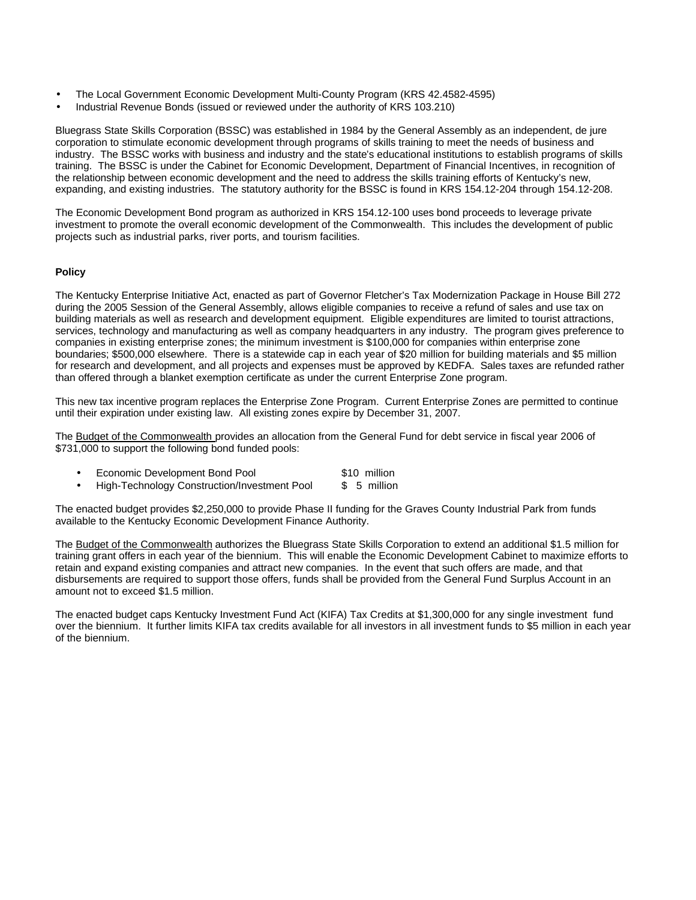- The Local Government Economic Development Multi-County Program (KRS 42.4582-4595)
- Industrial Revenue Bonds (issued or reviewed under the authority of KRS 103.210)

Bluegrass State Skills Corporation (BSSC) was established in 1984 by the General Assembly as an independent, de jure corporation to stimulate economic development through programs of skills training to meet the needs of business and industry. The BSSC works with business and industry and the state's educational institutions to establish programs of skills training. The BSSC is under the Cabinet for Economic Development, Department of Financial Incentives, in recognition of the relationship between economic development and the need to address the skills training efforts of Kentucky's new, expanding, and existing industries. The statutory authority for the BSSC is found in KRS 154.12-204 through 154.12-208.

The Economic Development Bond program as authorized in KRS 154.12-100 uses bond proceeds to leverage private investment to promote the overall economic development of the Commonwealth. This includes the development of public projects such as industrial parks, river ports, and tourism facilities.

### **Policy**

The Kentucky Enterprise Initiative Act, enacted as part of Governor Fletcher's Tax Modernization Package in House Bill 272 during the 2005 Session of the General Assembly, allows eligible companies to receive a refund of sales and use tax on building materials as well as research and development equipment. Eligible expenditures are limited to tourist attractions, services, technology and manufacturing as well as company headquarters in any industry. The program gives preference to companies in existing enterprise zones; the minimum investment is \$100,000 for companies within enterprise zone boundaries; \$500,000 elsewhere. There is a statewide cap in each year of \$20 million for building materials and \$5 million for research and development, and all projects and expenses must be approved by KEDFA. Sales taxes are refunded rather than offered through a blanket exemption certificate as under the current Enterprise Zone program.

This new tax incentive program replaces the Enterprise Zone Program. Current Enterprise Zones are permitted to continue until their expiration under existing law. All existing zones expire by December 31, 2007.

The Budget of the Commonwealth provides an allocation from the General Fund for debt service in fiscal year 2006 of \$731,000 to support the following bond funded pools:

- Economic Development Bond Pool \$10 million
- High-Technology Construction/Investment Pool \$ 5 million

The enacted budget provides \$2,250,000 to provide Phase II funding for the Graves County Industrial Park from funds available to the Kentucky Economic Development Finance Authority.

The Budget of the Commonwealth authorizes the Bluegrass State Skills Corporation to extend an additional \$1.5 million for training grant offers in each year of the biennium. This will enable the Economic Development Cabinet to maximize efforts to retain and expand existing companies and attract new companies. In the event that such offers are made, and that disbursements are required to support those offers, funds shall be provided from the General Fund Surplus Account in an amount not to exceed \$1.5 million.

The enacted budget caps Kentucky Investment Fund Act (KIFA) Tax Credits at \$1,300,000 for any single investment fund over the biennium. It further limits KIFA tax credits available for all investors in all investment funds to \$5 million in each year of the biennium.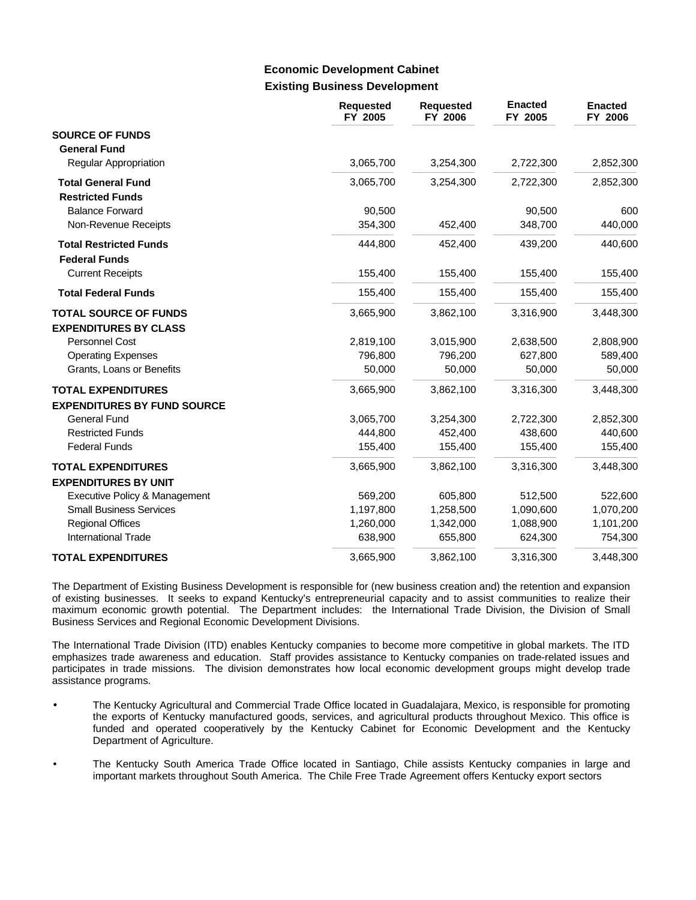## **Existing Business Development Economic Development Cabinet**

|                                                                 | <b>Requested</b><br>FY 2005 | <b>Requested</b><br>FY 2006 | <b>Enacted</b><br>FY 2005 | <b>Enacted</b><br>FY 2006 |
|-----------------------------------------------------------------|-----------------------------|-----------------------------|---------------------------|---------------------------|
| <b>SOURCE OF FUNDS</b><br><b>General Fund</b>                   |                             |                             |                           |                           |
| Regular Appropriation                                           | 3,065,700                   | 3,254,300                   | 2,722,300                 | 2,852,300                 |
| <b>Total General Fund</b>                                       | 3,065,700                   | 3,254,300                   | 2,722,300                 | 2,852,300                 |
| <b>Restricted Funds</b>                                         |                             |                             |                           |                           |
| <b>Balance Forward</b>                                          | 90,500                      |                             | 90,500                    | 600                       |
| Non-Revenue Receipts                                            | 354,300                     | 452,400                     | 348,700                   | 440,000                   |
| <b>Total Restricted Funds</b>                                   | 444,800                     | 452,400                     | 439,200                   | 440,600                   |
| <b>Federal Funds</b>                                            |                             |                             |                           |                           |
| <b>Current Receipts</b>                                         | 155,400                     | 155,400                     | 155,400                   | 155,400                   |
| <b>Total Federal Funds</b>                                      | 155,400                     | 155,400                     | 155,400                   | 155,400                   |
| <b>TOTAL SOURCE OF FUNDS</b><br><b>EXPENDITURES BY CLASS</b>    | 3,665,900                   | 3,862,100                   | 3,316,900                 | 3,448,300                 |
| Personnel Cost                                                  | 2,819,100                   | 3,015,900                   | 2,638,500                 | 2,808,900                 |
| <b>Operating Expenses</b>                                       | 796,800                     | 796,200                     | 627,800                   | 589,400                   |
| Grants, Loans or Benefits                                       | 50,000                      | 50,000                      | 50,000                    | 50,000                    |
| <b>TOTAL EXPENDITURES</b>                                       | 3,665,900                   | 3,862,100                   | 3,316,300                 | 3,448,300                 |
| <b>EXPENDITURES BY FUND SOURCE</b><br><b>General Fund</b>       | 3,065,700                   | 3,254,300                   | 2,722,300                 | 2,852,300                 |
| <b>Restricted Funds</b>                                         | 444,800                     | 452,400                     | 438,600                   | 440,600                   |
| <b>Federal Funds</b>                                            | 155,400                     | 155,400                     | 155,400                   | 155,400                   |
| <b>TOTAL EXPENDITURES</b>                                       | 3,665,900                   | 3,862,100                   | 3,316,300                 | 3,448,300                 |
| <b>EXPENDITURES BY UNIT</b>                                     |                             |                             |                           |                           |
| Executive Policy & Management<br><b>Small Business Services</b> | 569,200                     | 605,800                     | 512,500                   | 522,600                   |
| <b>Regional Offices</b>                                         | 1,197,800<br>1,260,000      | 1,258,500<br>1,342,000      | 1,090,600<br>1,088,900    | 1,070,200<br>1,101,200    |
| <b>International Trade</b>                                      | 638,900                     | 655,800                     | 624,300                   | 754,300                   |
| <b>TOTAL EXPENDITURES</b>                                       | 3,665,900                   | 3,862,100                   | 3,316,300                 | 3,448,300                 |

The Department of Existing Business Development is responsible for (new business creation and) the retention and expansion of existing businesses. It seeks to expand Kentucky's entrepreneurial capacity and to assist communities to realize their maximum economic growth potential. The Department includes: the International Trade Division, the Division of Small Business Services and Regional Economic Development Divisions.

The International Trade Division (ITD) enables Kentucky companies to become more competitive in global markets. The ITD emphasizes trade awareness and education. Staff provides assistance to Kentucky companies on trade-related issues and participates in trade missions. The division demonstrates how local economic development groups might develop trade assistance programs.

- The Kentucky Agricultural and Commercial Trade Office located in Guadalajara, Mexico, is responsible for promoting the exports of Kentucky manufactured goods, services, and agricultural products throughout Mexico. This office is funded and operated cooperatively by the Kentucky Cabinet for Economic Development and the Kentucky Department of Agriculture.
- The Kentucky South America Trade Office located in Santiago, Chile assists Kentucky companies in large and important markets throughout South America. The Chile Free Trade Agreement offers Kentucky export sectors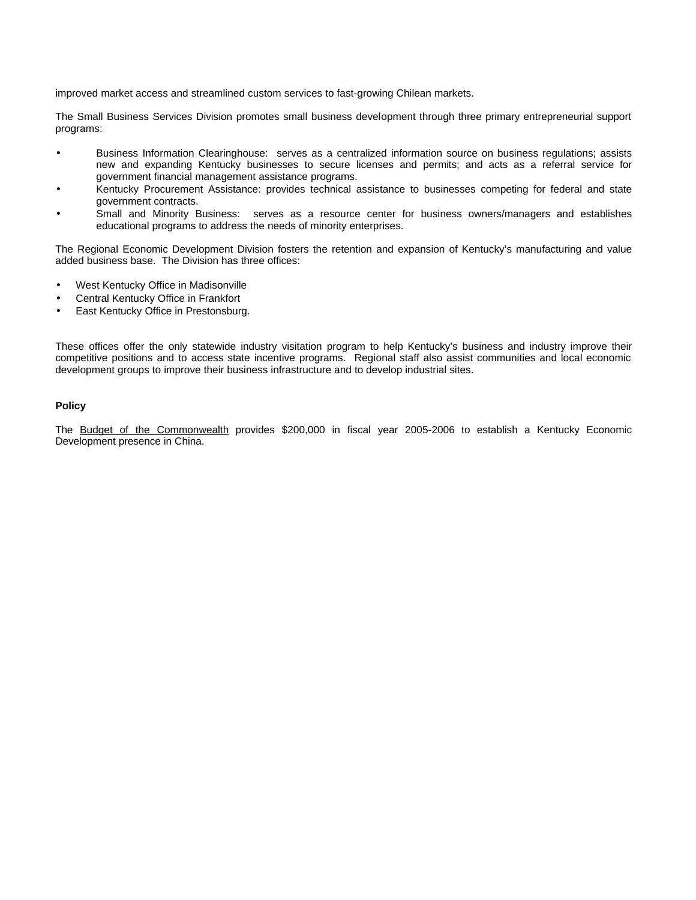improved market access and streamlined custom services to fast-growing Chilean markets.

The Small Business Services Division promotes small business development through three primary entrepreneurial support programs:

- Business Information Clearinghouse: serves as a centralized information source on business regulations; assists new and expanding Kentucky businesses to secure licenses and permits; and acts as a referral service for government financial management assistance programs.
- Kentucky Procurement Assistance: provides technical assistance to businesses competing for federal and state government contracts.
- Small and Minority Business: serves as a resource center for business owners/managers and establishes educational programs to address the needs of minority enterprises.

The Regional Economic Development Division fosters the retention and expansion of Kentucky's manufacturing and value added business base. The Division has three offices:

- West Kentucky Office in Madisonville
- Central Kentucky Office in Frankfort
- East Kentucky Office in Prestonsburg.

These offices offer the only statewide industry visitation program to help Kentucky's business and industry improve their competitive positions and to access state incentive programs. Regional staff also assist communities and local economic development groups to improve their business infrastructure and to develop industrial sites.

#### **Policy**

The Budget of the Commonwealth provides \$200,000 in fiscal year 2005-2006 to establish a Kentucky Economic Development presence in China.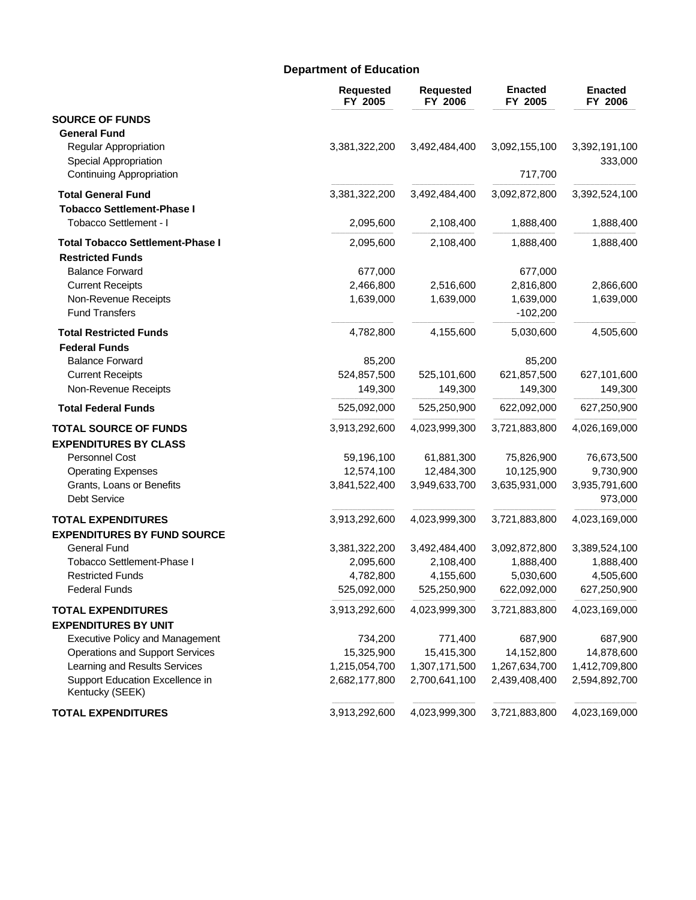## **Department of Education**

|                                                                    | <b>Requested</b><br>FY 2005 | <b>Requested</b><br>FY 2006 | <b>Enacted</b><br>FY 2005 | <b>Enacted</b><br>FY 2006 |
|--------------------------------------------------------------------|-----------------------------|-----------------------------|---------------------------|---------------------------|
| <b>SOURCE OF FUNDS</b><br><b>General Fund</b>                      |                             |                             |                           |                           |
| Regular Appropriation<br>Special Appropriation                     | 3,381,322,200               | 3,492,484,400               | 3,092,155,100             | 3,392,191,100<br>333,000  |
| <b>Continuing Appropriation</b>                                    |                             |                             | 717,700                   |                           |
| <b>Total General Fund</b><br><b>Tobacco Settlement-Phase I</b>     | 3,381,322,200               | 3,492,484,400               | 3,092,872,800             | 3,392,524,100             |
| Tobacco Settlement - I                                             | 2,095,600                   | 2,108,400                   | 1,888,400                 | 1,888,400                 |
| <b>Total Tobacco Settlement-Phase I</b><br><b>Restricted Funds</b> | 2,095,600                   | 2,108,400                   | 1,888,400                 | 1,888,400                 |
| <b>Balance Forward</b>                                             | 677,000                     |                             | 677,000                   |                           |
| <b>Current Receipts</b>                                            | 2,466,800                   | 2,516,600                   | 2,816,800                 | 2,866,600                 |
| Non-Revenue Receipts<br><b>Fund Transfers</b>                      | 1,639,000                   | 1,639,000                   | 1,639,000<br>$-102,200$   | 1,639,000                 |
| <b>Total Restricted Funds</b>                                      | 4,782,800                   | 4,155,600                   | 5,030,600                 | 4,505,600                 |
| <b>Federal Funds</b>                                               |                             |                             |                           |                           |
| <b>Balance Forward</b>                                             | 85,200                      |                             | 85,200                    |                           |
| <b>Current Receipts</b><br>Non-Revenue Receipts                    | 524,857,500<br>149,300      | 525,101,600<br>149,300      | 621,857,500<br>149,300    | 627,101,600<br>149,300    |
|                                                                    |                             |                             |                           |                           |
| <b>Total Federal Funds</b>                                         | 525,092,000                 | 525,250,900                 | 622,092,000               | 627,250,900               |
| <b>TOTAL SOURCE OF FUNDS</b>                                       | 3,913,292,600               | 4,023,999,300               | 3,721,883,800             | 4,026,169,000             |
| <b>EXPENDITURES BY CLASS</b>                                       |                             |                             |                           |                           |
| Personnel Cost                                                     | 59,196,100                  | 61,881,300                  | 75,826,900                | 76,673,500                |
| <b>Operating Expenses</b>                                          | 12,574,100                  | 12,484,300                  | 10,125,900                | 9,730,900                 |
| Grants, Loans or Benefits<br><b>Debt Service</b>                   | 3,841,522,400               | 3,949,633,700               | 3,635,931,000             | 3,935,791,600<br>973,000  |
| <b>TOTAL EXPENDITURES</b>                                          | 3,913,292,600               | 4,023,999,300               | 3,721,883,800             | 4,023,169,000             |
| <b>EXPENDITURES BY FUND SOURCE</b>                                 |                             |                             |                           |                           |
| <b>General Fund</b>                                                | 3,381,322,200               | 3,492,484,400               | 3,092,872,800             | 3,389,524,100             |
| Tobacco Settlement-Phase I                                         | 2,095,600                   | 2,108,400                   | 1,888,400                 | 1,888,400                 |
| <b>Restricted Funds</b>                                            | 4,782,800                   | 4,155,600                   | 5,030,600                 | 4,505,600                 |
| <b>Federal Funds</b>                                               | 525,092,000                 | 525,250,900                 | 622,092,000               | 627,250,900               |
| <b>TOTAL EXPENDITURES</b>                                          | 3,913,292,600               | 4,023,999,300               | 3,721,883,800             | 4,023,169,000             |
| <b>EXPENDITURES BY UNIT</b>                                        |                             |                             |                           |                           |
| <b>Executive Policy and Management</b>                             | 734,200                     | 771,400                     | 687,900                   | 687,900                   |
| <b>Operations and Support Services</b>                             | 15,325,900                  | 15,415,300                  | 14,152,800                | 14,878,600                |
| Learning and Results Services                                      | 1,215,054,700               | 1,307,171,500               | 1,267,634,700             | 1,412,709,800             |
| Support Education Excellence in<br>Kentucky (SEEK)                 | 2,682,177,800               | 2,700,641,100               | 2,439,408,400             | 2,594,892,700             |
| <b>TOTAL EXPENDITURES</b>                                          | 3,913,292,600               | 4,023,999,300               | 3,721,883,800             | 4,023,169,000             |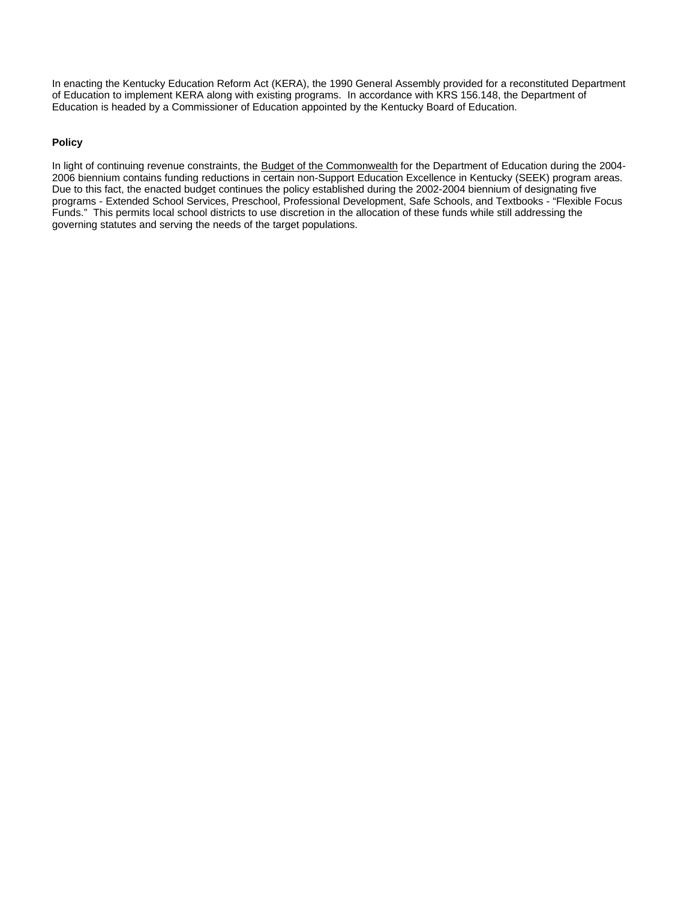In enacting the Kentucky Education Reform Act (KERA), the 1990 General Assembly provided for a reconstituted Department of Education to implement KERA along with existing programs. In accordance with KRS 156.148, the Department of Education is headed by a Commissioner of Education appointed by the Kentucky Board of Education.

### **Policy**

In light of continuing revenue constraints, the Budget of the Commonwealth for the Department of Education during the 2004-2006 biennium contains funding reductions in certain non-Support Education Excellence in Kentucky (SEEK) program areas. Due to this fact, the enacted budget continues the policy established during the 2002-2004 biennium of designating five programs - Extended School Services, Preschool, Professional Development, Safe Schools, and Textbooks - "Flexible Focus Funds." This permits local school districts to use discretion in the allocation of these funds while still addressing the governing statutes and serving the needs of the target populations.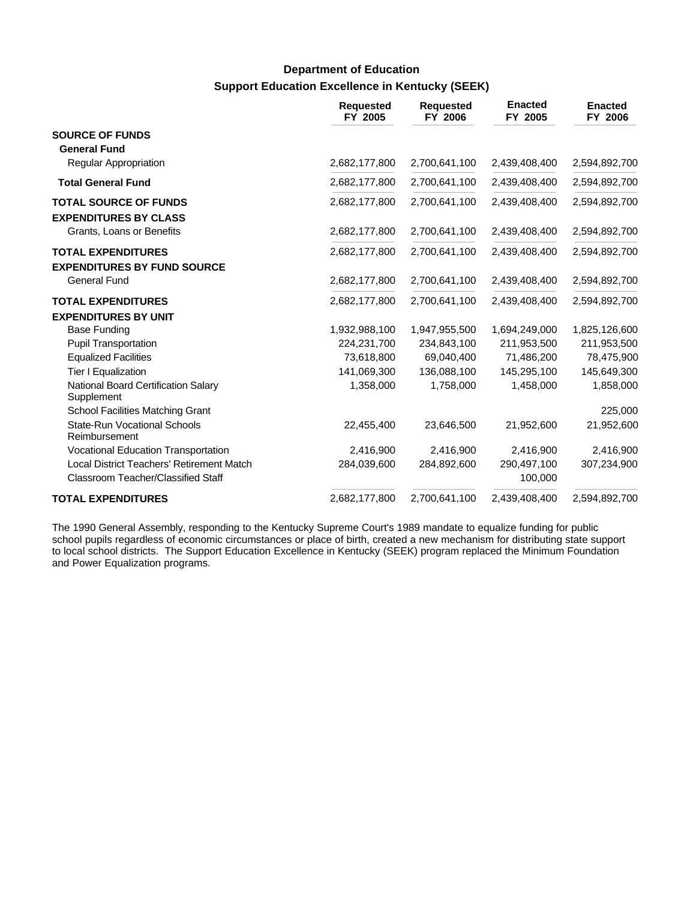## **Support Education Excellence in Kentucky (SEEK) Department of Education**

|                                                                                        | <b>Requested</b><br>FY 2005 | <b>Requested</b><br>FY 2006 | <b>Enacted</b><br>FY 2005 | <b>Enacted</b><br>FY 2006 |
|----------------------------------------------------------------------------------------|-----------------------------|-----------------------------|---------------------------|---------------------------|
| <b>SOURCE OF FUNDS</b>                                                                 |                             |                             |                           |                           |
| <b>General Fund</b>                                                                    |                             |                             |                           |                           |
| Regular Appropriation                                                                  | 2,682,177,800               | 2,700,641,100               | 2,439,408,400             | 2,594,892,700             |
| <b>Total General Fund</b>                                                              | 2,682,177,800               | 2,700,641,100               | 2,439,408,400             | 2,594,892,700             |
| <b>TOTAL SOURCE OF FUNDS</b><br><b>EXPENDITURES BY CLASS</b>                           | 2,682,177,800               | 2,700,641,100               | 2,439,408,400             | 2,594,892,700             |
| Grants, Loans or Benefits                                                              | 2,682,177,800               | 2,700,641,100               | 2,439,408,400             | 2,594,892,700             |
| <b>TOTAL EXPENDITURES</b>                                                              | 2,682,177,800               | 2,700,641,100               | 2,439,408,400             | 2,594,892,700             |
| <b>EXPENDITURES BY FUND SOURCE</b>                                                     |                             |                             |                           |                           |
| <b>General Fund</b>                                                                    | 2,682,177,800               | 2,700,641,100               | 2,439,408,400             | 2,594,892,700             |
| <b>TOTAL EXPENDITURES</b>                                                              | 2,682,177,800               | 2,700,641,100               | 2,439,408,400             | 2,594,892,700             |
| <b>EXPENDITURES BY UNIT</b>                                                            |                             |                             |                           |                           |
| <b>Base Funding</b>                                                                    | 1,932,988,100               | 1,947,955,500               | 1,694,249,000             | 1,825,126,600             |
| <b>Pupil Transportation</b>                                                            | 224,231,700                 | 234,843,100                 | 211,953,500               | 211,953,500               |
| <b>Equalized Facilities</b>                                                            | 73,618,800                  | 69,040,400                  | 71,486,200                | 78,475,900                |
| Tier I Equalization                                                                    | 141,069,300                 | 136,088,100                 | 145,295,100               | 145,649,300               |
| National Board Certification Salary<br>Supplement                                      | 1,358,000                   | 1,758,000                   | 1,458,000                 | 1,858,000                 |
| School Facilities Matching Grant                                                       |                             |                             |                           | 225,000                   |
| <b>State-Run Vocational Schools</b><br>Reimbursement                                   | 22,455,400                  | 23,646,500                  | 21,952,600                | 21,952,600                |
| Vocational Education Transportation                                                    | 2,416,900                   | 2,416,900                   | 2,416,900                 | 2,416,900                 |
| Local District Teachers' Retirement Match<br><b>Classroom Teacher/Classified Staff</b> | 284,039,600                 | 284,892,600                 | 290,497,100<br>100,000    | 307,234,900               |
| <b>TOTAL EXPENDITURES</b>                                                              | 2,682,177,800               | 2,700,641,100               | 2,439,408,400             | 2,594,892,700             |

The 1990 General Assembly, responding to the Kentucky Supreme Court's 1989 mandate to equalize funding for public school pupils regardless of economic circumstances or place of birth, created a new mechanism for distributing state support to local school districts. The Support Education Excellence in Kentucky (SEEK) program replaced the Minimum Foundation and Power Equalization programs.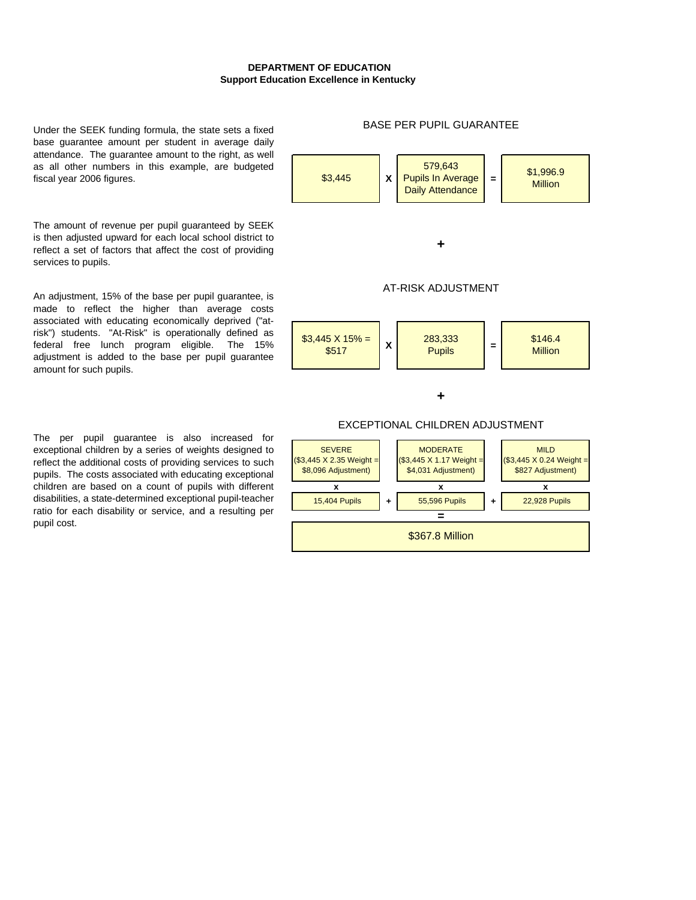#### **DEPARTMENT OF EDUCATION Support Education Excellence in Kentucky**

Under the SEEK funding formula, the state sets a fixed base guarantee amount per student in average daily attendance. The guarantee amount to the right, as well as all other numbers in this example, are budgeted fiscal year 2006 figures. \$3,445

The amount of revenue per pupil guaranteed by SEEK is then adjusted upward for each local school district to reflect a set of factors that affect the cost of providing services to pupils.

An adjustment, 15% of the base per pupil guarantee, is made to reflect the higher than average costs associated with educating economically deprived ("atrisk") students. "At-Risk" is operationally defined as federal free lunch program eligible. The 15% adjustment is added to the base per pupil guarantee amount for such pupils.

The per pupil guarantee is also increased for exceptional children by a series of weights designed to reflect the additional costs of providing services to such pupils. The costs associated with educating exceptional children are based on a count of pupils with different disabilities, a state-determined exceptional pupil-teacher ratio for each disability or service, and a resulting per pupil cost.

# **X =** Pupils In Average **X E Pupils = +** 579,643 Daily Attendance **+** BASE PER PUPIL GUARANTEE AT-RISK ADJUSTMENT SEVERE  $($ \$3,445  $X$  2,35 Weight  $=$ MODERATE (\$3,445 X 1.17 Weight = MILD \$1,996.9 **Million** \$146.4 **Million**  $$3,445$  X 15% = \$517 283,333 EXCEPTIONAL CHILDREN ADJUSTMENT

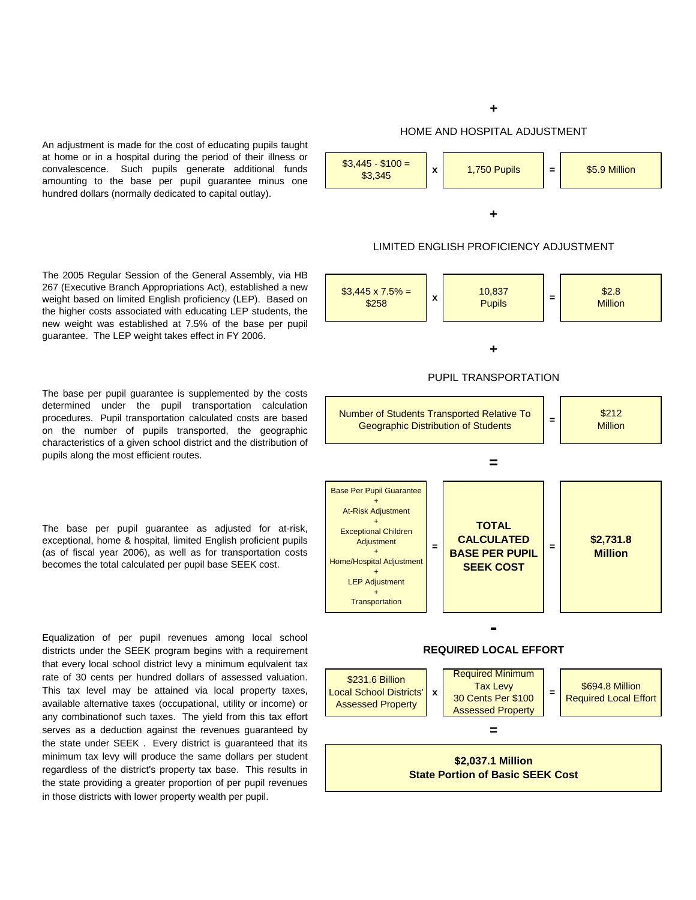An adjustment is made for the cost of educating pupils taught at home or in a hospital during the period of their illness or convalescence. Such pupils generate additional funds amounting to the base per pupil guarantee minus one hundred dollars (normally dedicated to capital outlay).

#### The 2005 Regular Session of the General Assembly, via HB 267 (Executive Branch Appropriations Act), established a new weight based on limited English proficiency (LEP). Based on the higher costs associated with educating LEP students, the new weight was established at 7.5% of the base per pupil guarantee. The LEP weight takes effect in FY 2006.

The base per pupil guarantee is supplemented by the costs determined under the pupil transportation calculation procedures. Pupil transportation calculated costs are based on the number of pupils transported, the geographic characteristics of a given school district and the distribution of pupils along the most efficient routes.

### The base per pupil guarantee as adjusted for at-risk, exceptional, home & hospital, limited English proficient pupils (as of fiscal year 2006), as well as for transportation costs becomes the total calculated per pupil base SEEK cost.

Equalization of per pupil revenues among local school districts under the SEEK program begins with a requirement that every local school district levy a minimum equlvalent tax rate of 30 cents per hundred dollars of assessed valuation. This tax level may be attained via local property taxes, available alternative taxes (occupational, utility or income) or any combinationof such taxes. The yield from this tax effort serves as a deduction against the revenues guaranteed by the state under SEEK . Every district is guaranteed that its minimum tax levy will produce the same dollars per student regardless of the district's property tax base. This results in the state providing a greater proportion of per pupil revenues in those districts with lower property wealth per pupil.



#### Home/Hospital Adjustment LEP Adjustment **Transportation CALCULATED BASE PER PUPIL Million <sup>=</sup> <sup>=</sup>SEEK COST \$2,731.8**

**=**

**TOTAL** 

Base Per Pupil Guarantee + At-Risk Adjustment + Exceptional Children Adjustment +

+

+

**- REQUIRED LOCAL EFFORT**



#### **+**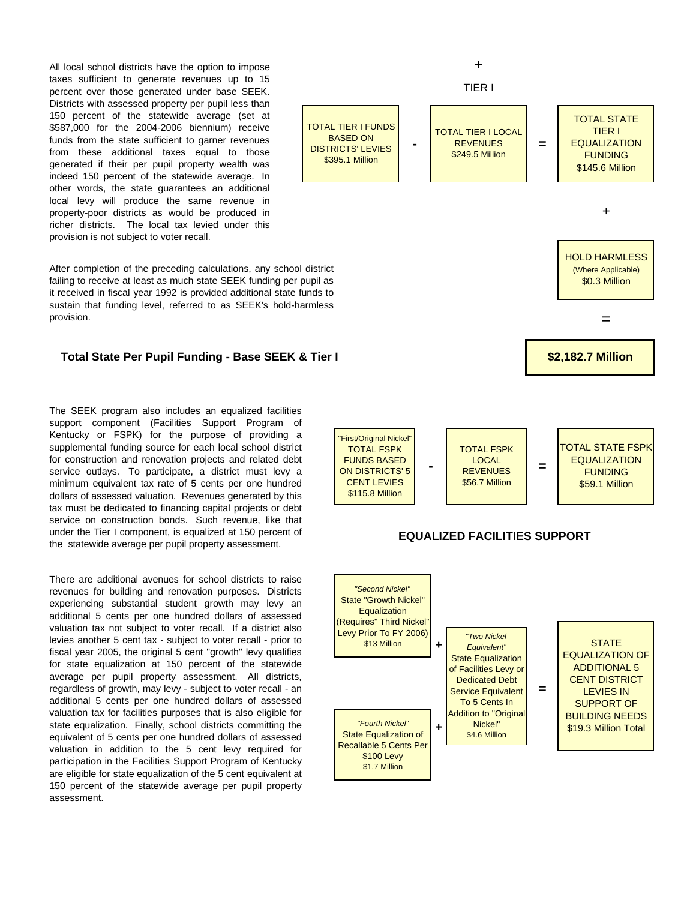All local school districts have the option to impose taxes sufficient to generate revenues up to 15 percent over those generated under base SEEK. Districts with assessed property per pupil less than 150 percent of the statewide average (set at \$587,000 for the 2004-2006 biennium) receive funds from the state sufficient to garner revenues from these additional taxes equal to those generated if their per pupil property wealth was indeed 150 percent of the statewide average. In other words, the state guarantees an additional local levy will produce the same revenue in property-poor districts as would be produced in richer districts. The local tax levied under this provision is not subject to voter recall.

After completion of the preceding calculations, any school district failing to receive at least as much state SEEK funding per pupil as it received in fiscal year 1992 is provided additional state funds to sustain that funding level, referred to as SEEK's hold-harmless provision.

### **Total State Per Pupil Funding - Base SEEK & Tier I**

The SEEK program also includes an equalized facilities support component (Facilities Support Program of Kentucky or FSPK) for the purpose of providing a supplemental funding source for each local school district for construction and renovation projects and related debt service outlays. To participate, a district must levy a minimum equivalent tax rate of 5 cents per one hundred dollars of assessed valuation. Revenues generated by this tax must be dedicated to financing capital projects or debt service on construction bonds. Such revenue, like that under the Tier I component, is equalized at 150 percent of the statewide average per pupil property assessment.

There are additional avenues for school districts to raise revenues for building and renovation purposes. Districts experiencing substantial student growth may levy an additional 5 cents per one hundred dollars of assessed valuation tax not subject to voter recall. If a district also levies another 5 cent tax - subject to voter recall - prior to fiscal year 2005, the original 5 cent "growth" levy qualifies for state equalization at 150 percent of the statewide average per pupil property assessment. All districts, regardless of growth, may levy - subject to voter recall - an additional 5 cents per one hundred dollars of assessed valuation tax for facilities purposes that is also eligible for state equalization. Finally, school districts committing the equivalent of 5 cents per one hundred dollars of assessed valuation in addition to the 5 cent levy required for participation in the Facilities Support Program of Kentucky are eligible for state equalization of the 5 cent equivalent at 150 percent of the statewide average per pupil property assessment.

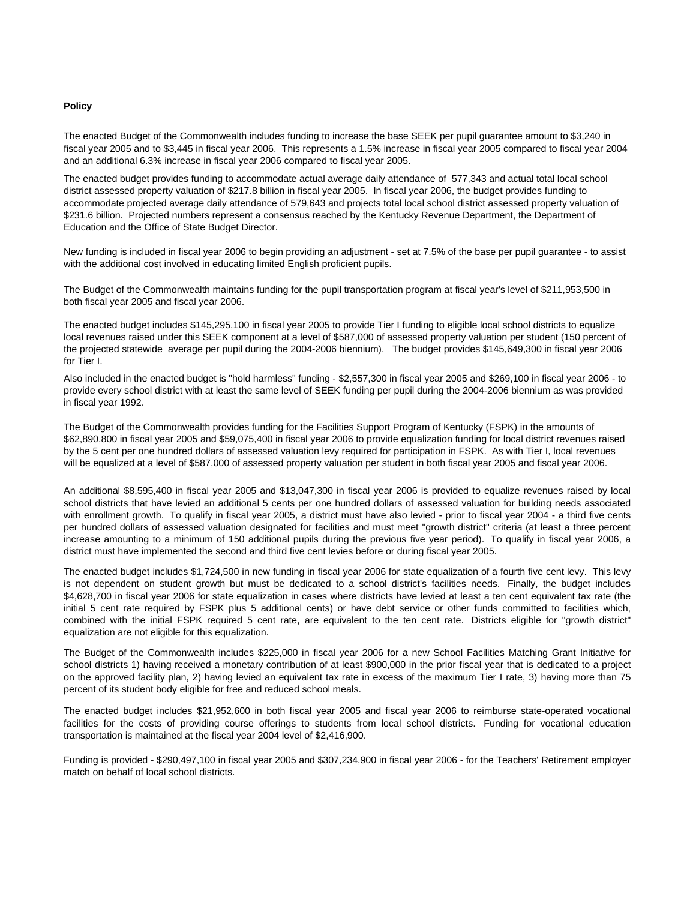#### **Policy**

The enacted Budget of the Commonwealth includes funding to increase the base SEEK per pupil guarantee amount to \$3,240 in fiscal year 2005 and to \$3,445 in fiscal year 2006. This represents a 1.5% increase in fiscal year 2005 compared to fiscal year 2004 and an additional 6.3% increase in fiscal year 2006 compared to fiscal year 2005.

The enacted budget provides funding to accommodate actual average daily attendance of 577,343 and actual total local school district assessed property valuation of \$217.8 billion in fiscal year 2005. In fiscal year 2006, the budget provides funding to accommodate projected average daily attendance of 579,643 and projects total local school district assessed property valuation of \$231.6 billion. Projected numbers represent a consensus reached by the Kentucky Revenue Department, the Department of Education and the Office of State Budget Director.

New funding is included in fiscal year 2006 to begin providing an adjustment - set at 7.5% of the base per pupil guarantee - to assist with the additional cost involved in educating limited English proficient pupils.

The Budget of the Commonwealth maintains funding for the pupil transportation program at fiscal year's level of \$211,953,500 in both fiscal year 2005 and fiscal year 2006.

The enacted budget includes \$145,295,100 in fiscal year 2005 to provide Tier I funding to eligible local school districts to equalize local revenues raised under this SEEK component at a level of \$587,000 of assessed property valuation per student (150 percent of the projected statewide average per pupil during the 2004-2006 biennium). The budget provides \$145,649,300 in fiscal year 2006 for Tier I.

Also included in the enacted budget is "hold harmless" funding - \$2,557,300 in fiscal year 2005 and \$269,100 in fiscal year 2006 - to provide every school district with at least the same level of SEEK funding per pupil during the 2004-2006 biennium as was provided in fiscal year 1992.

The Budget of the Commonwealth provides funding for the Facilities Support Program of Kentucky (FSPK) in the amounts of \$62,890,800 in fiscal year 2005 and \$59,075,400 in fiscal year 2006 to provide equalization funding for local district revenues raised by the 5 cent per one hundred dollars of assessed valuation levy required for participation in FSPK. As with Tier I, local revenues will be equalized at a level of \$587,000 of assessed property valuation per student in both fiscal year 2005 and fiscal year 2006.

An additional \$8,595,400 in fiscal year 2005 and \$13,047,300 in fiscal year 2006 is provided to equalize revenues raised by local school districts that have levied an additional 5 cents per one hundred dollars of assessed valuation for building needs associated with enrollment growth. To qualify in fiscal year 2005, a district must have also levied - prior to fiscal year 2004 - a third five cents per hundred dollars of assessed valuation designated for facilities and must meet "growth district" criteria (at least a three percent increase amounting to a minimum of 150 additional pupils during the previous five year period). To qualify in fiscal year 2006, a district must have implemented the second and third five cent levies before or during fiscal year 2005.

The enacted budget includes \$1,724,500 in new funding in fiscal year 2006 for state equalization of a fourth five cent levy. This levy is not dependent on student growth but must be dedicated to a school district's facilities needs. Finally, the budget includes \$4,628,700 in fiscal year 2006 for state equalization in cases where districts have levied at least a ten cent equivalent tax rate (the initial 5 cent rate required by FSPK plus 5 additional cents) or have debt service or other funds committed to facilities which, combined with the initial FSPK required 5 cent rate, are equivalent to the ten cent rate. Districts eligible for "growth district" equalization are not eligible for this equalization.

The Budget of the Commonwealth includes \$225,000 in fiscal year 2006 for a new School Facilities Matching Grant Initiative for school districts 1) having received a monetary contribution of at least \$900,000 in the prior fiscal year that is dedicated to a project on the approved facility plan, 2) having levied an equivalent tax rate in excess of the maximum Tier I rate, 3) having more than 75 percent of its student body eligible for free and reduced school meals.

The enacted budget includes \$21,952,600 in both fiscal year 2005 and fiscal year 2006 to reimburse state-operated vocational facilities for the costs of providing course offerings to students from local school districts. Funding for vocational education transportation is maintained at the fiscal year 2004 level of \$2,416,900.

Funding is provided - \$290,497,100 in fiscal year 2005 and \$307,234,900 in fiscal year 2006 - for the Teachers' Retirement employer match on behalf of local school districts.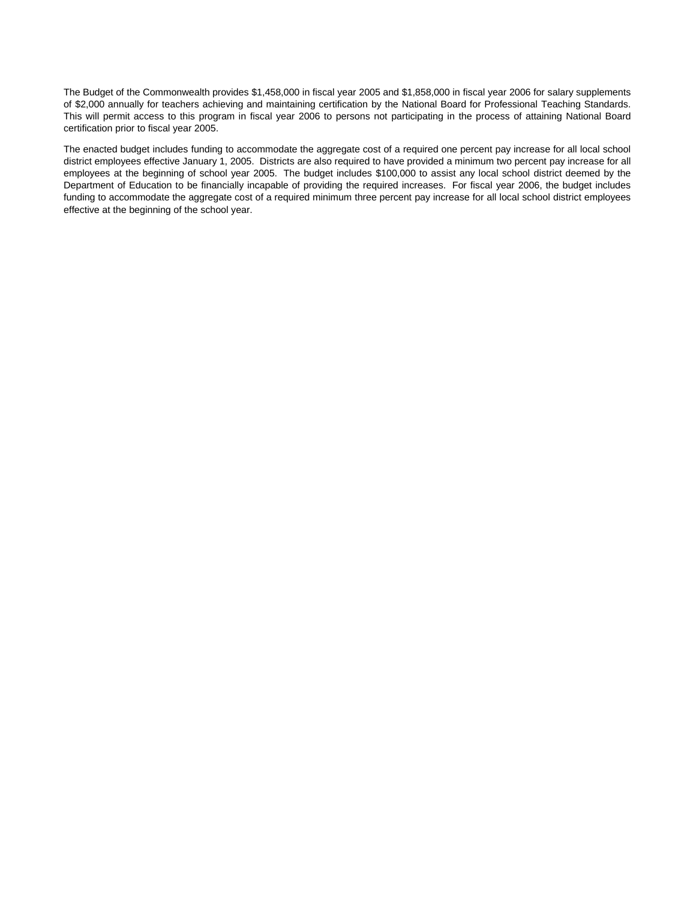The Budget of the Commonwealth provides \$1,458,000 in fiscal year 2005 and \$1,858,000 in fiscal year 2006 for salary supplements of \$2,000 annually for teachers achieving and maintaining certification by the National Board for Professional Teaching Standards. This will permit access to this program in fiscal year 2006 to persons not participating in the process of attaining National Board certification prior to fiscal year 2005.

The enacted budget includes funding to accommodate the aggregate cost of a required one percent pay increase for all local school district employees effective January 1, 2005. Districts are also required to have provided a minimum two percent pay increase for all employees at the beginning of school year 2005. The budget includes \$100,000 to assist any local school district deemed by the Department of Education to be financially incapable of providing the required increases. For fiscal year 2006, the budget includes funding to accommodate the aggregate cost of a required minimum three percent pay increase for all local school district employees effective at the beginning of the school year.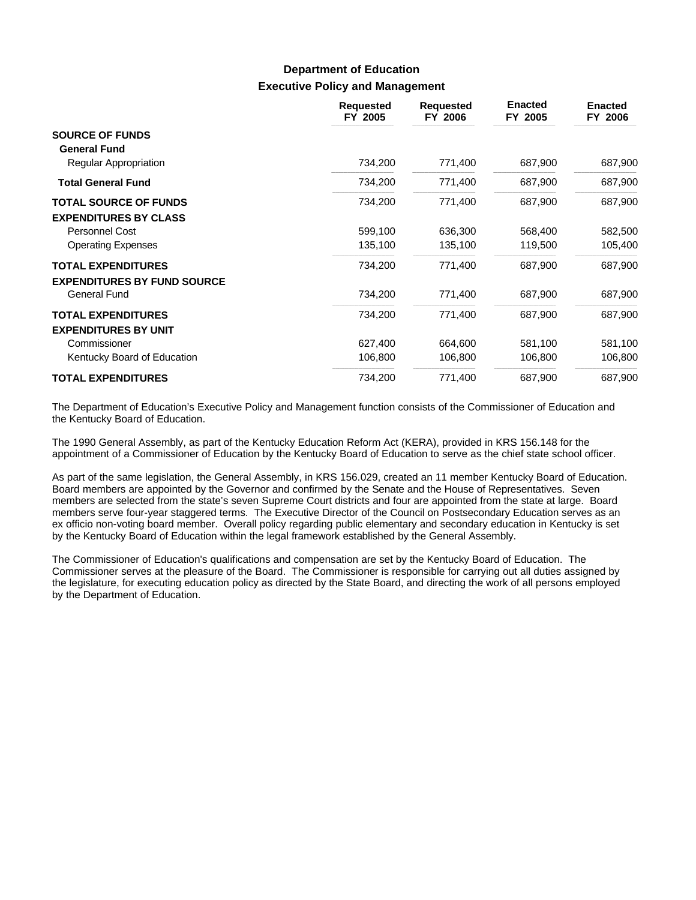## **Executive Policy and Management Department of Education**

|                                                           | <b>Requested</b><br>FY 2005 | <b>Requested</b><br>FY 2006 | <b>Enacted</b><br>FY 2005 | <b>Enacted</b><br>FY 2006 |
|-----------------------------------------------------------|-----------------------------|-----------------------------|---------------------------|---------------------------|
| <b>SOURCE OF FUNDS</b><br><b>General Fund</b>             |                             |                             |                           |                           |
| Regular Appropriation                                     | 734,200                     | 771,400                     | 687,900                   | 687,900                   |
| <b>Total General Fund</b>                                 | 734,200                     | 771,400                     | 687,900                   | 687,900                   |
| <b>TOTAL SOURCE OF FUNDS</b>                              | 734,200                     | 771,400                     | 687,900                   | 687,900                   |
| <b>EXPENDITURES BY CLASS</b>                              |                             |                             |                           |                           |
| Personnel Cost                                            | 599,100                     | 636,300                     | 568,400                   | 582,500                   |
| <b>Operating Expenses</b>                                 | 135,100                     | 135,100                     | 119,500                   | 105,400                   |
| <b>TOTAL EXPENDITURES</b>                                 | 734,200                     | 771,400                     | 687,900                   | 687,900                   |
| <b>EXPENDITURES BY FUND SOURCE</b><br><b>General Fund</b> | 734,200                     | 771,400                     | 687,900                   | 687,900                   |
| <b>TOTAL EXPENDITURES</b>                                 | 734,200                     | 771,400                     | 687,900                   | 687,900                   |
| <b>EXPENDITURES BY UNIT</b>                               |                             |                             |                           |                           |
| Commissioner                                              | 627,400                     | 664,600                     | 581,100                   | 581,100                   |
| Kentucky Board of Education                               | 106,800                     | 106,800                     | 106,800                   | 106,800                   |
| <b>TOTAL EXPENDITURES</b>                                 | 734,200                     | 771,400                     | 687,900                   | 687,900                   |

The Department of Education's Executive Policy and Management function consists of the Commissioner of Education and the Kentucky Board of Education.

The 1990 General Assembly, as part of the Kentucky Education Reform Act (KERA), provided in KRS 156.148 for the appointment of a Commissioner of Education by the Kentucky Board of Education to serve as the chief state school officer.

As part of the same legislation, the General Assembly, in KRS 156.029, created an 11 member Kentucky Board of Education. Board members are appointed by the Governor and confirmed by the Senate and the House of Representatives. Seven members are selected from the state's seven Supreme Court districts and four are appointed from the state at large. Board members serve four-year staggered terms. The Executive Director of the Council on Postsecondary Education serves as an ex officio non-voting board member. Overall policy regarding public elementary and secondary education in Kentucky is set by the Kentucky Board of Education within the legal framework established by the General Assembly.

The Commissioner of Education's qualifications and compensation are set by the Kentucky Board of Education. The Commissioner serves at the pleasure of the Board. The Commissioner is responsible for carrying out all duties assigned by the legislature, for executing education policy as directed by the State Board, and directing the work of all persons employed by the Department of Education.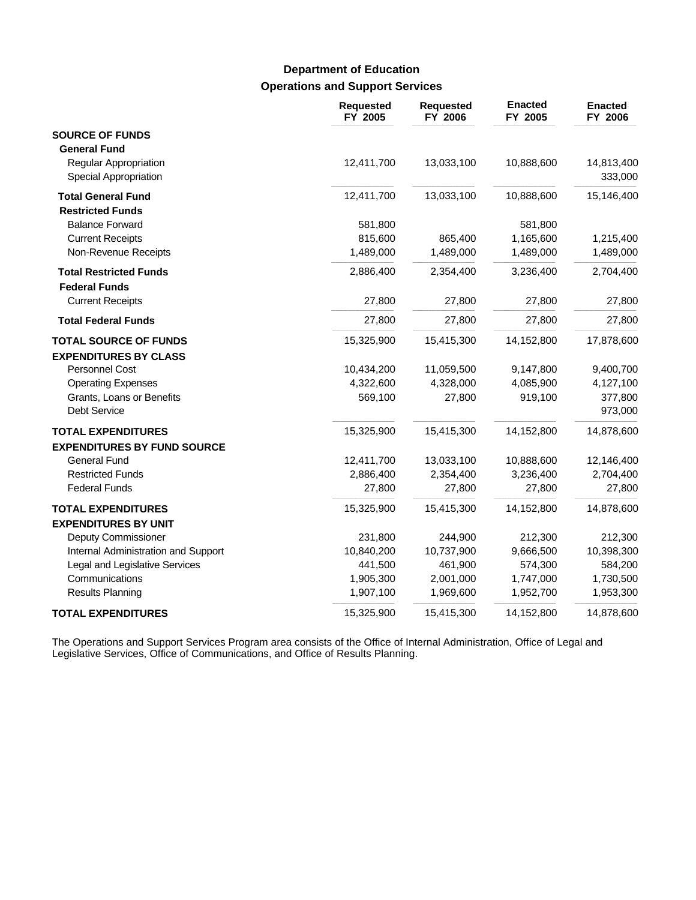# **Operations and Support Services Department of Education**

|                                                              | <b>Requested</b><br>FY 2005 | <b>Requested</b><br>FY 2006 | <b>Enacted</b><br>FY 2005 | <b>Enacted</b><br>FY 2006 |
|--------------------------------------------------------------|-----------------------------|-----------------------------|---------------------------|---------------------------|
| <b>SOURCE OF FUNDS</b>                                       |                             |                             |                           |                           |
| <b>General Fund</b>                                          |                             |                             |                           |                           |
| <b>Regular Appropriation</b><br>Special Appropriation        | 12,411,700                  | 13,033,100                  | 10,888,600                | 14,813,400<br>333,000     |
| <b>Total General Fund</b>                                    | 12,411,700                  | 13,033,100                  | 10,888,600                | 15,146,400                |
| <b>Restricted Funds</b>                                      |                             |                             |                           |                           |
| <b>Balance Forward</b>                                       | 581,800                     |                             | 581,800                   |                           |
| <b>Current Receipts</b>                                      | 815,600                     | 865,400                     | 1,165,600                 | 1,215,400                 |
| Non-Revenue Receipts                                         | 1,489,000                   | 1,489,000                   | 1,489,000                 | 1,489,000                 |
| <b>Total Restricted Funds</b>                                | 2,886,400                   | 2,354,400                   | 3,236,400                 | 2,704,400                 |
| <b>Federal Funds</b><br><b>Current Receipts</b>              | 27,800                      | 27,800                      | 27,800                    | 27,800                    |
| <b>Total Federal Funds</b>                                   | 27,800                      | 27,800                      | 27,800                    | 27,800                    |
| <b>TOTAL SOURCE OF FUNDS</b><br><b>EXPENDITURES BY CLASS</b> | 15,325,900                  | 15,415,300                  | 14,152,800                | 17,878,600                |
| Personnel Cost                                               | 10,434,200                  | 11,059,500                  | 9,147,800                 | 9,400,700                 |
| <b>Operating Expenses</b>                                    | 4,322,600                   | 4,328,000                   | 4,085,900                 | 4,127,100                 |
| Grants, Loans or Benefits                                    | 569,100                     | 27,800                      | 919,100                   | 377,800                   |
| Debt Service                                                 |                             |                             |                           | 973,000                   |
| <b>TOTAL EXPENDITURES</b>                                    | 15,325,900                  | 15,415,300                  | 14,152,800                | 14,878,600                |
| <b>EXPENDITURES BY FUND SOURCE</b>                           |                             |                             |                           |                           |
| <b>General Fund</b>                                          | 12,411,700                  | 13,033,100                  | 10,888,600                | 12,146,400                |
| <b>Restricted Funds</b>                                      | 2,886,400                   | 2,354,400                   | 3,236,400                 | 2,704,400                 |
| <b>Federal Funds</b>                                         | 27,800                      | 27,800                      | 27,800                    | 27,800                    |
| <b>TOTAL EXPENDITURES</b><br><b>EXPENDITURES BY UNIT</b>     | 15,325,900                  | 15,415,300                  | 14,152,800                | 14,878,600                |
| <b>Deputy Commissioner</b>                                   | 231,800                     | 244,900                     | 212,300                   | 212,300                   |
| Internal Administration and Support                          | 10,840,200                  | 10,737,900                  | 9,666,500                 | 10,398,300                |
| Legal and Legislative Services                               | 441,500                     | 461,900                     | 574,300                   | 584,200                   |
| Communications                                               | 1,905,300                   | 2,001,000                   | 1,747,000                 | 1,730,500                 |
| <b>Results Planning</b>                                      | 1,907,100                   | 1,969,600                   | 1,952,700                 | 1,953,300                 |
| <b>TOTAL EXPENDITURES</b>                                    | 15,325,900                  | 15,415,300                  | 14,152,800                | 14,878,600                |

The Operations and Support Services Program area consists of the Office of Internal Administration, Office of Legal and Legislative Services, Office of Communications, and Office of Results Planning.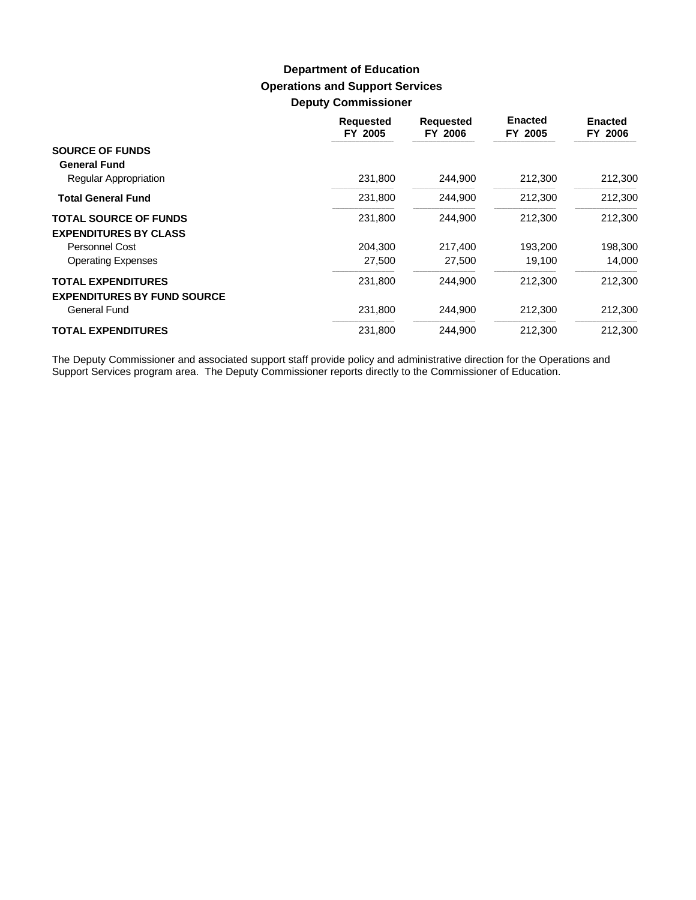# **Operations and Support Services Deputy Commissioner Department of Education**

|                                    | <b>Requested</b><br>FY 2005 | <b>Requested</b><br>FY 2006 | <b>Enacted</b><br>FY 2005 | <b>Enacted</b><br>FY 2006 |
|------------------------------------|-----------------------------|-----------------------------|---------------------------|---------------------------|
| <b>SOURCE OF FUNDS</b>             |                             |                             |                           |                           |
| <b>General Fund</b>                |                             |                             |                           |                           |
| Regular Appropriation              | 231,800                     | 244,900                     | 212,300                   | 212,300                   |
| <b>Total General Fund</b>          | 231,800                     | 244,900                     | 212,300                   | 212,300                   |
| <b>TOTAL SOURCE OF FUNDS</b>       | 231.800                     | 244.900                     | 212,300                   | 212,300                   |
| <b>EXPENDITURES BY CLASS</b>       |                             |                             |                           |                           |
| Personnel Cost                     | 204.300                     | 217.400                     | 193.200                   | 198,300                   |
| <b>Operating Expenses</b>          | 27,500                      | 27,500                      | 19,100                    | 14,000                    |
| <b>TOTAL EXPENDITURES</b>          | 231,800                     | 244.900                     | 212,300                   | 212,300                   |
| <b>EXPENDITURES BY FUND SOURCE</b> |                             |                             |                           |                           |
| General Fund                       | 231,800                     | 244,900                     | 212,300                   | 212,300                   |
| <b>TOTAL EXPENDITURES</b>          | 231.800                     | 244.900                     | 212,300                   | 212,300                   |

The Deputy Commissioner and associated support staff provide policy and administrative direction for the Operations and Support Services program area. The Deputy Commissioner reports directly to the Commissioner of Education.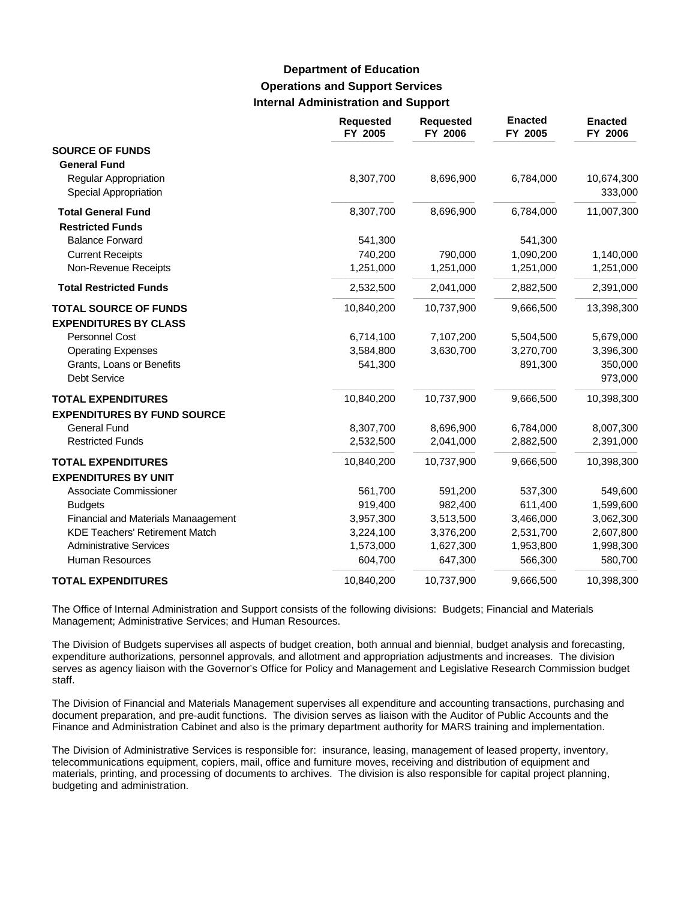# **Operations and Support Services Internal Administration and Support Department of Education**

|                                       | <b>Requested</b><br>FY 2005 | <b>Requested</b><br>FY 2006 | <b>Enacted</b><br>FY 2005 | <b>Enacted</b><br>FY 2006 |
|---------------------------------------|-----------------------------|-----------------------------|---------------------------|---------------------------|
| <b>SOURCE OF FUNDS</b>                |                             |                             |                           |                           |
| <b>General Fund</b>                   |                             |                             |                           |                           |
| Regular Appropriation                 | 8,307,700                   | 8,696,900                   | 6,784,000                 | 10,674,300                |
| Special Appropriation                 |                             |                             |                           | 333,000                   |
| <b>Total General Fund</b>             | 8,307,700                   | 8,696,900                   | 6,784,000                 | 11,007,300                |
| <b>Restricted Funds</b>               |                             |                             |                           |                           |
| <b>Balance Forward</b>                | 541,300                     |                             | 541,300                   |                           |
| <b>Current Receipts</b>               | 740,200                     | 790,000                     | 1,090,200                 | 1,140,000                 |
| Non-Revenue Receipts                  | 1,251,000                   | 1,251,000                   | 1,251,000                 | 1,251,000                 |
| <b>Total Restricted Funds</b>         | 2,532,500                   | 2,041,000                   | 2,882,500                 | 2,391,000                 |
| <b>TOTAL SOURCE OF FUNDS</b>          | 10,840,200                  | 10,737,900                  | 9,666,500                 | 13,398,300                |
| <b>EXPENDITURES BY CLASS</b>          |                             |                             |                           |                           |
| Personnel Cost                        | 6,714,100                   | 7,107,200                   | 5,504,500                 | 5,679,000                 |
| <b>Operating Expenses</b>             | 3,584,800                   | 3,630,700                   | 3,270,700                 | 3,396,300                 |
| Grants, Loans or Benefits             | 541,300                     |                             | 891,300                   | 350,000                   |
| Debt Service                          |                             |                             |                           | 973,000                   |
| <b>TOTAL EXPENDITURES</b>             | 10,840,200                  | 10,737,900                  | 9,666,500                 | 10,398,300                |
| <b>EXPENDITURES BY FUND SOURCE</b>    |                             |                             |                           |                           |
| <b>General Fund</b>                   | 8,307,700                   | 8,696,900                   | 6,784,000                 | 8,007,300                 |
| <b>Restricted Funds</b>               | 2,532,500                   | 2,041,000                   | 2,882,500                 | 2,391,000                 |
| <b>TOTAL EXPENDITURES</b>             | 10,840,200                  | 10,737,900                  | 9,666,500                 | 10,398,300                |
| <b>EXPENDITURES BY UNIT</b>           |                             |                             |                           |                           |
| Associate Commissioner                | 561,700                     | 591,200                     | 537,300                   | 549,600                   |
| <b>Budgets</b>                        | 919,400                     | 982,400                     | 611,400                   | 1,599,600                 |
| Financial and Materials Manaagement   | 3,957,300                   | 3,513,500                   | 3,466,000                 | 3,062,300                 |
| <b>KDE Teachers' Retirement Match</b> | 3,224,100                   | 3,376,200                   | 2,531,700                 | 2,607,800                 |
| <b>Administrative Services</b>        | 1,573,000                   | 1,627,300                   | 1,953,800                 | 1,998,300                 |
| Human Resources                       | 604,700                     | 647,300                     | 566,300                   | 580,700                   |
| <b>TOTAL EXPENDITURES</b>             | 10,840,200                  | 10,737,900                  | 9,666,500                 | 10,398,300                |

The Office of Internal Administration and Support consists of the following divisions: Budgets; Financial and Materials Management; Administrative Services; and Human Resources.

The Division of Budgets supervises all aspects of budget creation, both annual and biennial, budget analysis and forecasting, expenditure authorizations, personnel approvals, and allotment and appropriation adjustments and increases. The division serves as agency liaison with the Governor's Office for Policy and Management and Legislative Research Commission budget staff.

The Division of Financial and Materials Management supervises all expenditure and accounting transactions, purchasing and document preparation, and pre-audit functions. The division serves as liaison with the Auditor of Public Accounts and the Finance and Administration Cabinet and also is the primary department authority for MARS training and implementation.

The Division of Administrative Services is responsible for: insurance, leasing, management of leased property, inventory, telecommunications equipment, copiers, mail, office and furniture moves, receiving and distribution of equipment and materials, printing, and processing of documents to archives. The division is also responsible for capital project planning, budgeting and administration.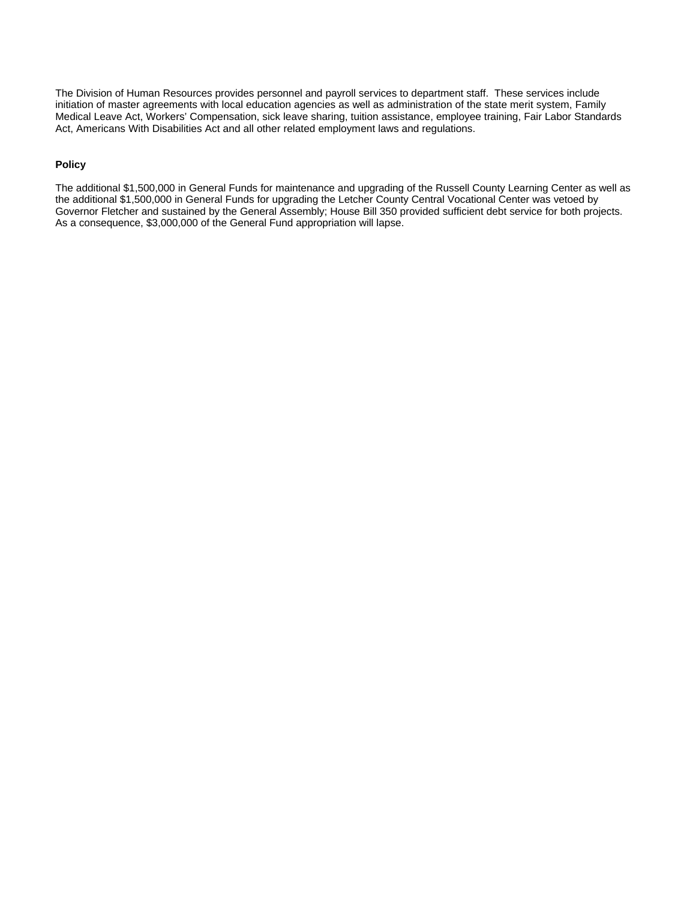The Division of Human Resources provides personnel and payroll services to department staff. These services include initiation of master agreements with local education agencies as well as administration of the state merit system, Family Medical Leave Act, Workers' Compensation, sick leave sharing, tuition assistance, employee training, Fair Labor Standards Act, Americans With Disabilities Act and all other related employment laws and regulations.

#### **Policy**

The additional \$1,500,000 in General Funds for maintenance and upgrading of the Russell County Learning Center as well as the additional \$1,500,000 in General Funds for upgrading the Letcher County Central Vocational Center was vetoed by Governor Fletcher and sustained by the General Assembly; House Bill 350 provided sufficient debt service for both projects. As a consequence, \$3,000,000 of the General Fund appropriation will lapse.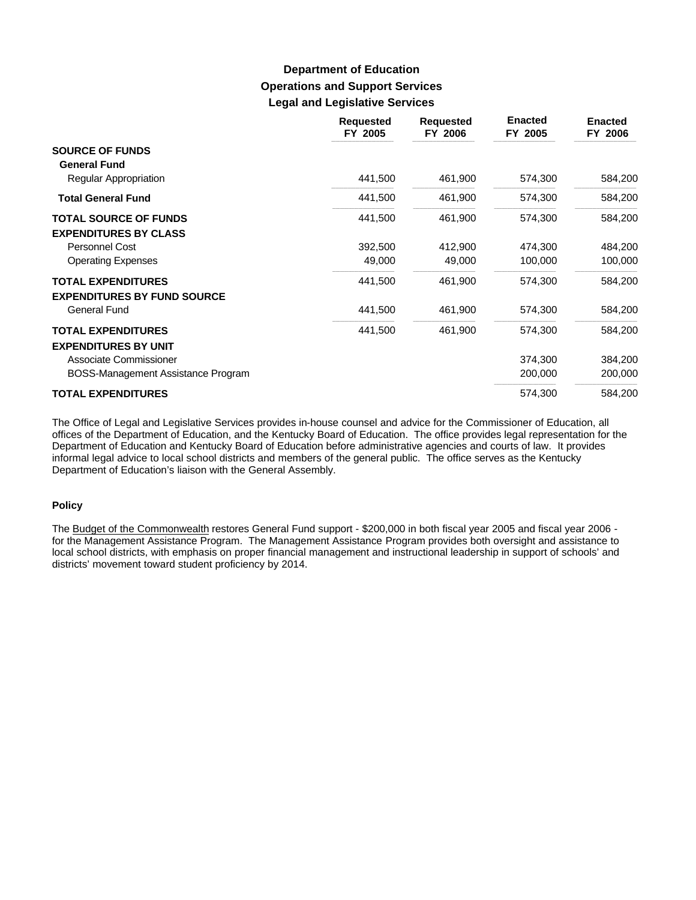# **Operations and Support Services Legal and Legislative Services Department of Education**

|                                                                 | <b>Requested</b><br>FY 2005 | <b>Requested</b><br>FY 2006 | <b>Enacted</b><br>FY 2005 | <b>Enacted</b><br>FY 2006 |
|-----------------------------------------------------------------|-----------------------------|-----------------------------|---------------------------|---------------------------|
| <b>SOURCE OF FUNDS</b><br><b>General Fund</b>                   |                             |                             |                           |                           |
| Regular Appropriation                                           | 441,500                     | 461,900                     | 574,300                   | 584,200                   |
| <b>Total General Fund</b>                                       | 441,500                     | 461,900                     | 574,300                   | 584,200                   |
| <b>TOTAL SOURCE OF FUNDS</b><br><b>EXPENDITURES BY CLASS</b>    | 441,500                     | 461,900                     | 574,300                   | 584,200                   |
| Personnel Cost                                                  | 392,500                     | 412,900                     | 474,300                   | 484,200                   |
| <b>Operating Expenses</b>                                       | 49,000                      | 49,000                      | 100,000                   | 100,000                   |
| <b>TOTAL EXPENDITURES</b><br><b>EXPENDITURES BY FUND SOURCE</b> | 441,500                     | 461,900                     | 574,300                   | 584,200                   |
| <b>General Fund</b>                                             | 441,500                     | 461,900                     | 574,300                   | 584,200                   |
| <b>TOTAL EXPENDITURES</b><br><b>EXPENDITURES BY UNIT</b>        | 441,500                     | 461,900                     | 574,300                   | 584,200                   |
| Associate Commissioner                                          |                             |                             | 374,300                   | 384,200                   |
| BOSS-Management Assistance Program                              |                             |                             | 200,000                   | 200,000                   |
| <b>TOTAL EXPENDITURES</b>                                       |                             |                             | 574,300                   | 584,200                   |

The Office of Legal and Legislative Services provides in-house counsel and advice for the Commissioner of Education, all offices of the Department of Education, and the Kentucky Board of Education. The office provides legal representation for the Department of Education and Kentucky Board of Education before administrative agencies and courts of law. It provides informal legal advice to local school districts and members of the general public. The office serves as the Kentucky Department of Education's liaison with the General Assembly.

#### **Policy**

The Budget of the Commonwealth restores General Fund support - \$200,000 in both fiscal year 2005 and fiscal year 2006 for the Management Assistance Program. The Management Assistance Program provides both oversight and assistance to local school districts, with emphasis on proper financial management and instructional leadership in support of schools' and districts' movement toward student proficiency by 2014.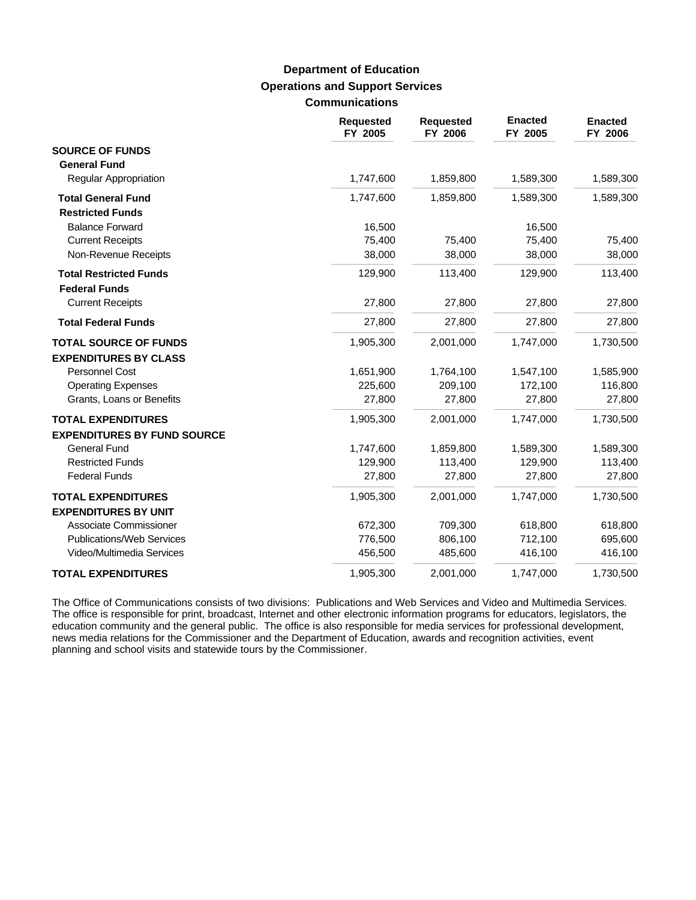## **Operations and Support Services Communications Department of Education**

|                                                       | <b>Requested</b><br>FY 2005 | <b>Requested</b><br>FY 2006 | <b>Enacted</b><br>FY 2005 | <b>Enacted</b><br>FY 2006 |
|-------------------------------------------------------|-----------------------------|-----------------------------|---------------------------|---------------------------|
| <b>SOURCE OF FUNDS</b>                                |                             |                             |                           |                           |
| <b>General Fund</b>                                   |                             |                             |                           |                           |
| <b>Regular Appropriation</b>                          | 1,747,600                   | 1,859,800                   | 1,589,300                 | 1,589,300                 |
| <b>Total General Fund</b>                             | 1,747,600                   | 1,859,800                   | 1,589,300                 | 1,589,300                 |
| <b>Restricted Funds</b>                               |                             |                             |                           |                           |
| <b>Balance Forward</b>                                | 16,500                      |                             | 16,500                    |                           |
| <b>Current Receipts</b>                               | 75,400                      | 75,400                      | 75,400                    | 75,400                    |
| Non-Revenue Receipts                                  | 38,000                      | 38,000                      | 38,000                    | 38,000                    |
| <b>Total Restricted Funds</b><br><b>Federal Funds</b> | 129,900                     | 113,400                     | 129,900                   | 113,400                   |
| <b>Current Receipts</b>                               | 27,800                      | 27,800                      | 27,800                    | 27,800                    |
| <b>Total Federal Funds</b>                            | 27,800                      | 27,800                      | 27,800                    | 27,800                    |
| <b>TOTAL SOURCE OF FUNDS</b>                          | 1,905,300                   | 2,001,000                   | 1,747,000                 | 1,730,500                 |
| <b>EXPENDITURES BY CLASS</b>                          |                             |                             |                           |                           |
| Personnel Cost                                        | 1,651,900                   | 1,764,100                   | 1,547,100                 | 1,585,900                 |
| <b>Operating Expenses</b>                             | 225,600                     | 209,100                     | 172,100                   | 116,800                   |
| Grants, Loans or Benefits                             | 27,800                      | 27,800                      | 27,800                    | 27,800                    |
| <b>TOTAL EXPENDITURES</b>                             | 1,905,300                   | 2,001,000                   | 1,747,000                 | 1,730,500                 |
| <b>EXPENDITURES BY FUND SOURCE</b>                    |                             |                             |                           |                           |
| <b>General Fund</b>                                   | 1,747,600                   | 1,859,800                   | 1,589,300                 | 1,589,300                 |
| <b>Restricted Funds</b>                               | 129,900                     | 113,400                     | 129,900                   | 113,400                   |
| <b>Federal Funds</b>                                  | 27,800                      | 27,800                      | 27,800                    | 27,800                    |
| <b>TOTAL EXPENDITURES</b>                             | 1,905,300                   | 2,001,000                   | 1,747,000                 | 1,730,500                 |
| <b>EXPENDITURES BY UNIT</b>                           |                             |                             |                           |                           |
| Associate Commissioner                                | 672,300                     | 709,300                     | 618,800                   | 618,800                   |
| <b>Publications/Web Services</b>                      | 776,500                     | 806,100                     | 712,100                   | 695,600                   |
| Video/Multimedia Services                             | 456,500                     | 485,600                     | 416,100                   | 416,100                   |
| <b>TOTAL EXPENDITURES</b>                             | 1,905,300                   | 2,001,000                   | 1,747,000                 | 1,730,500                 |

The Office of Communications consists of two divisions: Publications and Web Services and Video and Multimedia Services. The office is responsible for print, broadcast, Internet and other electronic information programs for educators, legislators, the education community and the general public. The office is also responsible for media services for professional development, news media relations for the Commissioner and the Department of Education, awards and recognition activities, event planning and school visits and statewide tours by the Commissioner.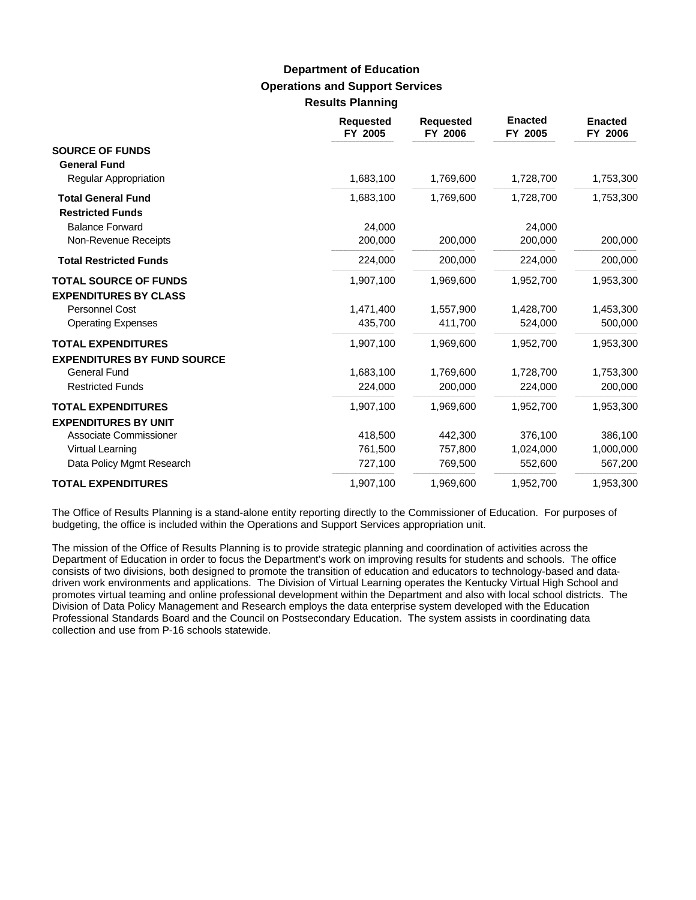# **Operations and Support Services Results Planning Department of Education**

|                                                              | <b>Requested</b><br>FY 2005 | <b>Requested</b><br>FY 2006 | <b>Enacted</b><br>FY 2005 | <b>Enacted</b><br>FY 2006 |
|--------------------------------------------------------------|-----------------------------|-----------------------------|---------------------------|---------------------------|
| <b>SOURCE OF FUNDS</b><br><b>General Fund</b>                |                             |                             |                           |                           |
| Regular Appropriation                                        | 1,683,100                   | 1,769,600                   | 1,728,700                 | 1,753,300                 |
| <b>Total General Fund</b><br><b>Restricted Funds</b>         | 1,683,100                   | 1,769,600                   | 1,728,700                 | 1,753,300                 |
| <b>Balance Forward</b>                                       | 24,000                      |                             | 24,000                    |                           |
| Non-Revenue Receipts                                         | 200,000                     | 200,000                     | 200,000                   | 200,000                   |
| <b>Total Restricted Funds</b>                                | 224,000                     | 200,000                     | 224,000                   | 200,000                   |
| <b>TOTAL SOURCE OF FUNDS</b><br><b>EXPENDITURES BY CLASS</b> | 1,907,100                   | 1,969,600                   | 1,952,700                 | 1,953,300                 |
| Personnel Cost                                               | 1,471,400                   | 1,557,900                   | 1,428,700                 | 1,453,300                 |
| <b>Operating Expenses</b>                                    | 435,700                     | 411,700                     | 524,000                   | 500,000                   |
| <b>TOTAL EXPENDITURES</b>                                    | 1,907,100                   | 1,969,600                   | 1,952,700                 | 1,953,300                 |
| <b>EXPENDITURES BY FUND SOURCE</b>                           |                             |                             |                           |                           |
| <b>General Fund</b>                                          | 1,683,100                   | 1,769,600                   | 1,728,700                 | 1,753,300                 |
| <b>Restricted Funds</b>                                      | 224,000                     | 200,000                     | 224,000                   | 200,000                   |
| <b>TOTAL EXPENDITURES</b>                                    | 1,907,100                   | 1,969,600                   | 1,952,700                 | 1,953,300                 |
| <b>EXPENDITURES BY UNIT</b>                                  |                             |                             |                           |                           |
| Associate Commissioner                                       | 418,500                     | 442,300                     | 376,100                   | 386,100                   |
| Virtual Learning                                             | 761,500                     | 757,800                     | 1,024,000                 | 1,000,000                 |
| Data Policy Mgmt Research                                    | 727,100                     | 769,500                     | 552,600                   | 567,200                   |
| <b>TOTAL EXPENDITURES</b>                                    | 1,907,100                   | 1,969,600                   | 1,952,700                 | 1,953,300                 |

The Office of Results Planning is a stand-alone entity reporting directly to the Commissioner of Education. For purposes of budgeting, the office is included within the Operations and Support Services appropriation unit.

The mission of the Office of Results Planning is to provide strategic planning and coordination of activities across the Department of Education in order to focus the Department's work on improving results for students and schools. The office consists of two divisions, both designed to promote the transition of education and educators to technology-based and datadriven work environments and applications. The Division of Virtual Learning operates the Kentucky Virtual High School and promotes virtual teaming and online professional development within the Department and also with local school districts. The Division of Data Policy Management and Research employs the data enterprise system developed with the Education Professional Standards Board and the Council on Postsecondary Education. The system assists in coordinating data collection and use from P-16 schools statewide.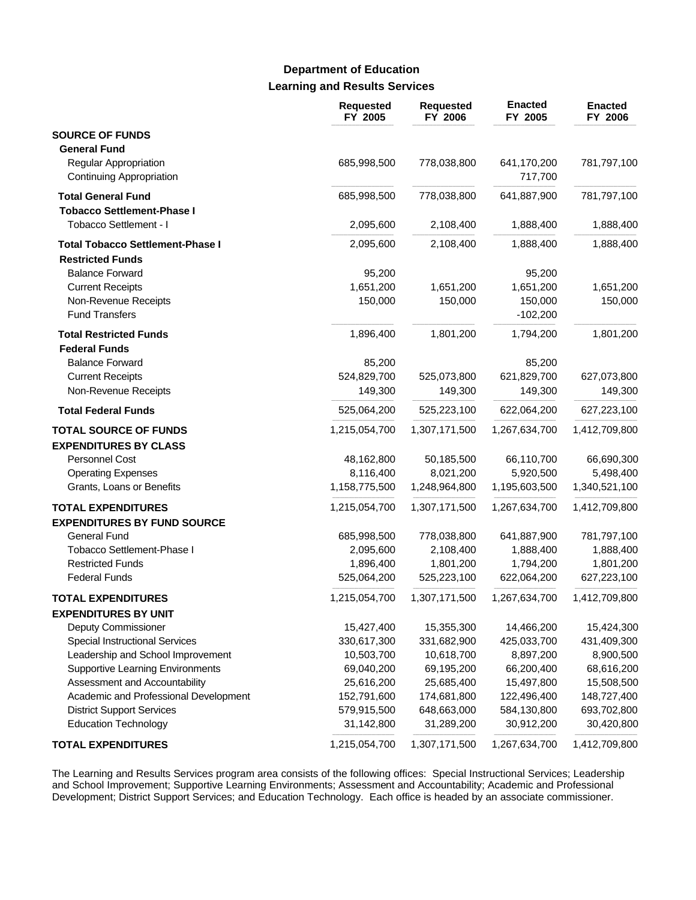### **Learning and Results Services Department of Education**

|                                                                                 | <b>Requested</b><br>FY 2005 | <b>Requested</b><br>FY 2006 | <b>Enacted</b><br>FY 2005 | <b>Enacted</b><br>FY 2006 |
|---------------------------------------------------------------------------------|-----------------------------|-----------------------------|---------------------------|---------------------------|
| <b>SOURCE OF FUNDS</b>                                                          |                             |                             |                           |                           |
| <b>General Fund</b><br>Regular Appropriation<br><b>Continuing Appropriation</b> | 685,998,500                 | 778,038,800                 | 641,170,200<br>717,700    | 781,797,100               |
| <b>Total General Fund</b>                                                       | 685,998,500                 | 778,038,800                 | 641,887,900               | 781,797,100               |
| <b>Tobacco Settlement-Phase I</b><br>Tobacco Settlement - I                     | 2,095,600                   | 2,108,400                   | 1,888,400                 | 1,888,400                 |
| <b>Total Tobacco Settlement-Phase I</b><br><b>Restricted Funds</b>              | 2,095,600                   | 2,108,400                   | 1,888,400                 | 1,888,400                 |
| <b>Balance Forward</b>                                                          | 95,200                      |                             | 95,200                    |                           |
| <b>Current Receipts</b>                                                         | 1,651,200                   | 1,651,200                   | 1,651,200                 | 1,651,200                 |
| Non-Revenue Receipts<br><b>Fund Transfers</b>                                   | 150,000                     | 150,000                     | 150,000<br>$-102,200$     | 150,000                   |
| <b>Total Restricted Funds</b>                                                   | 1,896,400                   | 1,801,200                   | 1,794,200                 | 1,801,200                 |
| <b>Federal Funds</b>                                                            |                             |                             |                           |                           |
| <b>Balance Forward</b>                                                          | 85,200                      |                             | 85,200                    |                           |
| <b>Current Receipts</b>                                                         | 524,829,700                 | 525,073,800                 | 621,829,700               | 627,073,800               |
| Non-Revenue Receipts                                                            | 149,300                     | 149,300                     | 149,300                   | 149,300                   |
| <b>Total Federal Funds</b>                                                      | 525,064,200                 | 525,223,100                 | 622,064,200               | 627,223,100               |
| <b>TOTAL SOURCE OF FUNDS</b>                                                    | 1,215,054,700               | 1,307,171,500               | 1,267,634,700             | 1,412,709,800             |
| <b>EXPENDITURES BY CLASS</b>                                                    |                             |                             |                           |                           |
| Personnel Cost                                                                  | 48,162,800                  | 50,185,500                  | 66,110,700                | 66,690,300                |
| <b>Operating Expenses</b>                                                       | 8,116,400                   | 8,021,200                   | 5,920,500                 | 5,498,400                 |
| Grants, Loans or Benefits                                                       | 1,158,775,500               | 1,248,964,800               | 1,195,603,500             | 1,340,521,100             |
| <b>TOTAL EXPENDITURES</b>                                                       | 1,215,054,700               | 1,307,171,500               | 1,267,634,700             | 1,412,709,800             |
| <b>EXPENDITURES BY FUND SOURCE</b>                                              |                             |                             |                           |                           |
| General Fund                                                                    | 685,998,500                 | 778,038,800                 | 641,887,900               | 781,797,100               |
| Tobacco Settlement-Phase I                                                      | 2,095,600                   | 2,108,400                   | 1,888,400                 | 1,888,400                 |
| <b>Restricted Funds</b><br><b>Federal Funds</b>                                 | 1,896,400<br>525,064,200    | 1,801,200<br>525,223,100    | 1,794,200<br>622,064,200  | 1,801,200<br>627,223,100  |
|                                                                                 |                             |                             |                           |                           |
| <b>TOTAL EXPENDITURES</b>                                                       | 1,215,054,700               | 1,307,171,500               | 1,267,634,700             | 1,412,709,800             |
| <b>EXPENDITURES BY UNIT</b><br>Deputy Commissioner                              | 15,427,400                  | 15,355,300                  | 14,466,200                | 15,424,300                |
| Special Instructional Services                                                  | 330,617,300                 | 331,682,900                 | 425,033,700               | 431,409,300               |
| Leadership and School Improvement                                               | 10,503,700                  | 10,618,700                  | 8,897,200                 | 8,900,500                 |
| <b>Supportive Learning Environments</b>                                         | 69,040,200                  | 69,195,200                  | 66,200,400                | 68,616,200                |
| Assessment and Accountability                                                   | 25,616,200                  | 25,685,400                  | 15,497,800                | 15,508,500                |
| Academic and Professional Development                                           | 152,791,600                 | 174,681,800                 | 122,496,400               | 148,727,400               |
| <b>District Support Services</b>                                                | 579,915,500                 | 648,663,000                 | 584,130,800               | 693,702,800               |
| <b>Education Technology</b>                                                     | 31,142,800                  | 31,289,200                  | 30,912,200                | 30,420,800                |
| <b>TOTAL EXPENDITURES</b>                                                       | 1,215,054,700               | 1,307,171,500               | 1,267,634,700             | 1,412,709,800             |

The Learning and Results Services program area consists of the following offices: Special Instructional Services; Leadership and School Improvement; Supportive Learning Environments; Assessment and Accountability; Academic and Professional Development; District Support Services; and Education Technology. Each office is headed by an associate commissioner.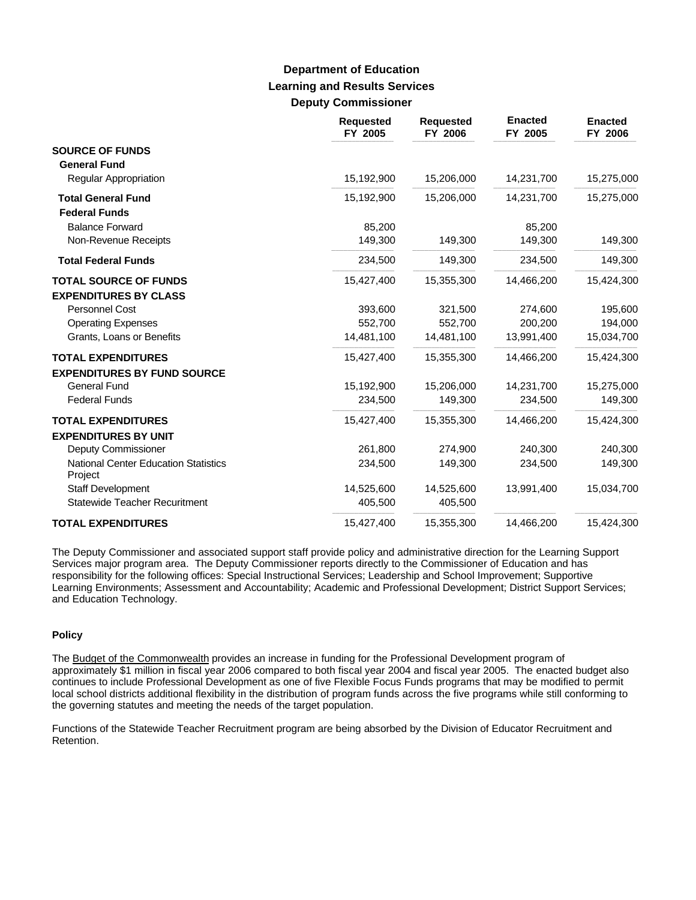### **Learning and Results Services Deputy Commissioner Department of Education**

|                                                                 | <b>Requested</b><br>FY 2005 | <b>Requested</b><br>FY 2006 | <b>Enacted</b><br>FY 2005 | <b>Enacted</b><br>FY 2006 |
|-----------------------------------------------------------------|-----------------------------|-----------------------------|---------------------------|---------------------------|
| <b>SOURCE OF FUNDS</b><br><b>General Fund</b>                   |                             |                             |                           |                           |
| Regular Appropriation                                           | 15,192,900                  | 15,206,000                  | 14,231,700                | 15,275,000                |
| <b>Total General Fund</b><br><b>Federal Funds</b>               | 15,192,900                  | 15,206,000                  | 14,231,700                | 15,275,000                |
| <b>Balance Forward</b>                                          | 85,200                      |                             | 85,200                    |                           |
| Non-Revenue Receipts                                            | 149,300                     | 149,300                     | 149,300                   | 149,300                   |
| <b>Total Federal Funds</b>                                      | 234,500                     | 149,300                     | 234,500                   | 149,300                   |
| <b>TOTAL SOURCE OF FUNDS</b><br><b>EXPENDITURES BY CLASS</b>    | 15,427,400                  | 15,355,300                  | 14,466,200                | 15,424,300                |
| <b>Personnel Cost</b>                                           | 393,600                     | 321,500                     | 274,600                   | 195,600                   |
| <b>Operating Expenses</b>                                       | 552,700                     | 552,700                     | 200,200                   | 194,000                   |
| Grants, Loans or Benefits                                       | 14,481,100                  | 14,481,100                  | 13,991,400                | 15,034,700                |
| <b>TOTAL EXPENDITURES</b><br><b>EXPENDITURES BY FUND SOURCE</b> | 15,427,400                  | 15,355,300                  | 14,466,200                | 15,424,300                |
| <b>General Fund</b>                                             | 15,192,900                  | 15,206,000                  | 14,231,700                | 15,275,000                |
| <b>Federal Funds</b>                                            | 234,500                     | 149,300                     | 234,500                   | 149,300                   |
| <b>TOTAL EXPENDITURES</b>                                       | 15,427,400                  | 15,355,300                  | 14,466,200                | 15,424,300                |
| <b>EXPENDITURES BY UNIT</b>                                     |                             |                             |                           |                           |
| Deputy Commissioner                                             | 261,800                     | 274,900                     | 240,300                   | 240,300                   |
| <b>National Center Education Statistics</b><br>Project          | 234,500                     | 149,300                     | 234,500                   | 149,300                   |
| Staff Development                                               | 14,525,600                  | 14,525,600                  | 13,991,400                | 15,034,700                |
| <b>Statewide Teacher Recuritment</b>                            | 405,500                     | 405,500                     |                           |                           |
| <b>TOTAL EXPENDITURES</b>                                       | 15,427,400                  | 15,355,300                  | 14,466,200                | 15,424,300                |

The Deputy Commissioner and associated support staff provide policy and administrative direction for the Learning Support Services major program area. The Deputy Commissioner reports directly to the Commissioner of Education and has responsibility for the following offices: Special Instructional Services; Leadership and School Improvement; Supportive Learning Environments; Assessment and Accountability; Academic and Professional Development; District Support Services; and Education Technology.

#### **Policy**

The Budget of the Commonwealth provides an increase in funding for the Professional Development program of approximately \$1 million in fiscal year 2006 compared to both fiscal year 2004 and fiscal year 2005. The enacted budget also continues to include Professional Development as one of five Flexible Focus Funds programs that may be modified to permit local school districts additional flexibility in the distribution of program funds across the five programs while still conforming to the governing statutes and meeting the needs of the target population.

Functions of the Statewide Teacher Recruitment program are being absorbed by the Division of Educator Recruitment and Retention.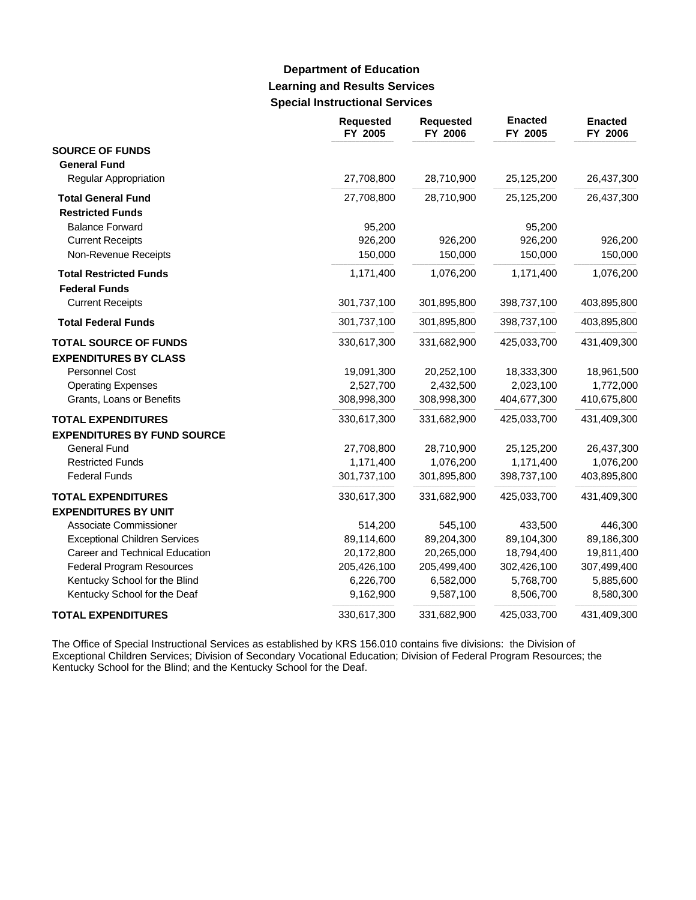# **Learning and Results Services Special Instructional Services Department of Education**

|                                      | <b>Requested</b><br>FY 2005 | <b>Requested</b><br>FY 2006 | <b>Enacted</b><br>FY 2005 | <b>Enacted</b><br>FY 2006 |
|--------------------------------------|-----------------------------|-----------------------------|---------------------------|---------------------------|
| <b>SOURCE OF FUNDS</b>               |                             |                             |                           |                           |
| <b>General Fund</b>                  |                             |                             |                           |                           |
| Regular Appropriation                | 27,708,800                  | 28,710,900                  | 25,125,200                | 26,437,300                |
| <b>Total General Fund</b>            | 27,708,800                  | 28,710,900                  | 25,125,200                | 26,437,300                |
| <b>Restricted Funds</b>              |                             |                             |                           |                           |
| <b>Balance Forward</b>               | 95,200                      |                             | 95,200                    |                           |
| <b>Current Receipts</b>              | 926,200                     | 926,200                     | 926,200                   | 926,200                   |
| Non-Revenue Receipts                 | 150,000                     | 150,000                     | 150,000                   | 150,000                   |
| <b>Total Restricted Funds</b>        | 1,171,400                   | 1,076,200                   | 1,171,400                 | 1,076,200                 |
| <b>Federal Funds</b>                 |                             |                             |                           |                           |
| <b>Current Receipts</b>              | 301,737,100                 | 301,895,800                 | 398,737,100               | 403,895,800               |
| <b>Total Federal Funds</b>           | 301,737,100                 | 301,895,800                 | 398,737,100               | 403,895,800               |
| <b>TOTAL SOURCE OF FUNDS</b>         | 330,617,300                 | 331,682,900                 | 425,033,700               | 431,409,300               |
| <b>EXPENDITURES BY CLASS</b>         |                             |                             |                           |                           |
| <b>Personnel Cost</b>                | 19,091,300                  | 20,252,100                  | 18,333,300                | 18,961,500                |
| <b>Operating Expenses</b>            | 2,527,700                   | 2,432,500                   | 2,023,100                 | 1,772,000                 |
| Grants, Loans or Benefits            | 308,998,300                 | 308,998,300                 | 404,677,300               | 410,675,800               |
| <b>TOTAL EXPENDITURES</b>            | 330,617,300                 | 331,682,900                 | 425,033,700               | 431,409,300               |
| <b>EXPENDITURES BY FUND SOURCE</b>   |                             |                             |                           |                           |
| <b>General Fund</b>                  | 27,708,800                  | 28,710,900                  | 25,125,200                | 26,437,300                |
| <b>Restricted Funds</b>              | 1,171,400                   | 1,076,200                   | 1,171,400                 | 1,076,200                 |
| <b>Federal Funds</b>                 | 301,737,100                 | 301,895,800                 | 398,737,100               | 403,895,800               |
| <b>TOTAL EXPENDITURES</b>            | 330,617,300                 | 331,682,900                 | 425,033,700               | 431,409,300               |
| <b>EXPENDITURES BY UNIT</b>          |                             |                             |                           |                           |
| Associate Commissioner               | 514,200                     | 545,100                     | 433,500                   | 446,300                   |
| <b>Exceptional Children Services</b> | 89,114,600                  | 89,204,300                  | 89,104,300                | 89,186,300                |
| Career and Technical Education       | 20,172,800                  | 20,265,000                  | 18,794,400                | 19,811,400                |
| Federal Program Resources            | 205,426,100                 | 205,499,400                 | 302,426,100               | 307,499,400               |
| Kentucky School for the Blind        | 6,226,700                   | 6,582,000                   | 5,768,700                 | 5,885,600                 |
| Kentucky School for the Deaf         | 9,162,900                   | 9,587,100                   | 8,506,700                 | 8,580,300                 |
| <b>TOTAL EXPENDITURES</b>            | 330,617,300                 | 331,682,900                 | 425,033,700               | 431,409,300               |

The Office of Special Instructional Services as established by KRS 156.010 contains five divisions: the Division of Exceptional Children Services; Division of Secondary Vocational Education; Division of Federal Program Resources; the Kentucky School for the Blind; and the Kentucky School for the Deaf.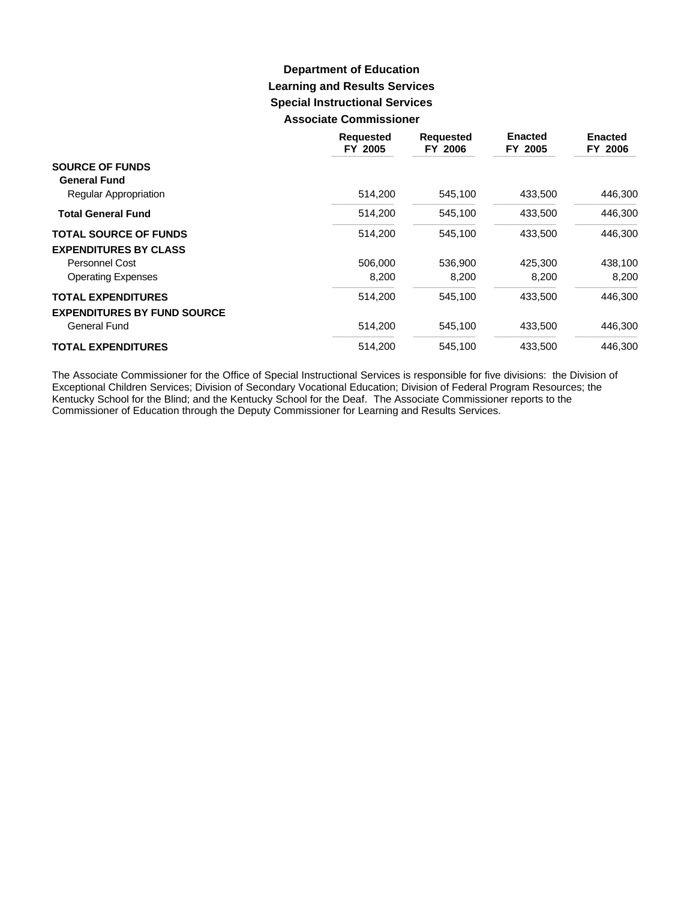### **Learning and Results Services Special Instructional Services Associate Commissioner Department of Education**

|                                    | <b>Requested</b><br>FY 2005 | <b>Requested</b><br>FY 2006 | <b>Enacted</b><br>FY 2005 | <b>Enacted</b><br>FY 2006 |
|------------------------------------|-----------------------------|-----------------------------|---------------------------|---------------------------|
| <b>SOURCE OF FUNDS</b>             |                             |                             |                           |                           |
| <b>General Fund</b>                |                             |                             |                           |                           |
| Regular Appropriation              | 514,200                     | 545,100                     | 433,500                   | 446,300                   |
| <b>Total General Fund</b>          | 514.200                     | 545.100                     | 433.500                   | 446.300                   |
| <b>TOTAL SOURCE OF FUNDS</b>       | 514,200                     | 545,100                     | 433,500                   | 446,300                   |
| <b>EXPENDITURES BY CLASS</b>       |                             |                             |                           |                           |
| Personnel Cost                     | 506,000                     | 536,900                     | 425.300                   | 438,100                   |
| <b>Operating Expenses</b>          | 8,200                       | 8,200                       | 8,200                     | 8,200                     |
| <b>TOTAL EXPENDITURES</b>          | 514,200                     | 545,100                     | 433.500                   | 446,300                   |
| <b>EXPENDITURES BY FUND SOURCE</b> |                             |                             |                           |                           |
| General Fund                       | 514,200                     | 545,100                     | 433,500                   | 446,300                   |
| <b>TOTAL EXPENDITURES</b>          | 514,200                     | 545.100                     | 433.500                   | 446.300                   |

The Associate Commissioner for the Office of Special Instructional Services is responsible for five divisions: the Division of Exceptional Children Services; Division of Secondary Vocational Education; Division of Federal Program Resources; the Kentucky School for the Blind; and the Kentucky School for the Deaf. The Associate Commissioner reports to the Commissioner of Education through the Deputy Commissioner for Learning and Results Services.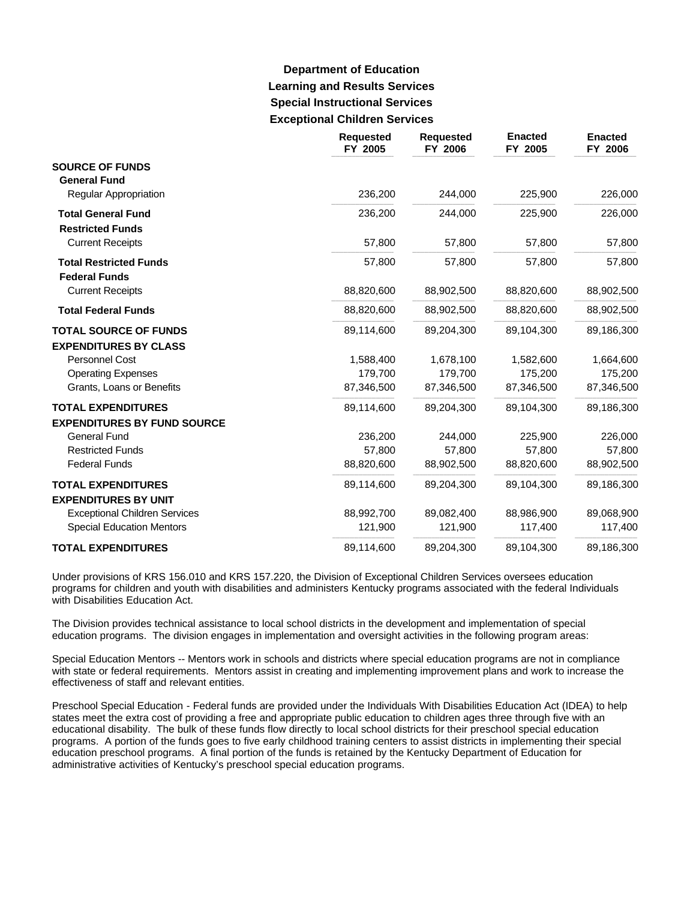# **Learning and Results Services Special Instructional Services Exceptional Children Services Department of Education**

|                                                                 | <b>Requested</b><br>FY 2005 | <b>Requested</b><br>FY 2006 | <b>Enacted</b><br>FY 2005 | <b>Enacted</b><br>FY 2006 |
|-----------------------------------------------------------------|-----------------------------|-----------------------------|---------------------------|---------------------------|
| <b>SOURCE OF FUNDS</b><br><b>General Fund</b>                   |                             |                             |                           |                           |
| <b>Regular Appropriation</b>                                    | 236,200                     | 244,000                     | 225,900                   | 226,000                   |
| <b>Total General Fund</b><br><b>Restricted Funds</b>            | 236,200                     | 244,000                     | 225,900                   | 226,000                   |
| <b>Current Receipts</b>                                         | 57,800                      | 57,800                      | 57,800                    | 57,800                    |
| <b>Total Restricted Funds</b><br><b>Federal Funds</b>           | 57,800                      | 57,800                      | 57,800                    | 57,800                    |
| <b>Current Receipts</b>                                         | 88,820,600                  | 88,902,500                  | 88,820,600                | 88,902,500                |
| <b>Total Federal Funds</b>                                      | 88,820,600                  | 88,902,500                  | 88,820,600                | 88,902,500                |
| <b>TOTAL SOURCE OF FUNDS</b><br><b>EXPENDITURES BY CLASS</b>    | 89,114,600                  | 89,204,300                  | 89,104,300                | 89,186,300                |
| Personnel Cost                                                  | 1,588,400                   | 1,678,100                   | 1,582,600                 | 1,664,600                 |
| <b>Operating Expenses</b>                                       | 179,700                     | 179,700                     | 175,200                   | 175,200                   |
| Grants, Loans or Benefits                                       | 87,346,500                  | 87,346,500                  | 87,346,500                | 87,346,500                |
| <b>TOTAL EXPENDITURES</b><br><b>EXPENDITURES BY FUND SOURCE</b> | 89,114,600                  | 89,204,300                  | 89,104,300                | 89,186,300                |
| <b>General Fund</b>                                             | 236,200                     | 244,000                     | 225,900                   | 226,000                   |
| <b>Restricted Funds</b>                                         | 57,800                      | 57,800                      | 57,800                    | 57,800                    |
| <b>Federal Funds</b>                                            | 88,820,600                  | 88,902,500                  | 88,820,600                | 88,902,500                |
| <b>TOTAL EXPENDITURES</b><br><b>EXPENDITURES BY UNIT</b>        | 89,114,600                  | 89,204,300                  | 89,104,300                | 89,186,300                |
| <b>Exceptional Children Services</b>                            | 88,992,700                  | 89,082,400                  | 88,986,900                | 89,068,900                |
| <b>Special Education Mentors</b>                                | 121,900                     | 121,900                     | 117,400                   | 117,400                   |
| <b>TOTAL EXPENDITURES</b>                                       | 89,114,600                  | 89,204,300                  | 89,104,300                | 89,186,300                |

Under provisions of KRS 156.010 and KRS 157.220, the Division of Exceptional Children Services oversees education programs for children and youth with disabilities and administers Kentucky programs associated with the federal Individuals with Disabilities Education Act.

The Division provides technical assistance to local school districts in the development and implementation of special education programs. The division engages in implementation and oversight activities in the following program areas:

Special Education Mentors -- Mentors work in schools and districts where special education programs are not in compliance with state or federal requirements. Mentors assist in creating and implementing improvement plans and work to increase the effectiveness of staff and relevant entities.

Preschool Special Education - Federal funds are provided under the Individuals With Disabilities Education Act (IDEA) to help states meet the extra cost of providing a free and appropriate public education to children ages three through five with an educational disability. The bulk of these funds flow directly to local school districts for their preschool special education programs. A portion of the funds goes to five early childhood training centers to assist districts in implementing their special education preschool programs. A final portion of the funds is retained by the Kentucky Department of Education for administrative activities of Kentucky's preschool special education programs.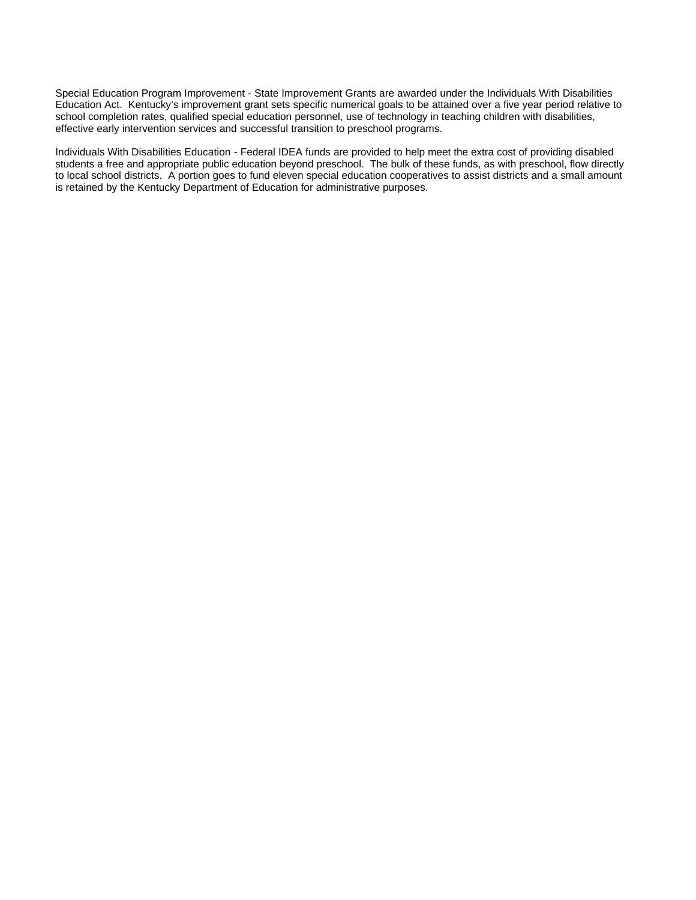Special Education Program Improvement - State Improvement Grants are awarded under the Individuals With Disabilities Education Act. Kentucky's improvement grant sets specific numerical goals to be attained over a five year period relative to school completion rates, qualified special education personnel, use of technology in teaching children with disabilities, effective early intervention services and successful transition to preschool programs.

Individuals With Disabilities Education - Federal IDEA funds are provided to help meet the extra cost of providing disabled students a free and appropriate public education beyond preschool. The bulk of these funds, as with preschool, flow directly to local school districts. A portion goes to fund eleven special education cooperatives to assist districts and a small amount is retained by the Kentucky Department of Education for administrative purposes.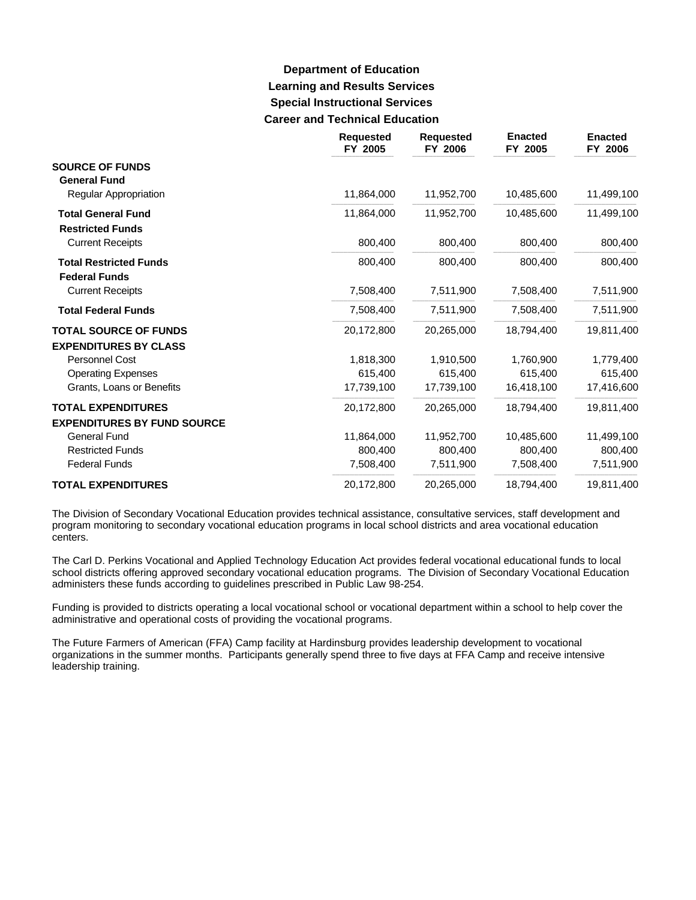# **Learning and Results Services Special Instructional Services Career and Technical Education Department of Education**

|                                                                 | <b>Requested</b><br>FY 2005 | <b>Requested</b><br>FY 2006 | <b>Enacted</b><br>FY 2005 | <b>Enacted</b><br>FY 2006 |
|-----------------------------------------------------------------|-----------------------------|-----------------------------|---------------------------|---------------------------|
| <b>SOURCE OF FUNDS</b><br><b>General Fund</b>                   |                             |                             |                           |                           |
| Regular Appropriation                                           | 11,864,000                  | 11,952,700                  | 10,485,600                | 11,499,100                |
| <b>Total General Fund</b><br><b>Restricted Funds</b>            | 11.864.000                  | 11,952,700                  | 10,485,600                | 11,499,100                |
| <b>Current Receipts</b>                                         | 800,400                     | 800,400                     | 800,400                   | 800,400                   |
| <b>Total Restricted Funds</b><br><b>Federal Funds</b>           | 800.400                     | 800,400                     | 800.400                   | 800,400                   |
| <b>Current Receipts</b>                                         | 7,508,400                   | 7,511,900                   | 7,508,400                 | 7,511,900                 |
| <b>Total Federal Funds</b>                                      | 7,508,400                   | 7,511,900                   | 7,508,400                 | 7,511,900                 |
| <b>TOTAL SOURCE OF FUNDS</b>                                    | 20,172,800                  | 20,265,000                  | 18,794,400                | 19,811,400                |
| <b>EXPENDITURES BY CLASS</b><br>Personnel Cost                  | 1,818,300                   | 1,910,500                   | 1,760,900                 | 1,779,400                 |
| <b>Operating Expenses</b><br>Grants, Loans or Benefits          | 615,400<br>17,739,100       | 615,400<br>17,739,100       | 615,400<br>16,418,100     | 615,400<br>17,416,600     |
| <b>TOTAL EXPENDITURES</b><br><b>EXPENDITURES BY FUND SOURCE</b> | 20,172,800                  | 20,265,000                  | 18,794,400                | 19,811,400                |
| General Fund                                                    | 11,864,000                  | 11,952,700                  | 10,485,600                | 11,499,100                |
| <b>Restricted Funds</b>                                         | 800,400                     | 800,400                     | 800,400                   | 800,400                   |
| <b>Federal Funds</b>                                            | 7,508,400                   | 7,511,900                   | 7,508,400                 | 7,511,900                 |
| <b>TOTAL EXPENDITURES</b>                                       | 20,172,800                  | 20,265,000                  | 18,794,400                | 19,811,400                |

The Division of Secondary Vocational Education provides technical assistance, consultative services, staff development and program monitoring to secondary vocational education programs in local school districts and area vocational education centers.

The Carl D. Perkins Vocational and Applied Technology Education Act provides federal vocational educational funds to local school districts offering approved secondary vocational education programs. The Division of Secondary Vocational Education administers these funds according to guidelines prescribed in Public Law 98-254.

Funding is provided to districts operating a local vocational school or vocational department within a school to help cover the administrative and operational costs of providing the vocational programs.

The Future Farmers of American (FFA) Camp facility at Hardinsburg provides leadership development to vocational organizations in the summer months. Participants generally spend three to five days at FFA Camp and receive intensive leadership training.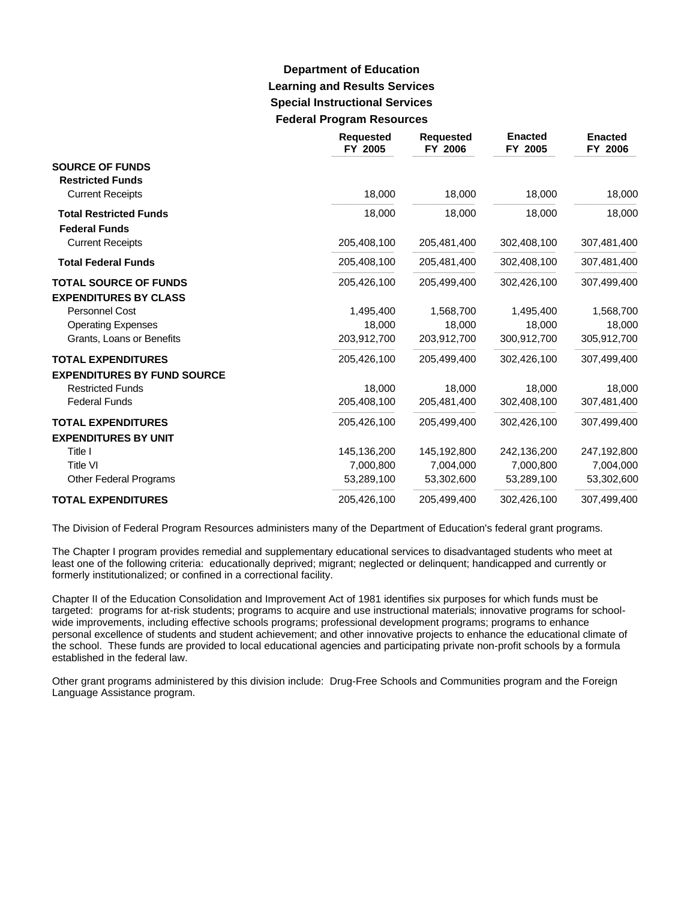# **Learning and Results Services Special Instructional Services Federal Program Resources Department of Education**

|                                                                              | <b>Requested</b><br>FY 2005 | <b>Requested</b><br>FY 2006 | <b>Enacted</b><br>FY 2005 | <b>Enacted</b><br>FY 2006 |
|------------------------------------------------------------------------------|-----------------------------|-----------------------------|---------------------------|---------------------------|
| <b>SOURCE OF FUNDS</b><br><b>Restricted Funds</b><br><b>Current Receipts</b> | 18,000                      | 18,000                      | 18,000                    | 18,000                    |
| <b>Total Restricted Funds</b><br><b>Federal Funds</b>                        | 18,000                      | 18,000                      | 18,000                    | 18,000                    |
| <b>Current Receipts</b>                                                      | 205,408,100                 | 205,481,400                 | 302,408,100               | 307,481,400               |
| <b>Total Federal Funds</b>                                                   | 205,408,100                 | 205,481,400                 | 302,408,100               | 307,481,400               |
| <b>TOTAL SOURCE OF FUNDS</b><br><b>EXPENDITURES BY CLASS</b>                 | 205,426,100                 | 205,499,400                 | 302,426,100               | 307,499,400               |
| Personnel Cost                                                               | 1,495,400                   | 1,568,700                   | 1,495,400                 | 1,568,700                 |
| <b>Operating Expenses</b>                                                    | 18,000                      | 18,000                      | 18,000                    | 18,000                    |
| Grants, Loans or Benefits                                                    | 203,912,700                 | 203,912,700                 | 300,912,700               | 305,912,700               |
| <b>TOTAL EXPENDITURES</b>                                                    | 205,426,100                 | 205,499,400                 | 302,426,100               | 307,499,400               |
| <b>EXPENDITURES BY FUND SOURCE</b>                                           |                             |                             |                           |                           |
| <b>Restricted Funds</b>                                                      | 18.000                      | 18,000                      | 18,000                    | 18,000                    |
| <b>Federal Funds</b>                                                         | 205,408,100                 | 205,481,400                 | 302,408,100               | 307,481,400               |
| <b>TOTAL EXPENDITURES</b>                                                    | 205,426,100                 | 205,499,400                 | 302,426,100               | 307,499,400               |
| <b>EXPENDITURES BY UNIT</b>                                                  |                             |                             |                           |                           |
| Title I                                                                      | 145,136,200                 | 145,192,800                 | 242,136,200               | 247,192,800               |
| <b>Title VI</b>                                                              | 7,000,800                   | 7,004,000                   | 7,000,800                 | 7,004,000                 |
| <b>Other Federal Programs</b>                                                | 53,289,100                  | 53,302,600                  | 53,289,100                | 53,302,600                |
| <b>TOTAL EXPENDITURES</b>                                                    | 205,426,100                 | 205,499,400                 | 302,426,100               | 307,499,400               |

The Division of Federal Program Resources administers many of the Department of Education's federal grant programs.

The Chapter I program provides remedial and supplementary educational services to disadvantaged students who meet at least one of the following criteria: educationally deprived; migrant; neglected or delinquent; handicapped and currently or formerly institutionalized; or confined in a correctional facility.

Chapter II of the Education Consolidation and Improvement Act of 1981 identifies six purposes for which funds must be targeted: programs for at-risk students; programs to acquire and use instructional materials; innovative programs for schoolwide improvements, including effective schools programs; professional development programs; programs to enhance personal excellence of students and student achievement; and other innovative projects to enhance the educational climate of the school. These funds are provided to local educational agencies and participating private non-profit schools by a formula established in the federal law.

Other grant programs administered by this division include: Drug-Free Schools and Communities program and the Foreign Language Assistance program.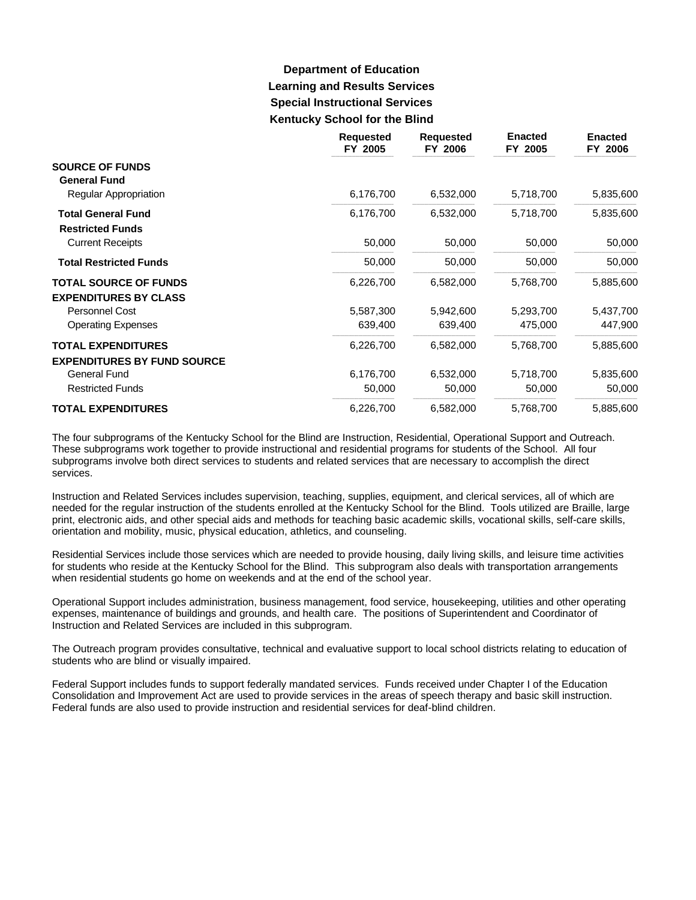# **Learning and Results Services Special Instructional Services Kentucky School for the Blind Department of Education**

|                                    | <b>Requested</b><br>FY 2005 | <b>Requested</b><br>FY 2006 | <b>Enacted</b><br>FY 2005 | <b>Enacted</b><br>FY 2006 |
|------------------------------------|-----------------------------|-----------------------------|---------------------------|---------------------------|
| <b>SOURCE OF FUNDS</b>             |                             |                             |                           |                           |
| <b>General Fund</b>                |                             |                             |                           |                           |
| Regular Appropriation              | 6,176,700                   | 6,532,000                   | 5,718,700                 | 5,835,600                 |
| <b>Total General Fund</b>          | 6,176,700                   | 6,532,000                   | 5,718,700                 | 5,835,600                 |
| <b>Restricted Funds</b>            |                             |                             |                           |                           |
| <b>Current Receipts</b>            | 50,000                      | 50,000                      | 50,000                    | 50,000                    |
| <b>Total Restricted Funds</b>      | 50,000                      | 50,000                      | 50,000                    | 50,000                    |
| <b>TOTAL SOURCE OF FUNDS</b>       | 6,226,700                   | 6,582,000                   | 5,768,700                 | 5,885,600                 |
| <b>EXPENDITURES BY CLASS</b>       |                             |                             |                           |                           |
| Personnel Cost                     | 5,587,300                   | 5,942,600                   | 5,293,700                 | 5,437,700                 |
| <b>Operating Expenses</b>          | 639,400                     | 639,400                     | 475,000                   | 447,900                   |
| <b>TOTAL EXPENDITURES</b>          | 6,226,700                   | 6,582,000                   | 5,768,700                 | 5,885,600                 |
| <b>EXPENDITURES BY FUND SOURCE</b> |                             |                             |                           |                           |
| General Fund                       | 6,176,700                   | 6,532,000                   | 5,718,700                 | 5,835,600                 |
| <b>Restricted Funds</b>            | 50,000                      | 50,000                      | 50,000                    | 50,000                    |
| <b>TOTAL EXPENDITURES</b>          | 6,226,700                   | 6,582,000                   | 5,768,700                 | 5,885,600                 |

The four subprograms of the Kentucky School for the Blind are Instruction, Residential, Operational Support and Outreach. These subprograms work together to provide instructional and residential programs for students of the School. All four subprograms involve both direct services to students and related services that are necessary to accomplish the direct services.

Instruction and Related Services includes supervision, teaching, supplies, equipment, and clerical services, all of which are needed for the regular instruction of the students enrolled at the Kentucky School for the Blind. Tools utilized are Braille, large print, electronic aids, and other special aids and methods for teaching basic academic skills, vocational skills, self-care skills, orientation and mobility, music, physical education, athletics, and counseling.

Residential Services include those services which are needed to provide housing, daily living skills, and leisure time activities for students who reside at the Kentucky School for the Blind. This subprogram also deals with transportation arrangements when residential students go home on weekends and at the end of the school year.

Operational Support includes administration, business management, food service, housekeeping, utilities and other operating expenses, maintenance of buildings and grounds, and health care. The positions of Superintendent and Coordinator of Instruction and Related Services are included in this subprogram.

The Outreach program provides consultative, technical and evaluative support to local school districts relating to education of students who are blind or visually impaired.

Federal Support includes funds to support federally mandated services. Funds received under Chapter I of the Education Consolidation and Improvement Act are used to provide services in the areas of speech therapy and basic skill instruction. Federal funds are also used to provide instruction and residential services for deaf-blind children.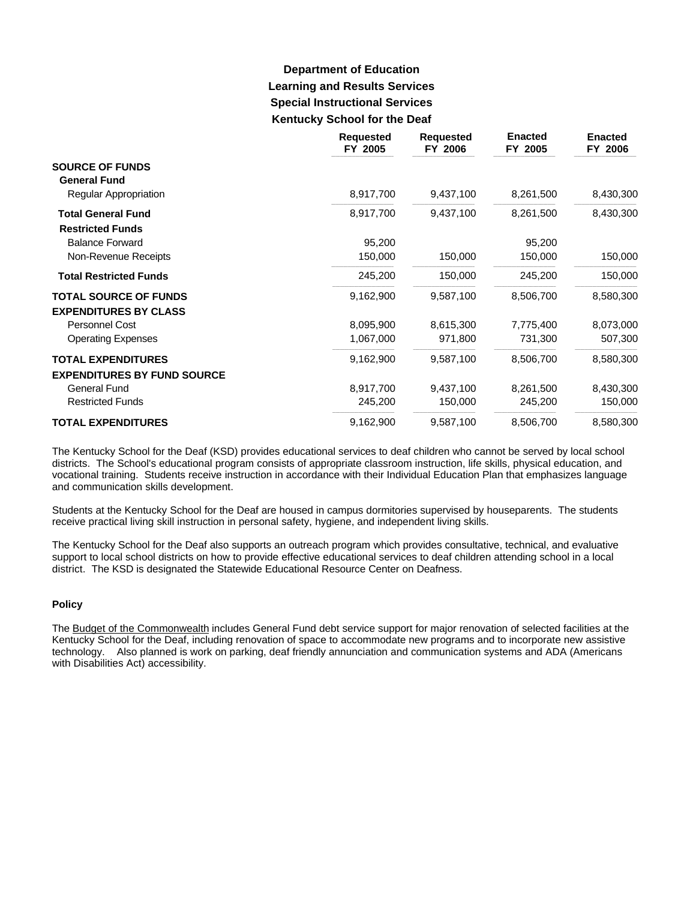# **Learning and Results Services Special Instructional Services Kentucky School for the Deaf Department of Education**

|                                                              | <b>Requested</b><br>FY 2005 | <b>Requested</b><br>FY 2006 | <b>Enacted</b><br>FY 2005 | <b>Enacted</b><br>FY 2006 |
|--------------------------------------------------------------|-----------------------------|-----------------------------|---------------------------|---------------------------|
| <b>SOURCE OF FUNDS</b><br><b>General Fund</b>                |                             |                             |                           |                           |
| <b>Regular Appropriation</b>                                 | 8,917,700                   | 9,437,100                   | 8,261,500                 | 8,430,300                 |
| <b>Total General Fund</b><br><b>Restricted Funds</b>         | 8,917,700                   | 9,437,100                   | 8,261,500                 | 8,430,300                 |
| <b>Balance Forward</b>                                       | 95,200                      |                             | 95,200                    |                           |
| Non-Revenue Receipts                                         | 150,000                     | 150,000                     | 150,000                   | 150,000                   |
| <b>Total Restricted Funds</b>                                | 245,200                     | 150,000                     | 245,200                   | 150,000                   |
| <b>TOTAL SOURCE OF FUNDS</b><br><b>EXPENDITURES BY CLASS</b> | 9,162,900                   | 9,587,100                   | 8,506,700                 | 8,580,300                 |
| Personnel Cost                                               | 8,095,900                   | 8,615,300                   | 7,775,400                 | 8,073,000                 |
| <b>Operating Expenses</b>                                    | 1,067,000                   | 971,800                     | 731,300                   | 507,300                   |
| <b>TOTAL EXPENDITURES</b>                                    | 9,162,900                   | 9,587,100                   | 8,506,700                 | 8,580,300                 |
| <b>EXPENDITURES BY FUND SOURCE</b><br><b>General Fund</b>    | 8,917,700                   | 9,437,100                   | 8,261,500                 | 8,430,300                 |
| <b>Restricted Funds</b>                                      | 245,200                     | 150,000                     | 245,200                   | 150,000                   |
| <b>TOTAL EXPENDITURES</b>                                    | 9,162,900                   | 9,587,100                   | 8,506,700                 | 8,580,300                 |

The Kentucky School for the Deaf (KSD) provides educational services to deaf children who cannot be served by local school districts. The School's educational program consists of appropriate classroom instruction, life skills, physical education, and vocational training. Students receive instruction in accordance with their Individual Education Plan that emphasizes language and communication skills development.

Students at the Kentucky School for the Deaf are housed in campus dormitories supervised by houseparents. The students receive practical living skill instruction in personal safety, hygiene, and independent living skills.

The Kentucky School for the Deaf also supports an outreach program which provides consultative, technical, and evaluative support to local school districts on how to provide effective educational services to deaf children attending school in a local district. The KSD is designated the Statewide Educational Resource Center on Deafness.

#### **Policy**

The Budget of the Commonwealth includes General Fund debt service support for major renovation of selected facilities at the Kentucky School for the Deaf, including renovation of space to accommodate new programs and to incorporate new assistive technology. Also planned is work on parking, deaf friendly annunciation and communication systems and ADA (Americans with Disabilities Act) accessibility.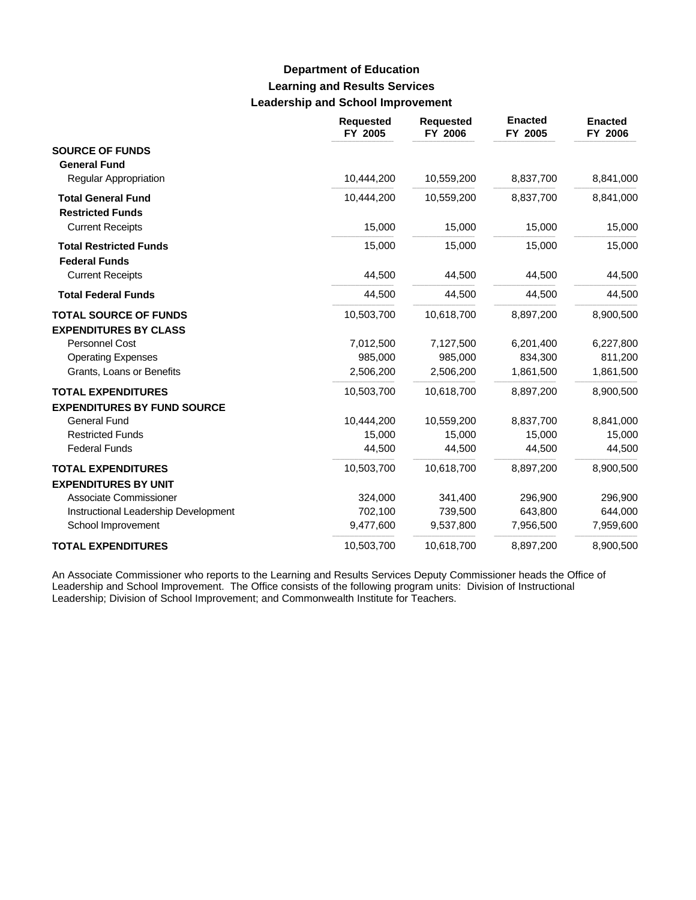# **Learning and Results Services Leadership and School Improvement Department of Education**

|                                                                 | <b>Requested</b><br>FY 2005 | <b>Requested</b><br>FY 2006 | <b>Enacted</b><br>FY 2005 | <b>Enacted</b><br>FY 2006 |
|-----------------------------------------------------------------|-----------------------------|-----------------------------|---------------------------|---------------------------|
| <b>SOURCE OF FUNDS</b><br><b>General Fund</b>                   |                             |                             |                           |                           |
| <b>Regular Appropriation</b>                                    | 10,444,200                  | 10,559,200                  | 8,837,700                 | 8,841,000                 |
| <b>Total General Fund</b><br><b>Restricted Funds</b>            | 10,444,200                  | 10,559,200                  | 8,837,700                 | 8,841,000                 |
| <b>Current Receipts</b>                                         | 15,000                      | 15,000                      | 15,000                    | 15,000                    |
| <b>Total Restricted Funds</b><br><b>Federal Funds</b>           | 15,000                      | 15,000                      | 15,000                    | 15,000                    |
| <b>Current Receipts</b>                                         | 44,500                      | 44,500                      | 44,500                    | 44,500                    |
| <b>Total Federal Funds</b>                                      | 44,500                      | 44,500                      | 44,500                    | 44,500                    |
| <b>TOTAL SOURCE OF FUNDS</b><br><b>EXPENDITURES BY CLASS</b>    | 10,503,700                  | 10,618,700                  | 8,897,200                 | 8,900,500                 |
| Personnel Cost                                                  | 7,012,500                   | 7,127,500                   | 6,201,400                 | 6,227,800                 |
| <b>Operating Expenses</b>                                       | 985,000                     | 985,000                     | 834,300                   | 811,200                   |
| Grants, Loans or Benefits                                       | 2,506,200                   | 2,506,200                   | 1,861,500                 | 1,861,500                 |
| <b>TOTAL EXPENDITURES</b><br><b>EXPENDITURES BY FUND SOURCE</b> | 10,503,700                  | 10,618,700                  | 8,897,200                 | 8,900,500                 |
| <b>General Fund</b>                                             | 10,444,200                  | 10,559,200                  | 8,837,700                 | 8,841,000                 |
| <b>Restricted Funds</b>                                         | 15,000                      | 15,000                      | 15,000                    | 15,000                    |
| <b>Federal Funds</b>                                            | 44,500                      | 44,500                      | 44,500                    | 44,500                    |
| <b>TOTAL EXPENDITURES</b><br><b>EXPENDITURES BY UNIT</b>        | 10,503,700                  | 10,618,700                  | 8,897,200                 | 8,900,500                 |
| Associate Commissioner                                          | 324,000                     | 341,400                     | 296,900                   | 296,900                   |
| Instructional Leadership Development                            | 702,100                     | 739,500                     | 643,800                   | 644,000                   |
| School Improvement                                              | 9,477,600                   | 9,537,800                   | 7,956,500                 | 7,959,600                 |
| <b>TOTAL EXPENDITURES</b>                                       | 10,503,700                  | 10,618,700                  | 8,897,200                 | 8,900,500                 |

An Associate Commissioner who reports to the Learning and Results Services Deputy Commissioner heads the Office of Leadership and School Improvement. The Office consists of the following program units: Division of Instructional Leadership; Division of School Improvement; and Commonwealth Institute for Teachers.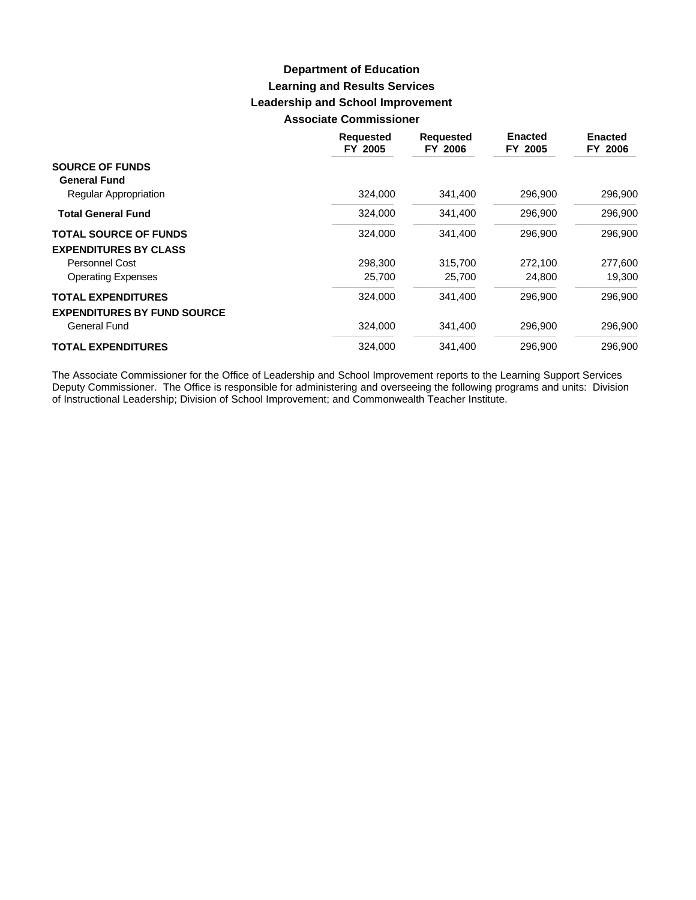# **Learning and Results Services Leadership and School Improvement Associate Commissioner Department of Education**

|                                    | <b>Requested</b><br>FY 2005 | <b>Requested</b><br>FY 2006 | <b>Enacted</b><br>FY 2005 | <b>Enacted</b><br>FY 2006 |
|------------------------------------|-----------------------------|-----------------------------|---------------------------|---------------------------|
| <b>SOURCE OF FUNDS</b>             |                             |                             |                           |                           |
| <b>General Fund</b>                |                             |                             |                           |                           |
| Regular Appropriation              | 324,000                     | 341,400                     | 296,900                   | 296,900                   |
| <b>Total General Fund</b>          | 324.000                     | 341.400                     | 296,900                   | 296,900                   |
| <b>TOTAL SOURCE OF FUNDS</b>       | 324.000                     | 341.400                     | 296.900                   | 296,900                   |
| <b>EXPENDITURES BY CLASS</b>       |                             |                             |                           |                           |
| Personnel Cost                     | 298.300                     | 315,700                     | 272.100                   | 277,600                   |
| <b>Operating Expenses</b>          | 25,700                      | 25,700                      | 24,800                    | 19,300                    |
| <b>TOTAL EXPENDITURES</b>          | 324.000                     | 341.400                     | 296,900                   | 296,900                   |
| <b>EXPENDITURES BY FUND SOURCE</b> |                             |                             |                           |                           |
| <b>General Fund</b>                | 324,000                     | 341,400                     | 296,900                   | 296,900                   |
| <b>TOTAL EXPENDITURES</b>          | 324.000                     | 341.400                     | 296,900                   | 296.900                   |

The Associate Commissioner for the Office of Leadership and School Improvement reports to the Learning Support Services Deputy Commissioner. The Office is responsible for administering and overseeing the following programs and units: Division of Instructional Leadership; Division of School Improvement; and Commonwealth Teacher Institute.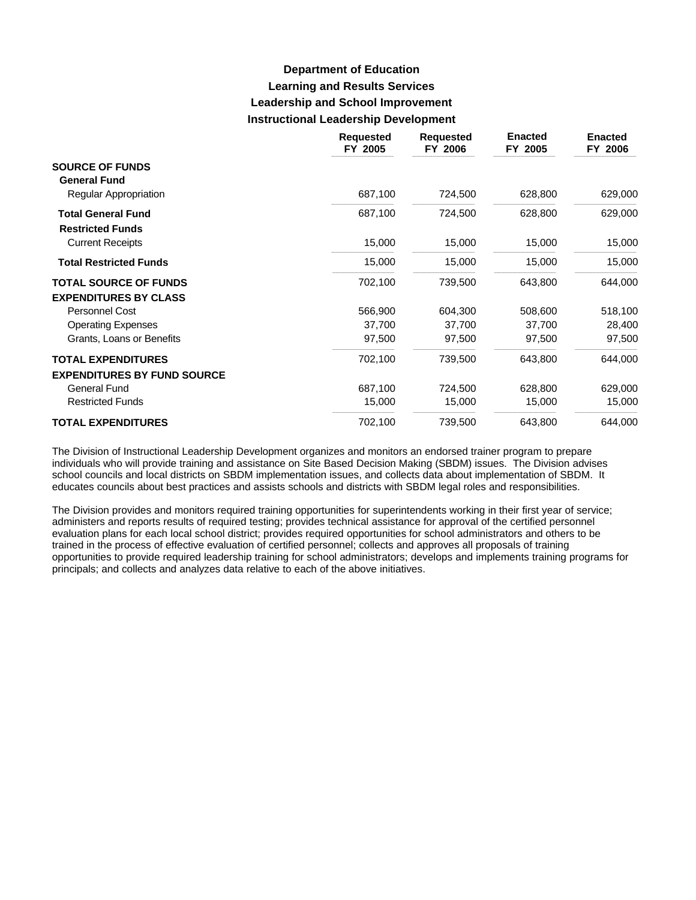# **Learning and Results Services Leadership and School Improvement Instructional Leadership Development Department of Education**

|                                                      | <b>Requested</b><br>FY 2005 | <b>Requested</b><br>FY 2006 | <b>Enacted</b><br>FY 2005 | <b>Enacted</b><br>FY 2006 |
|------------------------------------------------------|-----------------------------|-----------------------------|---------------------------|---------------------------|
| <b>SOURCE OF FUNDS</b><br><b>General Fund</b>        |                             |                             |                           |                           |
| Regular Appropriation                                | 687,100                     | 724,500                     | 628,800                   | 629,000                   |
| <b>Total General Fund</b><br><b>Restricted Funds</b> | 687,100                     | 724,500                     | 628,800                   | 629,000                   |
| <b>Current Receipts</b>                              | 15,000                      | 15,000                      | 15,000                    | 15,000                    |
| <b>Total Restricted Funds</b>                        | 15,000                      | 15,000                      | 15,000                    | 15,000                    |
| <b>TOTAL SOURCE OF FUNDS</b>                         | 702,100                     | 739,500                     | 643,800                   | 644,000                   |
| <b>EXPENDITURES BY CLASS</b>                         |                             |                             |                           |                           |
| Personnel Cost                                       | 566,900                     | 604,300                     | 508,600                   | 518,100                   |
| <b>Operating Expenses</b>                            | 37,700                      | 37,700                      | 37,700                    | 28,400                    |
| Grants, Loans or Benefits                            | 97,500                      | 97,500                      | 97,500                    | 97,500                    |
| <b>TOTAL EXPENDITURES</b>                            | 702,100                     | 739,500                     | 643,800                   | 644,000                   |
| <b>EXPENDITURES BY FUND SOURCE</b>                   |                             |                             |                           |                           |
| <b>General Fund</b>                                  | 687,100                     | 724,500                     | 628,800                   | 629,000                   |
| <b>Restricted Funds</b>                              | 15,000                      | 15,000                      | 15,000                    | 15,000                    |
| <b>TOTAL EXPENDITURES</b>                            | 702,100                     | 739,500                     | 643,800                   | 644,000                   |

The Division of Instructional Leadership Development organizes and monitors an endorsed trainer program to prepare individuals who will provide training and assistance on Site Based Decision Making (SBDM) issues. The Division advises school councils and local districts on SBDM implementation issues, and collects data about implementation of SBDM. It educates councils about best practices and assists schools and districts with SBDM legal roles and responsibilities.

The Division provides and monitors required training opportunities for superintendents working in their first year of service; administers and reports results of required testing; provides technical assistance for approval of the certified personnel evaluation plans for each local school district; provides required opportunities for school administrators and others to be trained in the process of effective evaluation of certified personnel; collects and approves all proposals of training opportunities to provide required leadership training for school administrators; develops and implements training programs for principals; and collects and analyzes data relative to each of the above initiatives.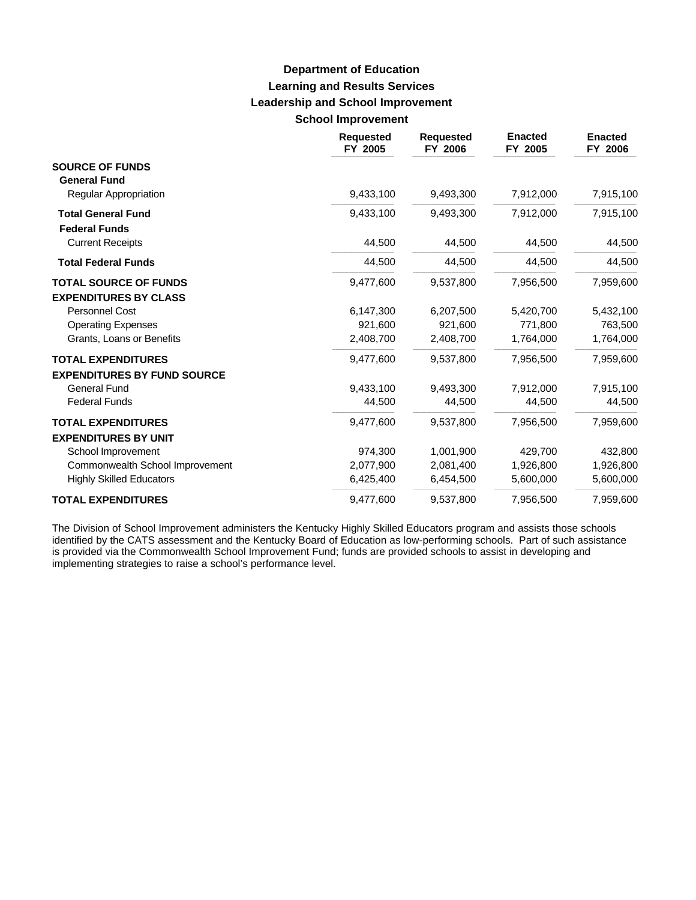# **Learning and Results Services Leadership and School Improvement School Improvement Department of Education**

|                                                                 | <b>Requested</b><br>FY 2005 | <b>Requested</b><br>FY 2006 | <b>Enacted</b><br>FY 2005 | <b>Enacted</b><br>FY 2006 |
|-----------------------------------------------------------------|-----------------------------|-----------------------------|---------------------------|---------------------------|
| <b>SOURCE OF FUNDS</b><br><b>General Fund</b>                   |                             |                             |                           |                           |
| <b>Regular Appropriation</b>                                    | 9,433,100                   | 9,493,300                   | 7,912,000                 | 7,915,100                 |
| <b>Total General Fund</b><br><b>Federal Funds</b>               | 9,433,100                   | 9,493,300                   | 7,912,000                 | 7,915,100                 |
| <b>Current Receipts</b>                                         | 44,500                      | 44,500                      | 44,500                    | 44,500                    |
| <b>Total Federal Funds</b>                                      | 44,500                      | 44,500                      | 44,500                    | 44,500                    |
| <b>TOTAL SOURCE OF FUNDS</b><br><b>EXPENDITURES BY CLASS</b>    | 9,477,600                   | 9,537,800                   | 7,956,500                 | 7,959,600                 |
| Personnel Cost                                                  | 6,147,300                   | 6,207,500                   | 5,420,700                 | 5,432,100                 |
| <b>Operating Expenses</b>                                       | 921,600                     | 921,600                     | 771,800                   | 763,500                   |
| Grants, Loans or Benefits                                       | 2,408,700                   | 2,408,700                   | 1,764,000                 | 1,764,000                 |
| <b>TOTAL EXPENDITURES</b><br><b>EXPENDITURES BY FUND SOURCE</b> | 9,477,600                   | 9,537,800                   | 7,956,500                 | 7,959,600                 |
| <b>General Fund</b>                                             | 9,433,100                   | 9,493,300                   | 7,912,000                 | 7,915,100                 |
| <b>Federal Funds</b>                                            | 44,500                      | 44,500                      | 44,500                    | 44,500                    |
| <b>TOTAL EXPENDITURES</b><br><b>EXPENDITURES BY UNIT</b>        | 9,477,600                   | 9,537,800                   | 7,956,500                 | 7,959,600                 |
| School Improvement                                              | 974,300                     | 1,001,900                   | 429,700                   | 432,800                   |
| Commonwealth School Improvement                                 | 2,077,900                   | 2,081,400                   | 1,926,800                 | 1,926,800                 |
| <b>Highly Skilled Educators</b>                                 | 6,425,400                   | 6,454,500                   | 5,600,000                 | 5,600,000                 |
| <b>TOTAL EXPENDITURES</b>                                       | 9,477,600                   | 9,537,800                   | 7,956,500                 | 7,959,600                 |

The Division of School Improvement administers the Kentucky Highly Skilled Educators program and assists those schools identified by the CATS assessment and the Kentucky Board of Education as low-performing schools. Part of such assistance is provided via the Commonwealth School Improvement Fund; funds are provided schools to assist in developing and implementing strategies to raise a school's performance level.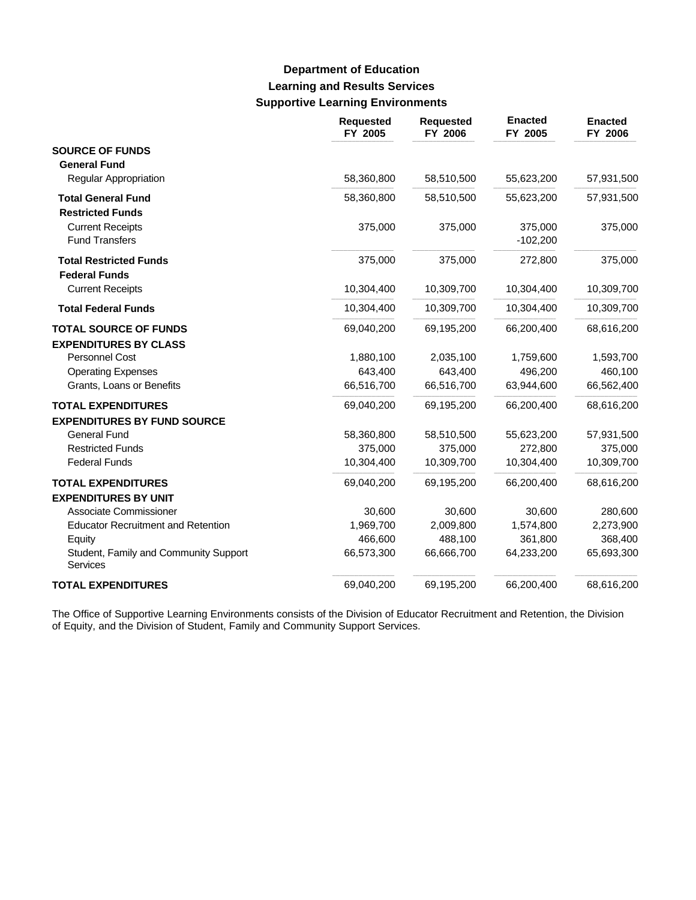# **Learning and Results Services Supportive Learning Environments Department of Education**

|                                                          | <b>Requested</b><br>FY 2005 | <b>Requested</b><br>FY 2006 | <b>Enacted</b><br>FY 2005 | <b>Enacted</b><br>FY 2006 |
|----------------------------------------------------------|-----------------------------|-----------------------------|---------------------------|---------------------------|
| <b>SOURCE OF FUNDS</b>                                   |                             |                             |                           |                           |
| <b>General Fund</b>                                      |                             |                             |                           |                           |
| <b>Regular Appropriation</b>                             | 58,360,800                  | 58,510,500                  | 55,623,200                | 57,931,500                |
| <b>Total General Fund</b>                                | 58,360,800                  | 58,510,500                  | 55,623,200                | 57,931,500                |
| <b>Restricted Funds</b>                                  |                             |                             |                           |                           |
| <b>Current Receipts</b>                                  | 375,000                     | 375,000                     | 375,000                   | 375,000                   |
| <b>Fund Transfers</b>                                    |                             |                             | $-102,200$                |                           |
| <b>Total Restricted Funds</b>                            | 375,000                     | 375,000                     | 272,800                   | 375,000                   |
| <b>Federal Funds</b>                                     |                             |                             |                           |                           |
| <b>Current Receipts</b>                                  | 10,304,400                  | 10,309,700                  | 10,304,400                | 10,309,700                |
| <b>Total Federal Funds</b>                               | 10,304,400                  | 10,309,700                  | 10,304,400                | 10,309,700                |
| <b>TOTAL SOURCE OF FUNDS</b>                             | 69,040,200                  | 69,195,200                  | 66,200,400                | 68,616,200                |
| <b>EXPENDITURES BY CLASS</b>                             |                             |                             |                           |                           |
| Personnel Cost                                           | 1,880,100                   | 2,035,100                   | 1,759,600                 | 1,593,700                 |
| <b>Operating Expenses</b>                                | 643,400                     | 643,400                     | 496,200                   | 460,100                   |
| Grants, Loans or Benefits                                | 66,516,700                  | 66,516,700                  | 63,944,600                | 66,562,400                |
| <b>TOTAL EXPENDITURES</b>                                | 69,040,200                  | 69,195,200                  | 66,200,400                | 68,616,200                |
| <b>EXPENDITURES BY FUND SOURCE</b>                       |                             |                             |                           |                           |
| <b>General Fund</b>                                      | 58,360,800                  | 58,510,500                  | 55,623,200                | 57,931,500                |
| <b>Restricted Funds</b>                                  | 375,000                     | 375,000                     | 272,800                   | 375,000                   |
| <b>Federal Funds</b>                                     | 10,304,400                  | 10,309,700                  | 10,304,400                | 10,309,700                |
| <b>TOTAL EXPENDITURES</b>                                | 69,040,200                  | 69,195,200                  | 66,200,400                | 68,616,200                |
| <b>EXPENDITURES BY UNIT</b>                              |                             |                             |                           |                           |
| Associate Commissioner                                   | 30,600                      | 30,600                      | 30,600                    | 280,600                   |
| <b>Educator Recruitment and Retention</b>                | 1,969,700                   | 2,009,800                   | 1,574,800                 | 2,273,900                 |
| Equity                                                   | 466,600                     | 488,100                     | 361,800                   | 368,400                   |
| Student, Family and Community Support<br><b>Services</b> | 66,573,300                  | 66,666,700                  | 64,233,200                | 65,693,300                |
| <b>TOTAL EXPENDITURES</b>                                | 69,040,200                  | 69,195,200                  | 66,200,400                | 68,616,200                |

The Office of Supportive Learning Environments consists of the Division of Educator Recruitment and Retention, the Division of Equity, and the Division of Student, Family and Community Support Services.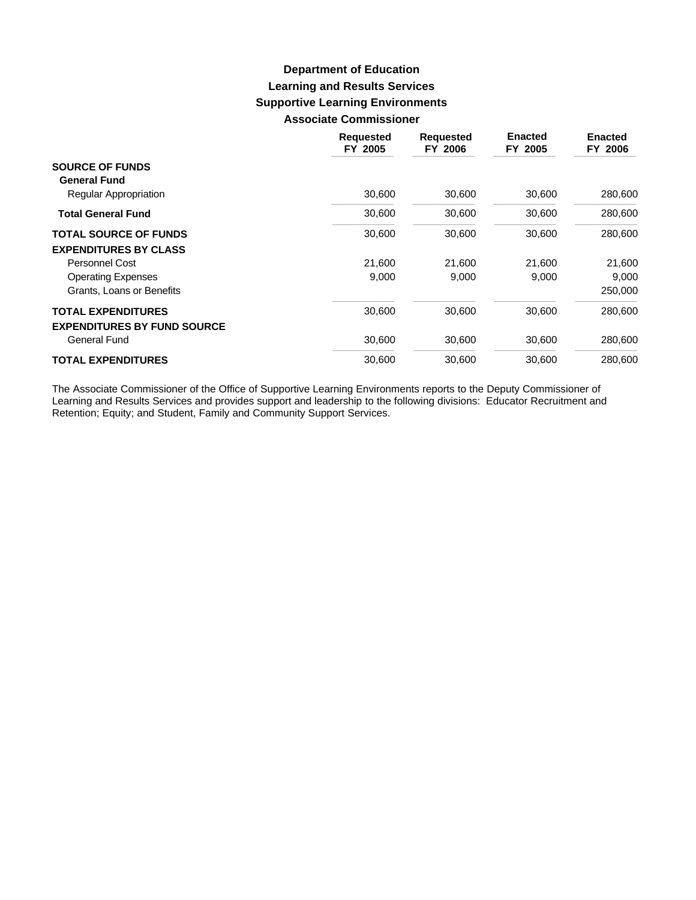### **Learning and Results Services Supportive Learning Environments Associate Commissioner Department of Education**

|                                               | <b>Requested</b><br>FY 2005 | <b>Requested</b><br>FY 2006 | <b>Enacted</b><br>FY 2005 | <b>Enacted</b><br>FY 2006 |
|-----------------------------------------------|-----------------------------|-----------------------------|---------------------------|---------------------------|
| <b>SOURCE OF FUNDS</b><br><b>General Fund</b> |                             |                             |                           |                           |
| <b>Regular Appropriation</b>                  | 30,600                      | 30,600                      | 30,600                    | 280,600                   |
| <b>Total General Fund</b>                     | 30,600                      | 30,600                      | 30,600                    | 280,600                   |
| <b>TOTAL SOURCE OF FUNDS</b>                  | 30,600                      | 30,600                      | 30,600                    | 280,600                   |
| <b>EXPENDITURES BY CLASS</b>                  |                             |                             |                           |                           |
| Personnel Cost                                | 21,600                      | 21,600                      | 21,600                    | 21,600                    |
| <b>Operating Expenses</b>                     | 9,000                       | 9,000                       | 9,000                     | 9,000                     |
| Grants, Loans or Benefits                     |                             |                             |                           | 250,000                   |
| <b>TOTAL EXPENDITURES</b>                     | 30,600                      | 30,600                      | 30,600                    | 280,600                   |
| <b>EXPENDITURES BY FUND SOURCE</b>            |                             |                             |                           |                           |
| <b>General Fund</b>                           | 30,600                      | 30,600                      | 30,600                    | 280,600                   |
| <b>TOTAL EXPENDITURES</b>                     | 30,600                      | 30,600                      | 30,600                    | 280,600                   |

The Associate Commissioner of the Office of Supportive Learning Environments reports to the Deputy Commissioner of Learning and Results Services and provides support and leadership to the following divisions: Educator Recruitment and Retention; Equity; and Student, Family and Community Support Services.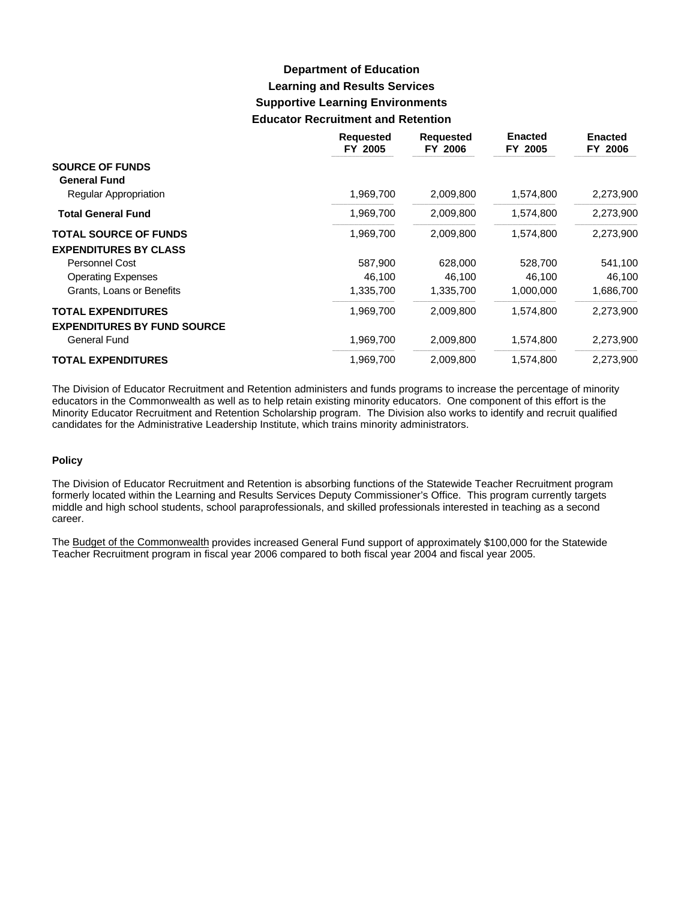# **Learning and Results Services Supportive Learning Environments Educator Recruitment and Retention Department of Education**

|                                    | <b>Requested</b><br>FY 2005 | <b>Requested</b><br>FY 2006 | <b>Enacted</b><br>FY 2005 | <b>Enacted</b><br>FY 2006 |
|------------------------------------|-----------------------------|-----------------------------|---------------------------|---------------------------|
| <b>SOURCE OF FUNDS</b>             |                             |                             |                           |                           |
| <b>General Fund</b>                |                             |                             |                           |                           |
| <b>Regular Appropriation</b>       | 1,969,700                   | 2,009,800                   | 1,574,800                 | 2,273,900                 |
| <b>Total General Fund</b>          | 1,969,700                   | 2,009,800                   | 1,574,800                 | 2,273,900                 |
| <b>TOTAL SOURCE OF FUNDS</b>       | 1,969,700                   | 2,009,800                   | 1,574,800                 | 2,273,900                 |
| <b>EXPENDITURES BY CLASS</b>       |                             |                             |                           |                           |
| <b>Personnel Cost</b>              | 587,900                     | 628,000                     | 528,700                   | 541,100                   |
| <b>Operating Expenses</b>          | 46,100                      | 46,100                      | 46,100                    | 46,100                    |
| Grants, Loans or Benefits          | 1,335,700                   | 1,335,700                   | 1,000,000                 | 1,686,700                 |
| <b>TOTAL EXPENDITURES</b>          | 1,969,700                   | 2,009,800                   | 1.574.800                 | 2,273,900                 |
| <b>EXPENDITURES BY FUND SOURCE</b> |                             |                             |                           |                           |
| General Fund                       | 1,969,700                   | 2,009,800                   | 1,574,800                 | 2,273,900                 |
| <b>TOTAL EXPENDITURES</b>          | 1,969,700                   | 2,009,800                   | 1,574,800                 | 2,273,900                 |

The Division of Educator Recruitment and Retention administers and funds programs to increase the percentage of minority educators in the Commonwealth as well as to help retain existing minority educators. One component of this effort is the Minority Educator Recruitment and Retention Scholarship program. The Division also works to identify and recruit qualified candidates for the Administrative Leadership Institute, which trains minority administrators.

#### **Policy**

The Division of Educator Recruitment and Retention is absorbing functions of the Statewide Teacher Recruitment program formerly located within the Learning and Results Services Deputy Commissioner's Office. This program currently targets middle and high school students, school paraprofessionals, and skilled professionals interested in teaching as a second career.

The Budget of the Commonwealth provides increased General Fund support of approximately \$100,000 for the Statewide Teacher Recruitment program in fiscal year 2006 compared to both fiscal year 2004 and fiscal year 2005.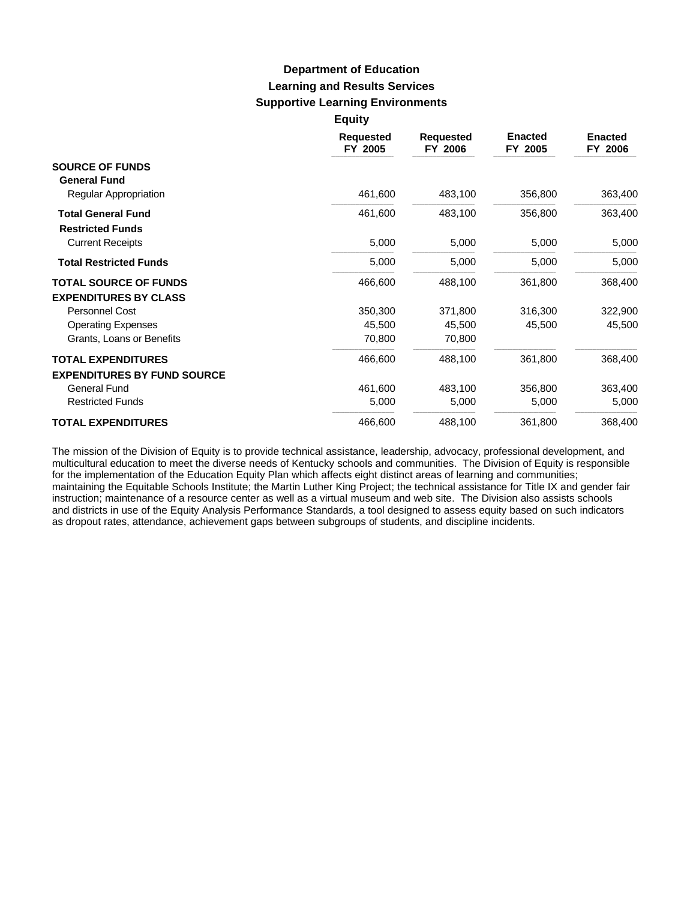#### **Learning and Results Services Supportive Learning Environments Equity Department of Education**

| <b>Requested</b><br>FY 2005 | <b>Requested</b><br>FY 2006 | <b>Enacted</b><br>FY 2005 | <b>Enacted</b><br>FY 2006 |
|-----------------------------|-----------------------------|---------------------------|---------------------------|
|                             |                             |                           |                           |
| 461,600                     | 483,100                     | 356,800                   | 363,400                   |
| 461,600                     | 483,100                     | 356,800                   | 363,400                   |
| 5,000                       | 5,000                       | 5,000                     | 5,000                     |
| 5,000                       | 5,000                       | 5,000                     | 5,000                     |
| 466,600                     | 488,100                     | 361,800                   | 368,400                   |
|                             |                             |                           |                           |
| 350,300                     | 371,800                     | 316,300                   | 322,900                   |
| 45,500                      | 45,500                      | 45,500                    | 45,500                    |
| 70,800                      | 70,800                      |                           |                           |
| 466,600                     | 488,100                     | 361,800                   | 368,400                   |
|                             |                             |                           |                           |
| 461,600                     | 483,100                     | 356,800                   | 363,400                   |
| 5,000                       | 5,000                       | 5,000                     | 5,000                     |
| 466,600                     | 488,100                     | 361,800                   | 368,400                   |
|                             | -1----                      |                           |                           |

The mission of the Division of Equity is to provide technical assistance, leadership, advocacy, professional development, and multicultural education to meet the diverse needs of Kentucky schools and communities. The Division of Equity is responsible for the implementation of the Education Equity Plan which affects eight distinct areas of learning and communities; maintaining the Equitable Schools Institute; the Martin Luther King Project; the technical assistance for Title IX and gender fair instruction; maintenance of a resource center as well as a virtual museum and web site. The Division also assists schools and districts in use of the Equity Analysis Performance Standards, a tool designed to assess equity based on such indicators as dropout rates, attendance, achievement gaps between subgroups of students, and discipline incidents.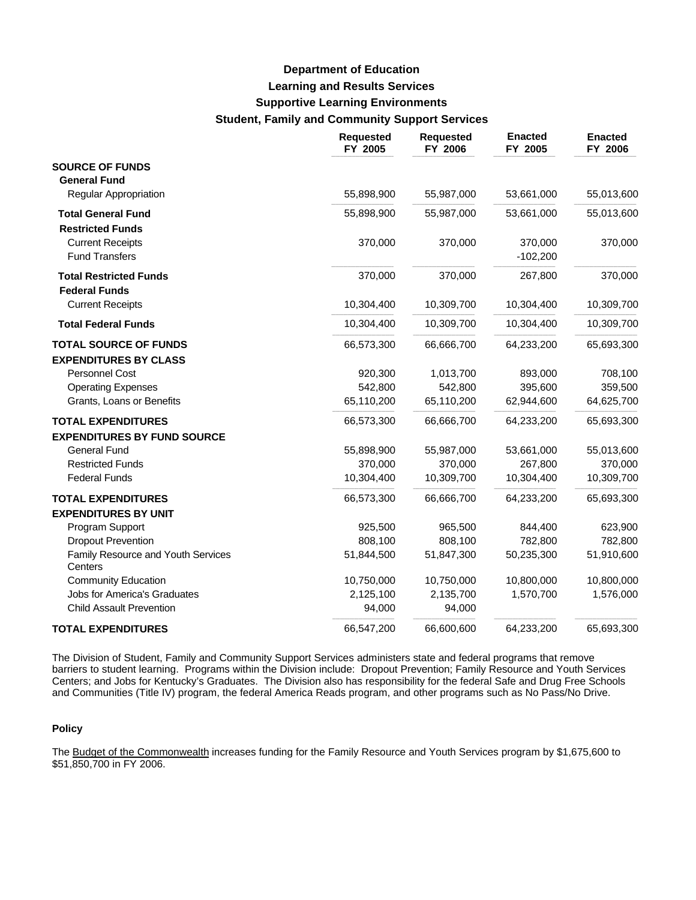# **Learning and Results Services Supportive Learning Environments Student, Family and Community Support Services Department of Education**

|                                               | <b>Requested</b><br>FY 2005 | <b>Requested</b><br>FY 2006 | <b>Enacted</b><br>FY 2005 | <b>Enacted</b><br>FY 2006 |
|-----------------------------------------------|-----------------------------|-----------------------------|---------------------------|---------------------------|
| <b>SOURCE OF FUNDS</b>                        |                             |                             |                           |                           |
| <b>General Fund</b>                           |                             |                             |                           |                           |
| <b>Regular Appropriation</b>                  | 55,898,900                  | 55,987,000                  | 53,661,000                | 55,013,600                |
| <b>Total General Fund</b>                     | 55,898,900                  | 55,987,000                  | 53,661,000                | 55,013,600                |
| <b>Restricted Funds</b>                       |                             |                             |                           |                           |
| <b>Current Receipts</b>                       | 370,000                     | 370,000                     | 370,000                   | 370,000                   |
| <b>Fund Transfers</b>                         |                             |                             | $-102,200$                |                           |
| <b>Total Restricted Funds</b>                 | 370,000                     | 370,000                     | 267,800                   | 370,000                   |
| <b>Federal Funds</b>                          |                             |                             |                           |                           |
| <b>Current Receipts</b>                       | 10,304,400                  | 10,309,700                  | 10,304,400                | 10,309,700                |
| <b>Total Federal Funds</b>                    | 10,304,400                  | 10,309,700                  | 10,304,400                | 10,309,700                |
| <b>TOTAL SOURCE OF FUNDS</b>                  | 66,573,300                  | 66,666,700                  | 64,233,200                | 65,693,300                |
| <b>EXPENDITURES BY CLASS</b>                  |                             |                             |                           |                           |
| <b>Personnel Cost</b>                         | 920,300                     | 1,013,700                   | 893,000                   | 708,100                   |
| <b>Operating Expenses</b>                     | 542,800                     | 542,800                     | 395,600                   | 359,500                   |
| Grants, Loans or Benefits                     | 65,110,200                  | 65,110,200                  | 62,944,600                | 64,625,700                |
| <b>TOTAL EXPENDITURES</b>                     | 66,573,300                  | 66,666,700                  | 64,233,200                | 65,693,300                |
| <b>EXPENDITURES BY FUND SOURCE</b>            |                             |                             |                           |                           |
| <b>General Fund</b>                           | 55,898,900                  | 55,987,000                  | 53,661,000                | 55,013,600                |
| <b>Restricted Funds</b>                       | 370,000                     | 370,000                     | 267,800                   | 370,000                   |
| <b>Federal Funds</b>                          | 10,304,400                  | 10,309,700                  | 10,304,400                | 10,309,700                |
| <b>TOTAL EXPENDITURES</b>                     | 66,573,300                  | 66,666,700                  | 64,233,200                | 65,693,300                |
| <b>EXPENDITURES BY UNIT</b>                   |                             |                             |                           |                           |
| Program Support                               | 925,500                     | 965,500                     | 844,400                   | 623,900                   |
| <b>Dropout Prevention</b>                     | 808,100                     | 808,100                     | 782,800                   | 782,800                   |
| Family Resource and Youth Services<br>Centers | 51,844,500                  | 51,847,300                  | 50,235,300                | 51,910,600                |
| <b>Community Education</b>                    | 10,750,000                  | 10,750,000                  | 10,800,000                | 10,800,000                |
| <b>Jobs for America's Graduates</b>           | 2,125,100                   | 2,135,700                   | 1,570,700                 | 1,576,000                 |
| <b>Child Assault Prevention</b>               | 94,000                      | 94,000                      |                           |                           |
| <b>TOTAL EXPENDITURES</b>                     | 66,547,200                  | 66,600,600                  | 64,233,200                | 65,693,300                |

The Division of Student, Family and Community Support Services administers state and federal programs that remove barriers to student learning. Programs within the Division include: Dropout Prevention; Family Resource and Youth Services Centers; and Jobs for Kentucky's Graduates. The Division also has responsibility for the federal Safe and Drug Free Schools and Communities (Title IV) program, the federal America Reads program, and other programs such as No Pass/No Drive.

#### **Policy**

The Budget of the Commonwealth increases funding for the Family Resource and Youth Services program by \$1,675,600 to \$51,850,700 in FY 2006.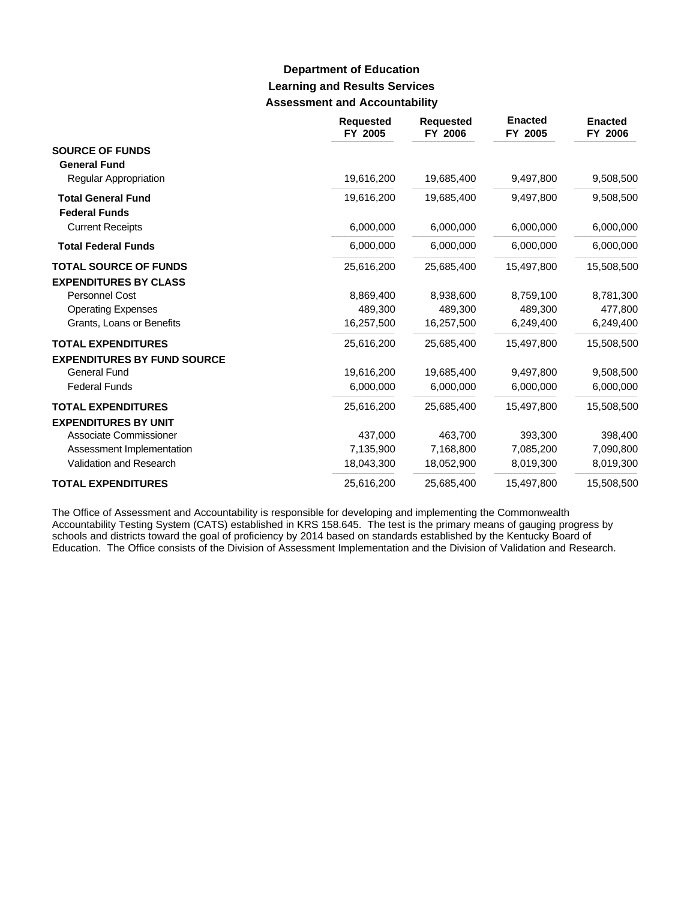# **Learning and Results Services Assessment and Accountability Department of Education**

|                                                              | <b>Requested</b><br>FY 2005 | <b>Requested</b><br>FY 2006 | <b>Enacted</b><br>FY 2005 | <b>Enacted</b><br>FY 2006 |
|--------------------------------------------------------------|-----------------------------|-----------------------------|---------------------------|---------------------------|
| <b>SOURCE OF FUNDS</b><br><b>General Fund</b>                |                             |                             |                           |                           |
| <b>Regular Appropriation</b>                                 | 19,616,200                  | 19,685,400                  | 9,497,800                 | 9,508,500                 |
| <b>Total General Fund</b><br><b>Federal Funds</b>            | 19,616,200                  | 19,685,400                  | 9,497,800                 | 9,508,500                 |
| <b>Current Receipts</b>                                      | 6,000,000                   | 6,000,000                   | 6,000,000                 | 6,000,000                 |
| <b>Total Federal Funds</b>                                   | 6,000,000                   | 6,000,000                   | 6,000,000                 | 6,000,000                 |
| <b>TOTAL SOURCE OF FUNDS</b><br><b>EXPENDITURES BY CLASS</b> | 25,616,200                  | 25,685,400                  | 15,497,800                | 15,508,500                |
| Personnel Cost                                               | 8,869,400                   | 8,938,600                   | 8,759,100                 | 8,781,300                 |
| <b>Operating Expenses</b>                                    | 489,300                     | 489,300                     | 489,300                   | 477,800                   |
| Grants, Loans or Benefits                                    | 16,257,500                  | 16,257,500                  | 6,249,400                 | 6,249,400                 |
| <b>TOTAL EXPENDITURES</b>                                    | 25,616,200                  | 25,685,400                  | 15,497,800                | 15,508,500                |
| <b>EXPENDITURES BY FUND SOURCE</b>                           |                             |                             |                           |                           |
| <b>General Fund</b>                                          | 19,616,200                  | 19,685,400                  | 9,497,800                 | 9,508,500                 |
| <b>Federal Funds</b>                                         | 6,000,000                   | 6,000,000                   | 6,000,000                 | 6,000,000                 |
| <b>TOTAL EXPENDITURES</b>                                    | 25,616,200                  | 25,685,400                  | 15,497,800                | 15,508,500                |
| <b>EXPENDITURES BY UNIT</b>                                  |                             |                             |                           |                           |
| Associate Commissioner                                       | 437,000                     | 463,700                     | 393,300                   | 398,400                   |
| Assessment Implementation                                    | 7,135,900                   | 7,168,800                   | 7,085,200                 | 7,090,800                 |
| Validation and Research                                      | 18,043,300                  | 18,052,900                  | 8,019,300                 | 8,019,300                 |
| <b>TOTAL EXPENDITURES</b>                                    | 25,616,200                  | 25,685,400                  | 15,497,800                | 15,508,500                |

The Office of Assessment and Accountability is responsible for developing and implementing the Commonwealth Accountability Testing System (CATS) established in KRS 158.645. The test is the primary means of gauging progress by schools and districts toward the goal of proficiency by 2014 based on standards established by the Kentucky Board of Education. The Office consists of the Division of Assessment Implementation and the Division of Validation and Research.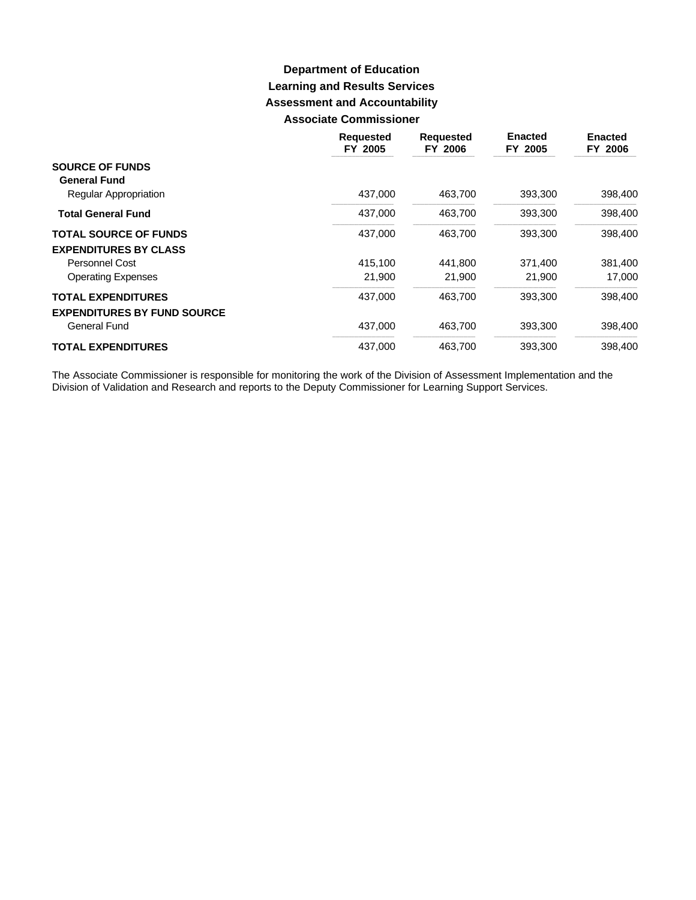# **Learning and Results Services Assessment and Accountability Associate Commissioner Department of Education**

|                                    | <b>Requested</b><br>FY 2005 | <b>Requested</b><br>FY 2006 | <b>Enacted</b><br>FY 2005 | <b>Enacted</b><br>FY 2006 |
|------------------------------------|-----------------------------|-----------------------------|---------------------------|---------------------------|
| <b>SOURCE OF FUNDS</b>             |                             |                             |                           |                           |
| <b>General Fund</b>                |                             |                             |                           |                           |
| Regular Appropriation              | 437,000                     | 463,700                     | 393,300                   | 398,400                   |
| <b>Total General Fund</b>          | 437,000                     | 463,700                     | 393,300                   | 398,400                   |
| <b>TOTAL SOURCE OF FUNDS</b>       | 437.000                     | 463.700                     | 393,300                   | 398,400                   |
| <b>EXPENDITURES BY CLASS</b>       |                             |                             |                           |                           |
| Personnel Cost                     | 415.100                     | 441.800                     | 371.400                   | 381,400                   |
| <b>Operating Expenses</b>          | 21.900                      | 21,900                      | 21,900                    | 17.000                    |
| <b>TOTAL EXPENDITURES</b>          | 437,000                     | 463,700                     | 393,300                   | 398,400                   |
| <b>EXPENDITURES BY FUND SOURCE</b> |                             |                             |                           |                           |
| General Fund                       | 437,000                     | 463,700                     | 393,300                   | 398,400                   |
| <b>TOTAL EXPENDITURES</b>          | 437.000                     | 463.700                     | 393.300                   | 398,400                   |

The Associate Commissioner is responsible for monitoring the work of the Division of Assessment Implementation and the Division of Validation and Research and reports to the Deputy Commissioner for Learning Support Services.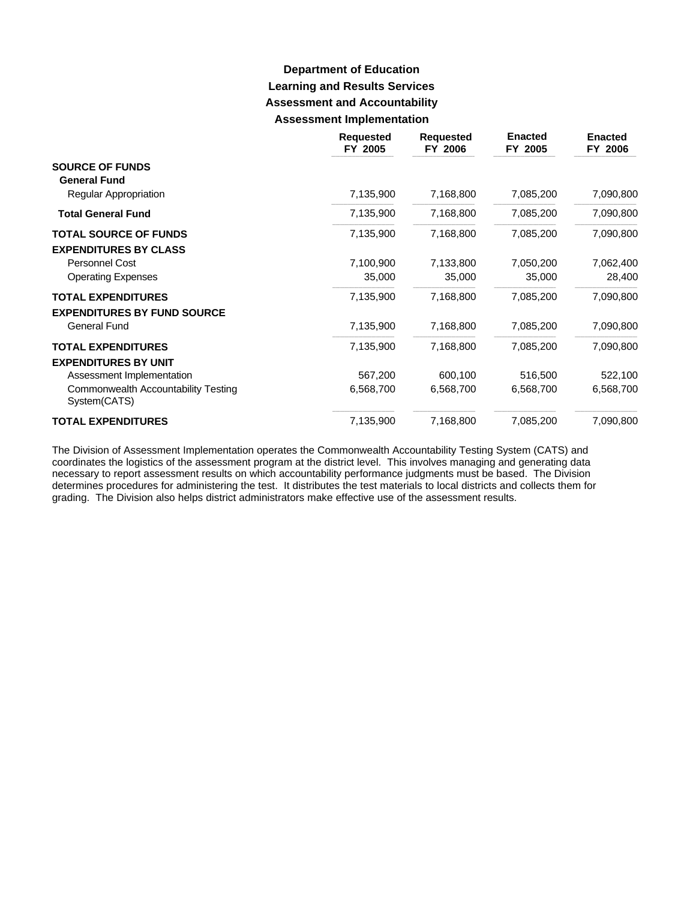# **Learning and Results Services Assessment and Accountability Assessment Implementation Department of Education**

|                                                                 | <b>Requested</b><br>FY 2005 | <b>Requested</b><br>FY 2006 | <b>Enacted</b><br>FY 2005 | <b>Enacted</b><br>FY 2006 |
|-----------------------------------------------------------------|-----------------------------|-----------------------------|---------------------------|---------------------------|
| <b>SOURCE OF FUNDS</b><br><b>General Fund</b>                   |                             |                             |                           |                           |
| <b>Regular Appropriation</b>                                    | 7,135,900                   | 7,168,800                   | 7,085,200                 | 7,090,800                 |
| <b>Total General Fund</b>                                       | 7,135,900                   | 7,168,800                   | 7,085,200                 | 7,090,800                 |
| <b>TOTAL SOURCE OF FUNDS</b>                                    | 7,135,900                   | 7,168,800                   | 7,085,200                 | 7,090,800                 |
| <b>EXPENDITURES BY CLASS</b>                                    |                             |                             |                           |                           |
| Personnel Cost                                                  | 7,100,900                   | 7,133,800                   | 7,050,200                 | 7,062,400                 |
| <b>Operating Expenses</b>                                       | 35,000                      | 35,000                      | 35,000                    | 28,400                    |
| <b>TOTAL EXPENDITURES</b><br><b>EXPENDITURES BY FUND SOURCE</b> | 7,135,900                   | 7,168,800                   | 7,085,200                 | 7,090,800                 |
| <b>General Fund</b>                                             | 7,135,900                   | 7,168,800                   | 7,085,200                 | 7,090,800                 |
| <b>TOTAL EXPENDITURES</b><br><b>EXPENDITURES BY UNIT</b>        | 7,135,900                   | 7,168,800                   | 7,085,200                 | 7,090,800                 |
| Assessment Implementation                                       | 567,200                     | 600,100                     | 516,500                   | 522,100                   |
| Commonwealth Accountability Testing<br>System(CATS)             | 6,568,700                   | 6,568,700                   | 6,568,700                 | 6,568,700                 |
| <b>TOTAL EXPENDITURES</b>                                       | 7,135,900                   | 7,168,800                   | 7,085,200                 | 7,090,800                 |

The Division of Assessment Implementation operates the Commonwealth Accountability Testing System (CATS) and coordinates the logistics of the assessment program at the district level. This involves managing and generating data necessary to report assessment results on which accountability performance judgments must be based. The Division determines procedures for administering the test. It distributes the test materials to local districts and collects them for grading. The Division also helps district administrators make effective use of the assessment results.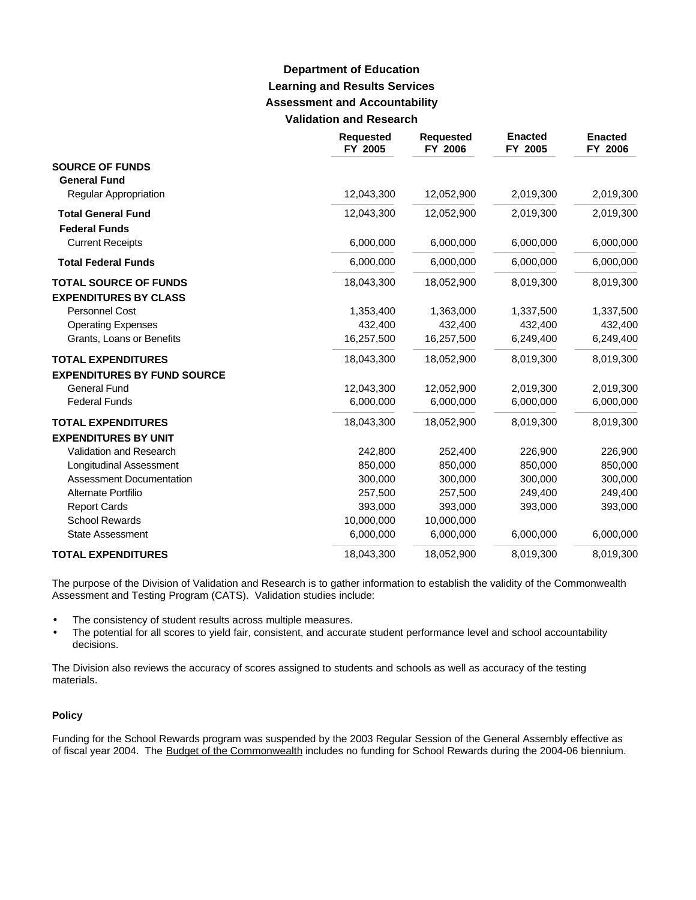# **Learning and Results Services Assessment and Accountability Validation and Research Department of Education**

|                                                   | <b>Requested</b><br>FY 2005 | <b>Requested</b><br>FY 2006 | <b>Enacted</b><br>FY 2005 | <b>Enacted</b><br>FY 2006 |
|---------------------------------------------------|-----------------------------|-----------------------------|---------------------------|---------------------------|
| <b>SOURCE OF FUNDS</b><br><b>General Fund</b>     |                             |                             |                           |                           |
| <b>Regular Appropriation</b>                      | 12,043,300                  | 12,052,900                  | 2,019,300                 | 2,019,300                 |
| <b>Total General Fund</b><br><b>Federal Funds</b> | 12,043,300                  | 12,052,900                  | 2,019,300                 | 2,019,300                 |
| <b>Current Receipts</b>                           | 6,000,000                   | 6,000,000                   | 6,000,000                 | 6,000,000                 |
| <b>Total Federal Funds</b>                        | 6,000,000                   | 6,000,000                   | 6,000,000                 | 6,000,000                 |
| <b>TOTAL SOURCE OF FUNDS</b>                      | 18,043,300                  | 18,052,900                  | 8,019,300                 | 8,019,300                 |
| <b>EXPENDITURES BY CLASS</b>                      |                             |                             |                           |                           |
| Personnel Cost                                    | 1,353,400                   | 1,363,000                   | 1,337,500                 | 1,337,500                 |
| <b>Operating Expenses</b>                         | 432,400                     | 432,400                     | 432,400                   | 432,400                   |
| Grants, Loans or Benefits                         | 16,257,500                  | 16,257,500                  | 6,249,400                 | 6,249,400                 |
| <b>TOTAL EXPENDITURES</b>                         | 18,043,300                  | 18,052,900                  | 8,019,300                 | 8,019,300                 |
| <b>EXPENDITURES BY FUND SOURCE</b>                |                             |                             |                           |                           |
| <b>General Fund</b>                               | 12,043,300                  | 12,052,900                  | 2,019,300                 | 2,019,300                 |
| <b>Federal Funds</b>                              | 6,000,000                   | 6,000,000                   | 6,000,000                 | 6,000,000                 |
| <b>TOTAL EXPENDITURES</b>                         | 18,043,300                  | 18,052,900                  | 8,019,300                 | 8,019,300                 |
| <b>EXPENDITURES BY UNIT</b>                       |                             |                             |                           |                           |
| Validation and Research                           | 242,800                     | 252,400                     | 226,900                   | 226,900                   |
| Longitudinal Assessment                           | 850,000                     | 850,000                     | 850,000                   | 850,000                   |
| <b>Assessment Documentation</b>                   | 300,000                     | 300,000                     | 300,000                   | 300,000                   |
| Alternate Portfilio                               | 257,500                     | 257,500                     | 249,400                   | 249,400                   |
| <b>Report Cards</b>                               | 393,000                     | 393,000                     | 393,000                   | 393,000                   |
| <b>School Rewards</b>                             | 10,000,000                  | 10,000,000                  |                           |                           |
| <b>State Assessment</b>                           | 6,000,000                   | 6,000,000                   | 6,000,000                 | 6,000,000                 |
| <b>TOTAL EXPENDITURES</b>                         | 18,043,300                  | 18,052,900                  | 8,019,300                 | 8,019,300                 |

The purpose of the Division of Validation and Research is to gather information to establish the validity of the Commonwealth Assessment and Testing Program (CATS). Validation studies include:

• The consistency of student results across multiple measures.

• The potential for all scores to yield fair, consistent, and accurate student performance level and school accountability decisions.

The Division also reviews the accuracy of scores assigned to students and schools as well as accuracy of the testing materials.

#### **Policy**

Funding for the School Rewards program was suspended by the 2003 Regular Session of the General Assembly effective as of fiscal year 2004. The Budget of the Commonwealth includes no funding for School Rewards during the 2004-06 biennium.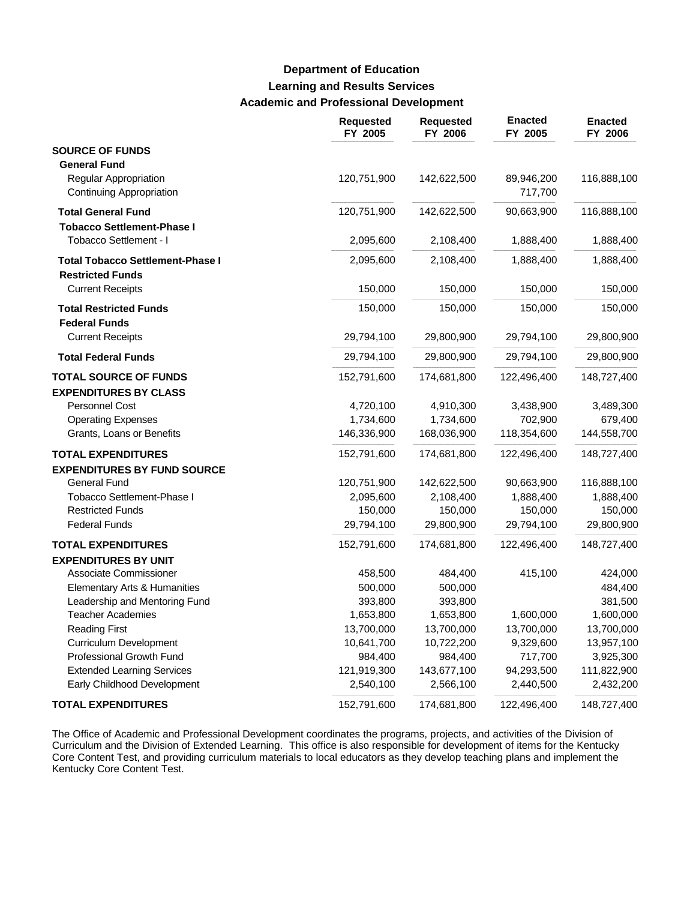# **Learning and Results Services Academic and Professional Development Department of Education**

|                                                                          | Requested<br>FY 2005 | <b>Requested</b><br>FY 2006 | <b>Enacted</b><br>FY 2005 | <b>Enacted</b><br>FY 2006 |
|--------------------------------------------------------------------------|----------------------|-----------------------------|---------------------------|---------------------------|
| <b>SOURCE OF FUNDS</b>                                                   |                      |                             |                           |                           |
| <b>General Fund</b><br>Regular Appropriation<br>Continuing Appropriation | 120,751,900          | 142,622,500                 | 89,946,200<br>717,700     | 116,888,100               |
| <b>Total General Fund</b><br><b>Tobacco Settlement-Phase I</b>           | 120,751,900          | 142,622,500                 | 90,663,900                | 116,888,100               |
| Tobacco Settlement - I                                                   | 2,095,600            | 2,108,400                   | 1,888,400                 | 1,888,400                 |
| <b>Total Tobacco Settlement-Phase I</b><br><b>Restricted Funds</b>       | 2,095,600            | 2,108,400                   | 1,888,400                 | 1,888,400                 |
| <b>Current Receipts</b>                                                  | 150,000              | 150,000                     | 150,000                   | 150,000                   |
| <b>Total Restricted Funds</b><br><b>Federal Funds</b>                    | 150,000              | 150,000                     | 150,000                   | 150,000                   |
| <b>Current Receipts</b>                                                  | 29,794,100           | 29,800,900                  | 29,794,100                | 29,800,900                |
| <b>Total Federal Funds</b>                                               | 29,794,100           | 29,800,900                  | 29,794,100                | 29,800,900                |
| <b>TOTAL SOURCE OF FUNDS</b><br><b>EXPENDITURES BY CLASS</b>             | 152,791,600          | 174,681,800                 | 122,496,400               | 148,727,400               |
| Personnel Cost                                                           | 4,720,100            | 4,910,300                   | 3,438,900                 | 3,489,300                 |
| <b>Operating Expenses</b>                                                | 1,734,600            | 1,734,600                   | 702,900                   | 679,400                   |
| Grants, Loans or Benefits                                                | 146,336,900          | 168,036,900                 | 118,354,600               | 144,558,700               |
| <b>TOTAL EXPENDITURES</b>                                                | 152,791,600          | 174,681,800                 | 122,496,400               | 148,727,400               |
| <b>EXPENDITURES BY FUND SOURCE</b>                                       |                      |                             |                           |                           |
| <b>General Fund</b>                                                      | 120,751,900          | 142,622,500                 | 90,663,900                | 116,888,100               |
| Tobacco Settlement-Phase I                                               | 2,095,600            | 2,108,400                   | 1,888,400                 | 1,888,400                 |
| <b>Restricted Funds</b>                                                  | 150,000              | 150,000                     | 150,000                   | 150,000                   |
| <b>Federal Funds</b>                                                     | 29,794,100           | 29,800,900                  | 29,794,100                | 29,800,900                |
| <b>TOTAL EXPENDITURES</b>                                                | 152,791,600          | 174,681,800                 | 122,496,400               | 148,727,400               |
| <b>EXPENDITURES BY UNIT</b><br>Associate Commissioner                    |                      |                             |                           |                           |
| Elementary Arts & Humanities                                             | 458,500<br>500,000   | 484,400<br>500,000          | 415,100                   | 424,000<br>484,400        |
| Leadership and Mentoring Fund                                            | 393,800              | 393,800                     |                           | 381,500                   |
| <b>Teacher Academies</b>                                                 | 1,653,800            | 1,653,800                   | 1,600,000                 | 1,600,000                 |
| <b>Reading First</b>                                                     | 13,700,000           | 13,700,000                  | 13,700,000                | 13,700,000                |
| Curriculum Development                                                   | 10,641,700           | 10,722,200                  | 9,329,600                 | 13,957,100                |
| Professional Growth Fund                                                 | 984,400              | 984,400                     | 717,700                   | 3,925,300                 |
| <b>Extended Learning Services</b>                                        | 121,919,300          | 143,677,100                 | 94,293,500                | 111,822,900               |
| Early Childhood Development                                              | 2,540,100            | 2,566,100                   | 2,440,500                 | 2,432,200                 |
| <b>TOTAL EXPENDITURES</b>                                                | 152,791,600          | 174,681,800                 | 122,496,400               | 148,727,400               |

The Office of Academic and Professional Development coordinates the programs, projects, and activities of the Division of Curriculum and the Division of Extended Learning. This office is also responsible for development of items for the Kentucky Core Content Test, and providing curriculum materials to local educators as they develop teaching plans and implement the Kentucky Core Content Test.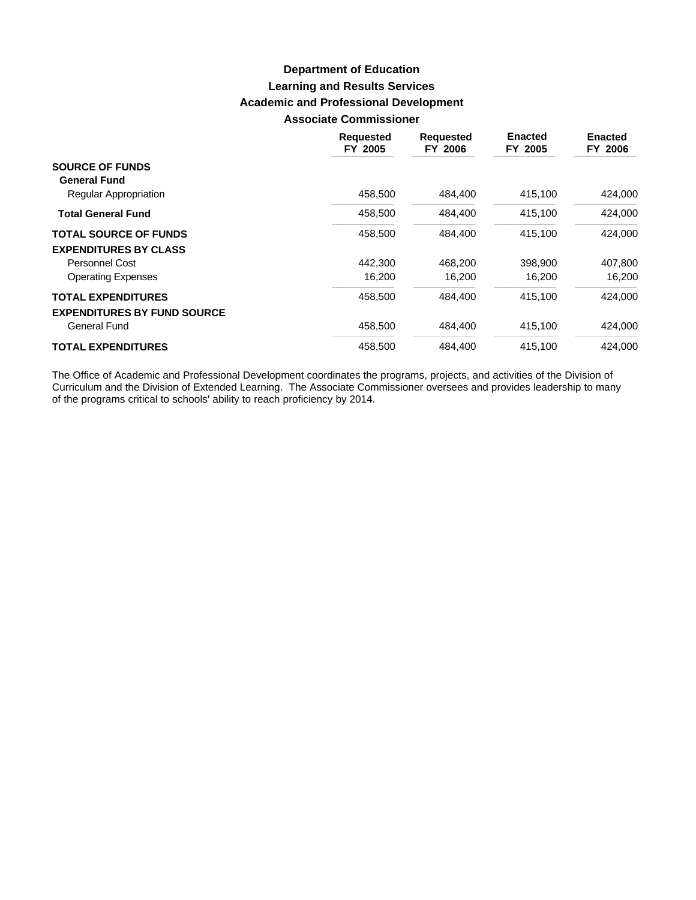# **Learning and Results Services Academic and Professional Development Associate Commissioner Department of Education**

|                                    | <b>Requested</b><br>FY 2005 | <b>Requested</b><br>FY 2006 | <b>Enacted</b><br>FY 2005 | <b>Enacted</b><br>FY 2006 |
|------------------------------------|-----------------------------|-----------------------------|---------------------------|---------------------------|
| <b>SOURCE OF FUNDS</b>             |                             |                             |                           |                           |
| <b>General Fund</b>                |                             |                             |                           |                           |
| Regular Appropriation              | 458,500                     | 484.400                     | 415.100                   | 424.000                   |
| <b>Total General Fund</b>          | 458.500                     | 484.400                     | 415,100                   | 424,000                   |
| <b>TOTAL SOURCE OF FUNDS</b>       | 458,500                     | 484.400                     | 415.100                   | 424.000                   |
| <b>EXPENDITURES BY CLASS</b>       |                             |                             |                           |                           |
| Personnel Cost                     | 442.300                     | 468.200                     | 398.900                   | 407,800                   |
| <b>Operating Expenses</b>          | 16,200                      | 16,200                      | 16,200                    | 16,200                    |
| <b>TOTAL EXPENDITURES</b>          | 458.500                     | 484.400                     | 415.100                   | 424.000                   |
| <b>EXPENDITURES BY FUND SOURCE</b> |                             |                             |                           |                           |
| <b>General Fund</b>                | 458.500                     | 484.400                     | 415.100                   | 424.000                   |
| <b>TOTAL EXPENDITURES</b>          | 458.500                     | 484.400                     | 415.100                   | 424.000                   |

The Office of Academic and Professional Development coordinates the programs, projects, and activities of the Division of Curriculum and the Division of Extended Learning. The Associate Commissioner oversees and provides leadership to many of the programs critical to schools' ability to reach proficiency by 2014.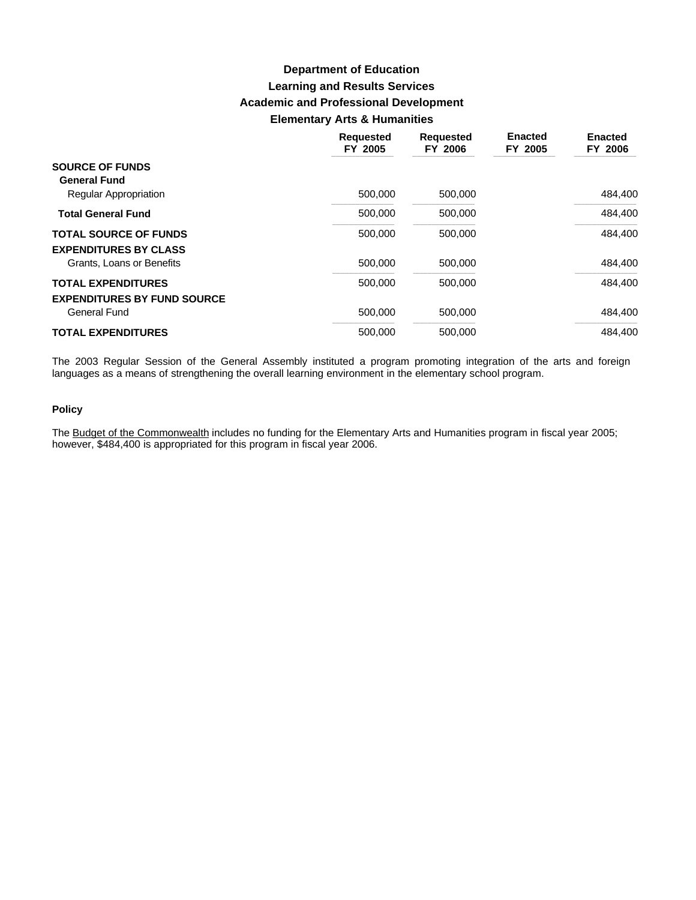# **Learning and Results Services Academic and Professional Development Elementary Arts & Humanities Department of Education**

|                                    | <b>Requested</b><br>FY 2005 | <b>Requested</b><br>FY 2006 | <b>Enacted</b><br>FY 2005 | <b>Enacted</b><br>FY 2006 |
|------------------------------------|-----------------------------|-----------------------------|---------------------------|---------------------------|
| <b>SOURCE OF FUNDS</b>             |                             |                             |                           |                           |
| <b>General Fund</b>                |                             |                             |                           |                           |
| <b>Regular Appropriation</b>       | 500.000                     | 500,000                     |                           | 484.400                   |
| <b>Total General Fund</b>          | 500,000                     | 500,000                     |                           | 484,400                   |
| <b>TOTAL SOURCE OF FUNDS</b>       | 500.000                     | 500.000                     |                           | 484.400                   |
| <b>EXPENDITURES BY CLASS</b>       |                             |                             |                           |                           |
| Grants, Loans or Benefits          | 500,000                     | 500,000                     |                           | 484,400                   |
| <b>TOTAL EXPENDITURES</b>          | 500.000                     | 500.000                     |                           | 484,400                   |
| <b>EXPENDITURES BY FUND SOURCE</b> |                             |                             |                           |                           |
| General Fund                       | 500.000                     | 500,000                     |                           | 484,400                   |
| <b>TOTAL EXPENDITURES</b>          | 500.000                     | 500.000                     |                           | 484.400                   |

The 2003 Regular Session of the General Assembly instituted a program promoting integration of the arts and foreign languages as a means of strengthening the overall learning environment in the elementary school program.

#### **Policy**

The Budget of the Commonwealth includes no funding for the Elementary Arts and Humanities program in fiscal year 2005; however, \$484,400 is appropriated for this program in fiscal year 2006.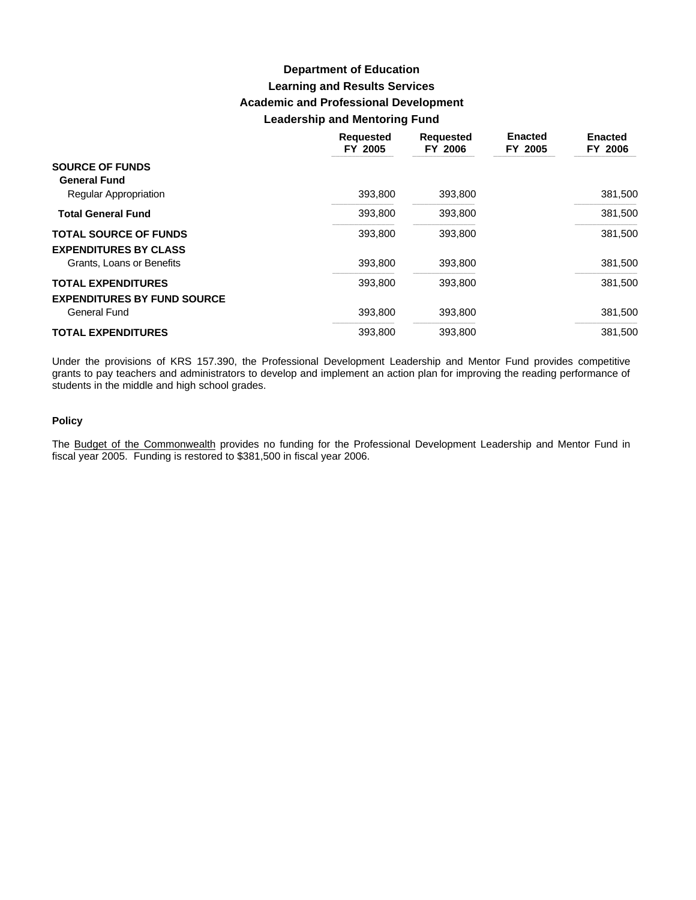# **Learning and Results Services Academic and Professional Development Leadership and Mentoring Fund Department of Education**

|                                    | <b>Requested</b><br>FY 2005 | <b>Requested</b><br>FY 2006 | <b>Enacted</b><br>FY 2005 | <b>Enacted</b><br>FY 2006 |
|------------------------------------|-----------------------------|-----------------------------|---------------------------|---------------------------|
| <b>SOURCE OF FUNDS</b>             |                             |                             |                           |                           |
| <b>General Fund</b>                |                             |                             |                           |                           |
| <b>Regular Appropriation</b>       | 393.800                     | 393,800                     |                           | 381,500                   |
| <b>Total General Fund</b>          | 393,800                     | 393,800                     |                           | 381,500                   |
| <b>TOTAL SOURCE OF FUNDS</b>       | 393.800                     | 393,800                     |                           | 381,500                   |
| <b>EXPENDITURES BY CLASS</b>       |                             |                             |                           |                           |
| Grants, Loans or Benefits          | 393,800                     | 393,800                     |                           | 381,500                   |
| <b>TOTAL EXPENDITURES</b>          | 393.800                     | 393,800                     |                           | 381,500                   |
| <b>EXPENDITURES BY FUND SOURCE</b> |                             |                             |                           |                           |
| General Fund                       | 393.800                     | 393,800                     |                           | 381,500                   |
| <b>TOTAL EXPENDITURES</b>          | 393,800                     | 393,800                     |                           | 381,500                   |

Under the provisions of KRS 157.390, the Professional Development Leadership and Mentor Fund provides competitive grants to pay teachers and administrators to develop and implement an action plan for improving the reading performance of students in the middle and high school grades.

#### **Policy**

The Budget of the Commonwealth provides no funding for the Professional Development Leadership and Mentor Fund in fiscal year 2005. Funding is restored to \$381,500 in fiscal year 2006.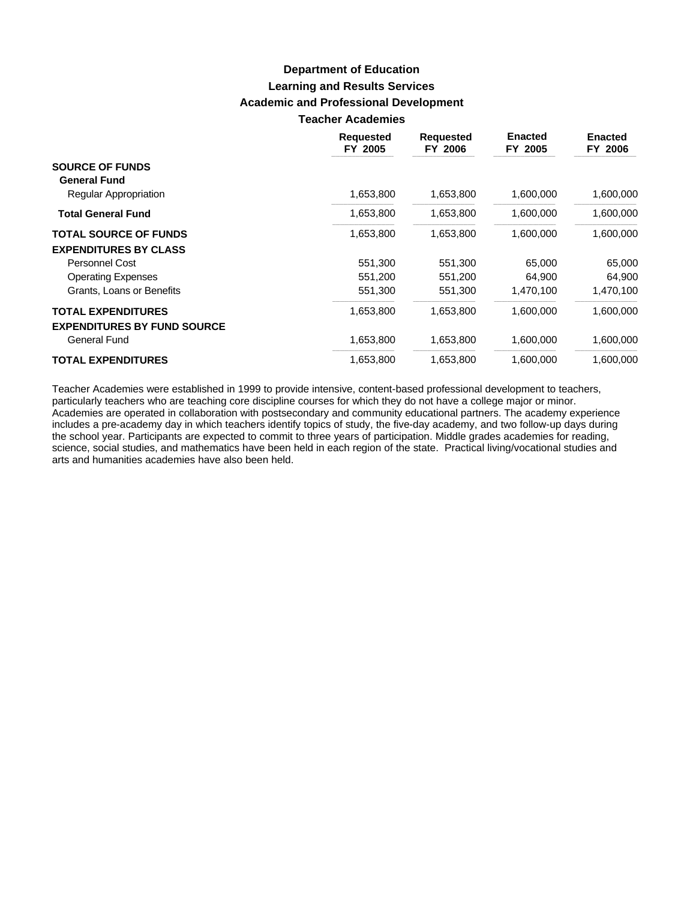### **Learning and Results Services Academic and Professional Development Teacher Academies Department of Education**

|                                    | <b>Requested</b><br>FY 2005 | <b>Requested</b><br>FY 2006 | <b>Enacted</b><br>FY 2005 | <b>Enacted</b><br>FY 2006 |
|------------------------------------|-----------------------------|-----------------------------|---------------------------|---------------------------|
| <b>SOURCE OF FUNDS</b>             |                             |                             |                           |                           |
| <b>General Fund</b>                |                             |                             |                           |                           |
| <b>Regular Appropriation</b>       | 1,653,800                   | 1,653,800                   | 1,600,000                 | 1,600,000                 |
| <b>Total General Fund</b>          | 1,653,800                   | 1,653,800                   | 1,600,000                 | 1,600,000                 |
| <b>TOTAL SOURCE OF FUNDS</b>       | 1,653,800                   | 1,653,800                   | 1,600,000                 | 1,600,000                 |
| <b>EXPENDITURES BY CLASS</b>       |                             |                             |                           |                           |
| <b>Personnel Cost</b>              | 551,300                     | 551,300                     | 65,000                    | 65,000                    |
| <b>Operating Expenses</b>          | 551,200                     | 551,200                     | 64,900                    | 64,900                    |
| Grants, Loans or Benefits          | 551,300                     | 551,300                     | 1,470,100                 | 1,470,100                 |
| <b>TOTAL EXPENDITURES</b>          | 1,653,800                   | 1,653,800                   | 1,600,000                 | 1,600,000                 |
| <b>EXPENDITURES BY FUND SOURCE</b> |                             |                             |                           |                           |
| <b>General Fund</b>                | 1,653,800                   | 1,653,800                   | 1,600,000                 | 1,600,000                 |
| <b>TOTAL EXPENDITURES</b>          | 1,653,800                   | 1,653,800                   | 1,600,000                 | 1,600,000                 |

Teacher Academies were established in 1999 to provide intensive, content-based professional development to teachers, particularly teachers who are teaching core discipline courses for which they do not have a college major or minor. Academies are operated in collaboration with postsecondary and community educational partners. The academy experience includes a pre-academy day in which teachers identify topics of study, the five-day academy, and two follow-up days during the school year. Participants are expected to commit to three years of participation. Middle grades academies for reading, science, social studies, and mathematics have been held in each region of the state. Practical living/vocational studies and arts and humanities academies have also been held.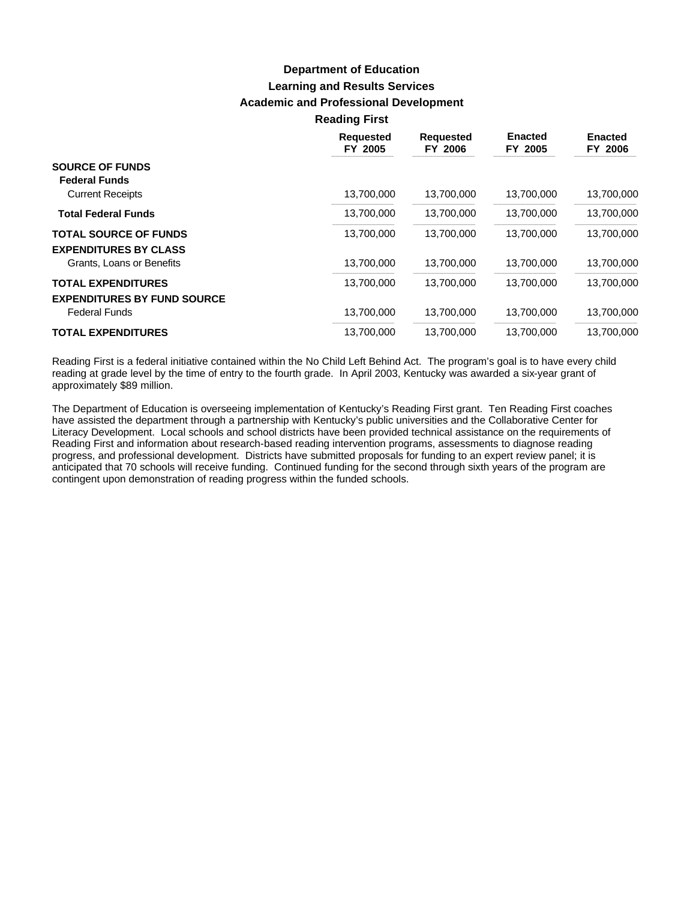### **Learning and Results Services Academic and Professional Development Reading First Department of Education**

| <b>Requested</b><br>FY 2005 | <b>Requested</b><br>FY 2006 | <b>Enacted</b><br>FY 2005 | <b>Enacted</b><br>FY 2006 |
|-----------------------------|-----------------------------|---------------------------|---------------------------|
|                             |                             |                           |                           |
|                             |                             |                           |                           |
| 13,700,000                  | 13,700,000                  | 13,700,000                | 13,700,000                |
| 13,700,000                  | 13,700,000                  | 13,700,000                | 13,700,000                |
| 13,700,000                  | 13.700.000                  | 13.700.000                | 13,700,000                |
|                             |                             |                           |                           |
| 13,700,000                  | 13.700.000                  | 13,700,000                | 13,700,000                |
| 13,700,000                  | 13,700,000                  | 13,700,000                | 13,700,000                |
|                             |                             |                           |                           |
| 13,700,000                  | 13,700,000                  | 13,700,000                | 13,700,000                |
| 13,700,000                  | 13.700.000                  | 13.700.000                | 13,700,000                |
|                             |                             |                           |                           |

Reading First is a federal initiative contained within the No Child Left Behind Act. The program's goal is to have every child reading at grade level by the time of entry to the fourth grade. In April 2003, Kentucky was awarded a six-year grant of approximately \$89 million.

The Department of Education is overseeing implementation of Kentucky's Reading First grant. Ten Reading First coaches have assisted the department through a partnership with Kentucky's public universities and the Collaborative Center for Literacy Development. Local schools and school districts have been provided technical assistance on the requirements of Reading First and information about research-based reading intervention programs, assessments to diagnose reading progress, and professional development. Districts have submitted proposals for funding to an expert review panel; it is anticipated that 70 schools will receive funding. Continued funding for the second through sixth years of the program are contingent upon demonstration of reading progress within the funded schools.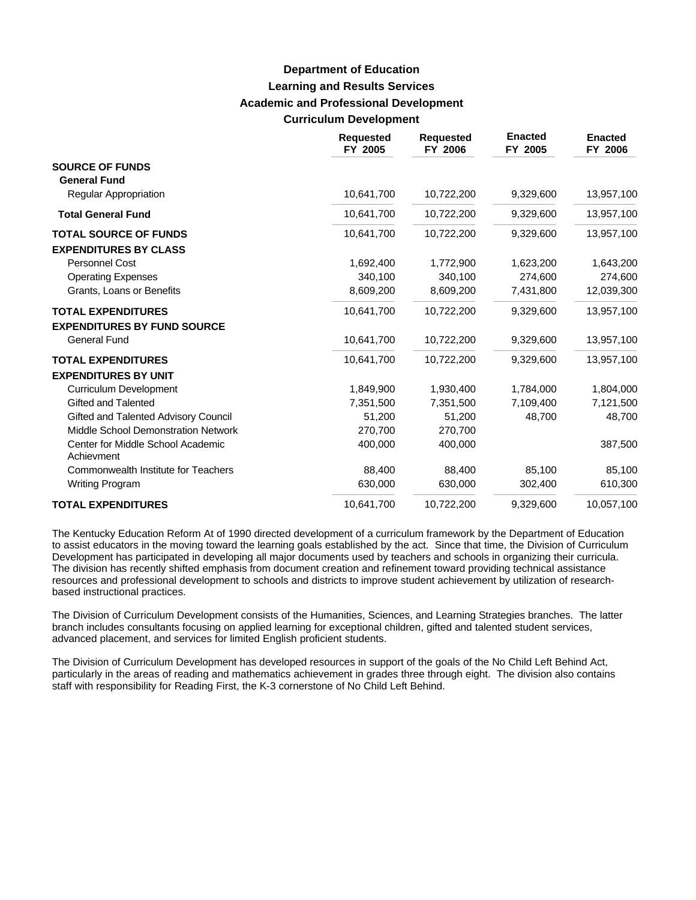## **Learning and Results Services Academic and Professional Development Curriculum Development Department of Education**

|                                                              | <b>Requested</b><br>FY 2005 | <b>Requested</b><br>FY 2006 | <b>Enacted</b><br>FY 2005 | <b>Enacted</b><br>FY 2006 |
|--------------------------------------------------------------|-----------------------------|-----------------------------|---------------------------|---------------------------|
| <b>SOURCE OF FUNDS</b><br><b>General Fund</b>                |                             |                             |                           |                           |
| Regular Appropriation                                        | 10,641,700                  | 10,722,200                  | 9,329,600                 | 13,957,100                |
| <b>Total General Fund</b>                                    | 10,641,700                  | 10,722,200                  | 9,329,600                 | 13,957,100                |
| <b>TOTAL SOURCE OF FUNDS</b><br><b>EXPENDITURES BY CLASS</b> | 10,641,700                  | 10,722,200                  | 9,329,600                 | 13,957,100                |
| <b>Personnel Cost</b>                                        | 1,692,400                   | 1,772,900                   | 1,623,200                 | 1,643,200                 |
| <b>Operating Expenses</b>                                    | 340,100                     | 340,100                     | 274,600                   | 274,600                   |
| Grants, Loans or Benefits                                    | 8,609,200                   | 8,609,200                   | 7,431,800                 | 12,039,300                |
| <b>TOTAL EXPENDITURES</b>                                    | 10,641,700                  | 10,722,200                  | 9,329,600                 | 13,957,100                |
| <b>EXPENDITURES BY FUND SOURCE</b>                           |                             |                             |                           |                           |
| <b>General Fund</b>                                          | 10,641,700                  | 10,722,200                  | 9,329,600                 | 13,957,100                |
| <b>TOTAL EXPENDITURES</b>                                    | 10,641,700                  | 10,722,200                  | 9,329,600                 | 13,957,100                |
| <b>EXPENDITURES BY UNIT</b>                                  |                             |                             |                           |                           |
| <b>Curriculum Development</b>                                | 1,849,900                   | 1,930,400                   | 1,784,000                 | 1,804,000                 |
| Gifted and Talented                                          | 7,351,500                   | 7,351,500                   | 7,109,400                 | 7,121,500                 |
| Gifted and Talented Advisory Council                         | 51,200                      | 51,200                      | 48,700                    | 48,700                    |
| Middle School Demonstration Network                          | 270,700                     | 270,700                     |                           |                           |
| Center for Middle School Academic<br>Achievment              | 400,000                     | 400,000                     |                           | 387,500                   |
| Commonwealth Institute for Teachers                          | 88,400                      | 88,400                      | 85,100                    | 85,100                    |
| <b>Writing Program</b>                                       | 630,000                     | 630,000                     | 302,400                   | 610,300                   |
| <b>TOTAL EXPENDITURES</b>                                    | 10,641,700                  | 10,722,200                  | 9,329,600                 | 10,057,100                |

The Kentucky Education Reform At of 1990 directed development of a curriculum framework by the Department of Education to assist educators in the moving toward the learning goals established by the act. Since that time, the Division of Curriculum Development has participated in developing all major documents used by teachers and schools in organizing their curricula. The division has recently shifted emphasis from document creation and refinement toward providing technical assistance resources and professional development to schools and districts to improve student achievement by utilization of researchbased instructional practices.

The Division of Curriculum Development consists of the Humanities, Sciences, and Learning Strategies branches. The latter branch includes consultants focusing on applied learning for exceptional children, gifted and talented student services, advanced placement, and services for limited English proficient students.

The Division of Curriculum Development has developed resources in support of the goals of the No Child Left Behind Act, particularly in the areas of reading and mathematics achievement in grades three through eight. The division also contains staff with responsibility for Reading First, the K-3 cornerstone of No Child Left Behind.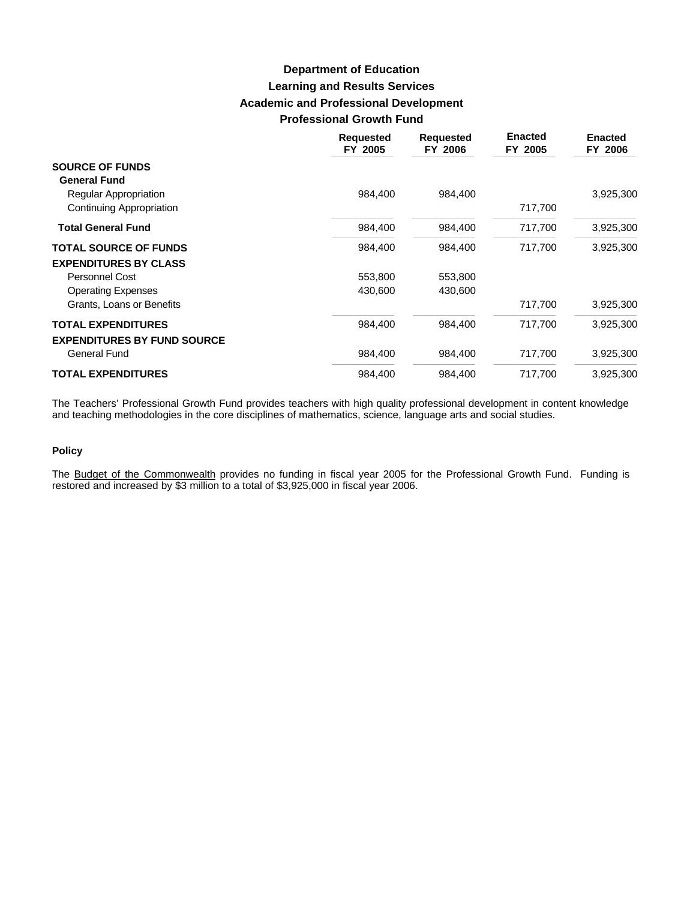## **Learning and Results Services Academic and Professional Development Professional Growth Fund Department of Education**

|                                    | <b>Requested</b><br>FY 2005 | <b>Requested</b><br>FY 2006 | <b>Enacted</b><br>FY 2005 | <b>Enacted</b><br>FY 2006 |
|------------------------------------|-----------------------------|-----------------------------|---------------------------|---------------------------|
| <b>SOURCE OF FUNDS</b>             |                             |                             |                           |                           |
| <b>General Fund</b>                |                             |                             |                           |                           |
| Regular Appropriation              | 984,400                     | 984,400                     |                           | 3,925,300                 |
| Continuing Appropriation           |                             |                             | 717,700                   |                           |
| <b>Total General Fund</b>          | 984,400                     | 984,400                     | 717,700                   | 3,925,300                 |
| <b>TOTAL SOURCE OF FUNDS</b>       | 984,400                     | 984,400                     | 717,700                   | 3,925,300                 |
| <b>EXPENDITURES BY CLASS</b>       |                             |                             |                           |                           |
| <b>Personnel Cost</b>              | 553,800                     | 553,800                     |                           |                           |
| <b>Operating Expenses</b>          | 430,600                     | 430,600                     |                           |                           |
| Grants, Loans or Benefits          |                             |                             | 717,700                   | 3,925,300                 |
| <b>TOTAL EXPENDITURES</b>          | 984,400                     | 984.400                     | 717,700                   | 3,925,300                 |
| <b>EXPENDITURES BY FUND SOURCE</b> |                             |                             |                           |                           |
| <b>General Fund</b>                | 984.400                     | 984,400                     | 717,700                   | 3,925,300                 |
| <b>TOTAL EXPENDITURES</b>          | 984,400                     | 984.400                     | 717.700                   | 3,925,300                 |

The Teachers' Professional Growth Fund provides teachers with high quality professional development in content knowledge and teaching methodologies in the core disciplines of mathematics, science, language arts and social studies.

#### **Policy**

The Budget of the Commonwealth provides no funding in fiscal year 2005 for the Professional Growth Fund. Funding is restored and increased by \$3 million to a total of \$3,925,000 in fiscal year 2006.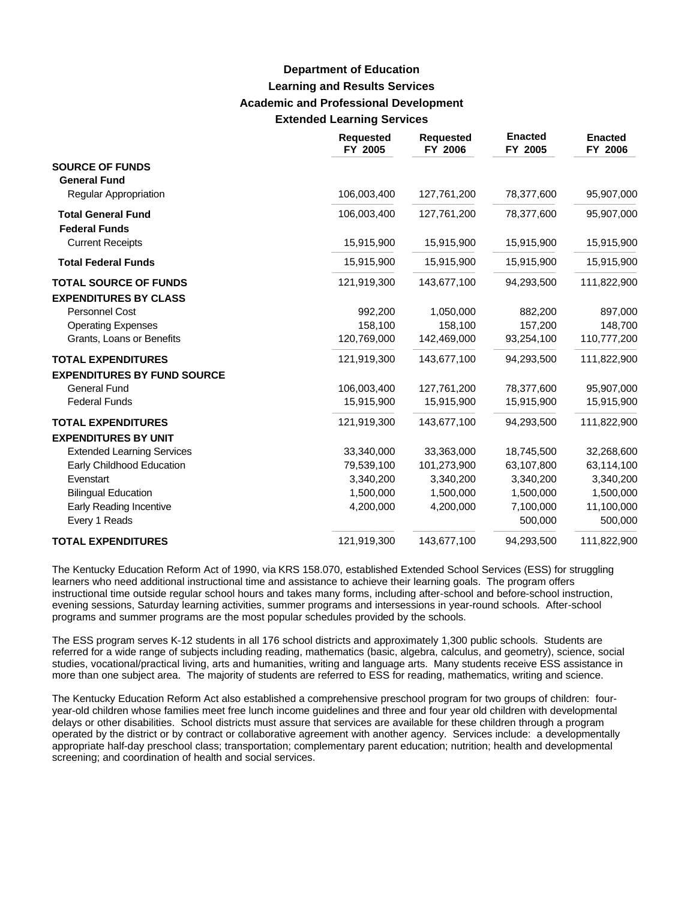## **Learning and Results Services Academic and Professional Development Extended Learning Services Department of Education**

|                                                                 | <b>Requested</b><br>FY 2005 | <b>Requested</b><br>FY 2006 | <b>Enacted</b><br>FY 2005 | <b>Enacted</b><br>FY 2006 |
|-----------------------------------------------------------------|-----------------------------|-----------------------------|---------------------------|---------------------------|
| <b>SOURCE OF FUNDS</b><br><b>General Fund</b>                   |                             |                             |                           |                           |
| Regular Appropriation                                           | 106,003,400                 | 127,761,200                 | 78,377,600                | 95,907,000                |
| <b>Total General Fund</b><br><b>Federal Funds</b>               | 106,003,400                 | 127,761,200                 | 78,377,600                | 95,907,000                |
| <b>Current Receipts</b>                                         | 15,915,900                  | 15,915,900                  | 15,915,900                | 15,915,900                |
| <b>Total Federal Funds</b>                                      | 15,915,900                  | 15,915,900                  | 15,915,900                | 15,915,900                |
| <b>TOTAL SOURCE OF FUNDS</b><br><b>EXPENDITURES BY CLASS</b>    | 121,919,300                 | 143,677,100                 | 94,293,500                | 111,822,900               |
| Personnel Cost                                                  | 992,200                     | 1,050,000                   | 882,200                   | 897,000                   |
| <b>Operating Expenses</b>                                       | 158,100                     | 158,100                     | 157,200                   | 148,700                   |
| Grants, Loans or Benefits                                       | 120,769,000                 | 142,469,000                 | 93,254,100                | 110,777,200               |
| <b>TOTAL EXPENDITURES</b><br><b>EXPENDITURES BY FUND SOURCE</b> | 121,919,300                 | 143,677,100                 | 94,293,500                | 111,822,900               |
| <b>General Fund</b>                                             | 106,003,400                 | 127,761,200                 | 78,377,600                | 95,907,000                |
| <b>Federal Funds</b>                                            | 15,915,900                  | 15,915,900                  | 15,915,900                | 15,915,900                |
| <b>TOTAL EXPENDITURES</b>                                       | 121,919,300                 | 143,677,100                 | 94,293,500                | 111,822,900               |
| <b>EXPENDITURES BY UNIT</b>                                     |                             |                             |                           |                           |
| <b>Extended Learning Services</b>                               | 33,340,000                  | 33,363,000                  | 18,745,500                | 32,268,600                |
| Early Childhood Education                                       | 79,539,100                  | 101,273,900                 | 63,107,800                | 63,114,100                |
| Evenstart                                                       | 3,340,200                   | 3,340,200                   | 3,340,200                 | 3,340,200                 |
| <b>Bilingual Education</b>                                      | 1,500,000                   | 1,500,000                   | 1,500,000                 | 1,500,000                 |
| Early Reading Incentive<br>Every 1 Reads                        | 4,200,000                   | 4,200,000                   | 7,100,000<br>500,000      | 11,100,000<br>500,000     |
| <b>TOTAL EXPENDITURES</b>                                       | 121,919,300                 | 143,677,100                 | 94,293,500                | 111,822,900               |

The Kentucky Education Reform Act of 1990, via KRS 158.070, established Extended School Services (ESS) for struggling learners who need additional instructional time and assistance to achieve their learning goals. The program offers instructional time outside regular school hours and takes many forms, including after-school and before-school instruction, evening sessions, Saturday learning activities, summer programs and intersessions in year-round schools. After-school programs and summer programs are the most popular schedules provided by the schools.

The ESS program serves K-12 students in all 176 school districts and approximately 1,300 public schools. Students are referred for a wide range of subjects including reading, mathematics (basic, algebra, calculus, and geometry), science, social studies, vocational/practical living, arts and humanities, writing and language arts. Many students receive ESS assistance in more than one subject area. The majority of students are referred to ESS for reading, mathematics, writing and science.

The Kentucky Education Reform Act also established a comprehensive preschool program for two groups of children: fouryear-old children whose families meet free lunch income guidelines and three and four year old children with developmental delays or other disabilities. School districts must assure that services are available for these children through a program operated by the district or by contract or collaborative agreement with another agency. Services include: a developmentally appropriate half-day preschool class; transportation; complementary parent education; nutrition; health and developmental screening; and coordination of health and social services.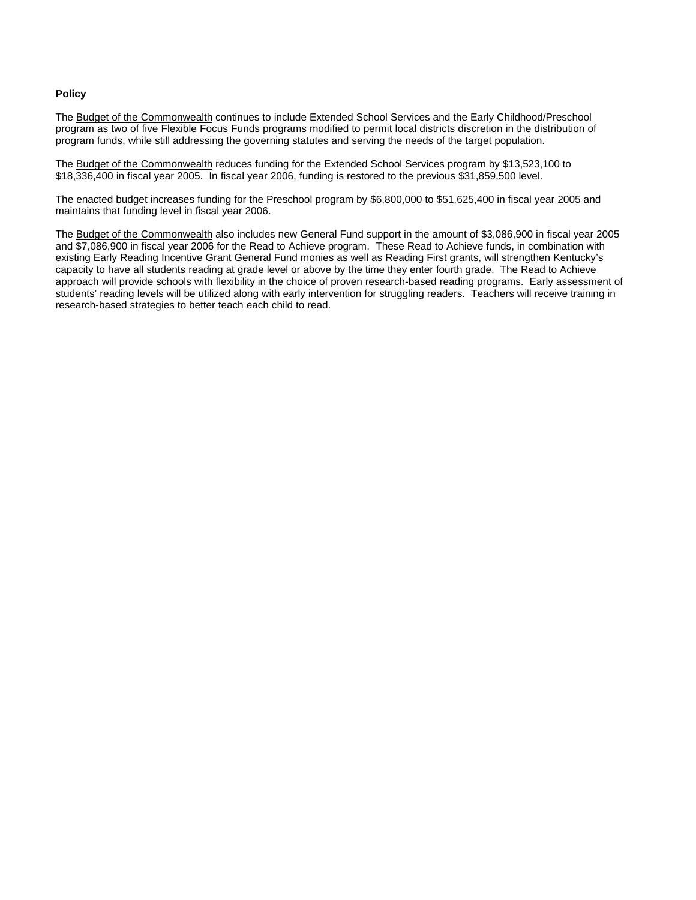### **Policy**

The Budget of the Commonwealth continues to include Extended School Services and the Early Childhood/Preschool program as two of five Flexible Focus Funds programs modified to permit local districts discretion in the distribution of program funds, while still addressing the governing statutes and serving the needs of the target population.

The Budget of the Commonwealth reduces funding for the Extended School Services program by \$13,523,100 to \$18,336,400 in fiscal year 2005. In fiscal year 2006, funding is restored to the previous \$31,859,500 level.

The enacted budget increases funding for the Preschool program by \$6,800,000 to \$51,625,400 in fiscal year 2005 and maintains that funding level in fiscal year 2006.

The Budget of the Commonwealth also includes new General Fund support in the amount of \$3,086,900 in fiscal year 2005 and \$7,086,900 in fiscal year 2006 for the Read to Achieve program. These Read to Achieve funds, in combination with existing Early Reading Incentive Grant General Fund monies as well as Reading First grants, will strengthen Kentucky's capacity to have all students reading at grade level or above by the time they enter fourth grade. The Read to Achieve approach will provide schools with flexibility in the choice of proven research-based reading programs. Early assessment of students' reading levels will be utilized along with early intervention for struggling readers. Teachers will receive training in research-based strategies to better teach each child to read.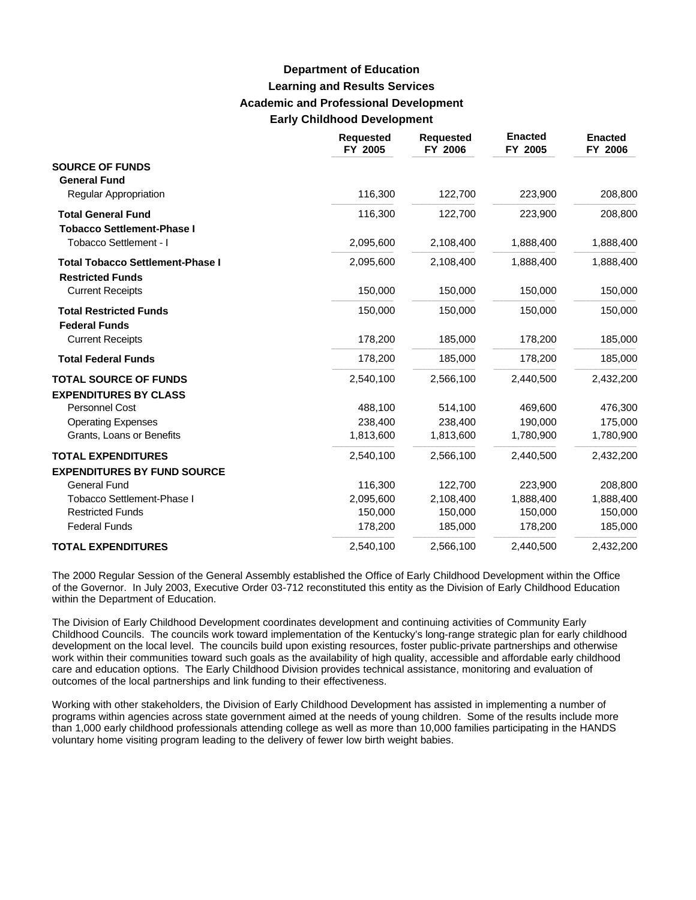## **Learning and Results Services Academic and Professional Development Early Childhood Development Department of Education**

|                                                                    | <b>Requested</b><br>FY 2005 | <b>Requested</b><br>FY 2006 | <b>Enacted</b><br>FY 2005 | <b>Enacted</b><br>FY 2006 |
|--------------------------------------------------------------------|-----------------------------|-----------------------------|---------------------------|---------------------------|
| <b>SOURCE OF FUNDS</b><br><b>General Fund</b>                      |                             |                             |                           |                           |
| Regular Appropriation                                              | 116,300                     | 122,700                     | 223,900                   | 208,800                   |
| <b>Total General Fund</b><br><b>Tobacco Settlement-Phase I</b>     | 116,300                     | 122,700                     | 223,900                   | 208,800                   |
| Tobacco Settlement - I                                             | 2,095,600                   | 2,108,400                   | 1,888,400                 | 1,888,400                 |
| <b>Total Tobacco Settlement-Phase I</b><br><b>Restricted Funds</b> | 2,095,600                   | 2,108,400                   | 1,888,400                 | 1,888,400                 |
| <b>Current Receipts</b>                                            | 150,000                     | 150,000                     | 150,000                   | 150,000                   |
| <b>Total Restricted Funds</b><br><b>Federal Funds</b>              | 150,000                     | 150,000                     | 150,000                   | 150,000                   |
| <b>Current Receipts</b>                                            | 178,200                     | 185,000                     | 178,200                   | 185,000                   |
| <b>Total Federal Funds</b>                                         | 178,200                     | 185,000                     | 178,200                   | 185,000                   |
| <b>TOTAL SOURCE OF FUNDS</b><br><b>EXPENDITURES BY CLASS</b>       | 2,540,100                   | 2,566,100                   | 2,440,500                 | 2,432,200                 |
| Personnel Cost                                                     | 488,100                     | 514,100                     | 469,600                   | 476,300                   |
| <b>Operating Expenses</b>                                          | 238,400                     | 238,400                     | 190,000                   | 175,000                   |
| Grants, Loans or Benefits                                          | 1,813,600                   | 1,813,600                   | 1,780,900                 | 1,780,900                 |
| <b>TOTAL EXPENDITURES</b>                                          | 2,540,100                   | 2,566,100                   | 2,440,500                 | 2,432,200                 |
| <b>EXPENDITURES BY FUND SOURCE</b>                                 |                             |                             |                           |                           |
| <b>General Fund</b>                                                | 116,300                     | 122,700                     | 223,900                   | 208,800                   |
| <b>Tobacco Settlement-Phase I</b>                                  | 2,095,600                   | 2,108,400                   | 1,888,400                 | 1,888,400                 |
| <b>Restricted Funds</b>                                            | 150,000                     | 150,000                     | 150,000                   | 150,000                   |
| <b>Federal Funds</b>                                               | 178,200                     | 185,000                     | 178,200                   | 185,000                   |
| <b>TOTAL EXPENDITURES</b>                                          | 2,540,100                   | 2,566,100                   | 2,440,500                 | 2,432,200                 |

The 2000 Regular Session of the General Assembly established the Office of Early Childhood Development within the Office of the Governor. In July 2003, Executive Order 03-712 reconstituted this entity as the Division of Early Childhood Education within the Department of Education.

The Division of Early Childhood Development coordinates development and continuing activities of Community Early Childhood Councils. The councils work toward implementation of the Kentucky's long-range strategic plan for early childhood development on the local level. The councils build upon existing resources, foster public-private partnerships and otherwise work within their communities toward such goals as the availability of high quality, accessible and affordable early childhood care and education options. The Early Childhood Division provides technical assistance, monitoring and evaluation of outcomes of the local partnerships and link funding to their effectiveness.

Working with other stakeholders, the Division of Early Childhood Development has assisted in implementing a number of programs within agencies across state government aimed at the needs of young children. Some of the results include more than 1,000 early childhood professionals attending college as well as more than 10,000 families participating in the HANDS voluntary home visiting program leading to the delivery of fewer low birth weight babies.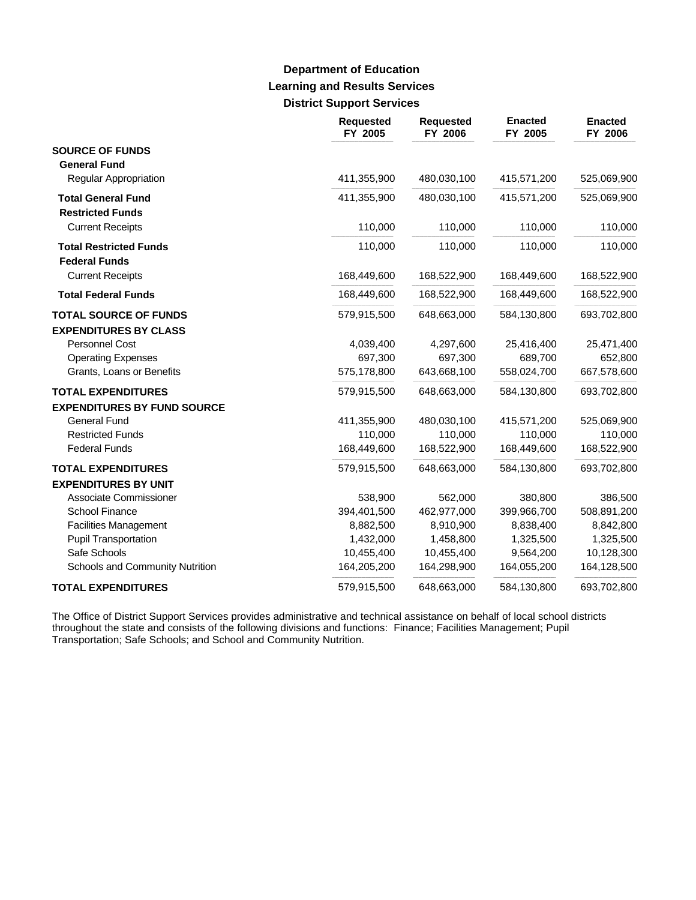## **Learning and Results Services District Support Services Department of Education**

|                                                                 | <b>Requested</b><br>FY 2005 | <b>Requested</b><br>FY 2006 | <b>Enacted</b><br>FY 2005 | <b>Enacted</b><br>FY 2006 |
|-----------------------------------------------------------------|-----------------------------|-----------------------------|---------------------------|---------------------------|
| <b>SOURCE OF FUNDS</b><br><b>General Fund</b>                   |                             |                             |                           |                           |
| Regular Appropriation                                           | 411,355,900                 | 480,030,100                 | 415,571,200               | 525,069,900               |
| <b>Total General Fund</b><br><b>Restricted Funds</b>            | 411,355,900                 | 480,030,100                 | 415,571,200               | 525,069,900               |
| <b>Current Receipts</b>                                         | 110,000                     | 110,000                     | 110,000                   | 110,000                   |
| <b>Total Restricted Funds</b><br><b>Federal Funds</b>           | 110,000                     | 110,000                     | 110,000                   | 110,000                   |
| <b>Current Receipts</b>                                         | 168,449,600                 | 168,522,900                 | 168,449,600               | 168,522,900               |
| <b>Total Federal Funds</b>                                      | 168,449,600                 | 168,522,900                 | 168,449,600               | 168,522,900               |
| <b>TOTAL SOURCE OF FUNDS</b><br><b>EXPENDITURES BY CLASS</b>    | 579,915,500                 | 648,663,000                 | 584,130,800               | 693,702,800               |
| <b>Personnel Cost</b>                                           | 4,039,400                   | 4,297,600                   | 25,416,400                | 25,471,400                |
| <b>Operating Expenses</b>                                       | 697,300                     | 697,300                     | 689,700                   | 652,800                   |
| Grants, Loans or Benefits                                       | 575,178,800                 | 643,668,100                 | 558,024,700               | 667,578,600               |
| <b>TOTAL EXPENDITURES</b><br><b>EXPENDITURES BY FUND SOURCE</b> | 579,915,500                 | 648,663,000                 | 584,130,800               | 693,702,800               |
| <b>General Fund</b>                                             | 411,355,900                 | 480,030,100                 | 415,571,200               | 525,069,900               |
| <b>Restricted Funds</b>                                         | 110,000                     | 110,000                     | 110,000                   | 110,000                   |
| <b>Federal Funds</b>                                            | 168,449,600                 | 168,522,900                 | 168,449,600               | 168,522,900               |
| <b>TOTAL EXPENDITURES</b>                                       | 579,915,500                 | 648,663,000                 | 584,130,800               | 693,702,800               |
| <b>EXPENDITURES BY UNIT</b>                                     |                             |                             |                           |                           |
| Associate Commissioner                                          | 538,900                     | 562,000                     | 380,800                   | 386,500                   |
| School Finance                                                  | 394,401,500                 | 462,977,000                 | 399,966,700               | 508,891,200               |
| <b>Facilities Management</b>                                    | 8,882,500                   | 8,910,900                   | 8,838,400                 | 8,842,800                 |
| <b>Pupil Transportation</b>                                     | 1,432,000                   | 1,458,800                   | 1,325,500                 | 1,325,500                 |
| Safe Schools                                                    | 10,455,400                  | 10,455,400                  | 9,564,200                 | 10,128,300                |
| Schools and Community Nutrition                                 | 164,205,200                 | 164,298,900                 | 164,055,200               | 164,128,500               |
| <b>TOTAL EXPENDITURES</b>                                       | 579,915,500                 | 648,663,000                 | 584,130,800               | 693,702,800               |

The Office of District Support Services provides administrative and technical assistance on behalf of local school districts throughout the state and consists of the following divisions and functions: Finance; Facilities Management; Pupil Transportation; Safe Schools; and School and Community Nutrition.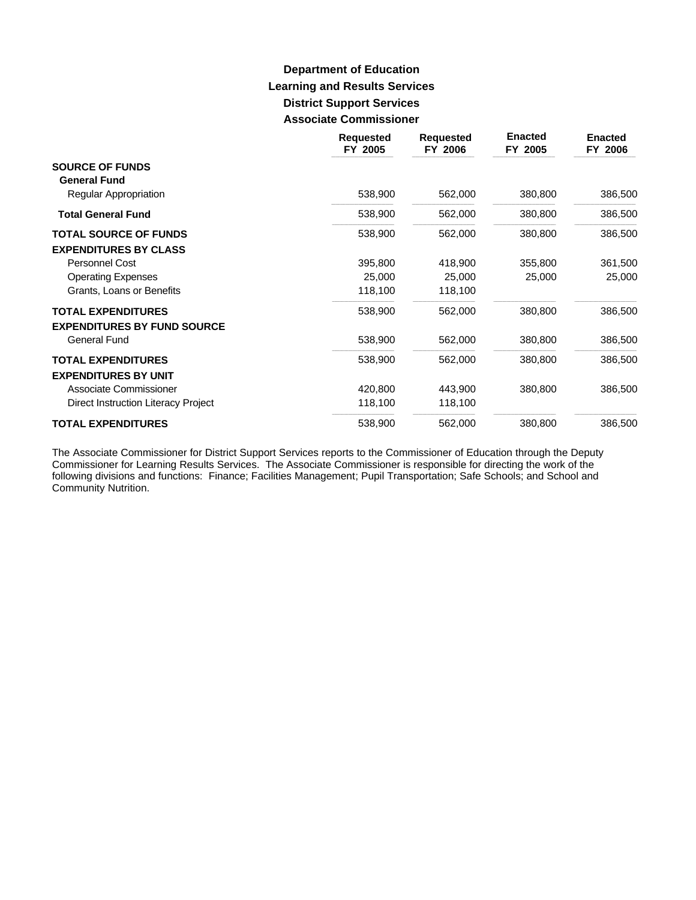# **Learning and Results Services District Support Services Associate Commissioner Department of Education**

|                                               | <b>Requested</b><br>FY 2005 | <b>Requested</b><br>FY 2006 | <b>Enacted</b><br>FY 2005 | <b>Enacted</b><br>FY 2006 |
|-----------------------------------------------|-----------------------------|-----------------------------|---------------------------|---------------------------|
| <b>SOURCE OF FUNDS</b><br><b>General Fund</b> |                             |                             |                           |                           |
| <b>Regular Appropriation</b>                  | 538,900                     | 562,000                     | 380,800                   | 386,500                   |
| <b>Total General Fund</b>                     | 538,900                     | 562,000                     | 380,800                   | 386,500                   |
| <b>TOTAL SOURCE OF FUNDS</b>                  | 538,900                     | 562,000                     | 380,800                   | 386,500                   |
| <b>EXPENDITURES BY CLASS</b>                  |                             |                             |                           |                           |
| Personnel Cost                                | 395,800                     | 418,900                     | 355,800                   | 361,500                   |
| <b>Operating Expenses</b>                     | 25,000                      | 25,000                      | 25,000                    | 25,000                    |
| Grants, Loans or Benefits                     | 118,100                     | 118,100                     |                           |                           |
| <b>TOTAL EXPENDITURES</b>                     | 538,900                     | 562,000                     | 380,800                   | 386,500                   |
| <b>EXPENDITURES BY FUND SOURCE</b>            |                             |                             |                           |                           |
| <b>General Fund</b>                           | 538,900                     | 562,000                     | 380,800                   | 386,500                   |
| <b>TOTAL EXPENDITURES</b>                     | 538,900                     | 562,000                     | 380,800                   | 386,500                   |
| <b>EXPENDITURES BY UNIT</b>                   |                             |                             |                           |                           |
| Associate Commissioner                        | 420,800                     | 443,900                     | 380,800                   | 386,500                   |
| Direct Instruction Literacy Project           | 118,100                     | 118,100                     |                           |                           |
| <b>TOTAL EXPENDITURES</b>                     | 538,900                     | 562,000                     | 380,800                   | 386,500                   |

The Associate Commissioner for District Support Services reports to the Commissioner of Education through the Deputy Commissioner for Learning Results Services. The Associate Commissioner is responsible for directing the work of the following divisions and functions: Finance; Facilities Management; Pupil Transportation; Safe Schools; and School and Community Nutrition.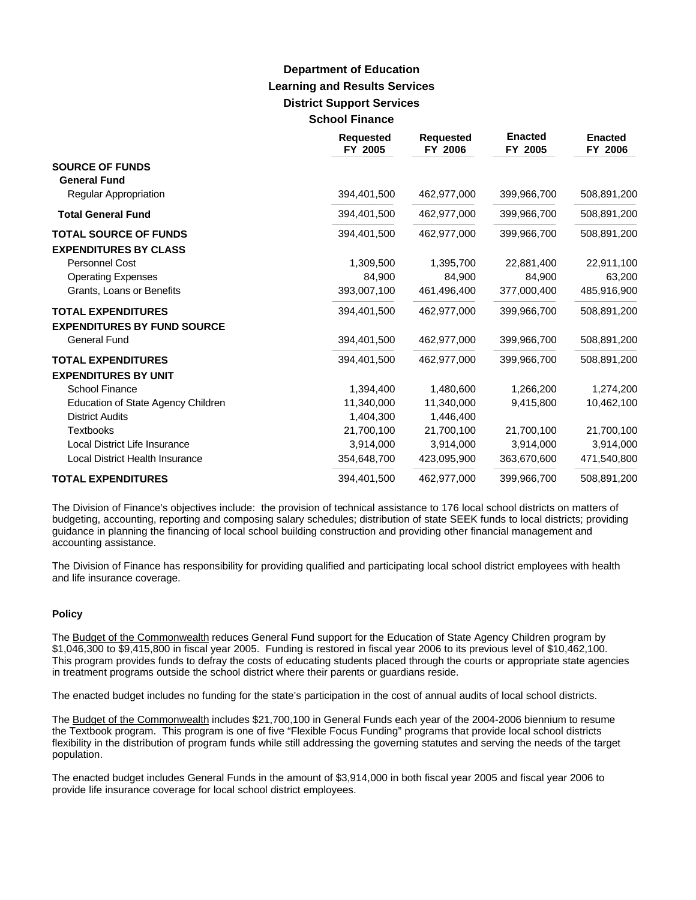## **Learning and Results Services District Support Services School Finance Department of Education**

|                                    | <b>Requested</b><br>FY 2005 | <b>Requested</b><br>FY 2006 | <b>Enacted</b><br>FY 2005 | <b>Enacted</b><br>FY 2006 |
|------------------------------------|-----------------------------|-----------------------------|---------------------------|---------------------------|
| <b>SOURCE OF FUNDS</b>             |                             |                             |                           |                           |
| <b>General Fund</b>                |                             |                             |                           |                           |
| Regular Appropriation              | 394,401,500                 | 462,977,000                 | 399,966,700               | 508,891,200               |
| <b>Total General Fund</b>          | 394,401,500                 | 462,977,000                 | 399,966,700               | 508,891,200               |
| <b>TOTAL SOURCE OF FUNDS</b>       | 394.401.500                 | 462.977.000                 | 399,966,700               | 508,891,200               |
| <b>EXPENDITURES BY CLASS</b>       |                             |                             |                           |                           |
| <b>Personnel Cost</b>              | 1,309,500                   | 1,395,700                   | 22,881,400                | 22,911,100                |
| <b>Operating Expenses</b>          | 84.900                      | 84.900                      | 84.900                    | 63,200                    |
| Grants, Loans or Benefits          | 393,007,100                 | 461,496,400                 | 377,000,400               | 485,916,900               |
| <b>TOTAL EXPENDITURES</b>          | 394,401,500                 | 462,977,000                 | 399,966,700               | 508,891,200               |
| <b>EXPENDITURES BY FUND SOURCE</b> |                             |                             |                           |                           |
| <b>General Fund</b>                | 394,401,500                 | 462,977,000                 | 399,966,700               | 508,891,200               |
| <b>TOTAL EXPENDITURES</b>          | 394,401,500                 | 462,977,000                 | 399,966,700               | 508,891,200               |
| <b>EXPENDITURES BY UNIT</b>        |                             |                             |                           |                           |
| School Finance                     | 1,394,400                   | 1,480,600                   | 1,266,200                 | 1,274,200                 |
| Education of State Agency Children | 11,340,000                  | 11,340,000                  | 9,415,800                 | 10,462,100                |
| <b>District Audits</b>             | 1,404,300                   | 1,446,400                   |                           |                           |
| <b>Textbooks</b>                   | 21,700,100                  | 21,700,100                  | 21,700,100                | 21,700,100                |
| Local District Life Insurance      | 3,914,000                   | 3,914,000                   | 3,914,000                 | 3,914,000                 |
| Local District Health Insurance    | 354,648,700                 | 423,095,900                 | 363,670,600               | 471,540,800               |
| <b>TOTAL EXPENDITURES</b>          | 394,401,500                 | 462,977,000                 | 399,966,700               | 508,891,200               |

The Division of Finance's objectives include: the provision of technical assistance to 176 local school districts on matters of budgeting, accounting, reporting and composing salary schedules; distribution of state SEEK funds to local districts; providing guidance in planning the financing of local school building construction and providing other financial management and accounting assistance.

The Division of Finance has responsibility for providing qualified and participating local school district employees with health and life insurance coverage.

### **Policy**

The Budget of the Commonwealth reduces General Fund support for the Education of State Agency Children program by \$1,046,300 to \$9,415,800 in fiscal year 2005. Funding is restored in fiscal year 2006 to its previous level of \$10,462,100. This program provides funds to defray the costs of educating students placed through the courts or appropriate state agencies in treatment programs outside the school district where their parents or guardians reside.

The enacted budget includes no funding for the state's participation in the cost of annual audits of local school districts.

The Budget of the Commonwealth includes \$21,700,100 in General Funds each year of the 2004-2006 biennium to resume the Textbook program. This program is one of five "Flexible Focus Funding" programs that provide local school districts flexibility in the distribution of program funds while still addressing the governing statutes and serving the needs of the target population.

The enacted budget includes General Funds in the amount of \$3,914,000 in both fiscal year 2005 and fiscal year 2006 to provide life insurance coverage for local school district employees.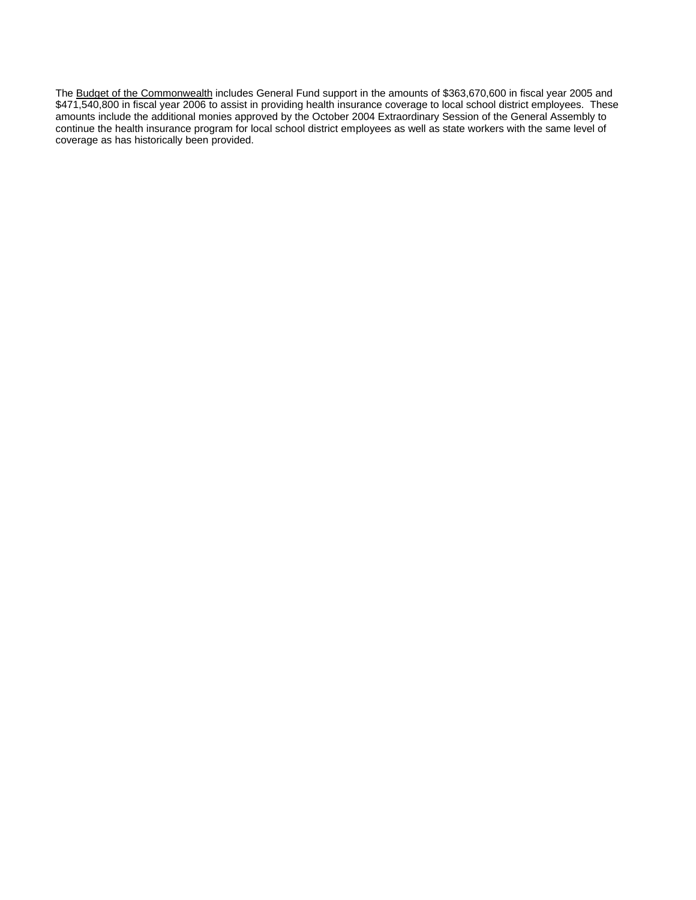The Budget of the Commonwealth includes General Fund support in the amounts of \$363,670,600 in fiscal year 2005 and \$471,540,800 in fiscal year 2006 to assist in providing health insurance coverage to local school district employees. These amounts include the additional monies approved by the October 2004 Extraordinary Session of the General Assembly to continue the health insurance program for local school district employees as well as state workers with the same level of coverage as has historically been provided.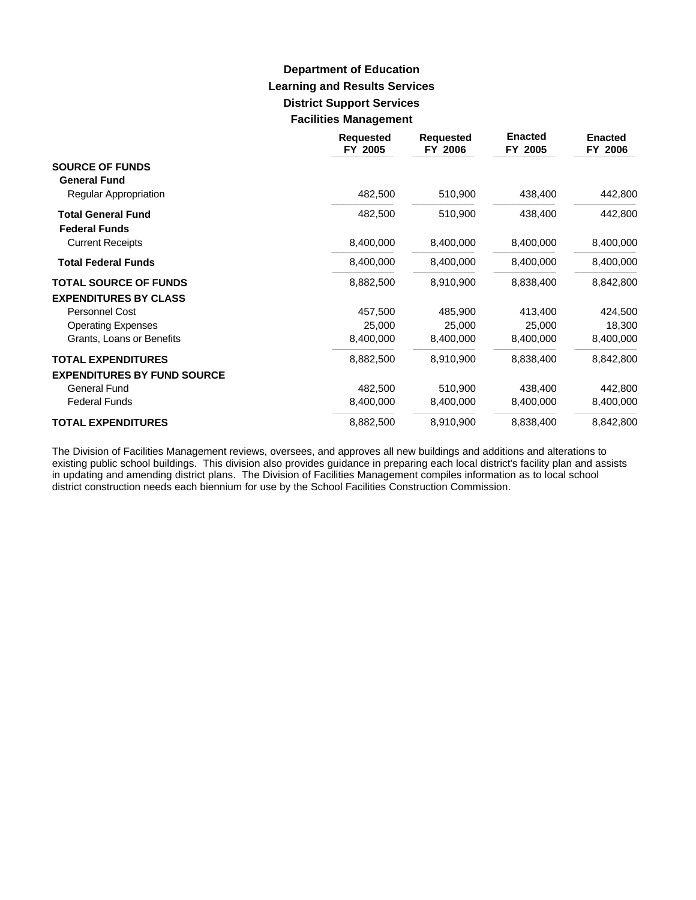# **Learning and Results Services District Support Services Facilities Management Department of Education**

|                                                   | <b>Requested</b><br>FY 2005 | <b>Requested</b><br>FY 2006 | <b>Enacted</b><br>FY 2005 | <b>Enacted</b><br>FY 2006 |
|---------------------------------------------------|-----------------------------|-----------------------------|---------------------------|---------------------------|
| <b>SOURCE OF FUNDS</b><br><b>General Fund</b>     |                             |                             |                           |                           |
| Regular Appropriation                             | 482,500                     | 510,900                     | 438,400                   | 442,800                   |
| <b>Total General Fund</b><br><b>Federal Funds</b> | 482,500                     | 510,900                     | 438,400                   | 442,800                   |
| <b>Current Receipts</b>                           | 8,400,000                   | 8,400,000                   | 8,400,000                 | 8,400,000                 |
| <b>Total Federal Funds</b>                        | 8,400,000                   | 8,400,000                   | 8,400,000                 | 8,400,000                 |
| <b>TOTAL SOURCE OF FUNDS</b>                      | 8,882,500                   | 8,910,900                   | 8,838,400                 | 8,842,800                 |
| <b>EXPENDITURES BY CLASS</b>                      |                             |                             |                           |                           |
| Personnel Cost                                    | 457,500                     | 485,900                     | 413,400                   | 424,500                   |
| <b>Operating Expenses</b>                         | 25,000                      | 25,000                      | 25,000                    | 18,300                    |
| Grants, Loans or Benefits                         | 8,400,000                   | 8,400,000                   | 8,400,000                 | 8,400,000                 |
| <b>TOTAL EXPENDITURES</b>                         | 8,882,500                   | 8,910,900                   | 8,838,400                 | 8,842,800                 |
| <b>EXPENDITURES BY FUND SOURCE</b>                |                             |                             |                           |                           |
| <b>General Fund</b>                               | 482,500                     | 510,900                     | 438,400                   | 442,800                   |
| <b>Federal Funds</b>                              | 8,400,000                   | 8,400,000                   | 8,400,000                 | 8,400,000                 |
| <b>TOTAL EXPENDITURES</b>                         | 8,882,500                   | 8,910,900                   | 8,838,400                 | 8,842,800                 |

The Division of Facilities Management reviews, oversees, and approves all new buildings and additions and alterations to existing public school buildings. This division also provides guidance in preparing each local district's facility plan and assists in updating and amending district plans. The Division of Facilities Management compiles information as to local school district construction needs each biennium for use by the School Facilities Construction Commission.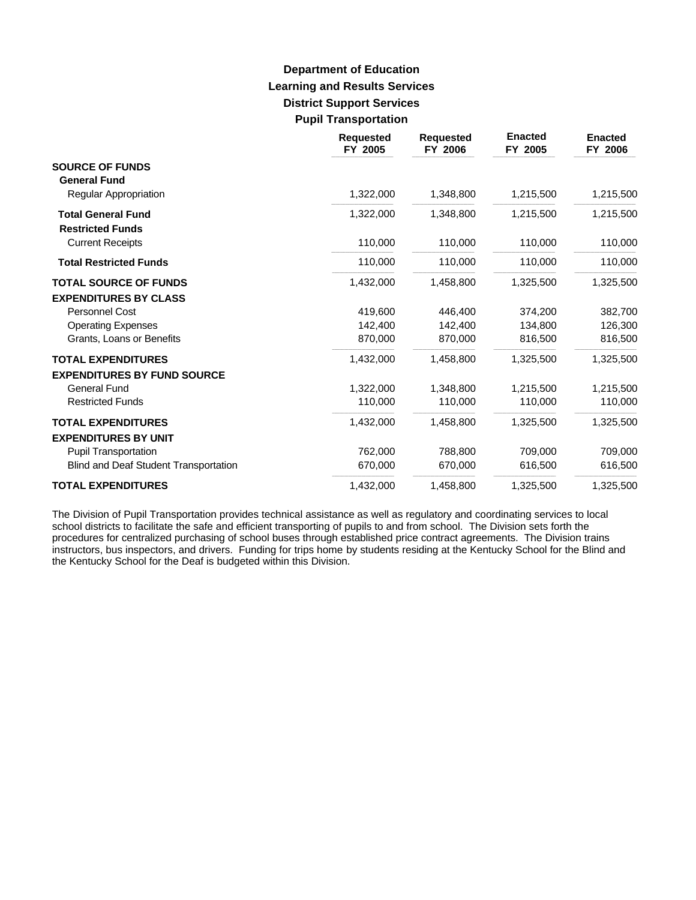# **Learning and Results Services District Support Services Pupil Transportation Department of Education**

|                                                          | <b>Requested</b><br>FY 2005 | <b>Requested</b><br>FY 2006 | <b>Enacted</b><br>FY 2005 | <b>Enacted</b><br>FY 2006 |
|----------------------------------------------------------|-----------------------------|-----------------------------|---------------------------|---------------------------|
| <b>SOURCE OF FUNDS</b><br><b>General Fund</b>            |                             |                             |                           |                           |
| <b>Regular Appropriation</b>                             | 1,322,000                   | 1,348,800                   | 1,215,500                 | 1,215,500                 |
| <b>Total General Fund</b><br><b>Restricted Funds</b>     | 1,322,000                   | 1,348,800                   | 1,215,500                 | 1,215,500                 |
| <b>Current Receipts</b>                                  | 110,000                     | 110,000                     | 110,000                   | 110,000                   |
| <b>Total Restricted Funds</b>                            | 110,000                     | 110,000                     | 110,000                   | 110,000                   |
| <b>TOTAL SOURCE OF FUNDS</b>                             | 1,432,000                   | 1,458,800                   | 1,325,500                 | 1,325,500                 |
| <b>EXPENDITURES BY CLASS</b>                             |                             |                             |                           |                           |
| <b>Personnel Cost</b>                                    | 419.600                     | 446,400                     | 374,200                   | 382,700                   |
| <b>Operating Expenses</b>                                | 142,400                     | 142,400                     | 134,800                   | 126,300                   |
| Grants, Loans or Benefits                                | 870,000                     | 870,000                     | 816,500                   | 816,500                   |
| <b>TOTAL EXPENDITURES</b>                                | 1,432,000                   | 1,458,800                   | 1,325,500                 | 1,325,500                 |
| <b>EXPENDITURES BY FUND SOURCE</b>                       |                             |                             |                           |                           |
| <b>General Fund</b>                                      | 1,322,000                   | 1,348,800                   | 1,215,500                 | 1,215,500                 |
| <b>Restricted Funds</b>                                  | 110,000                     | 110,000                     | 110,000                   | 110,000                   |
| <b>TOTAL EXPENDITURES</b><br><b>EXPENDITURES BY UNIT</b> | 1,432,000                   | 1,458,800                   | 1,325,500                 | 1,325,500                 |
| <b>Pupil Transportation</b>                              | 762,000                     | 788,800                     | 709,000                   | 709,000                   |
| Blind and Deaf Student Transportation                    | 670,000                     | 670,000                     | 616,500                   | 616,500                   |
| <b>TOTAL EXPENDITURES</b>                                | 1,432,000                   | 1,458,800                   | 1,325,500                 | 1,325,500                 |

The Division of Pupil Transportation provides technical assistance as well as regulatory and coordinating services to local school districts to facilitate the safe and efficient transporting of pupils to and from school. The Division sets forth the procedures for centralized purchasing of school buses through established price contract agreements. The Division trains instructors, bus inspectors, and drivers. Funding for trips home by students residing at the Kentucky School for the Blind and the Kentucky School for the Deaf is budgeted within this Division.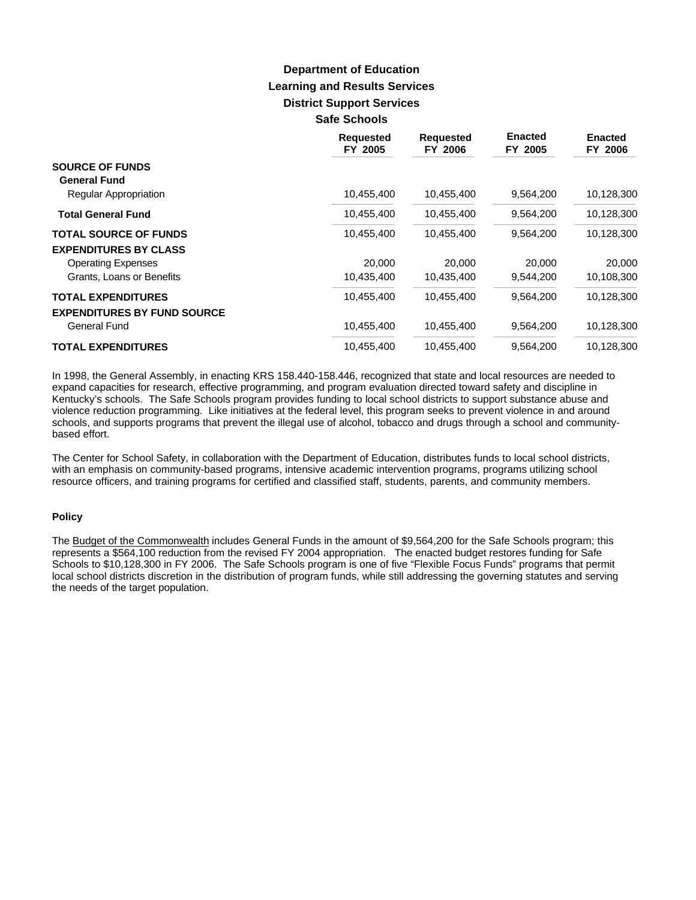### **Learning and Results Services District Support Services Safe Schools Department of Education**

|                                    | <b>Requested</b><br>FY 2005 | <b>Requested</b><br>FY 2006 | <b>Enacted</b><br>FY 2005 | <b>Enacted</b><br>FY 2006 |
|------------------------------------|-----------------------------|-----------------------------|---------------------------|---------------------------|
| <b>SOURCE OF FUNDS</b>             |                             |                             |                           |                           |
| <b>General Fund</b>                |                             |                             |                           |                           |
| Regular Appropriation              | 10,455,400                  | 10,455,400                  | 9,564,200                 | 10,128,300                |
| <b>Total General Fund</b>          | 10,455,400                  | 10,455,400                  | 9,564,200                 | 10,128,300                |
| <b>TOTAL SOURCE OF FUNDS</b>       | 10,455,400                  | 10,455,400                  | 9,564,200                 | 10,128,300                |
| <b>EXPENDITURES BY CLASS</b>       |                             |                             |                           |                           |
| <b>Operating Expenses</b>          | 20,000                      | 20,000                      | 20,000                    | 20,000                    |
| Grants, Loans or Benefits          | 10,435,400                  | 10,435,400                  | 9,544,200                 | 10,108,300                |
| <b>TOTAL EXPENDITURES</b>          | 10,455,400                  | 10,455,400                  | 9,564,200                 | 10,128,300                |
| <b>EXPENDITURES BY FUND SOURCE</b> |                             |                             |                           |                           |
| General Fund                       | 10,455,400                  | 10,455,400                  | 9,564,200                 | 10,128,300                |
| <b>TOTAL EXPENDITURES</b>          | 10,455,400                  | 10,455,400                  | 9,564,200                 | 10,128,300                |

In 1998, the General Assembly, in enacting KRS 158.440-158.446, recognized that state and local resources are needed to expand capacities for research, effective programming, and program evaluation directed toward safety and discipline in Kentucky's schools. The Safe Schools program provides funding to local school districts to support substance abuse and violence reduction programming. Like initiatives at the federal level, this program seeks to prevent violence in and around schools, and supports programs that prevent the illegal use of alcohol, tobacco and drugs through a school and communitybased effort.

The Center for School Safety, in collaboration with the Department of Education, distributes funds to local school districts, with an emphasis on community-based programs, intensive academic intervention programs, programs utilizing school resource officers, and training programs for certified and classified staff, students, parents, and community members.

### **Policy**

The Budget of the Commonwealth includes General Funds in the amount of \$9,564,200 for the Safe Schools program; this represents a \$564,100 reduction from the revised FY 2004 appropriation. The enacted budget restores funding for Safe Schools to \$10,128,300 in FY 2006. The Safe Schools program is one of five "Flexible Focus Funds" programs that permit local school districts discretion in the distribution of program funds, while still addressing the governing statutes and serving the needs of the target population.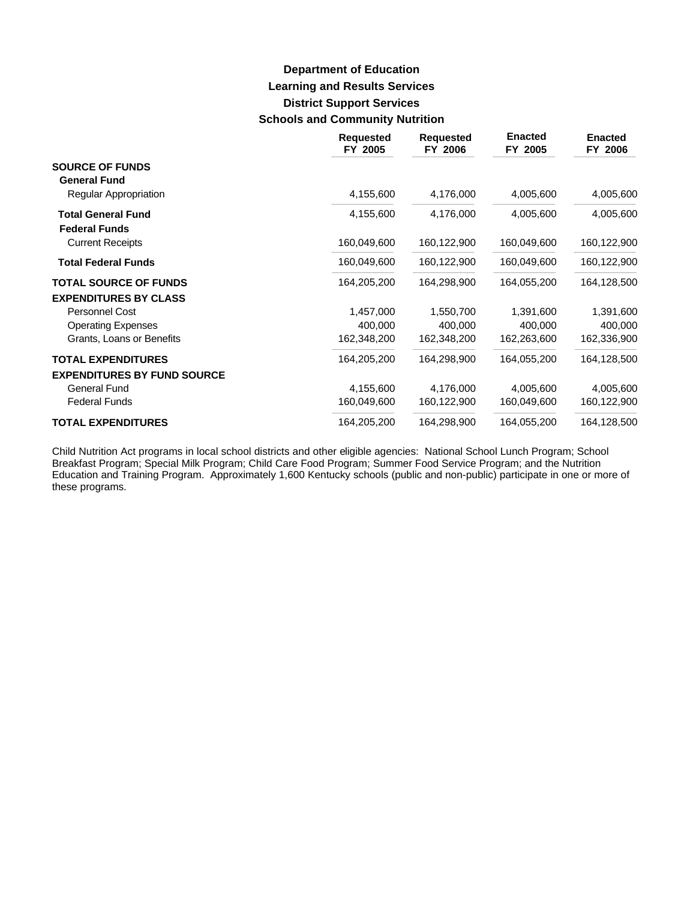# **Learning and Results Services District Support Services Schools and Community Nutrition Department of Education**

|                                                   | <b>Requested</b><br>FY 2005 | <b>Requested</b><br>FY 2006 | <b>Enacted</b><br>FY 2005 | <b>Enacted</b><br>FY 2006 |
|---------------------------------------------------|-----------------------------|-----------------------------|---------------------------|---------------------------|
| <b>SOURCE OF FUNDS</b><br><b>General Fund</b>     |                             |                             |                           |                           |
| Regular Appropriation                             | 4,155,600                   | 4,176,000                   | 4,005,600                 | 4,005,600                 |
| <b>Total General Fund</b><br><b>Federal Funds</b> | 4,155,600                   | 4,176,000                   | 4,005,600                 | 4,005,600                 |
| <b>Current Receipts</b>                           | 160,049,600                 | 160,122,900                 | 160,049,600               | 160,122,900               |
| <b>Total Federal Funds</b>                        | 160,049,600                 | 160,122,900                 | 160,049,600               | 160,122,900               |
| <b>TOTAL SOURCE OF FUNDS</b>                      | 164,205,200                 | 164,298,900                 | 164,055,200               | 164,128,500               |
| <b>EXPENDITURES BY CLASS</b>                      |                             |                             |                           |                           |
| Personnel Cost                                    | 1,457,000                   | 1,550,700                   | 1,391,600                 | 1,391,600                 |
| <b>Operating Expenses</b>                         | 400,000                     | 400,000                     | 400,000                   | 400,000                   |
| Grants, Loans or Benefits                         | 162,348,200                 | 162,348,200                 | 162,263,600               | 162,336,900               |
| <b>TOTAL EXPENDITURES</b>                         | 164,205,200                 | 164,298,900                 | 164,055,200               | 164,128,500               |
| <b>EXPENDITURES BY FUND SOURCE</b>                |                             |                             |                           |                           |
| <b>General Fund</b>                               | 4,155,600                   | 4,176,000                   | 4,005,600                 | 4,005,600                 |
| <b>Federal Funds</b>                              | 160,049,600                 | 160,122,900                 | 160,049,600               | 160,122,900               |
| <b>TOTAL EXPENDITURES</b>                         | 164,205,200                 | 164,298,900                 | 164,055,200               | 164,128,500               |

Child Nutrition Act programs in local school districts and other eligible agencies: National School Lunch Program; School Breakfast Program; Special Milk Program; Child Care Food Program; Summer Food Service Program; and the Nutrition Education and Training Program. Approximately 1,600 Kentucky schools (public and non-public) participate in one or more of these programs.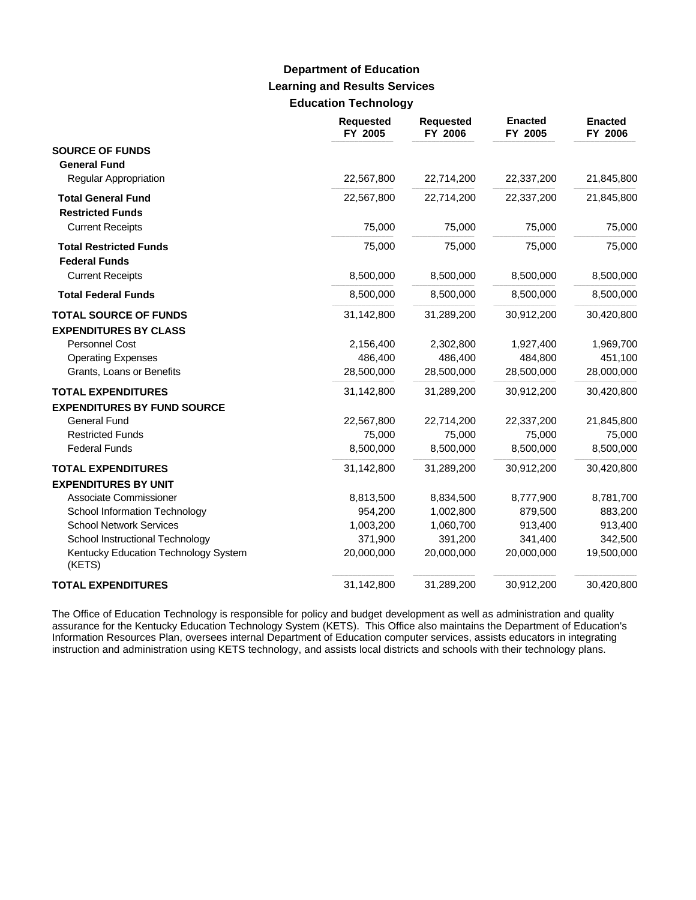### **Learning and Results Services Education Technology Department of Education**

|                                                              | <b>Requested</b><br>FY 2005 | <b>Requested</b><br>FY 2006 | <b>Enacted</b><br>FY 2005 | <b>Enacted</b><br>FY 2006 |
|--------------------------------------------------------------|-----------------------------|-----------------------------|---------------------------|---------------------------|
| <b>SOURCE OF FUNDS</b><br><b>General Fund</b>                |                             |                             |                           |                           |
| <b>Regular Appropriation</b>                                 | 22,567,800                  | 22,714,200                  | 22,337,200                | 21,845,800                |
| <b>Total General Fund</b><br><b>Restricted Funds</b>         | 22,567,800                  | 22,714,200                  | 22,337,200                | 21,845,800                |
| <b>Current Receipts</b>                                      | 75,000                      | 75,000                      | 75,000                    | 75,000                    |
| <b>Total Restricted Funds</b><br><b>Federal Funds</b>        | 75,000                      | 75,000                      | 75,000                    | 75,000                    |
| <b>Current Receipts</b>                                      | 8,500,000                   | 8,500,000                   | 8,500,000                 | 8,500,000                 |
| <b>Total Federal Funds</b>                                   | 8,500,000                   | 8,500,000                   | 8,500,000                 | 8,500,000                 |
| <b>TOTAL SOURCE OF FUNDS</b><br><b>EXPENDITURES BY CLASS</b> | 31,142,800                  | 31,289,200                  | 30,912,200                | 30,420,800                |
| Personnel Cost                                               | 2,156,400                   | 2,302,800                   | 1,927,400                 | 1,969,700                 |
| <b>Operating Expenses</b>                                    | 486,400                     | 486,400                     | 484,800                   | 451,100                   |
| Grants, Loans or Benefits                                    | 28,500,000                  | 28,500,000                  | 28,500,000                | 28,000,000                |
| <b>TOTAL EXPENDITURES</b>                                    | 31,142,800                  | 31,289,200                  | 30,912,200                | 30,420,800                |
| <b>EXPENDITURES BY FUND SOURCE</b>                           |                             |                             |                           |                           |
| <b>General Fund</b>                                          | 22,567,800                  | 22,714,200                  | 22,337,200                | 21,845,800                |
| <b>Restricted Funds</b><br><b>Federal Funds</b>              | 75,000<br>8,500,000         | 75,000<br>8,500,000         | 75,000<br>8,500,000       | 75,000<br>8,500,000       |
| <b>TOTAL EXPENDITURES</b>                                    | 31,142,800                  | 31,289,200                  | 30,912,200                | 30,420,800                |
| <b>EXPENDITURES BY UNIT</b>                                  |                             |                             |                           |                           |
| Associate Commissioner                                       | 8,813,500                   | 8,834,500                   | 8,777,900                 | 8,781,700                 |
| School Information Technology                                | 954,200                     | 1,002,800                   | 879,500                   | 883,200                   |
| <b>School Network Services</b>                               | 1,003,200                   | 1,060,700                   | 913,400                   | 913,400                   |
| School Instructional Technology                              | 371,900                     | 391,200                     | 341,400                   | 342,500                   |
| Kentucky Education Technology System<br>(KETS)               | 20,000,000                  | 20,000,000                  | 20,000,000                | 19,500,000                |
| <b>TOTAL EXPENDITURES</b>                                    | 31,142,800                  | 31,289,200                  | 30,912,200                | 30,420,800                |

The Office of Education Technology is responsible for policy and budget development as well as administration and quality assurance for the Kentucky Education Technology System (KETS). This Office also maintains the Department of Education's Information Resources Plan, oversees internal Department of Education computer services, assists educators in integrating instruction and administration using KETS technology, and assists local districts and schools with their technology plans.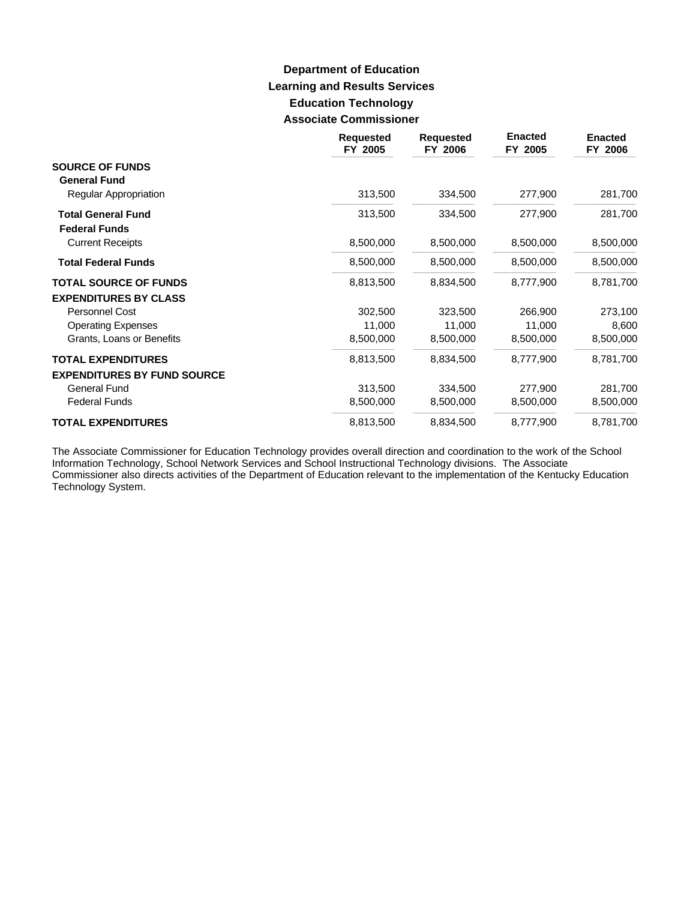# **Learning and Results Services Education Technology Associate Commissioner Department of Education**

|                                                   | <b>Requested</b><br>FY 2005 | <b>Requested</b><br>FY 2006 | <b>Enacted</b><br>FY 2005 | <b>Enacted</b><br>FY 2006 |
|---------------------------------------------------|-----------------------------|-----------------------------|---------------------------|---------------------------|
| <b>SOURCE OF FUNDS</b><br><b>General Fund</b>     |                             |                             |                           |                           |
| <b>Regular Appropriation</b>                      | 313,500                     | 334,500                     | 277,900                   | 281,700                   |
| <b>Total General Fund</b><br><b>Federal Funds</b> | 313,500                     | 334,500                     | 277,900                   | 281,700                   |
| <b>Current Receipts</b>                           | 8,500,000                   | 8,500,000                   | 8,500,000                 | 8,500,000                 |
| <b>Total Federal Funds</b>                        | 8,500,000                   | 8,500,000                   | 8,500,000                 | 8,500,000                 |
| <b>TOTAL SOURCE OF FUNDS</b>                      | 8,813,500                   | 8,834,500                   | 8,777,900                 | 8,781,700                 |
| <b>EXPENDITURES BY CLASS</b>                      |                             |                             |                           |                           |
| Personnel Cost                                    | 302,500                     | 323,500                     | 266,900                   | 273,100                   |
| <b>Operating Expenses</b>                         | 11,000                      | 11,000                      | 11,000                    | 8,600                     |
| Grants, Loans or Benefits                         | 8,500,000                   | 8,500,000                   | 8,500,000                 | 8,500,000                 |
| <b>TOTAL EXPENDITURES</b>                         | 8,813,500                   | 8,834,500                   | 8,777,900                 | 8,781,700                 |
| <b>EXPENDITURES BY FUND SOURCE</b>                |                             |                             |                           |                           |
| <b>General Fund</b>                               | 313,500                     | 334,500                     | 277,900                   | 281,700                   |
| <b>Federal Funds</b>                              | 8,500,000                   | 8,500,000                   | 8,500,000                 | 8,500,000                 |
| <b>TOTAL EXPENDITURES</b>                         | 8,813,500                   | 8,834,500                   | 8,777,900                 | 8,781,700                 |

The Associate Commissioner for Education Technology provides overall direction and coordination to the work of the School Information Technology, School Network Services and School Instructional Technology divisions. The Associate Commissioner also directs activities of the Department of Education relevant to the implementation of the Kentucky Education Technology System.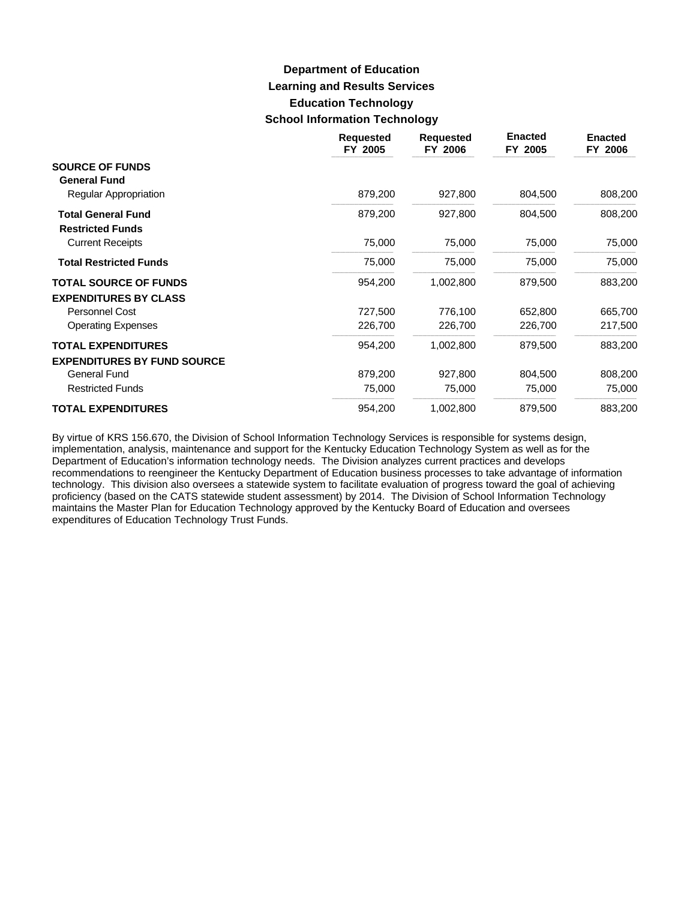# **Learning and Results Services Education Technology School Information Technology Department of Education**

|                                                                 | <b>Requested</b><br>FY 2005 | <b>Requested</b><br>FY 2006 | <b>Enacted</b><br>FY 2005 | <b>Enacted</b><br>FY 2006 |
|-----------------------------------------------------------------|-----------------------------|-----------------------------|---------------------------|---------------------------|
| <b>SOURCE OF FUNDS</b><br><b>General Fund</b>                   |                             |                             |                           |                           |
| Regular Appropriation                                           | 879,200                     | 927,800                     | 804,500                   | 808,200                   |
| <b>Total General Fund</b><br><b>Restricted Funds</b>            | 879,200                     | 927,800                     | 804,500                   | 808,200                   |
| <b>Current Receipts</b>                                         | 75,000                      | 75,000                      | 75,000                    | 75,000                    |
| <b>Total Restricted Funds</b>                                   | 75,000                      | 75,000                      | 75,000                    | 75,000                    |
| <b>TOTAL SOURCE OF FUNDS</b><br><b>EXPENDITURES BY CLASS</b>    | 954,200                     | 1,002,800                   | 879,500                   | 883,200                   |
| Personnel Cost                                                  | 727,500                     | 776,100                     | 652,800                   | 665,700                   |
| <b>Operating Expenses</b>                                       | 226,700                     | 226,700                     | 226,700                   | 217,500                   |
| <b>TOTAL EXPENDITURES</b><br><b>EXPENDITURES BY FUND SOURCE</b> | 954,200                     | 1,002,800                   | 879,500                   | 883,200                   |
| <b>General Fund</b>                                             | 879,200                     | 927,800                     | 804,500                   | 808,200                   |
| <b>Restricted Funds</b>                                         | 75,000                      | 75,000                      | 75,000                    | 75,000                    |
| <b>TOTAL EXPENDITURES</b>                                       | 954,200                     | 1,002,800                   | 879,500                   | 883,200                   |

By virtue of KRS 156.670, the Division of School Information Technology Services is responsible for systems design, implementation, analysis, maintenance and support for the Kentucky Education Technology System as well as for the Department of Education's information technology needs. The Division analyzes current practices and develops recommendations to reengineer the Kentucky Department of Education business processes to take advantage of information technology. This division also oversees a statewide system to facilitate evaluation of progress toward the goal of achieving proficiency (based on the CATS statewide student assessment) by 2014. The Division of School Information Technology maintains the Master Plan for Education Technology approved by the Kentucky Board of Education and oversees expenditures of Education Technology Trust Funds.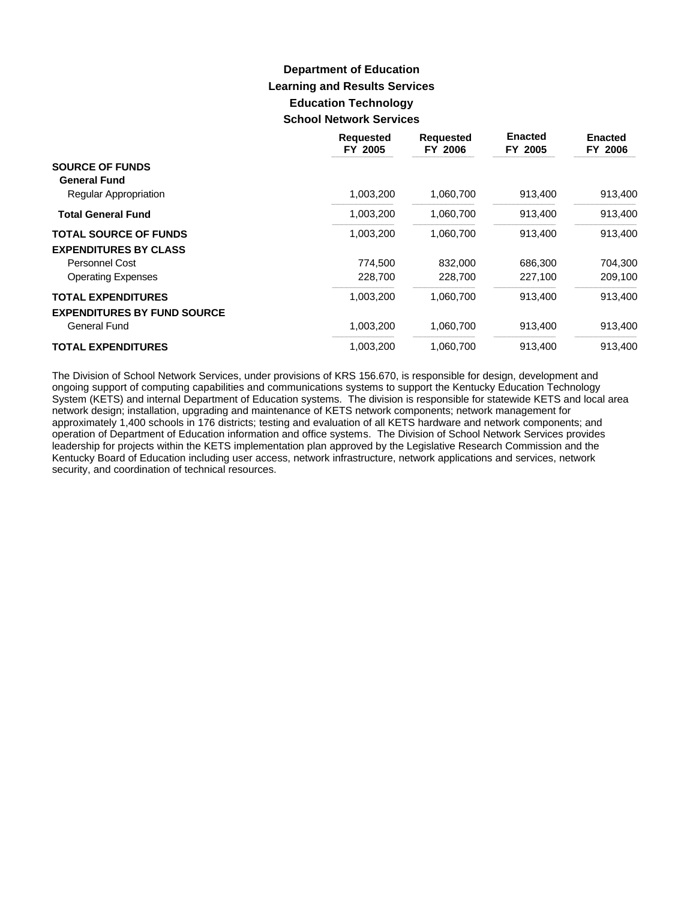# **Learning and Results Services Education Technology School Network Services Department of Education**

|                                    | <b>Requested</b><br>FY 2005 | <b>Requested</b><br>FY 2006 | <b>Enacted</b><br>FY 2005 | <b>Enacted</b><br>FY 2006 |
|------------------------------------|-----------------------------|-----------------------------|---------------------------|---------------------------|
| <b>SOURCE OF FUNDS</b>             |                             |                             |                           |                           |
| <b>General Fund</b>                |                             |                             |                           |                           |
| Regular Appropriation              | 1,003,200                   | 1,060,700                   | 913,400                   | 913,400                   |
| <b>Total General Fund</b>          | 1,003,200                   | 1,060,700                   | 913,400                   | 913,400                   |
| <b>TOTAL SOURCE OF FUNDS</b>       | 1,003,200                   | 1,060,700                   | 913.400                   | 913,400                   |
| <b>EXPENDITURES BY CLASS</b>       |                             |                             |                           |                           |
| Personnel Cost                     | 774.500                     | 832,000                     | 686.300                   | 704,300                   |
| <b>Operating Expenses</b>          | 228,700                     | 228,700                     | 227,100                   | 209,100                   |
| <b>TOTAL EXPENDITURES</b>          | 1,003,200                   | 1,060,700                   | 913,400                   | 913,400                   |
| <b>EXPENDITURES BY FUND SOURCE</b> |                             |                             |                           |                           |
| <b>General Fund</b>                | 1,003,200                   | 1,060,700                   | 913,400                   | 913,400                   |
| <b>TOTAL EXPENDITURES</b>          | 1,003,200                   | 1,060,700                   | 913,400                   | 913.400                   |

The Division of School Network Services, under provisions of KRS 156.670, is responsible for design, development and ongoing support of computing capabilities and communications systems to support the Kentucky Education Technology System (KETS) and internal Department of Education systems. The division is responsible for statewide KETS and local area network design; installation, upgrading and maintenance of KETS network components; network management for approximately 1,400 schools in 176 districts; testing and evaluation of all KETS hardware and network components; and operation of Department of Education information and office systems. The Division of School Network Services provides leadership for projects within the KETS implementation plan approved by the Legislative Research Commission and the Kentucky Board of Education including user access, network infrastructure, network applications and services, network security, and coordination of technical resources.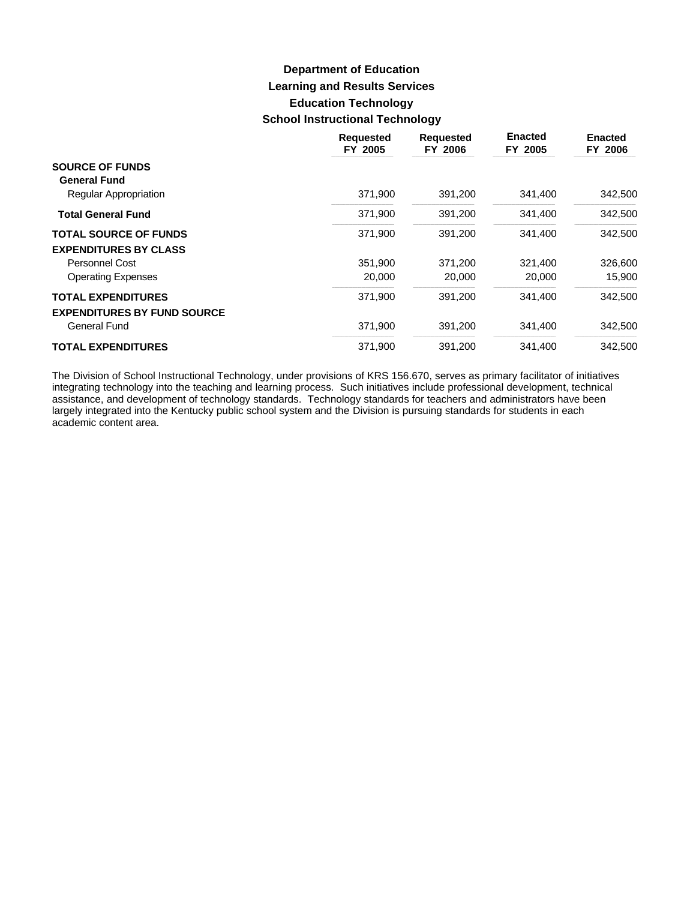# **Learning and Results Services Education Technology School Instructional Technology Department of Education**

|                                    | <b>Requested</b><br>FY 2005 | <b>Requested</b><br>FY 2006 | <b>Enacted</b><br>FY 2005 | <b>Enacted</b><br>FY 2006 |
|------------------------------------|-----------------------------|-----------------------------|---------------------------|---------------------------|
| <b>SOURCE OF FUNDS</b>             |                             |                             |                           |                           |
| <b>General Fund</b>                |                             |                             |                           |                           |
| Regular Appropriation              | 371,900                     | 391,200                     | 341,400                   | 342,500                   |
| <b>Total General Fund</b>          | 371,900                     | 391,200                     | 341,400                   | 342,500                   |
| <b>TOTAL SOURCE OF FUNDS</b>       | 371,900                     | 391,200                     | 341,400                   | 342,500                   |
| <b>EXPENDITURES BY CLASS</b>       |                             |                             |                           |                           |
| Personnel Cost                     | 351,900                     | 371,200                     | 321,400                   | 326,600                   |
| <b>Operating Expenses</b>          | 20,000                      | 20,000                      | 20,000                    | 15,900                    |
| <b>TOTAL EXPENDITURES</b>          | 371.900                     | 391.200                     | 341.400                   | 342,500                   |
| <b>EXPENDITURES BY FUND SOURCE</b> |                             |                             |                           |                           |
| General Fund                       | 371,900                     | 391,200                     | 341,400                   | 342,500                   |
| <b>TOTAL EXPENDITURES</b>          | 371,900                     | 391,200                     | 341,400                   | 342,500                   |

The Division of School Instructional Technology, under provisions of KRS 156.670, serves as primary facilitator of initiatives integrating technology into the teaching and learning process. Such initiatives include professional development, technical assistance, and development of technology standards. Technology standards for teachers and administrators have been largely integrated into the Kentucky public school system and the Division is pursuing standards for students in each academic content area.